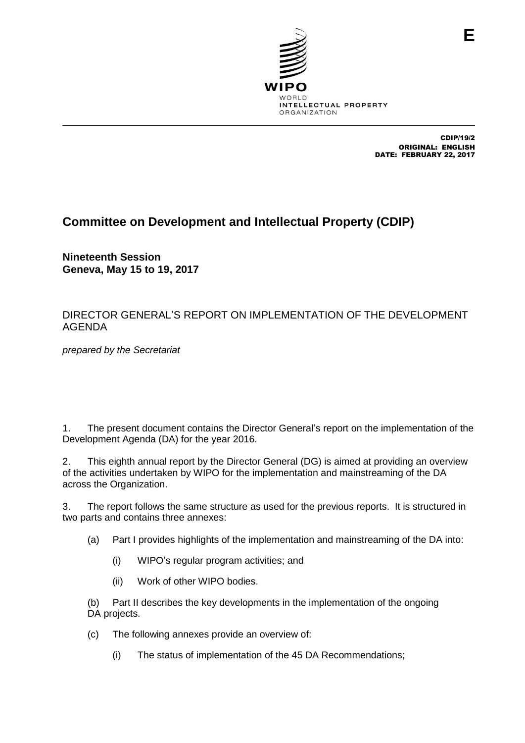

CDIP/19/2 ORIGINAL: ENGLISH DATE: FEBRUARY 22, 2017

# **Committee on Development and Intellectual Property (CDIP)**

**Nineteenth Session Geneva, May 15 to 19, 2017**

### DIRECTOR GENERAL'S REPORT ON IMPLEMENTATION OF THE DEVELOPMENT AGENDA

*prepared by the Secretariat*

1. The present document contains the Director General's report on the implementation of the Development Agenda (DA) for the year 2016.

2. This eighth annual report by the Director General (DG) is aimed at providing an overview of the activities undertaken by WIPO for the implementation and mainstreaming of the DA across the Organization.

3. The report follows the same structure as used for the previous reports. It is structured in two parts and contains three annexes:

- (a) Part I provides highlights of the implementation and mainstreaming of the DA into:
	- (i) WIPO's regular program activities; and
	- (ii) Work of other WIPO bodies.

(b) Part II describes the key developments in the implementation of the ongoing DA projects.

- (c) The following annexes provide an overview of:
	- (i) The status of implementation of the 45 DA Recommendations;

**E**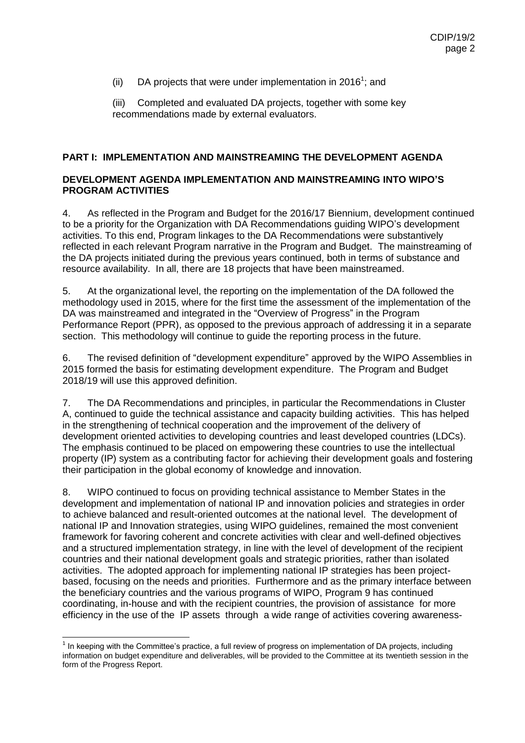(ii) DA projects that were under implementation in 2016<sup>1</sup>; and

(iii) Completed and evaluated DA projects, together with some key recommendations made by external evaluators.

#### **PART I: IMPLEMENTATION AND MAINSTREAMING THE DEVELOPMENT AGENDA**

### **DEVELOPMENT AGENDA IMPLEMENTATION AND MAINSTREAMING INTO WIPO'S PROGRAM ACTIVITIES**

4. As reflected in the Program and Budget for the 2016/17 Biennium, development continued to be a priority for the Organization with DA Recommendations guiding WIPO's development activities. To this end, Program linkages to the DA Recommendations were substantively reflected in each relevant Program narrative in the Program and Budget. The mainstreaming of the DA projects initiated during the previous years continued, both in terms of substance and resource availability. In all, there are 18 projects that have been mainstreamed.

5. At the organizational level, the reporting on the implementation of the DA followed the methodology used in 2015, where for the first time the assessment of the implementation of the DA was mainstreamed and integrated in the "Overview of Progress" in the Program Performance Report (PPR), as opposed to the previous approach of addressing it in a separate section. This methodology will continue to guide the reporting process in the future.

6. The revised definition of "development expenditure" approved by the WIPO Assemblies in 2015 formed the basis for estimating development expenditure. The Program and Budget 2018/19 will use this approved definition.

7. The DA Recommendations and principles, in particular the Recommendations in Cluster A, continued to guide the technical assistance and capacity building activities. This has helped in the strengthening of technical cooperation and the improvement of the delivery of development oriented activities to developing countries and least developed countries (LDCs). The emphasis continued to be placed on empowering these countries to use the intellectual property (IP) system as a contributing factor for achieving their development goals and fostering their participation in the global economy of knowledge and innovation.

8. WIPO continued to focus on providing technical assistance to Member States in the development and implementation of national IP and innovation policies and strategies in order to achieve balanced and result-oriented outcomes at the national level. The development of national IP and Innovation strategies, using WIPO guidelines, remained the most convenient framework for favoring coherent and concrete activities with clear and well-defined objectives and a structured implementation strategy, in line with the level of development of the recipient countries and their national development goals and strategic priorities, rather than isolated activities. The adopted approach for implementing national IP strategies has been projectbased, focusing on the needs and priorities. Furthermore and as the primary interface between the beneficiary countries and the various programs of WIPO, Program 9 has continued coordinating, in-house and with the recipient countries, the provision of assistance for more efficiency in the use of the IP assets through a wide range of activities covering awareness-

The Location of the Committee's practice, a full review of progress on implementation of DA projects, including<br>The keeping with the Committee's practice, a full review of progress on implementation of DA projects, includi information on budget expenditure and deliverables, will be provided to the Committee at its twentieth session in the form of the Progress Report.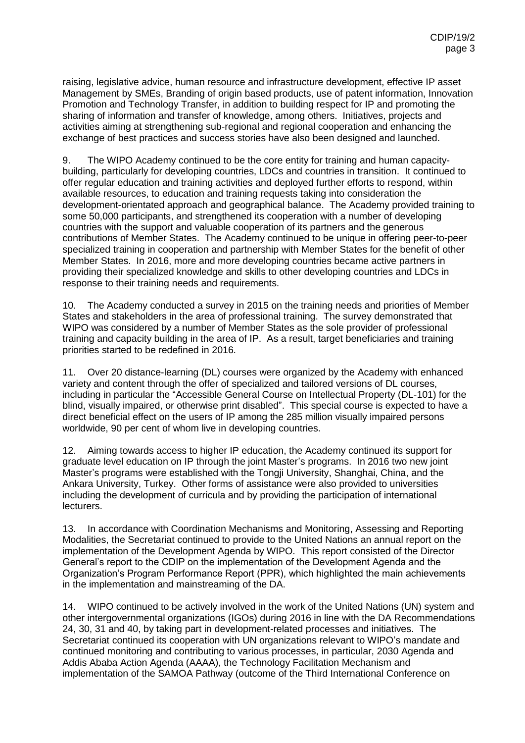raising, legislative advice, human resource and infrastructure development, effective IP asset Management by SMEs, Branding of origin based products, use of patent information, Innovation Promotion and Technology Transfer, in addition to building respect for IP and promoting the sharing of information and transfer of knowledge, among others. Initiatives, projects and activities aiming at strengthening sub-regional and regional cooperation and enhancing the exchange of best practices and success stories have also been designed and launched.

9. The WIPO Academy continued to be the core entity for training and human capacitybuilding, particularly for developing countries, LDCs and countries in transition. It continued to offer regular education and training activities and deployed further efforts to respond, within available resources, to education and training requests taking into consideration the development-orientated approach and geographical balance. The Academy provided training to some 50,000 participants, and strengthened its cooperation with a number of developing countries with the support and valuable cooperation of its partners and the generous contributions of Member States. The Academy continued to be unique in offering peer-to-peer specialized training in cooperation and partnership with Member States for the benefit of other Member States. In 2016, more and more developing countries became active partners in providing their specialized knowledge and skills to other developing countries and LDCs in response to their training needs and requirements.

10. The Academy conducted a survey in 2015 on the training needs and priorities of Member States and stakeholders in the area of professional training. The survey demonstrated that WIPO was considered by a number of Member States as the sole provider of professional training and capacity building in the area of IP. As a result, target beneficiaries and training priorities started to be redefined in 2016.

11. Over 20 distance-learning (DL) courses were organized by the Academy with enhanced variety and content through the offer of specialized and tailored versions of DL courses, including in particular the "Accessible General Course on Intellectual Property (DL-101) for the blind, visually impaired, or otherwise print disabled". This special course is expected to have a direct beneficial effect on the users of IP among the 285 million visually impaired persons worldwide, 90 per cent of whom live in developing countries.

12. Aiming towards access to higher IP education, the Academy continued its support for graduate level education on IP through the joint Master's programs. In 2016 two new joint Master's programs were established with the Tongji University, Shanghai, China, and the Ankara University, Turkey. Other forms of assistance were also provided to universities including the development of curricula and by providing the participation of international lecturers.

13. In accordance with Coordination Mechanisms and Monitoring, Assessing and Reporting Modalities, the Secretariat continued to provide to the United Nations an annual report on the implementation of the Development Agenda by WIPO. This report consisted of the Director General's report to the CDIP on the implementation of the Development Agenda and the Organization's Program Performance Report (PPR), which highlighted the main achievements in the implementation and mainstreaming of the DA.

14. WIPO continued to be actively involved in the work of the United Nations (UN) system and other intergovernmental organizations (IGOs) during 2016 in line with the DA Recommendations 24, 30, 31 and 40, by taking part in development-related processes and initiatives. The Secretariat continued its cooperation with UN organizations relevant to WIPO's mandate and continued monitoring and contributing to various processes, in particular, 2030 Agenda and Addis Ababa Action Agenda (AAAA), the Technology Facilitation Mechanism and implementation of the SAMOA Pathway (outcome of the Third International Conference on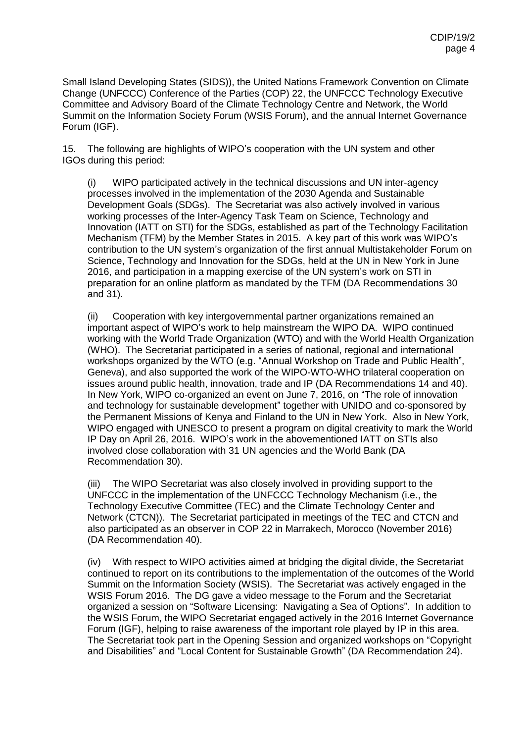Small Island Developing States (SIDS)), the United Nations Framework Convention on Climate Change (UNFCCC) Conference of the Parties (COP) 22, the UNFCCC Technology Executive Committee and Advisory Board of the Climate Technology Centre and Network, the World Summit on the Information Society Forum (WSIS Forum), and the annual Internet Governance Forum (IGF).

15. The following are highlights of WIPO's cooperation with the UN system and other IGOs during this period:

(i) WIPO participated actively in the technical discussions and UN inter-agency processes involved in the implementation of the 2030 Agenda and Sustainable Development Goals (SDGs). The Secretariat was also actively involved in various working processes of the Inter-Agency Task Team on Science, Technology and Innovation (IATT on STI) for the SDGs, established as part of the Technology Facilitation Mechanism (TFM) by the Member States in 2015. A key part of this work was WIPO's contribution to the UN system's organization of the first annual Multistakeholder Forum on Science, Technology and Innovation for the SDGs, held at the UN in New York in June 2016, and participation in a mapping exercise of the UN system's work on STI in preparation for an online platform as mandated by the TFM (DA Recommendations 30 and 31).

(ii) Cooperation with key intergovernmental partner organizations remained an important aspect of WIPO's work to help mainstream the WIPO DA. WIPO continued working with the World Trade Organization (WTO) and with the World Health Organization (WHO). The Secretariat participated in a series of national, regional and international workshops organized by the WTO (e.g. "Annual Workshop on Trade and Public Health", Geneva), and also supported the work of the WIPO-WTO-WHO trilateral cooperation on issues around public health, innovation, trade and IP (DA Recommendations 14 and 40). In New York, WIPO co-organized an event on June 7, 2016, on "The role of innovation and technology for sustainable development" together with UNIDO and co-sponsored by the Permanent Missions of Kenya and Finland to the UN in New York. Also in New York, WIPO engaged with UNESCO to present a program on digital creativity to mark the World IP Day on April 26, 2016. WIPO's work in the abovementioned IATT on STIs also involved close collaboration with 31 UN agencies and the World Bank (DA Recommendation 30).

(iii) The WIPO Secretariat was also closely involved in providing support to the UNFCCC in the implementation of the UNFCCC Technology Mechanism (i.e., the Technology Executive Committee (TEC) and the Climate Technology Center and Network (CTCN)). The Secretariat participated in meetings of the TEC and CTCN and also participated as an observer in COP 22 in Marrakech, Morocco (November 2016) (DA Recommendation 40).

(iv) With respect to WIPO activities aimed at bridging the digital divide, the Secretariat continued to report on its contributions to the implementation of the outcomes of the World Summit on the Information Society (WSIS). The Secretariat was actively engaged in the WSIS Forum 2016. The DG gave a video message to the Forum and the Secretariat organized a session on "Software Licensing: Navigating a Sea of Options". In addition to the WSIS Forum, the WIPO Secretariat engaged actively in the 2016 Internet Governance Forum (IGF), helping to raise awareness of the important role played by IP in this area. The Secretariat took part in the Opening Session and organized workshops on "Copyright and Disabilities" and "Local Content for Sustainable Growth" (DA Recommendation 24).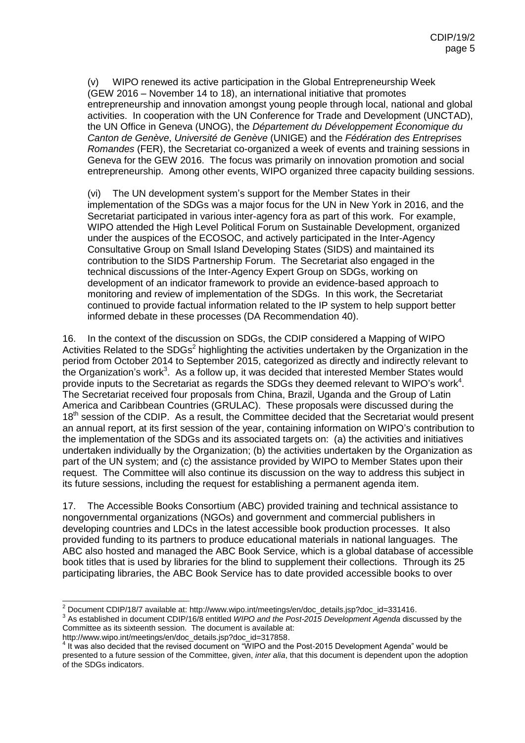(v) WIPO renewed its active participation in the Global Entrepreneurship Week (GEW 2016 – November 14 to 18), an international initiative that promotes entrepreneurship and innovation amongst young people through local, national and global activities. In cooperation with the UN Conference for Trade and Development (UNCTAD), the UN Office in Geneva (UNOG), the *Département du Développement Économique du Canton de Genève*, *Université de Genève* (UNIGE) and the *Fédération des Entreprises Romandes* (FER), the Secretariat co-organized a week of events and training sessions in Geneva for the GEW 2016. The focus was primarily on innovation promotion and social entrepreneurship. Among other events, WIPO organized three capacity building sessions.

(vi) The UN development system's support for the Member States in their implementation of the SDGs was a major focus for the UN in New York in 2016, and the Secretariat participated in various inter-agency fora as part of this work. For example, WIPO attended the High Level Political Forum on Sustainable Development, organized under the auspices of the ECOSOC, and actively participated in the Inter-Agency Consultative Group on Small Island Developing States (SIDS) and maintained its contribution to the SIDS Partnership Forum. The Secretariat also engaged in the technical discussions of the Inter-Agency Expert Group on SDGs, working on development of an indicator framework to provide an evidence-based approach to monitoring and review of implementation of the SDGs. In this work, the Secretariat continued to provide factual information related to the IP system to help support better informed debate in these processes (DA Recommendation 40).

16. In the context of the discussion on SDGs, the CDIP considered a Mapping of WIPO Activities Related to the SDGs<sup>2</sup> highlighting the activities undertaken by the Organization in the period from October 2014 to September 2015, categorized as directly and indirectly relevant to the Organization's work<sup>3</sup>. As a follow up, it was decided that interested Member States would provide inputs to the Secretariat as regards the SDGs they deemed relevant to WIPO's work<sup>4</sup>. The Secretariat received four proposals from China, Brazil, Uganda and the Group of Latin America and Caribbean Countries (GRULAC). These proposals were discussed during the 18<sup>th</sup> session of the CDIP. As a result, the Committee decided that the Secretariat would present an annual report, at its first session of the year, containing information on WIPO's contribution to the implementation of the SDGs and its associated targets on: (a) the activities and initiatives undertaken individually by the Organization; (b) the activities undertaken by the Organization as part of the UN system; and (c) the assistance provided by WIPO to Member States upon their request. The Committee will also continue its discussion on the way to address this subject in its future sessions, including the request for establishing a permanent agenda item.

17. The Accessible Books Consortium (ABC) provided training and technical assistance to nongovernmental organizations (NGOs) and government and commercial publishers in developing countries and LDCs in the latest accessible book production processes. It also provided funding to its partners to produce educational materials in national languages. The ABC also hosted and managed the ABC Book Service, which is a global database of accessible book titles that is used by libraries for the blind to supplement their collections. Through its 25 participating libraries, the ABC Book Service has to date provided accessible books to over

Committee as its sixteenth session. The document is available at:

  $^2$  Document CDIP/18/7 available at: http://www.wipo.int/meetings/en/doc\_details.jsp?doc\_id=331416. 3 As established in document CDIP/16/8 entitled *WIPO and the Post-2015 Development Agenda* discussed by the

http://www.wipo.int/meetings/en/doc\_details.jsp?doc\_id=317858.<br><sup>4</sup> It was also decided that the revised document on "WIPO and the Post-2015 Development Agenda" would be presented to a future session of the Committee, given, *inter alia*, that this document is dependent upon the adoption of the SDGs indicators.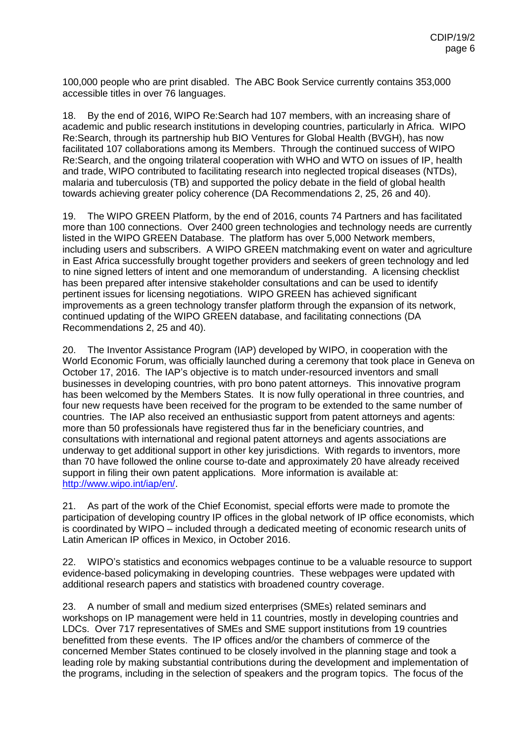100,000 people who are print disabled. The ABC Book Service currently contains 353,000 accessible titles in over 76 languages.

18. By the end of 2016, WIPO Re:Search had 107 members, with an increasing share of academic and public research institutions in developing countries, particularly in Africa. WIPO Re:Search, through its partnership hub BIO Ventures for Global Health (BVGH), has now facilitated 107 collaborations among its Members. Through the continued success of WIPO Re:Search, and the ongoing trilateral cooperation with WHO and WTO on issues of IP, health and trade, WIPO contributed to facilitating research into neglected tropical diseases (NTDs), malaria and tuberculosis (TB) and supported the policy debate in the field of global health towards achieving greater policy coherence (DA Recommendations 2, 25, 26 and 40).

19. The WIPO GREEN Platform, by the end of 2016, counts 74 Partners and has facilitated more than 100 connections. Over 2400 green technologies and technology needs are currently listed in the WIPO GREEN Database. The platform has over 5,000 Network members, including users and subscribers. A WIPO GREEN matchmaking event on water and agriculture in East Africa successfully brought together providers and seekers of green technology and led to nine signed letters of intent and one memorandum of understanding. A licensing checklist has been prepared after intensive stakeholder consultations and can be used to identify pertinent issues for licensing negotiations. WIPO GREEN has achieved significant improvements as a green technology transfer platform through the expansion of its network, continued updating of the WIPO GREEN database, and facilitating connections (DA Recommendations 2, 25 and 40).

20. The Inventor Assistance Program (IAP) developed by WIPO, in cooperation with the World Economic Forum, was officially launched during a ceremony that took place in Geneva on October 17, 2016. The IAP's objective is to match under-resourced inventors and small businesses in developing countries, with pro bono patent attorneys. This innovative program has been welcomed by the Members States. It is now fully operational in three countries, and four new requests have been received for the program to be extended to the same number of countries. The IAP also received an enthusiastic support from patent attorneys and agents: more than 50 professionals have registered thus far in the beneficiary countries, and consultations with international and regional patent attorneys and agents associations are underway to get additional support in other key jurisdictions. With regards to inventors, more than 70 have followed the online course to-date and approximately 20 have already received support in filing their own patent applications. More information is available at: [http://www.wipo.int/iap/en/.](http://www.wipo.int/iap/en/)

21. As part of the work of the Chief Economist, special efforts were made to promote the participation of developing country IP offices in the global network of IP office economists, which is coordinated by WIPO – included through a dedicated meeting of economic research units of Latin American IP offices in Mexico, in October 2016.

22. WIPO's statistics and economics webpages continue to be a valuable resource to support evidence-based policymaking in developing countries. These webpages were updated with additional research papers and statistics with broadened country coverage.

23. A number of small and medium sized enterprises (SMEs) related seminars and workshops on IP management were held in 11 countries, mostly in developing countries and LDCs. Over 717 representatives of SMEs and SME support institutions from 19 countries benefitted from these events. The IP offices and/or the chambers of commerce of the concerned Member States continued to be closely involved in the planning stage and took a leading role by making substantial contributions during the development and implementation of the programs, including in the selection of speakers and the program topics. The focus of the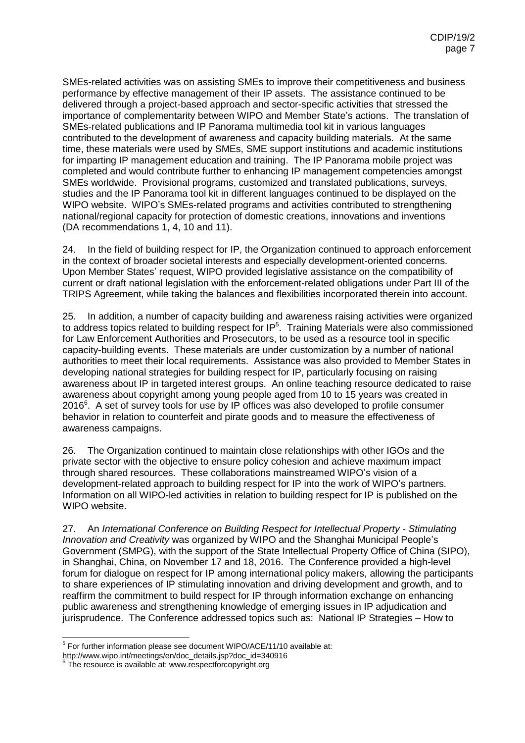SMEs-related activities was on assisting SMEs to improve their competitiveness and business performance by effective management of their IP assets. The assistance continued to be delivered through a project-based approach and sector-specific activities that stressed the importance of complementarity between WIPO and Member State's actions. The translation of SMEs-related publications and IP Panorama multimedia tool kit in various languages contributed to the development of awareness and capacity building materials. At the same time, these materials were used by SMEs, SME support institutions and academic institutions for imparting IP management education and training. The IP Panorama mobile project was completed and would contribute further to enhancing IP management competencies amongst SMEs worldwide. Provisional programs, customized and translated publications, surveys, studies and the IP Panorama tool kit in different languages continued to be displayed on the WIPO website. WIPO's SMEs-related programs and activities contributed to strengthening national/regional capacity for protection of domestic creations, innovations and inventions (DA recommendations 1, 4, 10 and 11).

24. In the field of building respect for IP, the Organization continued to approach enforcement in the context of broader societal interests and especially development-oriented concerns. Upon Member States' request, WIPO provided legislative assistance on the compatibility of current or draft national legislation with the enforcement-related obligations under Part III of the TRIPS Agreement, while taking the balances and flexibilities incorporated therein into account.

25. In addition, a number of capacity building and awareness raising activities were organized to address topics related to building respect for  $IP<sup>5</sup>$ . Training Materials were also commissioned for Law Enforcement Authorities and Prosecutors, to be used as a resource tool in specific capacity-building events. These materials are under customization by a number of national authorities to meet their local requirements. Assistance was also provided to Member States in developing national strategies for building respect for IP, particularly focusing on raising awareness about IP in targeted interest groups. An online teaching resource dedicated to raise awareness about copyright among young people aged from 10 to 15 years was created in 2016<sup>6</sup>. A set of survey tools for use by IP offices was also developed to profile consumer behavior in relation to counterfeit and pirate goods and to measure the effectiveness of awareness campaigns.

26. The Organization continued to maintain close relationships with other IGOs and the private sector with the objective to ensure policy cohesion and achieve maximum impact through shared resources. These collaborations mainstreamed WIPO's vision of a development-related approach to building respect for IP into the work of WIPO's partners. Information on all WIPO-led activities in relation to building respect for IP is published on the WIPO website.

27. An *International Conference on Building Respect for Intellectual Property - Stimulating Innovation and Creativity* was organized by WIPO and the Shanghai Municipal People's Government (SMPG), with the support of the State Intellectual Property Office of China (SIPO), in Shanghai, China, on November 17 and 18, 2016. The Conference provided a high-level forum for dialogue on respect for IP among international policy makers, allowing the participants to share experiences of IP stimulating innovation and driving development and growth, and to reaffirm the commitment to build respect for IP through information exchange on enhancing public awareness and strengthening knowledge of emerging issues in IP adjudication and jurisprudence. The Conference addressed topics such as: National IP Strategies – How to

 5 For further information please see document WIPO/ACE/11/10 available at:

http://www.wipo.int/meetings/en/doc\_details.jsp?doc\_id=340916

<sup>6</sup> The resource is available at: www.respectforcopyright.org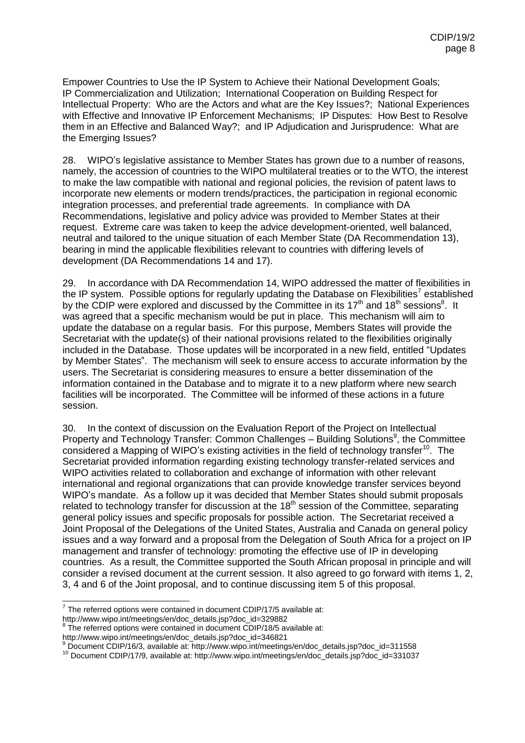Empower Countries to Use the IP System to Achieve their National Development Goals; IP Commercialization and Utilization; International Cooperation on Building Respect for Intellectual Property: Who are the Actors and what are the Key Issues?; National Experiences with Effective and Innovative IP Enforcement Mechanisms; IP Disputes: How Best to Resolve them in an Effective and Balanced Way?; and IP Adjudication and Jurisprudence: What are the Emerging Issues?

28. WIPO's legislative assistance to Member States has grown due to a number of reasons, namely, the accession of countries to the WIPO multilateral treaties or to the WTO, the interest to make the law compatible with national and regional policies, the revision of patent laws to incorporate new elements or modern trends/practices, the participation in regional economic integration processes, and preferential trade agreements. In compliance with DA Recommendations, legislative and policy advice was provided to Member States at their request. Extreme care was taken to keep the advice development-oriented, well balanced, neutral and tailored to the unique situation of each Member State (DA Recommendation 13), bearing in mind the applicable flexibilities relevant to countries with differing levels of development (DA Recommendations 14 and 17).

29. In accordance with DA Recommendation 14, WIPO addressed the matter of flexibilities in the IP system. Possible options for regularly updating the Database on Flexibilities<sup>7</sup> established by the CDIP were explored and discussed by the Committee in its 17<sup>th</sup> and 18<sup>th</sup> sessions<sup>8</sup>. It was agreed that a specific mechanism would be put in place. This mechanism will aim to update the database on a regular basis. For this purpose, Members States will provide the Secretariat with the update(s) of their national provisions related to the flexibilities originally included in the Database. Those updates will be incorporated in a new field, entitled "Updates by Member States". The mechanism will seek to ensure access to accurate information by the users. The Secretariat is considering measures to ensure a better dissemination of the information contained in the Database and to migrate it to a new platform where new search facilities will be incorporated. The Committee will be informed of these actions in a future session.

30. In the context of discussion on the Evaluation Report of the Project on Intellectual Property and Technology Transfer: Common Challenges - Building Solutions<sup>9</sup>, the Committee considered a Mapping of WIPO's existing activities in the field of technology transfer<sup>10</sup>. The Secretariat provided information regarding existing technology transfer-related services and WIPO activities related to collaboration and exchange of information with other relevant international and regional organizations that can provide knowledge transfer services beyond WIPO's mandate. As a follow up it was decided that Member States should submit proposals related to technology transfer for discussion at the  $18<sup>th</sup>$  session of the Committee, separating general policy issues and specific proposals for possible action. The Secretariat received a Joint Proposal of the Delegations of the United States, Australia and Canada on general policy issues and a way forward and a proposal from the Delegation of South Africa for a project on IP management and transfer of technology: promoting the effective use of IP in developing countries. As a result, the Committee supported the South African proposal in principle and will consider a revised document at the current session. It also agreed to go forward with items 1, 2, 3, 4 and 6 of the Joint proposal, and to continue discussing item 5 of this proposal.

The referred options were contained in document CDIP/17/5 available at:<br>The referred options were contained in document CDIP/17/5 available at:

http://www.wipo.int/meetings/en/doc\_details.jsp?doc\_id=329882<br><sup>8</sup> The referred options were contained in document CDIP/18/5 available at:

http://www.wipo.int/meetings/en/doc\_details.jsp?doc\_id=346821

<sup>9</sup> Document CDIP/16/3, available at: http://www.wipo.int/meetings/en/doc\_details.jsp?doc\_id=311558

<sup>10</sup> Document CDIP/17/9, available at: http://www.wipo.int/meetings/en/doc\_details.jsp?doc\_id=331037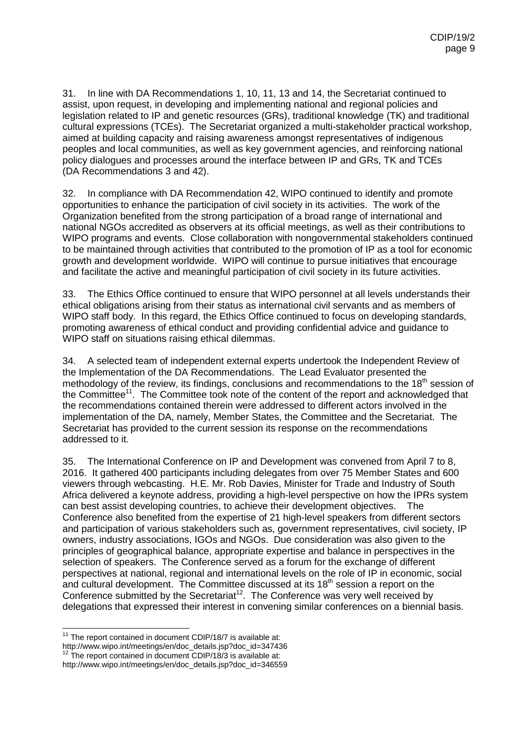31. In line with DA Recommendations 1, 10, 11, 13 and 14, the Secretariat continued to assist, upon request, in developing and implementing national and regional policies and legislation related to IP and genetic resources (GRs), traditional knowledge (TK) and traditional cultural expressions (TCEs). The Secretariat organized a multi-stakeholder practical workshop, aimed at building capacity and raising awareness amongst representatives of indigenous peoples and local communities, as well as key government agencies, and reinforcing national policy dialogues and processes around the interface between IP and GRs, TK and TCEs (DA Recommendations 3 and 42).

32. In compliance with DA Recommendation 42, WIPO continued to identify and promote opportunities to enhance the participation of civil society in its activities. The work of the Organization benefited from the strong participation of a broad range of international and national NGOs accredited as observers at its official meetings, as well as their contributions to WIPO programs and events. Close collaboration with nongovernmental stakeholders continued to be maintained through activities that contributed to the promotion of IP as a tool for economic growth and development worldwide. WIPO will continue to pursue initiatives that encourage and facilitate the active and meaningful participation of civil society in its future activities.

33. The Ethics Office continued to ensure that WIPO personnel at all levels understands their ethical obligations arising from their status as international civil servants and as members of WIPO staff body. In this regard, the Ethics Office continued to focus on developing standards, promoting awareness of ethical conduct and providing confidential advice and guidance to WIPO staff on situations raising ethical dilemmas.

34. A selected team of independent external experts undertook the Independent Review of the Implementation of the DA Recommendations. The Lead Evaluator presented the methodology of the review, its findings, conclusions and recommendations to the 18<sup>th</sup> session of the Committee<sup>11</sup>. The Committee took note of the content of the report and acknowledged that the recommendations contained therein were addressed to different actors involved in the implementation of the DA, namely, Member States, the Committee and the Secretariat. The Secretariat has provided to the current session its response on the recommendations addressed to it.

35. The International Conference on IP and Development was convened from April 7 to 8, 2016. It gathered 400 participants including delegates from over 75 Member States and 600 viewers through webcasting. H.E. Mr. Rob Davies, Minister for Trade and Industry of South Africa delivered a keynote address, providing a high-level perspective on how the IPRs system can best assist developing countries, to achieve their development objectives. The Conference also benefited from the expertise of 21 high-level speakers from different sectors and participation of various stakeholders such as, government representatives, civil society, IP owners, industry associations, IGOs and NGOs. Due consideration was also given to the principles of geographical balance, appropriate expertise and balance in perspectives in the selection of speakers. The Conference served as a forum for the exchange of different perspectives at national, regional and international levels on the role of IP in economic, social and cultural development. The Committee discussed at its 18<sup>th</sup> session a report on the Conference submitted by the Secretariat<sup>12</sup>. The Conference was very well received by delegations that expressed their interest in convening similar conferences on a biennial basis.

  $11$  The report contained in document CDIP/18/7 is available at: http://www.wipo.int/meetings/en/doc\_details.jsp?doc\_id=347436

 $12$  The report contained in document CDIP/18/3 is available at: http://www.wipo.int/meetings/en/doc\_details.jsp?doc\_id=346559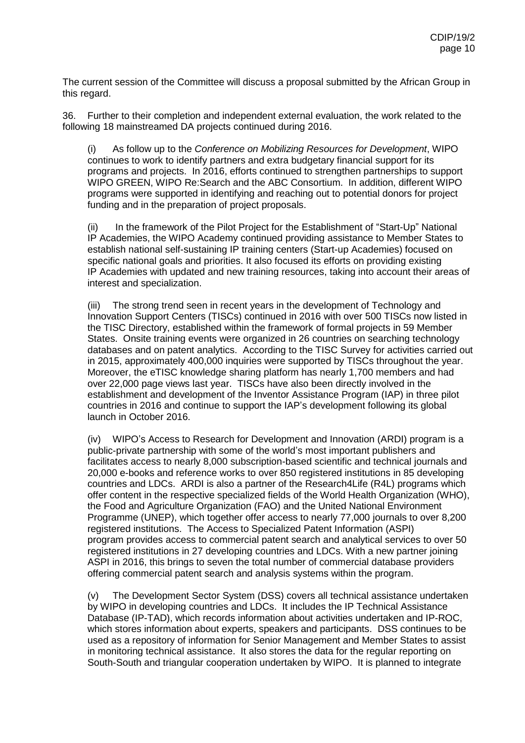The current session of the Committee will discuss a proposal submitted by the African Group in this regard.

36. Further to their completion and independent external evaluation, the work related to the following 18 mainstreamed DA projects continued during 2016.

(i) As follow up to the *Conference on Mobilizing Resources for Development*, WIPO continues to work to identify partners and extra budgetary financial support for its programs and projects. In 2016, efforts continued to strengthen partnerships to support WIPO GREEN, WIPO Re:Search and the ABC Consortium. In addition, different WIPO programs were supported in identifying and reaching out to potential donors for project funding and in the preparation of project proposals.

(ii) In the framework of the Pilot Project for the Establishment of "Start-Up" National IP Academies, the WIPO Academy continued providing assistance to Member States to establish national self-sustaining IP training centers (Start-up Academies) focused on specific national goals and priorities. It also focused its efforts on providing existing IP Academies with updated and new training resources, taking into account their areas of interest and specialization.

(iii) The strong trend seen in recent years in the development of Technology and Innovation Support Centers (TISCs) continued in 2016 with over 500 TISCs now listed in the TISC Directory, established within the framework of formal projects in 59 Member States. Onsite training events were organized in 26 countries on searching technology databases and on patent analytics. According to the TISC Survey for activities carried out in 2015, approximately 400,000 inquiries were supported by TISCs throughout the year. Moreover, the eTISC knowledge sharing platform has nearly 1,700 members and had over 22,000 page views last year. TISCs have also been directly involved in the establishment and development of the Inventor Assistance Program (IAP) in three pilot countries in 2016 and continue to support the IAP's development following its global launch in October 2016.

(iv) WIPO's Access to Research for Development and Innovation (ARDI) program is a public-private partnership with some of the world's most important publishers and facilitates access to nearly 8,000 subscription-based scientific and technical journals and 20,000 e-books and reference works to over 850 registered institutions in 85 developing countries and LDCs. ARDI is also a partner of the Research4Life (R4L) programs which offer content in the respective specialized fields of the World Health Organization (WHO), the Food and Agriculture Organization (FAO) and the United National Environment Programme (UNEP), which together offer access to nearly 77,000 journals to over 8,200 registered institutions. The Access to Specialized Patent Information (ASPI) program provides access to commercial patent search and analytical services to over 50 registered institutions in 27 developing countries and LDCs. With a new partner joining ASPI in 2016, this brings to seven the total number of commercial database providers offering commercial patent search and analysis systems within the program.

(v) The Development Sector System (DSS) covers all technical assistance undertaken by WIPO in developing countries and LDCs. It includes the IP Technical Assistance Database (IP-TAD), which records information about activities undertaken and IP-ROC, which stores information about experts, speakers and participants. DSS continues to be used as a repository of information for Senior Management and Member States to assist in monitoring technical assistance. It also stores the data for the regular reporting on South-South and triangular cooperation undertaken by WIPO. It is planned to integrate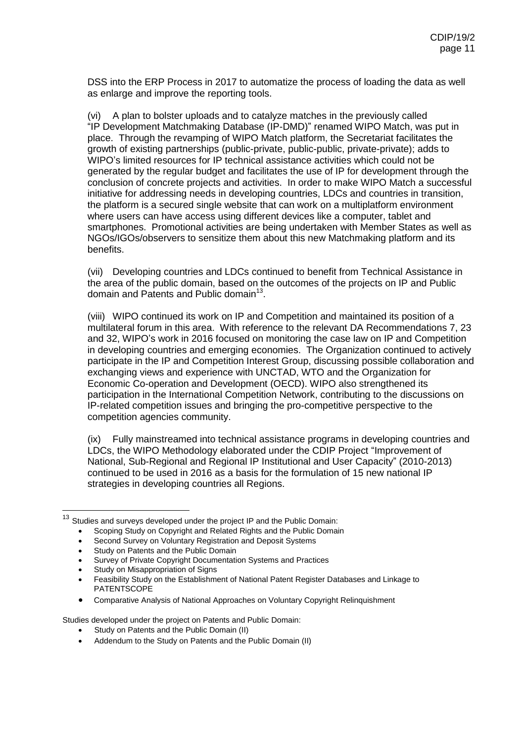DSS into the ERP Process in 2017 to automatize the process of loading the data as well as enlarge and improve the reporting tools.

(vi) A plan to bolster uploads and to catalyze matches in the previously called "IP Development Matchmaking Database (IP-DMD)" renamed WIPO Match, was put in place. Through the revamping of WIPO Match platform, the Secretariat facilitates the growth of existing partnerships (public-private, public-public, private-private); adds to WIPO's limited resources for IP technical assistance activities which could not be generated by the regular budget and facilitates the use of IP for development through the conclusion of concrete projects and activities. In order to make WIPO Match a successful initiative for addressing needs in developing countries, LDCs and countries in transition, the platform is a secured single website that can work on a multiplatform environment where users can have access using different devices like a computer, tablet and smartphones. Promotional activities are being undertaken with Member States as well as NGOs/IGOs/observers to sensitize them about this new Matchmaking platform and its benefits.

(vii) Developing countries and LDCs continued to benefit from Technical Assistance in the area of the public domain, based on the outcomes of the projects on IP and Public domain and Patents and Public domain<sup>13</sup>.

(viii) WIPO continued its work on IP and Competition and maintained its position of a multilateral forum in this area. With reference to the relevant DA Recommendations 7, 23 and 32, WIPO's work in 2016 focused on monitoring the case law on IP and Competition in developing countries and emerging economies. The Organization continued to actively participate in the IP and Competition Interest Group, discussing possible collaboration and exchanging views and experience with UNCTAD, WTO and the Organization for Economic Co-operation and Development (OECD). WIPO also strengthened its participation in the International Competition Network, contributing to the discussions on IP-related competition issues and bringing the pro-competitive perspective to the competition agencies community.

(ix) Fully mainstreamed into technical assistance programs in developing countries and LDCs, the WIPO Methodology elaborated under the CDIP Project "Improvement of National, Sub-Regional and Regional IP Institutional and User Capacity" (2010-2013) continued to be used in 2016 as a basis for the formulation of 15 new national IP strategies in developing countries all Regions.

- [Scoping Study on Copyright and Related Rights and the Public Domain](http://www.wipo.int/meetings/en/doc_details.jsp?doc_id=161162)
- [Second Survey on Voluntary Registration and Deposit Systems](http://www.wipo.int/copyright/en/registration/registration_and_deposit_system_03_10.html)
- Second Survey on Voluntary Registration<br>• [Study on Patents and the Public Domain](http://www.wipo.int/meetings/en/doc_details.jsp?doc_id=203800)
- [Survey of Private Copyright Documentation Systems and Practices](http://www.wipo.int/export/sites/www/meetings/en/2011/wipo_cr_doc_ge_11/pdf/survey_private_crdocystems.pdf)
- [Study on Misappropriation of Signs](http://www.wipo.int/meetings/en/doc_details.jsp?doc_id=200622)

 $\overline{a}$ 

- [Feasibility Study on the Establishment of National Patent Register Databases and Linkage to](http://www.wipo.int/meetings/en/doc_details.jsp?doc_id=168537)  [PATENTSCOPE](http://www.wipo.int/meetings/en/doc_details.jsp?doc_id=168537)
- [Comparative Analysis of National Approaches on Voluntary Copyright Relinquishment](http://www.wipo.int/meetings/en/doc_details.jsp?doc_id=272263)

Studies developed under the project on Patents and Public Domain:

- [Study on Patents and the Public Domain \(II\)](http://www.wipo.int/meetings/en/doc_details.jsp?doc_id=253106)
- [Addendum to the Study on Patents and the Public Domain \(II\)](http://www.wipo.int/meetings/en/doc_details.jsp?doc_id=269139)

 $13$  Studies and surveys developed under the project [IP and the Public Domain:](http://www.wipo.int/meetings/en/doc_details.jsp?doc_id=150598)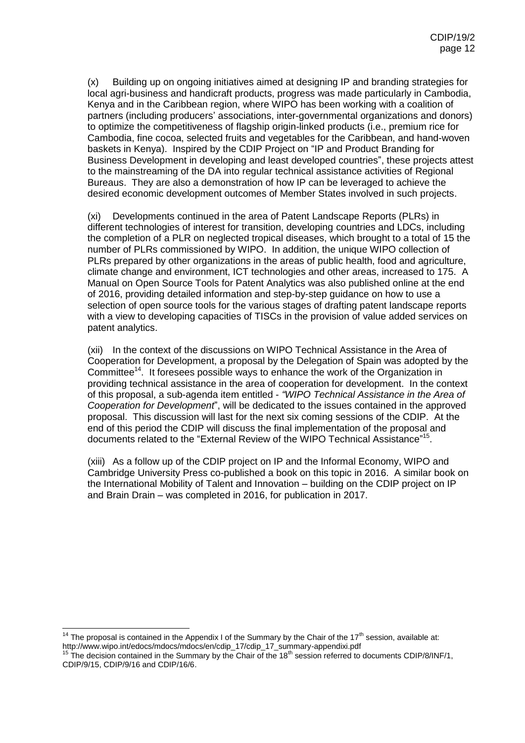(x) Building up on ongoing initiatives aimed at designing IP and branding strategies for local agri-business and handicraft products, progress was made particularly in Cambodia, Kenya and in the Caribbean region, where WIPO has been working with a coalition of partners (including producers' associations, inter-governmental organizations and donors) to optimize the competitiveness of flagship origin-linked products (i.e., premium rice for Cambodia, fine cocoa, selected fruits and vegetables for the Caribbean, and hand-woven baskets in Kenya). Inspired by the CDIP Project on "IP and Product Branding for Business Development in developing and least developed countries", these projects attest to the mainstreaming of the DA into regular technical assistance activities of Regional Bureaus. They are also a demonstration of how IP can be leveraged to achieve the desired economic development outcomes of Member States involved in such projects.

(xi) Developments continued in the area of Patent Landscape Reports (PLRs) in different technologies of interest for transition, developing countries and LDCs, including the completion of a PLR on neglected tropical diseases, which brought to a total of 15 the number of PLRs commissioned by WIPO. In addition, the unique WIPO collection of PLRs prepared by other organizations in the areas of public health, food and agriculture, climate change and environment, ICT technologies and other areas, increased to 175. A Manual on Open Source Tools for Patent Analytics was also published online at the end of 2016, providing detailed information and step-by-step guidance on how to use a selection of open source tools for the various stages of drafting patent landscape reports with a view to developing capacities of TISCs in the provision of value added services on patent analytics.

(xii) In the context of the discussions on WIPO Technical Assistance in the Area of Cooperation for Development, a proposal by the Delegation of Spain was adopted by the Committee<sup>14</sup>. It foresees possible ways to enhance the work of the Organization in providing technical assistance in the area of cooperation for development. In the context of this proposal, a sub-agenda item entitled - *"WIPO Technical Assistance in the Area of Cooperation for Development*", will be dedicated to the issues contained in the approved proposal. This discussion will last for the next six coming sessions of the CDIP. At the end of this period the CDIP will discuss the final implementation of the proposal and documents related to the "External Review of the WIPO Technical Assistance"<sup>15</sup>.

(xiii) As a follow up of the CDIP project on IP and the Informal Economy, WIPO and Cambridge University Press co-published a book on this topic in 2016. A similar book on the International Mobility of Talent and Innovation – building on the CDIP project on IP and Brain Drain – was completed in 2016, for publication in 2017.

 <sup>14</sup> The proposal is contained in the Appendix I of the Summary by the Chair of the 17<sup>th</sup> session, available at: http://www.wipo.int/edocs/mdocs/mdocs/en/cdip\_17/cdip\_17\_summary-appendixi.pdf

<sup>&</sup>lt;sup>15</sup> The decision contained in the Summary by the Chair of the 18<sup>th</sup> session referred to documents CDIP/8/INF/1, CDIP/9/15, CDIP/9/16 and CDIP/16/6.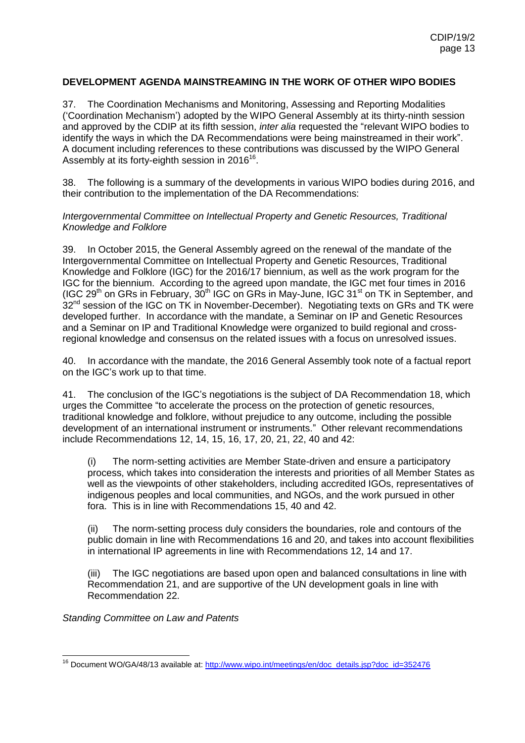### **DEVELOPMENT AGENDA MAINSTREAMING IN THE WORK OF OTHER WIPO BODIES**

37. The Coordination Mechanisms and Monitoring, Assessing and Reporting Modalities ('Coordination Mechanism') adopted by the WIPO General Assembly at its thirty-ninth session and approved by the CDIP at its fifth session, *inter alia* requested the "relevant WIPO bodies to identify the ways in which the DA Recommendations were being mainstreamed in their work". A document including references to these contributions was discussed by the WIPO General Assembly at its forty-eighth session in 2016<sup>16</sup>.

38. The following is a summary of the developments in various WIPO bodies during 2016, and their contribution to the implementation of the DA Recommendations:

#### *Intergovernmental Committee on Intellectual Property and Genetic Resources, Traditional Knowledge and Folklore*

39. In October 2015, the General Assembly agreed on the renewal of the mandate of the Intergovernmental Committee on Intellectual Property and Genetic Resources, Traditional Knowledge and Folklore (IGC) for the 2016/17 biennium, as well as the work program for the IGC for the biennium. According to the agreed upon mandate, the IGC met four times in 2016 (IGC 29<sup>th</sup> on GRs in February,  $30<sup>th</sup>$  IGC on GRs in May-June, IGC 31<sup>st</sup> on TK in September, and  $32<sup>nd</sup>$  session of the IGC on TK in November-December). Negotiating texts on GRs and TK were developed further. In accordance with the mandate, a Seminar on IP and Genetic Resources and a Seminar on IP and Traditional Knowledge were organized to build regional and crossregional knowledge and consensus on the related issues with a focus on unresolved issues.

40. In accordance with the mandate, the 2016 General Assembly took note of a factual report on the IGC's work up to that time.

41. The conclusion of the IGC's negotiations is the subject of DA Recommendation 18, which urges the Committee "to accelerate the process on the protection of genetic resources, traditional knowledge and folklore, without prejudice to any outcome, including the possible development of an international instrument or instruments." Other relevant recommendations include Recommendations 12, 14, 15, 16, 17, 20, 21, 22, 40 and 42:

(i) The norm-setting activities are Member State-driven and ensure a participatory process, which takes into consideration the interests and priorities of all Member States as well as the viewpoints of other stakeholders, including accredited IGOs, representatives of indigenous peoples and local communities, and NGOs, and the work pursued in other fora. This is in line with Recommendations 15, 40 and 42.

(ii) The norm-setting process duly considers the boundaries, role and contours of the public domain in line with Recommendations 16 and 20, and takes into account flexibilities in international IP agreements in line with Recommendations 12, 14 and 17.

(iii) The IGC negotiations are based upon open and balanced consultations in line with Recommendation 21, and are supportive of the UN development goals in line with Recommendation 22.

*Standing Committee on Law and Patents*

 $\overline{a}$ <sup>16</sup> Document WO/GA/48/13 available at[: http://www.wipo.int/meetings/en/doc\\_details.jsp?doc\\_id=352476](http://www.wipo.int/meetings/en/doc_details.jsp?doc_id=352476)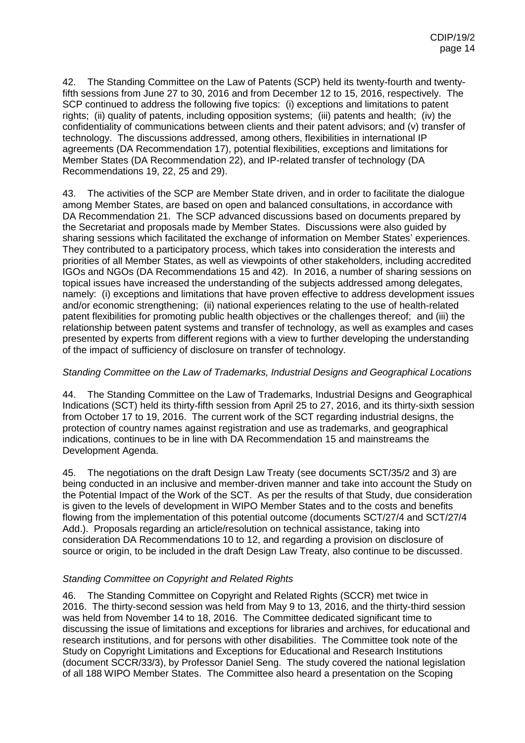42. The Standing Committee on the Law of Patents (SCP) held its twenty-fourth and twentyfifth sessions from June 27 to 30, 2016 and from December 12 to 15, 2016, respectively. The SCP continued to address the following five topics: (i) exceptions and limitations to patent rights; (ii) quality of patents, including opposition systems; (iii) patents and health; (iv) the confidentiality of communications between clients and their patent advisors; and (v) transfer of technology. The discussions addressed, among others, flexibilities in international IP agreements (DA Recommendation 17), potential flexibilities, exceptions and limitations for Member States (DA Recommendation 22), and IP-related transfer of technology (DA Recommendations 19, 22, 25 and 29).

43. The activities of the SCP are Member State driven, and in order to facilitate the dialogue among Member States, are based on open and balanced consultations, in accordance with DA Recommendation 21. The SCP advanced discussions based on documents prepared by the Secretariat and proposals made by Member States. Discussions were also guided by sharing sessions which facilitated the exchange of information on Member States' experiences. They contributed to a participatory process, which takes into consideration the interests and priorities of all Member States, as well as viewpoints of other stakeholders, including accredited IGOs and NGOs (DA Recommendations 15 and 42). In 2016, a number of sharing sessions on topical issues have increased the understanding of the subjects addressed among delegates, namely: (i) exceptions and limitations that have proven effective to address development issues and/or economic strengthening; (ii) national experiences relating to the use of health-related patent flexibilities for promoting public health objectives or the challenges thereof; and (iii) the relationship between patent systems and transfer of technology, as well as examples and cases presented by experts from different regions with a view to further developing the understanding of the impact of sufficiency of disclosure on transfer of technology.

### *Standing Committee on the Law of Trademarks, Industrial Designs and Geographical Locations*

44. The Standing Committee on the Law of Trademarks, Industrial Designs and Geographical Indications (SCT) held its thirty-fifth session from April 25 to 27, 2016, and its thirty-sixth session from October 17 to 19, 2016. The current work of the SCT regarding industrial designs, the protection of country names against registration and use as trademarks, and geographical indications, continues to be in line with DA Recommendation 15 and mainstreams the Development Agenda.

45. The negotiations on the draft Design Law Treaty (see documents SCT/35/2 and 3) are being conducted in an inclusive and member-driven manner and take into account the Study on the Potential Impact of the Work of the SCT. As per the results of that Study, due consideration is given to the levels of development in WIPO Member States and to the costs and benefits flowing from the implementation of this potential outcome (documents SCT/27/4 and SCT/27/4 Add.). Proposals regarding an article/resolution on technical assistance, taking into consideration DA Recommendations 10 to 12, and regarding a provision on disclosure of source or origin, to be included in the draft Design Law Treaty, also continue to be discussed.

### *Standing Committee on Copyright and Related Rights*

46. The Standing Committee on Copyright and Related Rights (SCCR) met twice in 2016. The thirty-second session was held from May 9 to 13, 2016, and the thirty-third session was held from November 14 to 18, 2016. The Committee dedicated significant time to discussing the issue of limitations and exceptions for libraries and archives, for educational and research institutions, and for persons with other disabilities. The Committee took note of the Study on Copyright Limitations and Exceptions for Educational and Research Institutions (document SCCR/33/3), by Professor Daniel Seng. The study covered the national legislation of all 188 WIPO Member States. The Committee also heard a presentation on the Scoping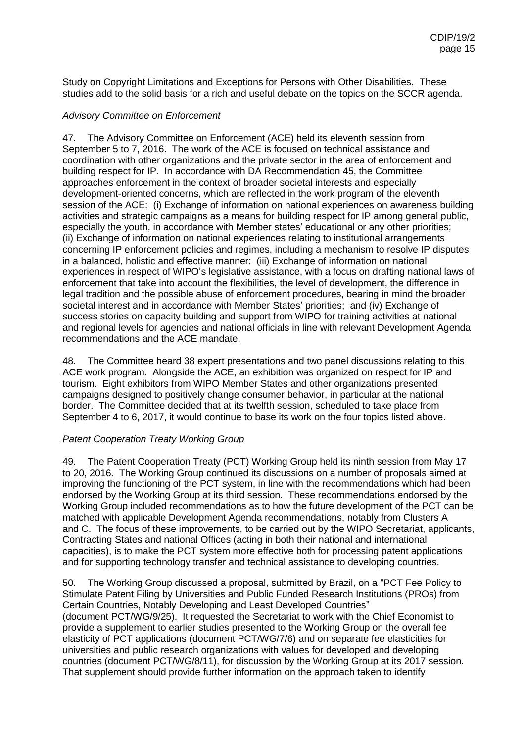Study on Copyright Limitations and Exceptions for Persons with Other Disabilities. These studies add to the solid basis for a rich and useful debate on the topics on the SCCR agenda.

#### *Advisory Committee on Enforcement*

47. The Advisory Committee on Enforcement (ACE) held its eleventh session from September 5 to 7, 2016. The work of the ACE is focused on technical assistance and coordination with other organizations and the private sector in the area of enforcement and building respect for IP. In accordance with DA Recommendation 45, the Committee approaches enforcement in the context of broader societal interests and especially development-oriented concerns, which are reflected in the work program of the eleventh session of the ACE: (i) Exchange of information on national experiences on awareness building activities and strategic campaigns as a means for building respect for IP among general public, especially the youth, in accordance with Member states' educational or any other priorities; (ii) Exchange of information on national experiences relating to institutional arrangements concerning IP enforcement policies and regimes, including a mechanism to resolve IP disputes in a balanced, holistic and effective manner; (iii) Exchange of information on national experiences in respect of WIPO's legislative assistance, with a focus on drafting national laws of enforcement that take into account the flexibilities, the level of development, the difference in legal tradition and the possible abuse of enforcement procedures, bearing in mind the broader societal interest and in accordance with Member States' priorities; and (iv) Exchange of success stories on capacity building and support from WIPO for training activities at national and regional levels for agencies and national officials in line with relevant Development Agenda recommendations and the ACE mandate.

48. The Committee heard 38 expert presentations and two panel discussions relating to this ACE work program. Alongside the ACE, an exhibition was organized on respect for IP and tourism. Eight exhibitors from WIPO Member States and other organizations presented campaigns designed to positively change consumer behavior, in particular at the national border. The Committee decided that at its twelfth session, scheduled to take place from September 4 to 6, 2017, it would continue to base its work on the four topics listed above.

### *Patent Cooperation Treaty Working Group*

49. The Patent Cooperation Treaty (PCT) Working Group held its ninth session from May 17 to 20, 2016. The Working Group continued its discussions on a number of proposals aimed at improving the functioning of the PCT system, in line with the recommendations which had been endorsed by the Working Group at its third session. These recommendations endorsed by the Working Group included recommendations as to how the future development of the PCT can be matched with applicable Development Agenda recommendations, notably from Clusters A and C. The focus of these improvements, to be carried out by the WIPO Secretariat, applicants, Contracting States and national Offices (acting in both their national and international capacities), is to make the PCT system more effective both for processing patent applications and for supporting technology transfer and technical assistance to developing countries.

50. The Working Group discussed a proposal, submitted by Brazil, on a "PCT Fee Policy to Stimulate Patent Filing by Universities and Public Funded Research Institutions (PROs) from Certain Countries, Notably Developing and Least Developed Countries" (document PCT/WG/9/25). It requested the Secretariat to work with the Chief Economist to provide a supplement to earlier studies presented to the Working Group on the overall fee elasticity of PCT applications (document PCT/WG/7/6) and on separate fee elasticities for universities and public research organizations with values for developed and developing countries (document PCT/WG/8/11), for discussion by the Working Group at its 2017 session. That supplement should provide further information on the approach taken to identify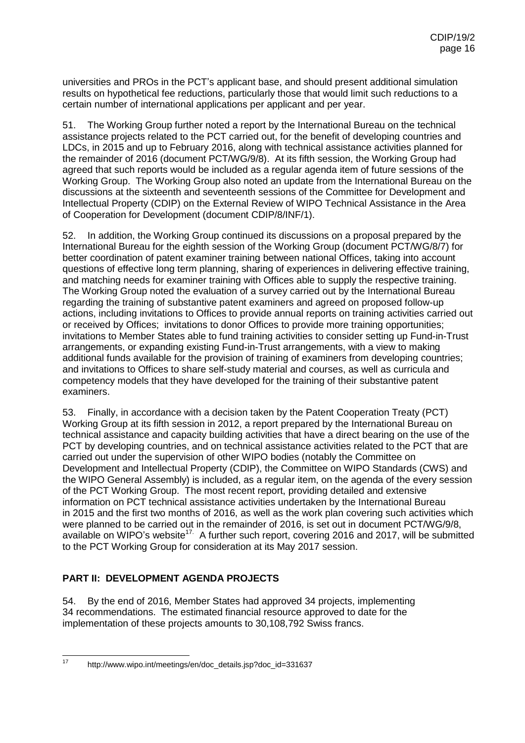universities and PROs in the PCT's applicant base, and should present additional simulation results on hypothetical fee reductions, particularly those that would limit such reductions to a certain number of international applications per applicant and per year.

51. The Working Group further noted a report by the International Bureau on the technical assistance projects related to the PCT carried out, for the benefit of developing countries and LDCs, in 2015 and up to February 2016, along with technical assistance activities planned for the remainder of 2016 (document PCT/WG/9/8). At its fifth session, the Working Group had agreed that such reports would be included as a regular agenda item of future sessions of the Working Group. The Working Group also noted an update from the International Bureau on the discussions at the sixteenth and seventeenth sessions of the Committee for Development and Intellectual Property (CDIP) on the External Review of WIPO Technical Assistance in the Area of Cooperation for Development (document CDIP/8/INF/1).

52. In addition, the Working Group continued its discussions on a proposal prepared by the International Bureau for the eighth session of the Working Group (document PCT/WG/8/7) for better coordination of patent examiner training between national Offices, taking into account questions of effective long term planning, sharing of experiences in delivering effective training, and matching needs for examiner training with Offices able to supply the respective training. The Working Group noted the evaluation of a survey carried out by the International Bureau regarding the training of substantive patent examiners and agreed on proposed follow-up actions, including invitations to Offices to provide annual reports on training activities carried out or received by Offices; invitations to donor Offices to provide more training opportunities; invitations to Member States able to fund training activities to consider setting up Fund-in-Trust arrangements, or expanding existing Fund-in-Trust arrangements, with a view to making additional funds available for the provision of training of examiners from developing countries; and invitations to Offices to share self-study material and courses, as well as curricula and competency models that they have developed for the training of their substantive patent examiners.

53. Finally, in accordance with a decision taken by the Patent Cooperation Treaty (PCT) Working Group at its fifth session in 2012, a report prepared by the International Bureau on technical assistance and capacity building activities that have a direct bearing on the use of the PCT by developing countries, and on technical assistance activities related to the PCT that are carried out under the supervision of other WIPO bodies (notably the Committee on Development and Intellectual Property (CDIP), the Committee on WIPO Standards (CWS) and the WIPO General Assembly) is included, as a regular item, on the agenda of the every session of the PCT Working Group. The most recent report, providing detailed and extensive information on PCT technical assistance activities undertaken by the International Bureau in 2015 and the first two months of 2016, as well as the work plan covering such activities which were planned to be carried out in the remainder of 2016, is set out in document PCT/WG/9/8, available on WIPO's website<sup>17</sup>. A further such report, covering 2016 and 2017, will be submitted to the PCT Working Group for consideration at its May 2017 session.

### **PART II: DEVELOPMENT AGENDA PROJECTS**

54. By the end of 2016, Member States had approved 34 projects, implementing 34 recommendations. The estimated financial resource approved to date for the implementation of these projects amounts to 30,108,792 Swiss francs.

 $17$ 

http://www.wipo.int/meetings/en/doc\_details.jsp?doc\_id=331637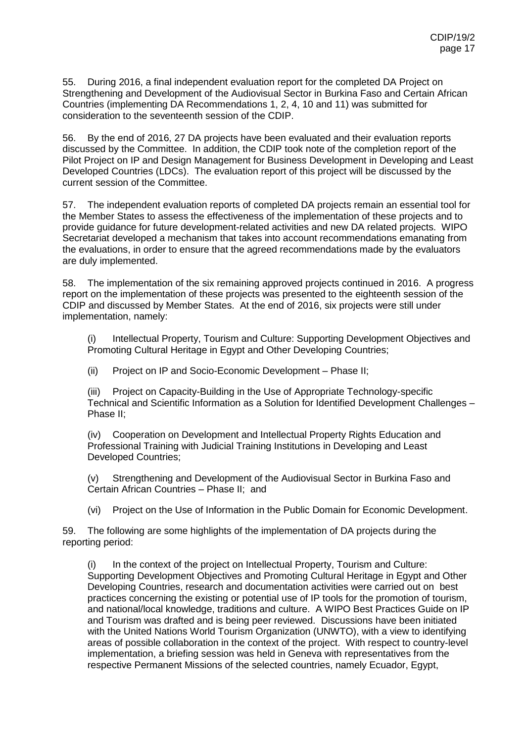55. During 2016, a final independent evaluation report for the completed DA Project on Strengthening and Development of the Audiovisual Sector in Burkina Faso and Certain African Countries (implementing DA Recommendations 1, 2, 4, 10 and 11) was submitted for consideration to the seventeenth session of the CDIP.

56. By the end of 2016, 27 DA projects have been evaluated and their evaluation reports discussed by the Committee. In addition, the CDIP took note of the completion report of the Pilot Project on IP and Design Management for Business Development in Developing and Least Developed Countries (LDCs). The evaluation report of this project will be discussed by the current session of the Committee.

57. The independent evaluation reports of completed DA projects remain an essential tool for the Member States to assess the effectiveness of the implementation of these projects and to provide guidance for future development-related activities and new DA related projects. WIPO Secretariat developed a mechanism that takes into account recommendations emanating from the evaluations, in order to ensure that the agreed recommendations made by the evaluators are duly implemented.

58. The implementation of the six remaining approved projects continued in 2016. A progress report on the implementation of these projects was presented to the eighteenth session of the CDIP and discussed by Member States. At the end of 2016, six projects were still under implementation, namely:

(i) Intellectual Property, Tourism and Culture: Supporting Development Objectives and Promoting Cultural Heritage in Egypt and Other Developing Countries;

(ii) Project on IP and Socio-Economic Development – Phase II;

(iii) Project on Capacity-Building in the Use of Appropriate Technology-specific Technical and Scientific Information as a Solution for Identified Development Challenges – Phase II;

(iv) Cooperation on Development and Intellectual Property Rights Education and Professional Training with Judicial Training Institutions in Developing and Least Developed Countries;

(v) Strengthening and Development of the Audiovisual Sector in Burkina Faso and Certain African Countries – Phase II; and

(vi) Project on the Use of Information in the Public Domain for Economic Development.

59. The following are some highlights of the implementation of DA projects during the reporting period:

(i) In the context of the project on Intellectual Property, Tourism and Culture: Supporting Development Objectives and Promoting Cultural Heritage in Egypt and Other Developing Countries, research and documentation activities were carried out on best practices concerning the existing or potential use of IP tools for the promotion of tourism, and national/local knowledge, traditions and culture. A WIPO Best Practices Guide on IP and Tourism was drafted and is being peer reviewed. Discussions have been initiated with the United Nations World Tourism Organization (UNWTO), with a view to identifying areas of possible collaboration in the context of the project. With respect to country-level implementation, a briefing session was held in Geneva with representatives from the respective Permanent Missions of the selected countries, namely Ecuador, Egypt,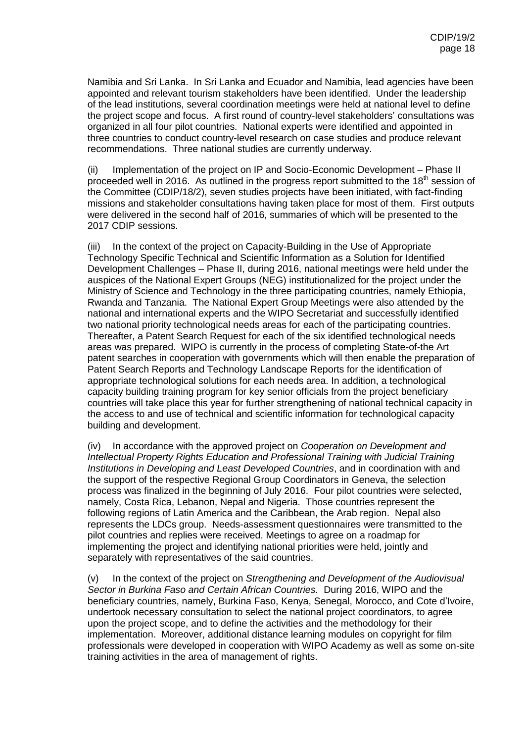Namibia and Sri Lanka. In Sri Lanka and Ecuador and Namibia, lead agencies have been appointed and relevant tourism stakeholders have been identified. Under the leadership of the lead institutions, several coordination meetings were held at national level to define the project scope and focus. A first round of country-level stakeholders' consultations was organized in all four pilot countries. National experts were identified and appointed in three countries to conduct country-level research on case studies and produce relevant recommendations. Three national studies are currently underway.

(ii) Implementation of the project on IP and Socio-Economic Development – Phase II proceeded well in 2016. As outlined in the progress report submitted to the  $18<sup>th</sup>$  session of the Committee (CDIP/18/2), seven studies projects have been initiated, with fact-finding missions and stakeholder consultations having taken place for most of them. First outputs were delivered in the second half of 2016, summaries of which will be presented to the 2017 CDIP sessions.

(iii) In the context of the project on Capacity-Building in the Use of Appropriate Technology Specific Technical and Scientific Information as a Solution for Identified Development Challenges – Phase II, during 2016, national meetings were held under the auspices of the National Expert Groups (NEG) institutionalized for the project under the Ministry of Science and Technology in the three participating countries, namely Ethiopia, Rwanda and Tanzania. The National Expert Group Meetings were also attended by the national and international experts and the WIPO Secretariat and successfully identified two national priority technological needs areas for each of the participating countries. Thereafter, a Patent Search Request for each of the six identified technological needs areas was prepared. WIPO is currently in the process of completing State-of-the Art patent searches in cooperation with governments which will then enable the preparation of Patent Search Reports and Technology Landscape Reports for the identification of appropriate technological solutions for each needs area. In addition, a technological capacity building training program for key senior officials from the project beneficiary countries will take place this year for further strengthening of national technical capacity in the access to and use of technical and scientific information for technological capacity building and development.

(iv) In accordance with the approved project on *Cooperation on Development and Intellectual Property Rights Education and Professional Training with Judicial Training Institutions in Developing and Least Developed Countries*, and in coordination with and the support of the respective Regional Group Coordinators in Geneva, the selection process was finalized in the beginning of July 2016. Four pilot countries were selected, namely, Costa Rica, Lebanon, Nepal and Nigeria. Those countries represent the following regions of Latin America and the Caribbean, the Arab region. Nepal also represents the LDCs group. Needs-assessment questionnaires were transmitted to the pilot countries and replies were received. Meetings to agree on a roadmap for implementing the project and identifying national priorities were held, jointly and separately with representatives of the said countries.

(v) In the context of the project on *Strengthening and Development of the Audiovisual Sector in Burkina Faso and Certain African Countries.* During 2016, WIPO and the beneficiary countries, namely, Burkina Faso, Kenya, Senegal, Morocco, and Cote d'Ivoire, undertook necessary consultation to select the national project coordinators, to agree upon the project scope, and to define the activities and the methodology for their implementation. Moreover, additional distance learning modules on copyright for film professionals were developed in cooperation with WIPO Academy as well as some on-site training activities in the area of management of rights.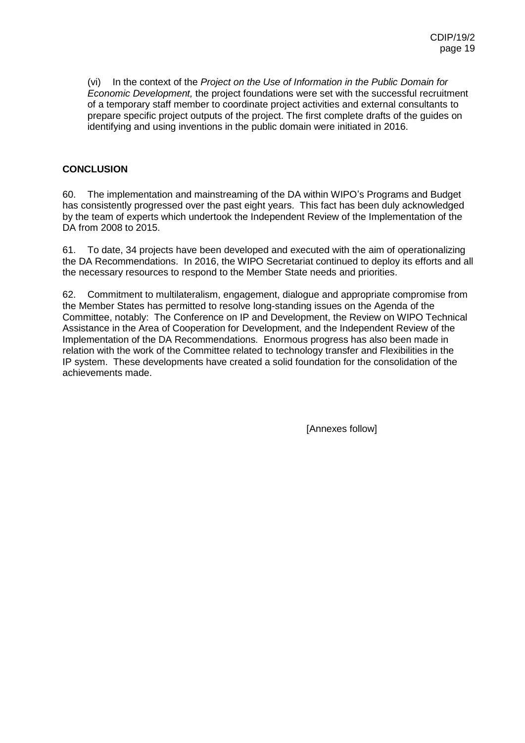(vi) In the context of the *Project on the Use of Information in the Public Domain for Economic Development,* the project foundations were set with the successful recruitment of a temporary staff member to coordinate project activities and external consultants to prepare specific project outputs of the project. The first complete drafts of the guides on identifying and using inventions in the public domain were initiated in 2016.

### **CONCLUSION**

60. The implementation and mainstreaming of the DA within WIPO's Programs and Budget has consistently progressed over the past eight years. This fact has been duly acknowledged by the team of experts which undertook the Independent Review of the Implementation of the DA from 2008 to 2015.

61. To date, 34 projects have been developed and executed with the aim of operationalizing the DA Recommendations. In 2016, the WIPO Secretariat continued to deploy its efforts and all the necessary resources to respond to the Member State needs and priorities.

62. Commitment to multilateralism, engagement, dialogue and appropriate compromise from the Member States has permitted to resolve long-standing issues on the Agenda of the Committee, notably: The Conference on IP and Development, the Review on WIPO Technical Assistance in the Area of Cooperation for Development, and the Independent Review of the Implementation of the DA Recommendations. Enormous progress has also been made in relation with the work of the Committee related to technology transfer and Flexibilities in the IP system. These developments have created a solid foundation for the consolidation of the achievements made.

[Annexes follow]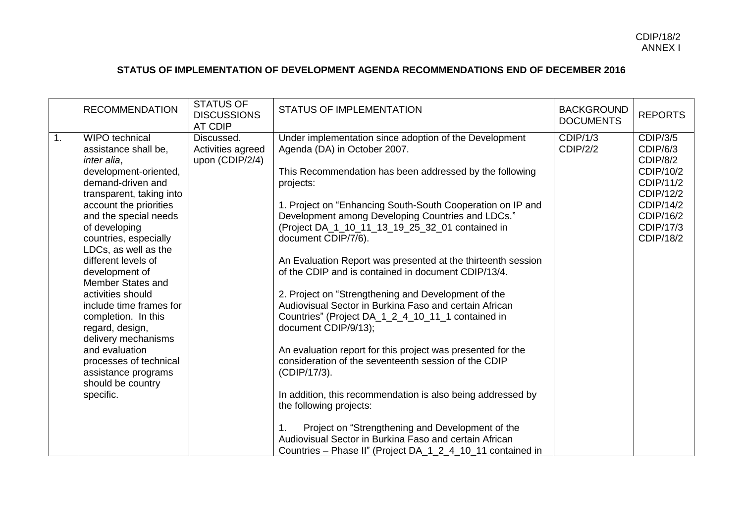## **STATUS OF IMPLEMENTATION OF DEVELOPMENT AGENDA RECOMMENDATIONS END OF DECEMBER 2016**

|    | <b>RECOMMENDATION</b>                                                                                                                                                                                                                                                                                                                                                                                                                                                                                                                           | <b>STATUS OF</b><br><b>DISCUSSIONS</b><br><b>AT CDIP</b> | <b>STATUS OF IMPLEMENTATION</b>                                                                                                                                                                                                                                                                                                                                                                                                                                                                                                                                                                                                                                                                                                                                                                                                                                                                                                                                                                                                                                                               | <b>BACKGROUND</b><br><b>DOCUMENTS</b> | <b>REPORTS</b>                                                                                                                     |
|----|-------------------------------------------------------------------------------------------------------------------------------------------------------------------------------------------------------------------------------------------------------------------------------------------------------------------------------------------------------------------------------------------------------------------------------------------------------------------------------------------------------------------------------------------------|----------------------------------------------------------|-----------------------------------------------------------------------------------------------------------------------------------------------------------------------------------------------------------------------------------------------------------------------------------------------------------------------------------------------------------------------------------------------------------------------------------------------------------------------------------------------------------------------------------------------------------------------------------------------------------------------------------------------------------------------------------------------------------------------------------------------------------------------------------------------------------------------------------------------------------------------------------------------------------------------------------------------------------------------------------------------------------------------------------------------------------------------------------------------|---------------------------------------|------------------------------------------------------------------------------------------------------------------------------------|
| 1. | <b>WIPO</b> technical<br>assistance shall be,<br>inter alia.<br>development-oriented,<br>demand-driven and<br>transparent, taking into<br>account the priorities<br>and the special needs<br>of developing<br>countries, especially<br>LDCs, as well as the<br>different levels of<br>development of<br>Member States and<br>activities should<br>include time frames for<br>completion. In this<br>regard, design,<br>delivery mechanisms<br>and evaluation<br>processes of technical<br>assistance programs<br>should be country<br>specific. | Discussed.<br>Activities agreed<br>upon (CDIP/2/4)       | Under implementation since adoption of the Development<br>Agenda (DA) in October 2007.<br>This Recommendation has been addressed by the following<br>projects:<br>1. Project on "Enhancing South-South Cooperation on IP and<br>Development among Developing Countries and LDCs."<br>(Project DA_1_10_11_13_19_25_32_01 contained in<br>document CDIP/7/6).<br>An Evaluation Report was presented at the thirteenth session<br>of the CDIP and is contained in document CDIP/13/4.<br>2. Project on "Strengthening and Development of the<br>Audiovisual Sector in Burkina Faso and certain African<br>Countries" (Project DA_1_2_4_10_11_1 contained in<br>document CDIP/9/13);<br>An evaluation report for this project was presented for the<br>consideration of the seventeenth session of the CDIP<br>(CDIP/17/3).<br>In addition, this recommendation is also being addressed by<br>the following projects:<br>Project on "Strengthening and Development of the<br>Audiovisual Sector in Burkina Faso and certain African<br>Countries - Phase II" (Project DA_1_2_4_10_11 contained in | CDIP/1/3<br><b>CDIP/2/2</b>           | <b>CDIP/3/5</b><br>CDIP/6/3<br>CDIP/8/2<br>CDIP/10/2<br>CDIP/11/2<br>CDIP/12/2<br>CDIP/14/2<br>CDIP/16/2<br>CDIP/17/3<br>CDIP/18/2 |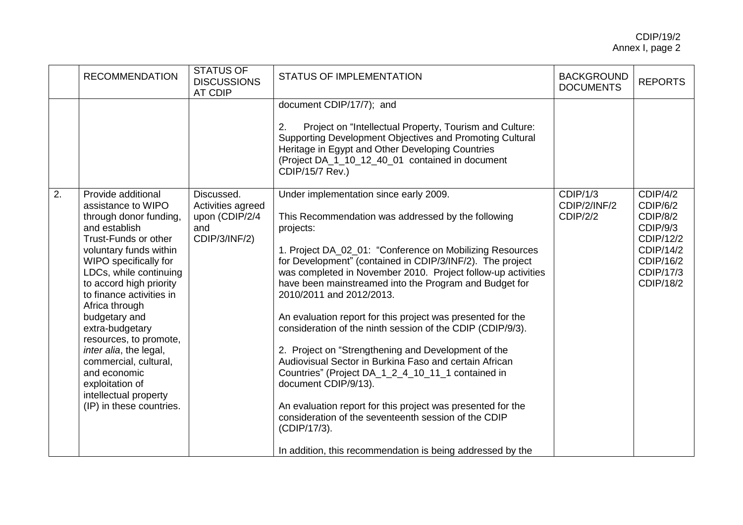|                  | <b>RECOMMENDATION</b>                                                                                                                                                                                                                                                                                                                                                                                                                                                      | <b>STATUS OF</b><br><b>DISCUSSIONS</b><br><b>AT CDIP</b>                  | <b>STATUS OF IMPLEMENTATION</b>                                                                                                                                                                                                                                                                                                                                                                                                                                                                                                                                                                                                                                                                                                                                                                                                                                                                                          | <b>BACKGROUND</b><br><b>DOCUMENTS</b>       | <b>REPORTS</b>                                                                                                       |
|------------------|----------------------------------------------------------------------------------------------------------------------------------------------------------------------------------------------------------------------------------------------------------------------------------------------------------------------------------------------------------------------------------------------------------------------------------------------------------------------------|---------------------------------------------------------------------------|--------------------------------------------------------------------------------------------------------------------------------------------------------------------------------------------------------------------------------------------------------------------------------------------------------------------------------------------------------------------------------------------------------------------------------------------------------------------------------------------------------------------------------------------------------------------------------------------------------------------------------------------------------------------------------------------------------------------------------------------------------------------------------------------------------------------------------------------------------------------------------------------------------------------------|---------------------------------------------|----------------------------------------------------------------------------------------------------------------------|
|                  |                                                                                                                                                                                                                                                                                                                                                                                                                                                                            |                                                                           | document CDIP/17/7); and<br>Project on "Intellectual Property, Tourism and Culture:<br>2.<br>Supporting Development Objectives and Promoting Cultural<br>Heritage in Egypt and Other Developing Countries<br>(Project DA_1_10_12_40_01 contained in document<br><b>CDIP/15/7 Rev.)</b>                                                                                                                                                                                                                                                                                                                                                                                                                                                                                                                                                                                                                                   |                                             |                                                                                                                      |
| $\overline{2}$ . | Provide additional<br>assistance to WIPO<br>through donor funding,<br>and establish<br>Trust-Funds or other<br>voluntary funds within<br>WIPO specifically for<br>LDCs, while continuing<br>to accord high priority<br>to finance activities in<br>Africa through<br>budgetary and<br>extra-budgetary<br>resources, to promote,<br>inter alia, the legal,<br>commercial, cultural,<br>and economic<br>exploitation of<br>intellectual property<br>(IP) in these countries. | Discussed.<br>Activities agreed<br>upon (CDIP/2/4<br>and<br>CDIP/3/INF/2) | Under implementation since early 2009.<br>This Recommendation was addressed by the following<br>projects:<br>1. Project DA_02_01: "Conference on Mobilizing Resources<br>for Development" (contained in CDIP/3/INF/2). The project<br>was completed in November 2010. Project follow-up activities<br>have been mainstreamed into the Program and Budget for<br>2010/2011 and 2012/2013.<br>An evaluation report for this project was presented for the<br>consideration of the ninth session of the CDIP (CDIP/9/3).<br>2. Project on "Strengthening and Development of the<br>Audiovisual Sector in Burkina Faso and certain African<br>Countries" (Project DA_1_2_4_10_11_1 contained in<br>document CDIP/9/13).<br>An evaluation report for this project was presented for the<br>consideration of the seventeenth session of the CDIP<br>(CDIP/17/3).<br>In addition, this recommendation is being addressed by the | CDIP/1/3<br>CDIP/2/INF/2<br><b>CDIP/2/2</b> | CDIP/4/2<br>CDIP/6/2<br>CDIP/8/2<br>CDIP/9/3<br>CDIP/12/2<br>CDIP/14/2<br>CDIP/16/2<br>CDIP/17/3<br><b>CDIP/18/2</b> |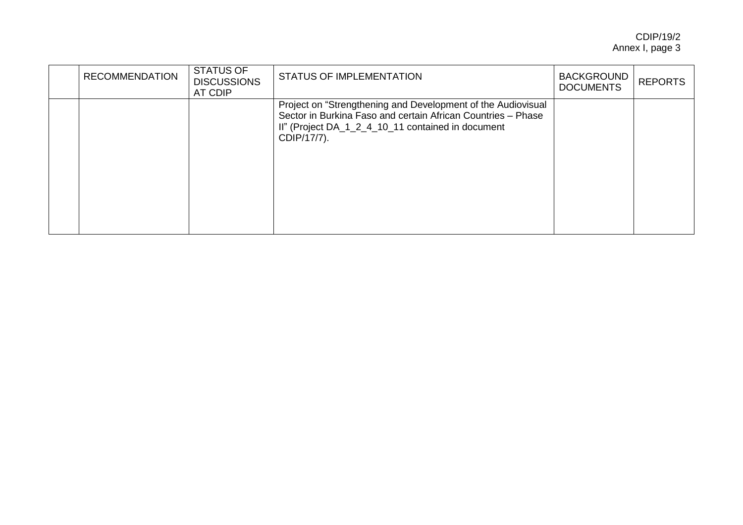| <b>RECOMMENDATION</b> | <b>STATUS OF</b><br><b>DISCUSSIONS</b><br>AT CDIP | <b>STATUS OF IMPLEMENTATION</b>                                                                                                                                                                  | <b>BACKGROUND</b><br><b>DOCUMENTS</b> | <b>REPORTS</b> |
|-----------------------|---------------------------------------------------|--------------------------------------------------------------------------------------------------------------------------------------------------------------------------------------------------|---------------------------------------|----------------|
|                       |                                                   | Project on "Strengthening and Development of the Audiovisual<br>Sector in Burkina Faso and certain African Countries - Phase<br>II" (Project DA_1_2_4_10_11 contained in document<br>CDIP/17/7). |                                       |                |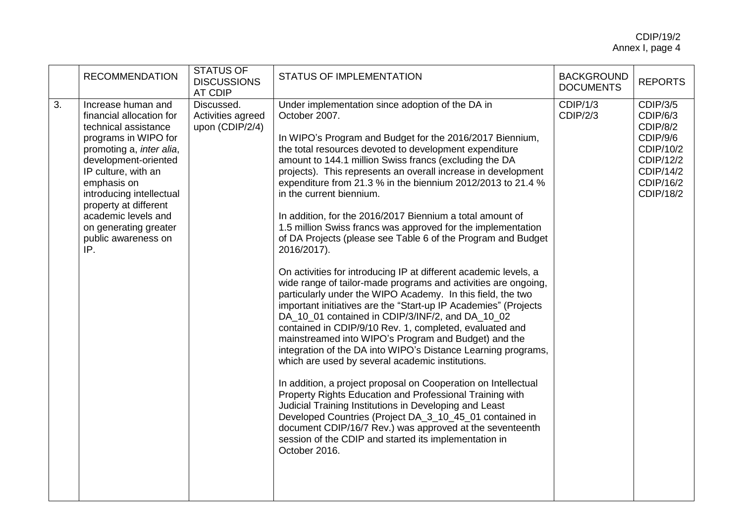|    | <b>RECOMMENDATION</b>                                                                                                                                                                                                                                                                                                       | <b>STATUS OF</b><br><b>DISCUSSIONS</b><br>AT CDIP  | <b>STATUS OF IMPLEMENTATION</b>                                                                                                                                                                                                                                                                                                                                                                                                                                                                                                                                                                                                                                                                                                                                                                                                                                                                                                                                                                                                                                                                                                                                                                                                                                                                                                                                                                                                                                                                                                                                                        | <b>BACKGROUND</b><br><b>DOCUMENTS</b> | <b>REPORTS</b>                                                                                                       |
|----|-----------------------------------------------------------------------------------------------------------------------------------------------------------------------------------------------------------------------------------------------------------------------------------------------------------------------------|----------------------------------------------------|----------------------------------------------------------------------------------------------------------------------------------------------------------------------------------------------------------------------------------------------------------------------------------------------------------------------------------------------------------------------------------------------------------------------------------------------------------------------------------------------------------------------------------------------------------------------------------------------------------------------------------------------------------------------------------------------------------------------------------------------------------------------------------------------------------------------------------------------------------------------------------------------------------------------------------------------------------------------------------------------------------------------------------------------------------------------------------------------------------------------------------------------------------------------------------------------------------------------------------------------------------------------------------------------------------------------------------------------------------------------------------------------------------------------------------------------------------------------------------------------------------------------------------------------------------------------------------------|---------------------------------------|----------------------------------------------------------------------------------------------------------------------|
| 3. | Increase human and<br>financial allocation for<br>technical assistance<br>programs in WIPO for<br>promoting a, inter alia,<br>development-oriented<br>IP culture, with an<br>emphasis on<br>introducing intellectual<br>property at different<br>academic levels and<br>on generating greater<br>public awareness on<br>IP. | Discussed.<br>Activities agreed<br>upon (CDIP/2/4) | Under implementation since adoption of the DA in<br>October 2007.<br>In WIPO's Program and Budget for the 2016/2017 Biennium,<br>the total resources devoted to development expenditure<br>amount to 144.1 million Swiss francs (excluding the DA<br>projects). This represents an overall increase in development<br>expenditure from 21.3 % in the biennium 2012/2013 to 21.4 %<br>in the current biennium.<br>In addition, for the 2016/2017 Biennium a total amount of<br>1.5 million Swiss francs was approved for the implementation<br>of DA Projects (please see Table 6 of the Program and Budget<br>2016/2017).<br>On activities for introducing IP at different academic levels, a<br>wide range of tailor-made programs and activities are ongoing,<br>particularly under the WIPO Academy. In this field, the two<br>important initiatives are the "Start-up IP Academies" (Projects<br>DA_10_01 contained in CDIP/3/INF/2, and DA_10_02<br>contained in CDIP/9/10 Rev. 1, completed, evaluated and<br>mainstreamed into WIPO's Program and Budget) and the<br>integration of the DA into WIPO's Distance Learning programs,<br>which are used by several academic institutions.<br>In addition, a project proposal on Cooperation on Intellectual<br>Property Rights Education and Professional Training with<br>Judicial Training Institutions in Developing and Least<br>Developed Countries (Project DA_3_10_45_01 contained in<br>document CDIP/16/7 Rev.) was approved at the seventeenth<br>session of the CDIP and started its implementation in<br>October 2016. | CDIP/1/3<br><b>CDIP/2/3</b>           | <b>CDIP/3/5</b><br>CDIP/6/3<br>CDIP/8/2<br>CDIP/9/6<br>CDIP/10/2<br>CDIP/12/2<br>CDIP/14/2<br>CDIP/16/2<br>CDIP/18/2 |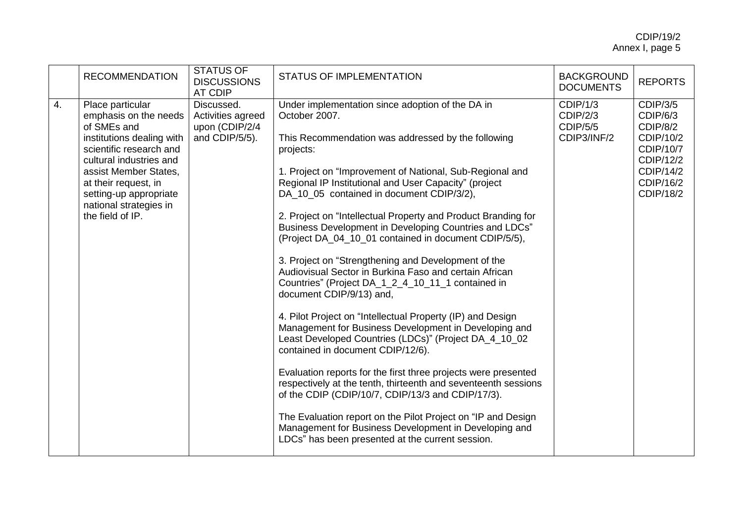|    | <b>RECOMMENDATION</b>                                                                                                                                                                                                                                                | <b>STATUS OF</b><br><b>DISCUSSIONS</b><br><b>AT CDIP</b>            | <b>STATUS OF IMPLEMENTATION</b>                                                                                                                                                                                                                                                                                                                                                                                                                                                                                                                                                                                                                                                                                                                                                                                                                                                                                                                                                                                                                                                                                                                                                                                                                                                         | <b>BACKGROUND</b><br><b>DOCUMENTS</b>                  | <b>REPORTS</b>                                                                                                        |
|----|----------------------------------------------------------------------------------------------------------------------------------------------------------------------------------------------------------------------------------------------------------------------|---------------------------------------------------------------------|-----------------------------------------------------------------------------------------------------------------------------------------------------------------------------------------------------------------------------------------------------------------------------------------------------------------------------------------------------------------------------------------------------------------------------------------------------------------------------------------------------------------------------------------------------------------------------------------------------------------------------------------------------------------------------------------------------------------------------------------------------------------------------------------------------------------------------------------------------------------------------------------------------------------------------------------------------------------------------------------------------------------------------------------------------------------------------------------------------------------------------------------------------------------------------------------------------------------------------------------------------------------------------------------|--------------------------------------------------------|-----------------------------------------------------------------------------------------------------------------------|
| 4. | Place particular<br>emphasis on the needs<br>of SMEs and<br>institutions dealing with<br>scientific research and<br>cultural industries and<br>assist Member States,<br>at their request, in<br>setting-up appropriate<br>national strategies in<br>the field of IP. | Discussed.<br>Activities agreed<br>upon (CDIP/2/4<br>and CDIP/5/5). | Under implementation since adoption of the DA in<br>October 2007.<br>This Recommendation was addressed by the following<br>projects:<br>1. Project on "Improvement of National, Sub-Regional and<br>Regional IP Institutional and User Capacity" (project<br>DA_10_05 contained in document CDIP/3/2),<br>2. Project on "Intellectual Property and Product Branding for<br>Business Development in Developing Countries and LDCs"<br>(Project DA_04_10_01 contained in document CDIP/5/5),<br>3. Project on "Strengthening and Development of the<br>Audiovisual Sector in Burkina Faso and certain African<br>Countries" (Project DA_1_2_4_10_11_1 contained in<br>document CDIP/9/13) and,<br>4. Pilot Project on "Intellectual Property (IP) and Design<br>Management for Business Development in Developing and<br>Least Developed Countries (LDCs)" (Project DA_4_10_02<br>contained in document CDIP/12/6).<br>Evaluation reports for the first three projects were presented<br>respectively at the tenth, thirteenth and seventeenth sessions<br>of the CDIP (CDIP/10/7, CDIP/13/3 and CDIP/17/3).<br>The Evaluation report on the Pilot Project on "IP and Design<br>Management for Business Development in Developing and<br>LDCs" has been presented at the current session. | CDIP/1/3<br>CDIP/2/3<br><b>CDIP/5/5</b><br>CDIP3/INF/2 | <b>CDIP/3/5</b><br>CDIP/6/3<br>CDIP/8/2<br>CDIP/10/2<br>CDIP/10/7<br>CDIP/12/2<br>CDIP/14/2<br>CDIP/16/2<br>CDIP/18/2 |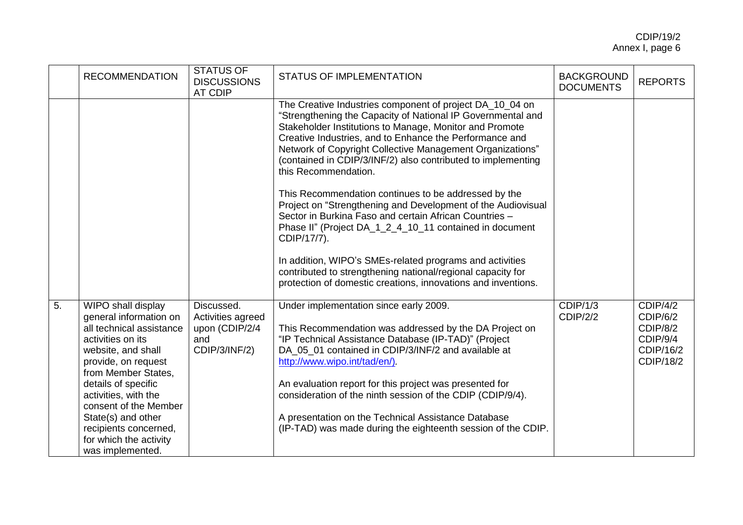|    | <b>RECOMMENDATION</b>                                                                                                                                                                                                                                                                                                                  | <b>STATUS OF</b><br><b>DISCUSSIONS</b><br>AT CDIP                         | <b>STATUS OF IMPLEMENTATION</b>                                                                                                                                                                                                                                                                                                                                                                                                                                                                  | <b>BACKGROUND</b><br><b>DOCUMENTS</b> | <b>REPORTS</b>                                                         |
|----|----------------------------------------------------------------------------------------------------------------------------------------------------------------------------------------------------------------------------------------------------------------------------------------------------------------------------------------|---------------------------------------------------------------------------|--------------------------------------------------------------------------------------------------------------------------------------------------------------------------------------------------------------------------------------------------------------------------------------------------------------------------------------------------------------------------------------------------------------------------------------------------------------------------------------------------|---------------------------------------|------------------------------------------------------------------------|
|    |                                                                                                                                                                                                                                                                                                                                        |                                                                           | The Creative Industries component of project DA_10_04 on<br>"Strengthening the Capacity of National IP Governmental and<br>Stakeholder Institutions to Manage, Monitor and Promote<br>Creative Industries, and to Enhance the Performance and<br>Network of Copyright Collective Management Organizations"<br>(contained in CDIP/3/INF/2) also contributed to implementing<br>this Recommendation.                                                                                               |                                       |                                                                        |
|    |                                                                                                                                                                                                                                                                                                                                        |                                                                           | This Recommendation continues to be addressed by the<br>Project on "Strengthening and Development of the Audiovisual<br>Sector in Burkina Faso and certain African Countries -<br>Phase II" (Project DA_1_2_4_10_11 contained in document<br>CDIP/17/7).                                                                                                                                                                                                                                         |                                       |                                                                        |
|    |                                                                                                                                                                                                                                                                                                                                        |                                                                           | In addition, WIPO's SMEs-related programs and activities<br>contributed to strengthening national/regional capacity for<br>protection of domestic creations, innovations and inventions.                                                                                                                                                                                                                                                                                                         |                                       |                                                                        |
| 5. | WIPO shall display<br>general information on<br>all technical assistance<br>activities on its<br>website, and shall<br>provide, on request<br>from Member States,<br>details of specific<br>activities, with the<br>consent of the Member<br>State(s) and other<br>recipients concerned,<br>for which the activity<br>was implemented. | Discussed.<br>Activities agreed<br>upon (CDIP/2/4<br>and<br>CDIP/3/INF/2) | Under implementation since early 2009.<br>This Recommendation was addressed by the DA Project on<br>"IP Technical Assistance Database (IP-TAD)" (Project<br>DA_05_01 contained in CDIP/3/INF/2 and available at<br>http://www.wipo.int/tad/en/).<br>An evaluation report for this project was presented for<br>consideration of the ninth session of the CDIP (CDIP/9/4).<br>A presentation on the Technical Assistance Database<br>(IP-TAD) was made during the eighteenth session of the CDIP. | CDIP/1/3<br><b>CDIP/2/2</b>           | CDIP/4/2<br>CDIP/6/2<br>CDIP/8/2<br>CDIP/9/4<br>CDIP/16/2<br>CDIP/18/2 |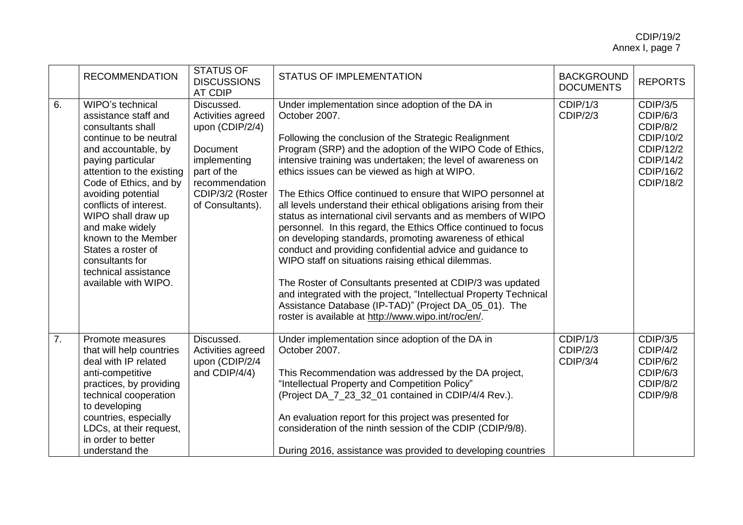|    | <b>RECOMMENDATION</b>                                                                                                                                                                                                                                                                                                                                                                               | <b>STATUS OF</b><br><b>DISCUSSIONS</b><br>AT CDIP                                                                                                       | <b>STATUS OF IMPLEMENTATION</b>                                                                                                                                                                                                                                                                                                                                                                                                                                                                                                                                                                                                                                                                                                                                                                                                                                                                                                                                                                                    | <b>BACKGROUND</b><br><b>DOCUMENTS</b> | <b>REPORTS</b>                                                                                                  |
|----|-----------------------------------------------------------------------------------------------------------------------------------------------------------------------------------------------------------------------------------------------------------------------------------------------------------------------------------------------------------------------------------------------------|---------------------------------------------------------------------------------------------------------------------------------------------------------|--------------------------------------------------------------------------------------------------------------------------------------------------------------------------------------------------------------------------------------------------------------------------------------------------------------------------------------------------------------------------------------------------------------------------------------------------------------------------------------------------------------------------------------------------------------------------------------------------------------------------------------------------------------------------------------------------------------------------------------------------------------------------------------------------------------------------------------------------------------------------------------------------------------------------------------------------------------------------------------------------------------------|---------------------------------------|-----------------------------------------------------------------------------------------------------------------|
| 6. | WIPO's technical<br>assistance staff and<br>consultants shall<br>continue to be neutral<br>and accountable, by<br>paying particular<br>attention to the existing<br>Code of Ethics, and by<br>avoiding potential<br>conflicts of interest.<br>WIPO shall draw up<br>and make widely<br>known to the Member<br>States a roster of<br>consultants for<br>technical assistance<br>available with WIPO. | Discussed.<br>Activities agreed<br>upon (CDIP/2/4)<br>Document<br>implementing<br>part of the<br>recommendation<br>CDIP/3/2 (Roster<br>of Consultants). | Under implementation since adoption of the DA in<br>October 2007.<br>Following the conclusion of the Strategic Realignment<br>Program (SRP) and the adoption of the WIPO Code of Ethics,<br>intensive training was undertaken; the level of awareness on<br>ethics issues can be viewed as high at WIPO.<br>The Ethics Office continued to ensure that WIPO personnel at<br>all levels understand their ethical obligations arising from their<br>status as international civil servants and as members of WIPO<br>personnel. In this regard, the Ethics Office continued to focus<br>on developing standards, promoting awareness of ethical<br>conduct and providing confidential advice and guidance to<br>WIPO staff on situations raising ethical dilemmas.<br>The Roster of Consultants presented at CDIP/3 was updated<br>and integrated with the project, "Intellectual Property Technical<br>Assistance Database (IP-TAD)" (Project DA_05_01). The<br>roster is available at http://www.wipo.int/roc/en/. | CDIP/1/3<br>CDIP/2/3                  | <b>CDIP/3/5</b><br>CDIP/6/3<br>CDIP/8/2<br>CDIP/10/2<br>CDIP/12/2<br>CDIP/14/2<br>CDIP/16/2<br><b>CDIP/18/2</b> |
| 7. | Promote measures<br>that will help countries<br>deal with IP related<br>anti-competitive<br>practices, by providing<br>technical cooperation<br>to developing<br>countries, especially<br>LDCs, at their request,<br>in order to better<br>understand the                                                                                                                                           | Discussed.<br>Activities agreed<br>upon (CDIP/2/4<br>and CDIP/4/4)                                                                                      | Under implementation since adoption of the DA in<br>October 2007.<br>This Recommendation was addressed by the DA project,<br>"Intellectual Property and Competition Policy"<br>(Project DA_7_23_32_01 contained in CDIP/4/4 Rev.).<br>An evaluation report for this project was presented for<br>consideration of the ninth session of the CDIP (CDIP/9/8).<br>During 2016, assistance was provided to developing countries                                                                                                                                                                                                                                                                                                                                                                                                                                                                                                                                                                                        | CDIP/1/3<br>CDIP/2/3<br>CDIP/3/4      | CDIP/3/5<br>CDIP/4/2<br>CDIP/6/2<br>CDIP/6/3<br>CDIP/8/2<br>CDIP/9/8                                            |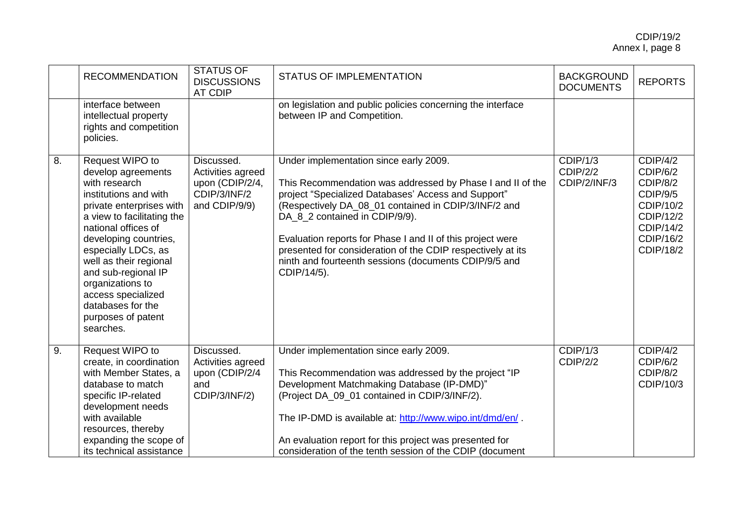|    | <b>RECOMMENDATION</b>                                                                                                                                                                                                                                                                                                                                               | <b>STATUS OF</b><br><b>DISCUSSIONS</b><br><b>AT CDIP</b>                            | <b>STATUS OF IMPLEMENTATION</b>                                                                                                                                                                                                                                                                                                                                                                                                                            | <b>BACKGROUND</b><br><b>DOCUMENTS</b> | <b>REPORTS</b>                                                                                                       |
|----|---------------------------------------------------------------------------------------------------------------------------------------------------------------------------------------------------------------------------------------------------------------------------------------------------------------------------------------------------------------------|-------------------------------------------------------------------------------------|------------------------------------------------------------------------------------------------------------------------------------------------------------------------------------------------------------------------------------------------------------------------------------------------------------------------------------------------------------------------------------------------------------------------------------------------------------|---------------------------------------|----------------------------------------------------------------------------------------------------------------------|
|    | interface between<br>intellectual property<br>rights and competition<br>policies.                                                                                                                                                                                                                                                                                   |                                                                                     | on legislation and public policies concerning the interface<br>between IP and Competition.                                                                                                                                                                                                                                                                                                                                                                 |                                       |                                                                                                                      |
| 8. | Request WIPO to<br>develop agreements<br>with research<br>institutions and with<br>private enterprises with<br>a view to facilitating the<br>national offices of<br>developing countries,<br>especially LDCs, as<br>well as their regional<br>and sub-regional IP<br>organizations to<br>access specialized<br>databases for the<br>purposes of patent<br>searches. | Discussed.<br>Activities agreed<br>upon (CDIP/2/4,<br>CDIP/3/INF/2<br>and CDIP/9/9) | Under implementation since early 2009.<br>This Recommendation was addressed by Phase I and II of the<br>project "Specialized Databases' Access and Support"<br>(Respectively DA_08_01 contained in CDIP/3/INF/2 and<br>DA_8_2 contained in CDIP/9/9).<br>Evaluation reports for Phase I and II of this project were<br>presented for consideration of the CDIP respectively at its<br>ninth and fourteenth sessions (documents CDIP/9/5 and<br>CDIP/14/5). | CDIP/1/3<br>CDIP/2/2<br>CDIP/2/INF/3  | CDIP/4/2<br>CDIP/6/2<br>CDIP/8/2<br>CDIP/9/5<br>CDIP/10/2<br>CDIP/12/2<br>CDIP/14/2<br>CDIP/16/2<br><b>CDIP/18/2</b> |
| 9. | Request WIPO to<br>create, in coordination<br>with Member States, a<br>database to match<br>specific IP-related<br>development needs<br>with available<br>resources, thereby<br>expanding the scope of<br>its technical assistance                                                                                                                                  | Discussed.<br>Activities agreed<br>upon (CDIP/2/4<br>and<br>CDIP/3/INF/2)           | Under implementation since early 2009.<br>This Recommendation was addressed by the project "IP<br>Development Matchmaking Database (IP-DMD)"<br>(Project DA_09_01 contained in CDIP/3/INF/2).<br>The IP-DMD is available at: http://www.wipo.int/dmd/en/.<br>An evaluation report for this project was presented for<br>consideration of the tenth session of the CDIP (document                                                                           | CDIP/1/3<br>CDIP/2/2                  | CDIP/4/2<br>CDIP/6/2<br>CDIP/8/2<br>CDIP/10/3                                                                        |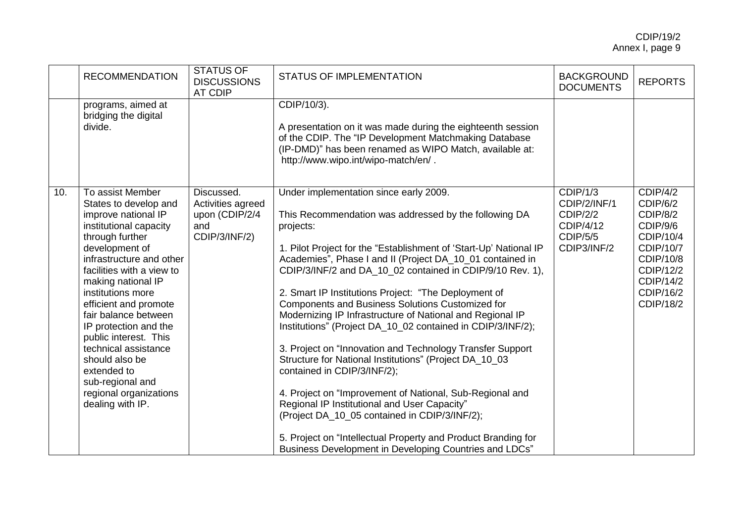| <b>RECOMMENDATION</b>                                                                                                                                                                                                                                                                                                                                                                                                                                                    | <b>STATUS OF</b><br><b>DISCUSSIONS</b><br><b>AT CDIP</b>                  | <b>STATUS OF IMPLEMENTATION</b>                                                                                                                                                                                                                                                                                                                                                                                                                                                                                                                                                                                                                                                                                                                                                                                                                                                                                                                                                                   | <b>BACKGROUND</b><br><b>DOCUMENTS</b>                                                      | <b>REPORTS</b>                                                                                                                                        |
|--------------------------------------------------------------------------------------------------------------------------------------------------------------------------------------------------------------------------------------------------------------------------------------------------------------------------------------------------------------------------------------------------------------------------------------------------------------------------|---------------------------------------------------------------------------|---------------------------------------------------------------------------------------------------------------------------------------------------------------------------------------------------------------------------------------------------------------------------------------------------------------------------------------------------------------------------------------------------------------------------------------------------------------------------------------------------------------------------------------------------------------------------------------------------------------------------------------------------------------------------------------------------------------------------------------------------------------------------------------------------------------------------------------------------------------------------------------------------------------------------------------------------------------------------------------------------|--------------------------------------------------------------------------------------------|-------------------------------------------------------------------------------------------------------------------------------------------------------|
| programs, aimed at<br>bridging the digital<br>divide.                                                                                                                                                                                                                                                                                                                                                                                                                    |                                                                           | CDIP/10/3).<br>A presentation on it was made during the eighteenth session<br>of the CDIP. The "IP Development Matchmaking Database<br>(IP-DMD)" has been renamed as WIPO Match, available at:<br>http://www.wipo.int/wipo-match/en/.                                                                                                                                                                                                                                                                                                                                                                                                                                                                                                                                                                                                                                                                                                                                                             |                                                                                            |                                                                                                                                                       |
| To assist Member<br>10.<br>States to develop and<br>improve national IP<br>institutional capacity<br>through further<br>development of<br>infrastructure and other<br>facilities with a view to<br>making national IP<br>institutions more<br>efficient and promote<br>fair balance between<br>IP protection and the<br>public interest. This<br>technical assistance<br>should also be<br>extended to<br>sub-regional and<br>regional organizations<br>dealing with IP. | Discussed.<br>Activities agreed<br>upon (CDIP/2/4<br>and<br>CDIP/3/INF/2) | Under implementation since early 2009.<br>This Recommendation was addressed by the following DA<br>projects:<br>1. Pilot Project for the "Establishment of 'Start-Up' National IP<br>Academies", Phase I and II (Project DA_10_01 contained in<br>CDIP/3/INF/2 and DA_10_02 contained in CDIP/9/10 Rev. 1),<br>2. Smart IP Institutions Project: "The Deployment of<br>Components and Business Solutions Customized for<br>Modernizing IP Infrastructure of National and Regional IP<br>Institutions" (Project DA_10_02 contained in CDIP/3/INF/2);<br>3. Project on "Innovation and Technology Transfer Support<br>Structure for National Institutions" (Project DA_10_03<br>contained in CDIP/3/INF/2);<br>4. Project on "Improvement of National, Sub-Regional and<br>Regional IP Institutional and User Capacity"<br>(Project DA 10 05 contained in CDIP/3/INF/2);<br>5. Project on "Intellectual Property and Product Branding for<br>Business Development in Developing Countries and LDCs" | CDIP/1/3<br>CDIP/2/INF/1<br><b>CDIP/2/2</b><br>CDIP/4/12<br><b>CDIP/5/5</b><br>CDIP3/INF/2 | CDIP/4/2<br>CDIP/6/2<br>CDIP/8/2<br>CDIP/9/6<br>CDIP/10/4<br><b>CDIP/10/7</b><br>CDIP/10/8<br>CDIP/12/2<br>CDIP/14/2<br>CDIP/16/2<br><b>CDIP/18/2</b> |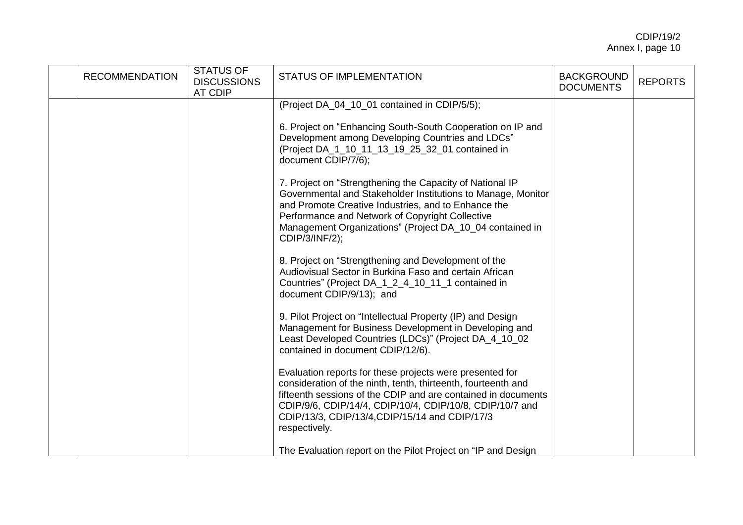| <b>RECOMMENDATION</b> | <b>STATUS OF</b><br><b>DISCUSSIONS</b><br>AT CDIP | <b>STATUS OF IMPLEMENTATION</b>                                                                                                                                                                                                                                                                                           | <b>BACKGROUND</b><br><b>DOCUMENTS</b> | <b>REPORTS</b> |
|-----------------------|---------------------------------------------------|---------------------------------------------------------------------------------------------------------------------------------------------------------------------------------------------------------------------------------------------------------------------------------------------------------------------------|---------------------------------------|----------------|
|                       |                                                   | (Project DA_04_10_01 contained in CDIP/5/5);                                                                                                                                                                                                                                                                              |                                       |                |
|                       |                                                   | 6. Project on "Enhancing South-South Cooperation on IP and<br>Development among Developing Countries and LDCs"<br>(Project DA_1_10_11_13_19_25_32_01 contained in<br>document CDIP/7/6);                                                                                                                                  |                                       |                |
|                       |                                                   | 7. Project on "Strengthening the Capacity of National IP<br>Governmental and Stakeholder Institutions to Manage, Monitor<br>and Promote Creative Industries, and to Enhance the<br>Performance and Network of Copyright Collective<br>Management Organizations" (Project DA_10_04 contained in<br>CDIP/3/INF/2);          |                                       |                |
|                       |                                                   | 8. Project on "Strengthening and Development of the<br>Audiovisual Sector in Burkina Faso and certain African<br>Countries" (Project DA_1_2_4_10_11_1 contained in<br>document CDIP/9/13); and                                                                                                                            |                                       |                |
|                       |                                                   | 9. Pilot Project on "Intellectual Property (IP) and Design<br>Management for Business Development in Developing and<br>Least Developed Countries (LDCs)" (Project DA_4_10_02<br>contained in document CDIP/12/6).                                                                                                         |                                       |                |
|                       |                                                   | Evaluation reports for these projects were presented for<br>consideration of the ninth, tenth, thirteenth, fourteenth and<br>fifteenth sessions of the CDIP and are contained in documents<br>CDIP/9/6, CDIP/14/4, CDIP/10/4, CDIP/10/8, CDIP/10/7 and<br>CDIP/13/3, CDIP/13/4, CDIP/15/14 and CDIP/17/3<br>respectively. |                                       |                |
|                       |                                                   | The Evaluation report on the Pilot Project on "IP and Design                                                                                                                                                                                                                                                              |                                       |                |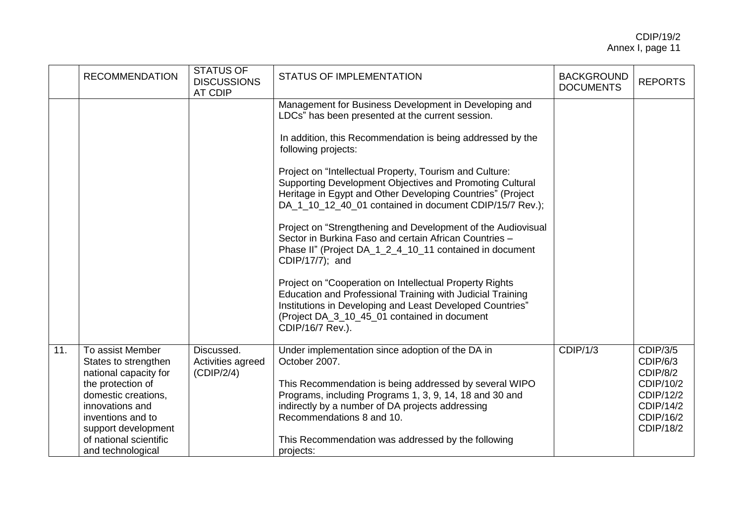|     | <b>RECOMMENDATION</b>                                                                                                                                                                                                       | <b>STATUS OF</b><br><b>DISCUSSIONS</b><br><b>AT CDIP</b> | <b>STATUS OF IMPLEMENTATION</b>                                                                                                                                                                                                                                                                                                                                                                                                                                                                                                                                                                                                                                                                                                                                                                                                                                                                                  | <b>BACKGROUND</b><br><b>DOCUMENTS</b> | <b>REPORTS</b>                                                                                           |
|-----|-----------------------------------------------------------------------------------------------------------------------------------------------------------------------------------------------------------------------------|----------------------------------------------------------|------------------------------------------------------------------------------------------------------------------------------------------------------------------------------------------------------------------------------------------------------------------------------------------------------------------------------------------------------------------------------------------------------------------------------------------------------------------------------------------------------------------------------------------------------------------------------------------------------------------------------------------------------------------------------------------------------------------------------------------------------------------------------------------------------------------------------------------------------------------------------------------------------------------|---------------------------------------|----------------------------------------------------------------------------------------------------------|
|     |                                                                                                                                                                                                                             |                                                          | Management for Business Development in Developing and<br>LDCs" has been presented at the current session.<br>In addition, this Recommendation is being addressed by the<br>following projects:<br>Project on "Intellectual Property, Tourism and Culture:<br>Supporting Development Objectives and Promoting Cultural<br>Heritage in Egypt and Other Developing Countries" (Project<br>DA_1_10_12_40_01 contained in document CDIP/15/7 Rev.);<br>Project on "Strengthening and Development of the Audiovisual<br>Sector in Burkina Faso and certain African Countries -<br>Phase II" (Project DA_1_2_4_10_11 contained in document<br>CDIP/17/7); and<br>Project on "Cooperation on Intellectual Property Rights<br>Education and Professional Training with Judicial Training<br>Institutions in Developing and Least Developed Countries"<br>(Project DA_3_10_45_01 contained in document<br>CDIP/16/7 Rev.). |                                       |                                                                                                          |
| 11. | To assist Member<br>States to strengthen<br>national capacity for<br>the protection of<br>domestic creations,<br>innovations and<br>inventions and to<br>support development<br>of national scientific<br>and technological | Discussed.<br>Activities agreed<br>(CDIP/2/4)            | Under implementation since adoption of the DA in<br>October 2007.<br>This Recommendation is being addressed by several WIPO<br>Programs, including Programs 1, 3, 9, 14, 18 and 30 and<br>indirectly by a number of DA projects addressing<br>Recommendations 8 and 10.<br>This Recommendation was addressed by the following<br>projects:                                                                                                                                                                                                                                                                                                                                                                                                                                                                                                                                                                       | CDIP/1/3                              | <b>CDIP/3/5</b><br>CDIP/6/3<br>CDIP/8/2<br>CDIP/10/2<br>CDIP/12/2<br>CDIP/14/2<br>CDIP/16/2<br>CDIP/18/2 |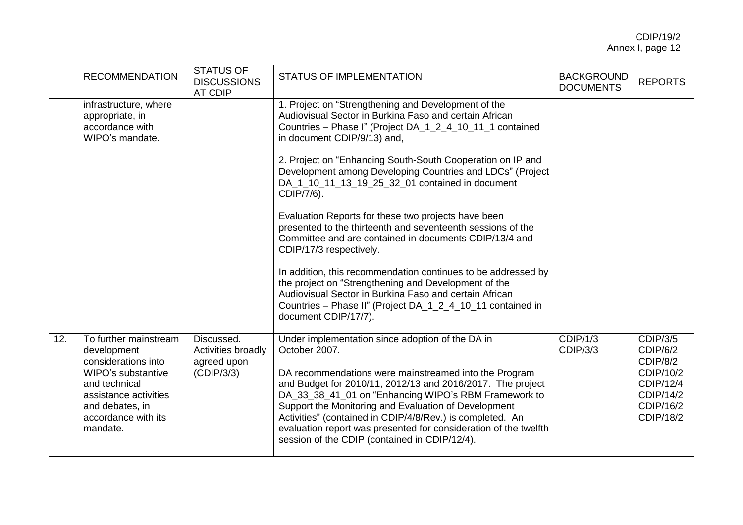|     | <b>RECOMMENDATION</b>                                                                                                                                                             | STATUS OF<br><b>DISCUSSIONS</b><br><b>AT CDIP</b>                    | <b>STATUS OF IMPLEMENTATION</b>                                                                                                                                                                                                                                                                                                                                                                                                                                                            | <b>BACKGROUND</b><br><b>DOCUMENTS</b> | <b>REPORTS</b>                                                                                                  |
|-----|-----------------------------------------------------------------------------------------------------------------------------------------------------------------------------------|----------------------------------------------------------------------|--------------------------------------------------------------------------------------------------------------------------------------------------------------------------------------------------------------------------------------------------------------------------------------------------------------------------------------------------------------------------------------------------------------------------------------------------------------------------------------------|---------------------------------------|-----------------------------------------------------------------------------------------------------------------|
|     | infrastructure, where<br>appropriate, in<br>accordance with<br>WIPO's mandate.                                                                                                    |                                                                      | 1. Project on "Strengthening and Development of the<br>Audiovisual Sector in Burkina Faso and certain African<br>Countries - Phase I" (Project DA_1_2_4_10_11_1 contained<br>in document CDIP/9/13) and,                                                                                                                                                                                                                                                                                   |                                       |                                                                                                                 |
|     |                                                                                                                                                                                   |                                                                      | 2. Project on "Enhancing South-South Cooperation on IP and<br>Development among Developing Countries and LDCs" (Project<br>DA_1_10_11_13_19_25_32_01 contained in document<br>CDIP/7/6).                                                                                                                                                                                                                                                                                                   |                                       |                                                                                                                 |
|     |                                                                                                                                                                                   |                                                                      | Evaluation Reports for these two projects have been<br>presented to the thirteenth and seventeenth sessions of the<br>Committee and are contained in documents CDIP/13/4 and<br>CDIP/17/3 respectively.                                                                                                                                                                                                                                                                                    |                                       |                                                                                                                 |
|     |                                                                                                                                                                                   |                                                                      | In addition, this recommendation continues to be addressed by<br>the project on "Strengthening and Development of the<br>Audiovisual Sector in Burkina Faso and certain African<br>Countries - Phase II" (Project DA_1_2_4_10_11 contained in<br>document CDIP/17/7).                                                                                                                                                                                                                      |                                       |                                                                                                                 |
| 12. | To further mainstream<br>development<br>considerations into<br>WIPO's substantive<br>and technical<br>assistance activities<br>and debates, in<br>accordance with its<br>mandate. | Discussed.<br><b>Activities broadly</b><br>agreed upon<br>(CDIP/3/3) | Under implementation since adoption of the DA in<br>October 2007.<br>DA recommendations were mainstreamed into the Program<br>and Budget for 2010/11, 2012/13 and 2016/2017. The project<br>DA_33_38_41_01 on "Enhancing WIPO's RBM Framework to<br>Support the Monitoring and Evaluation of Development<br>Activities" (contained in CDIP/4/8/Rev.) is completed. An<br>evaluation report was presented for consideration of the twelfth<br>session of the CDIP (contained in CDIP/12/4). | CDIP/1/3<br><b>CDIP/3/3</b>           | <b>CDIP/3/5</b><br>CDIP/6/2<br>CDIP/8/2<br>CDIP/10/2<br>CDIP/12/4<br><b>CDIP/14/2</b><br>CDIP/16/2<br>CDIP/18/2 |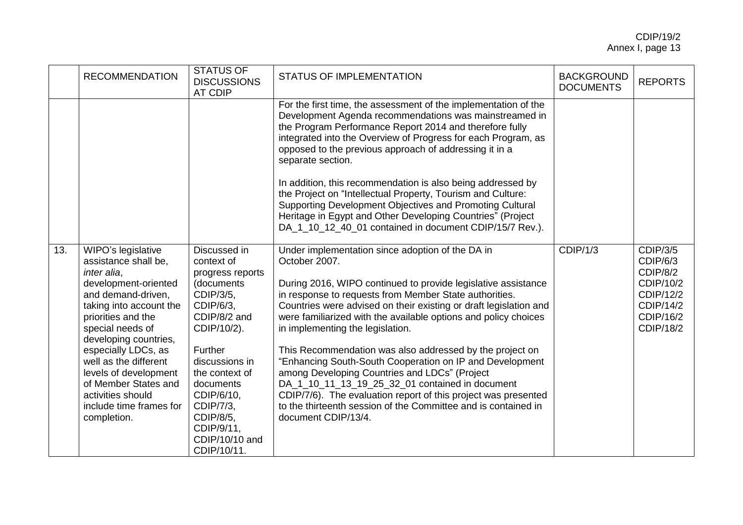|     | <b>RECOMMENDATION</b>                                                                                                                                                                                                                                                                                                                                                 | <b>STATUS OF</b><br><b>DISCUSSIONS</b><br><b>AT CDIP</b>                                                                                                                                                                                                                 | STATUS OF IMPLEMENTATION                                                                                                                                                                                                                                                                                                                                                                                                                                                                                                                                                                                                                                                                                                                                        | <b>BACKGROUND</b><br><b>DOCUMENTS</b> | <b>REPORTS</b>                                                                                           |
|-----|-----------------------------------------------------------------------------------------------------------------------------------------------------------------------------------------------------------------------------------------------------------------------------------------------------------------------------------------------------------------------|--------------------------------------------------------------------------------------------------------------------------------------------------------------------------------------------------------------------------------------------------------------------------|-----------------------------------------------------------------------------------------------------------------------------------------------------------------------------------------------------------------------------------------------------------------------------------------------------------------------------------------------------------------------------------------------------------------------------------------------------------------------------------------------------------------------------------------------------------------------------------------------------------------------------------------------------------------------------------------------------------------------------------------------------------------|---------------------------------------|----------------------------------------------------------------------------------------------------------|
|     |                                                                                                                                                                                                                                                                                                                                                                       |                                                                                                                                                                                                                                                                          | For the first time, the assessment of the implementation of the<br>Development Agenda recommendations was mainstreamed in<br>the Program Performance Report 2014 and therefore fully<br>integrated into the Overview of Progress for each Program, as<br>opposed to the previous approach of addressing it in a<br>separate section.<br>In addition, this recommendation is also being addressed by<br>the Project on "Intellectual Property, Tourism and Culture:<br>Supporting Development Objectives and Promoting Cultural<br>Heritage in Egypt and Other Developing Countries" (Project<br>DA_1_10_12_40_01 contained in document CDIP/15/7 Rev.).                                                                                                         |                                       |                                                                                                          |
| 13. | WIPO's legislative<br>assistance shall be,<br>inter alia,<br>development-oriented<br>and demand-driven,<br>taking into account the<br>priorities and the<br>special needs of<br>developing countries,<br>especially LDCs, as<br>well as the different<br>levels of development<br>of Member States and<br>activities should<br>include time frames for<br>completion. | Discussed in<br>context of<br>progress reports<br>(documents<br>CDIP/3/5,<br>CDIP/6/3,<br>CDIP/8/2 and<br>CDIP/10/2).<br>Further<br>discussions in<br>the context of<br>documents<br>CDIP/6/10,<br>CDIP/7/3,<br>CDIP/8/5,<br>CDIP/9/11,<br>CDIP/10/10 and<br>CDIP/10/11. | Under implementation since adoption of the DA in<br>October 2007.<br>During 2016, WIPO continued to provide legislative assistance<br>in response to requests from Member State authorities.<br>Countries were advised on their existing or draft legislation and<br>were familiarized with the available options and policy choices<br>in implementing the legislation.<br>This Recommendation was also addressed by the project on<br>"Enhancing South-South Cooperation on IP and Development<br>among Developing Countries and LDCs" (Project<br>DA_1_10_11_13_19_25_32_01 contained in document<br>CDIP/7/6). The evaluation report of this project was presented<br>to the thirteenth session of the Committee and is contained in<br>document CDIP/13/4. | CDIP/1/3                              | <b>CDIP/3/5</b><br>CDIP/6/3<br>CDIP/8/2<br>CDIP/10/2<br>CDIP/12/2<br>CDIP/14/2<br>CDIP/16/2<br>CDIP/18/2 |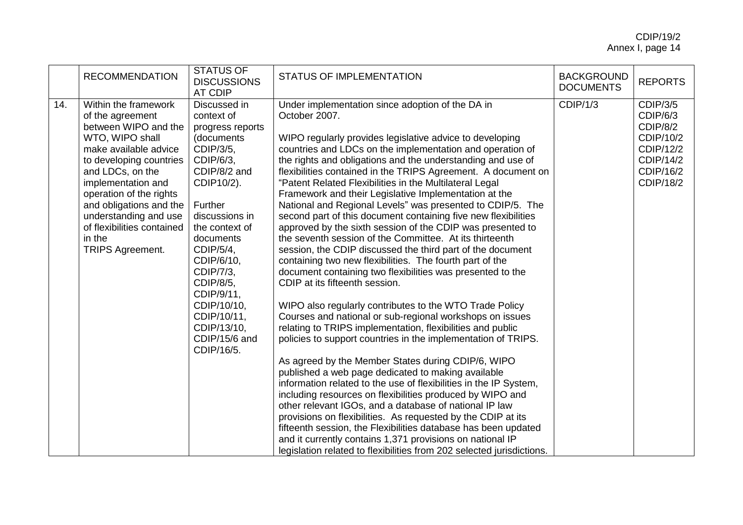|     | <b>RECOMMENDATION</b>                                                                                                                                                                                                                                                                                                               | <b>STATUS OF</b><br><b>DISCUSSIONS</b><br>AT CDIP                                                                                                                                                                                                                                                                               | <b>STATUS OF IMPLEMENTATION</b>                                                                                                                                                                                                                                                                                                                                                                                                                                                                                                                                                                                                                                                                                                                                                                                                                                                                                                                                                                                                                                                                                                                                                                                                                                                                                                                                                                                                                                                                                                                                                                                                                                                                                                                                         | <b>BACKGROUND</b><br><b>DOCUMENTS</b> | <b>REPORTS</b>                                                                                           |
|-----|-------------------------------------------------------------------------------------------------------------------------------------------------------------------------------------------------------------------------------------------------------------------------------------------------------------------------------------|---------------------------------------------------------------------------------------------------------------------------------------------------------------------------------------------------------------------------------------------------------------------------------------------------------------------------------|-------------------------------------------------------------------------------------------------------------------------------------------------------------------------------------------------------------------------------------------------------------------------------------------------------------------------------------------------------------------------------------------------------------------------------------------------------------------------------------------------------------------------------------------------------------------------------------------------------------------------------------------------------------------------------------------------------------------------------------------------------------------------------------------------------------------------------------------------------------------------------------------------------------------------------------------------------------------------------------------------------------------------------------------------------------------------------------------------------------------------------------------------------------------------------------------------------------------------------------------------------------------------------------------------------------------------------------------------------------------------------------------------------------------------------------------------------------------------------------------------------------------------------------------------------------------------------------------------------------------------------------------------------------------------------------------------------------------------------------------------------------------------|---------------------------------------|----------------------------------------------------------------------------------------------------------|
| 14. | Within the framework<br>of the agreement<br>between WIPO and the<br>WTO, WIPO shall<br>make available advice<br>to developing countries<br>and LDCs, on the<br>implementation and<br>operation of the rights<br>and obligations and the<br>understanding and use<br>of flexibilities contained<br>in the<br><b>TRIPS Agreement.</b> | Discussed in<br>context of<br>progress reports<br>(documents<br>CDIP/3/5,<br>CDIP/6/3,<br>CDIP/8/2 and<br>CDIP10/2).<br>Further<br>discussions in<br>the context of<br>documents<br>CDIP/5/4,<br>CDIP/6/10,<br>CDIP/7/3,<br>CDIP/8/5,<br>CDIP/9/11,<br>CDIP/10/10,<br>CDIP/10/11,<br>CDIP/13/10,<br>CDIP/15/6 and<br>CDIP/16/5. | Under implementation since adoption of the DA in<br>October 2007.<br>WIPO regularly provides legislative advice to developing<br>countries and LDCs on the implementation and operation of<br>the rights and obligations and the understanding and use of<br>flexibilities contained in the TRIPS Agreement. A document on<br>"Patent Related Flexibilities in the Multilateral Legal<br>Framework and their Legislative Implementation at the<br>National and Regional Levels" was presented to CDIP/5. The<br>second part of this document containing five new flexibilities<br>approved by the sixth session of the CDIP was presented to<br>the seventh session of the Committee. At its thirteenth<br>session, the CDIP discussed the third part of the document<br>containing two new flexibilities. The fourth part of the<br>document containing two flexibilities was presented to the<br>CDIP at its fifteenth session.<br>WIPO also regularly contributes to the WTO Trade Policy<br>Courses and national or sub-regional workshops on issues<br>relating to TRIPS implementation, flexibilities and public<br>policies to support countries in the implementation of TRIPS.<br>As agreed by the Member States during CDIP/6, WIPO<br>published a web page dedicated to making available<br>information related to the use of flexibilities in the IP System,<br>including resources on flexibilities produced by WIPO and<br>other relevant IGOs, and a database of national IP law<br>provisions on flexibilities. As requested by the CDIP at its<br>fifteenth session, the Flexibilities database has been updated<br>and it currently contains 1,371 provisions on national IP<br>legislation related to flexibilities from 202 selected jurisdictions. | CDIP/1/3                              | <b>CDIP/3/5</b><br>CDIP/6/3<br>CDIP/8/2<br>CDIP/10/2<br>CDIP/12/2<br>CDIP/14/2<br>CDIP/16/2<br>CDIP/18/2 |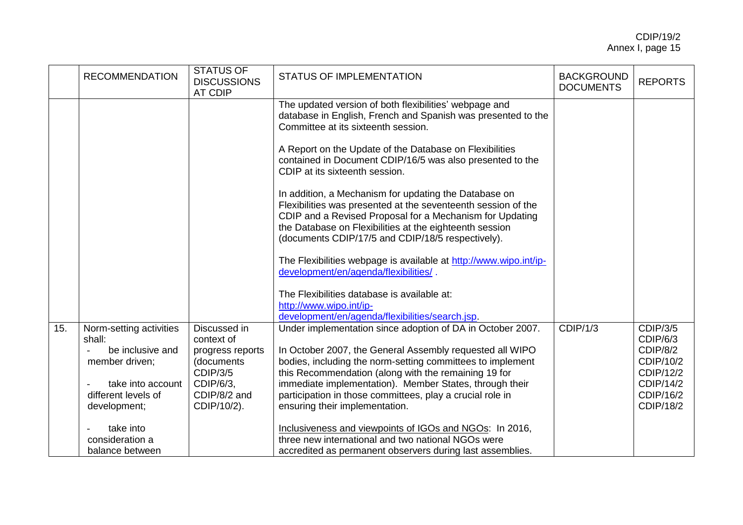|     | <b>RECOMMENDATION</b>                                    | <b>STATUS OF</b><br><b>DISCUSSIONS</b><br><b>AT CDIP</b> | STATUS OF IMPLEMENTATION                                                                                                                                                                                                                                                                           | <b>BACKGROUND</b><br><b>DOCUMENTS</b> | <b>REPORTS</b>                             |
|-----|----------------------------------------------------------|----------------------------------------------------------|----------------------------------------------------------------------------------------------------------------------------------------------------------------------------------------------------------------------------------------------------------------------------------------------------|---------------------------------------|--------------------------------------------|
|     |                                                          |                                                          | The updated version of both flexibilities' webpage and<br>database in English, French and Spanish was presented to the<br>Committee at its sixteenth session.                                                                                                                                      |                                       |                                            |
|     |                                                          |                                                          | A Report on the Update of the Database on Flexibilities<br>contained in Document CDIP/16/5 was also presented to the<br>CDIP at its sixteenth session.                                                                                                                                             |                                       |                                            |
|     |                                                          |                                                          | In addition, a Mechanism for updating the Database on<br>Flexibilities was presented at the seventeenth session of the<br>CDIP and a Revised Proposal for a Mechanism for Updating<br>the Database on Flexibilities at the eighteenth session<br>(documents CDIP/17/5 and CDIP/18/5 respectively). |                                       |                                            |
|     |                                                          |                                                          | The Flexibilities webpage is available at http://www.wipo.int/ip-<br>development/en/agenda/flexibilities/.                                                                                                                                                                                         |                                       |                                            |
|     |                                                          |                                                          | The Flexibilities database is available at:<br>http://www.wipo.int/ip-<br>development/en/agenda/flexibilities/search.jsp.                                                                                                                                                                          |                                       |                                            |
| 15. | Norm-setting activities<br>shall:                        | Discussed in<br>context of                               | Under implementation since adoption of DA in October 2007.                                                                                                                                                                                                                                         | CDIP/1/3                              | <b>CDIP/3/5</b><br>CDIP/6/3                |
|     | be inclusive and<br>member driven;                       | progress reports<br>(documents<br><b>CDIP/3/5</b>        | In October 2007, the General Assembly requested all WIPO<br>bodies, including the norm-setting committees to implement<br>this Recommendation (along with the remaining 19 for                                                                                                                     |                                       | CDIP/8/2<br>CDIP/10/2<br>CDIP/12/2         |
|     | take into account<br>different levels of<br>development; | CDIP/6/3,<br>CDIP/8/2 and<br>CDIP/10/2).                 | immediate implementation). Member States, through their<br>participation in those committees, play a crucial role in<br>ensuring their implementation.                                                                                                                                             |                                       | CDIP/14/2<br>CDIP/16/2<br><b>CDIP/18/2</b> |
|     | take into<br>consideration a<br>balance between          |                                                          | Inclusiveness and viewpoints of IGOs and NGOs: In 2016,<br>three new international and two national NGOs were<br>accredited as permanent observers during last assemblies.                                                                                                                         |                                       |                                            |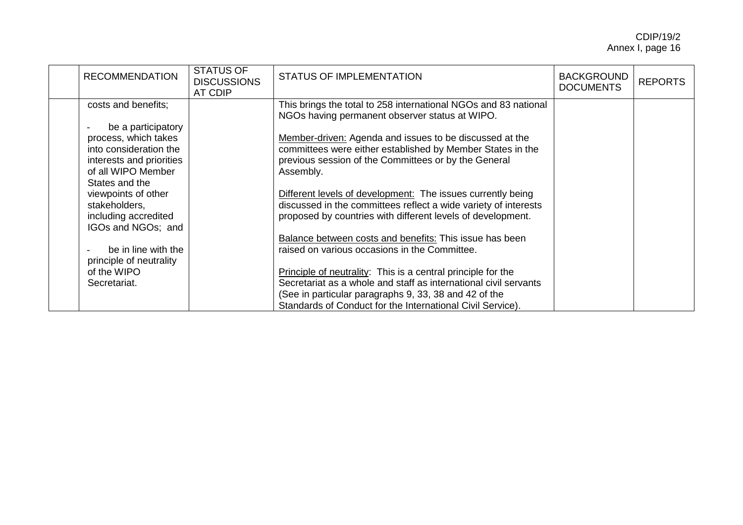| <b>RECOMMENDATION</b>    | <b>STATUS OF</b><br><b>DISCUSSIONS</b><br><b>AT CDIP</b> | <b>STATUS OF IMPLEMENTATION</b>                                                                                   | <b>BACKGROUND</b><br><b>DOCUMENTS</b> | <b>REPORTS</b> |
|--------------------------|----------------------------------------------------------|-------------------------------------------------------------------------------------------------------------------|---------------------------------------|----------------|
| costs and benefits;      |                                                          | This brings the total to 258 international NGOs and 83 national<br>NGOs having permanent observer status at WIPO. |                                       |                |
| be a participatory       |                                                          |                                                                                                                   |                                       |                |
| process, which takes     |                                                          | Member-driven: Agenda and issues to be discussed at the                                                           |                                       |                |
| into consideration the   |                                                          | committees were either established by Member States in the                                                        |                                       |                |
| interests and priorities |                                                          | previous session of the Committees or by the General                                                              |                                       |                |
| of all WIPO Member       |                                                          | Assembly.                                                                                                         |                                       |                |
| States and the           |                                                          |                                                                                                                   |                                       |                |
| viewpoints of other      |                                                          | Different levels of development: The issues currently being                                                       |                                       |                |
| stakeholders,            |                                                          | discussed in the committees reflect a wide variety of interests                                                   |                                       |                |
| including accredited     |                                                          | proposed by countries with different levels of development.                                                       |                                       |                |
| IGOs and NGOs; and       |                                                          |                                                                                                                   |                                       |                |
|                          |                                                          | Balance between costs and benefits: This issue has been                                                           |                                       |                |
| be in line with the      |                                                          | raised on various occasions in the Committee.                                                                     |                                       |                |
| principle of neutrality  |                                                          |                                                                                                                   |                                       |                |
| of the WIPO              |                                                          | Principle of neutrality: This is a central principle for the                                                      |                                       |                |
| Secretariat.             |                                                          | Secretariat as a whole and staff as international civil servants                                                  |                                       |                |
|                          |                                                          | (See in particular paragraphs 9, 33, 38 and 42 of the                                                             |                                       |                |
|                          |                                                          | Standards of Conduct for the International Civil Service).                                                        |                                       |                |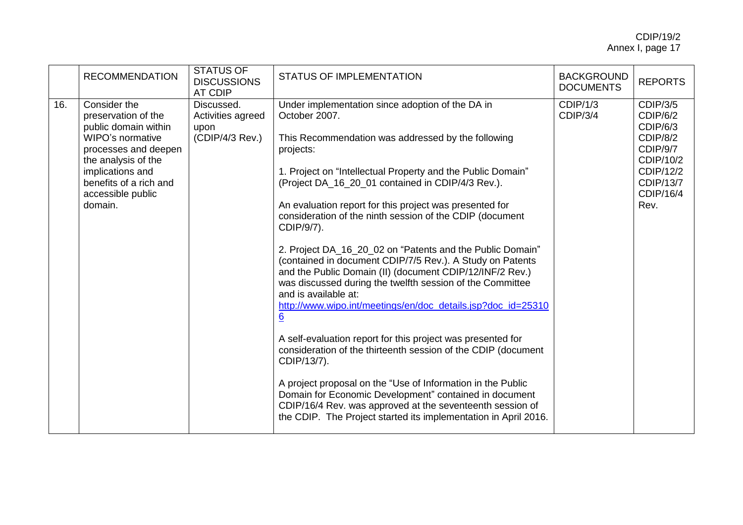|     | <b>RECOMMENDATION</b>                                                                                                                                                                                        | <b>STATUS OF</b><br><b>DISCUSSIONS</b><br><b>AT CDIP</b>   | <b>STATUS OF IMPLEMENTATION</b>                                                                                                                                                                                                                                                                                                                                                                                                                                                                                                                                                                                                                                                                                                                                                                                                                                                                                                                                                                                                                                                                                                                       | <b>BACKGROUND</b><br><b>DOCUMENTS</b> | <b>REPORTS</b>                                                                                                                     |
|-----|--------------------------------------------------------------------------------------------------------------------------------------------------------------------------------------------------------------|------------------------------------------------------------|-------------------------------------------------------------------------------------------------------------------------------------------------------------------------------------------------------------------------------------------------------------------------------------------------------------------------------------------------------------------------------------------------------------------------------------------------------------------------------------------------------------------------------------------------------------------------------------------------------------------------------------------------------------------------------------------------------------------------------------------------------------------------------------------------------------------------------------------------------------------------------------------------------------------------------------------------------------------------------------------------------------------------------------------------------------------------------------------------------------------------------------------------------|---------------------------------------|------------------------------------------------------------------------------------------------------------------------------------|
| 16. | Consider the<br>preservation of the<br>public domain within<br>WIPO's normative<br>processes and deepen<br>the analysis of the<br>implications and<br>benefits of a rich and<br>accessible public<br>domain. | Discussed.<br>Activities agreed<br>upon<br>(CDIP/4/3 Rev.) | Under implementation since adoption of the DA in<br>October 2007.<br>This Recommendation was addressed by the following<br>projects:<br>1. Project on "Intellectual Property and the Public Domain"<br>(Project DA_16_20_01 contained in CDIP/4/3 Rev.).<br>An evaluation report for this project was presented for<br>consideration of the ninth session of the CDIP (document<br>CDIP/9/7).<br>2. Project DA_16_20_02 on "Patents and the Public Domain"<br>(contained in document CDIP/7/5 Rev.). A Study on Patents<br>and the Public Domain (II) (document CDIP/12/INF/2 Rev.)<br>was discussed during the twelfth session of the Committee<br>and is available at:<br>http://www.wipo.int/meetings/en/doc_details.jsp?doc_id=25310<br>6<br>A self-evaluation report for this project was presented for<br>consideration of the thirteenth session of the CDIP (document<br>CDIP/13/7).<br>A project proposal on the "Use of Information in the Public<br>Domain for Economic Development" contained in document<br>CDIP/16/4 Rev. was approved at the seventeenth session of<br>the CDIP. The Project started its implementation in April 2016. | CDIP/1/3<br>CDIP/3/4                  | <b>CDIP/3/5</b><br>CDIP/6/2<br>CDIP/6/3<br>CDIP/8/2<br>CDIP/9/7<br>CDIP/10/2<br>CDIP/12/2<br><b>CDIP/13/7</b><br>CDIP/16/4<br>Rev. |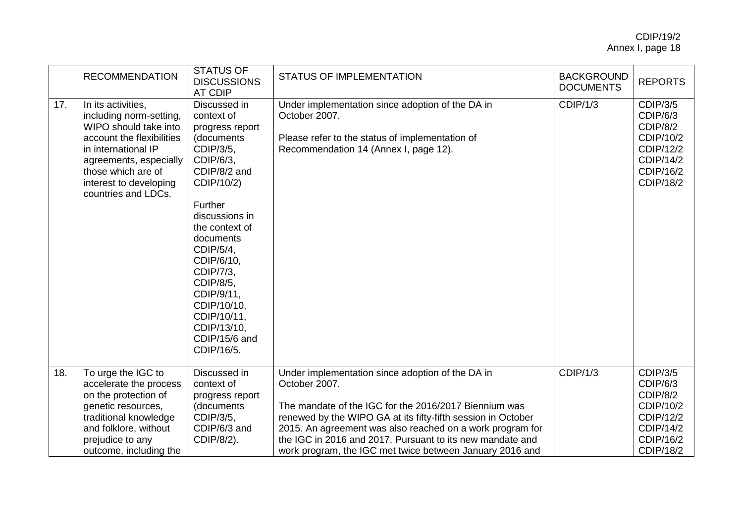|     | <b>RECOMMENDATION</b>                                                                                                                                                                                                       | <b>STATUS OF</b><br><b>DISCUSSIONS</b><br>AT CDIP                                                                                                                                                                                                                                                                              | <b>STATUS OF IMPLEMENTATION</b>                                                                                                                                                                                                                                                                                                                                                  | <b>BACKGROUND</b><br><b>DOCUMENTS</b> | <b>REPORTS</b>                                                                                                  |
|-----|-----------------------------------------------------------------------------------------------------------------------------------------------------------------------------------------------------------------------------|--------------------------------------------------------------------------------------------------------------------------------------------------------------------------------------------------------------------------------------------------------------------------------------------------------------------------------|----------------------------------------------------------------------------------------------------------------------------------------------------------------------------------------------------------------------------------------------------------------------------------------------------------------------------------------------------------------------------------|---------------------------------------|-----------------------------------------------------------------------------------------------------------------|
| 17. | In its activities,<br>including norm-setting,<br>WIPO should take into<br>account the flexibilities<br>in international IP<br>agreements, especially<br>those which are of<br>interest to developing<br>countries and LDCs. | Discussed in<br>context of<br>progress report<br>(documents<br>CDIP/3/5,<br>CDIP/6/3.<br>CDIP/8/2 and<br>CDIP/10/2)<br>Further<br>discussions in<br>the context of<br>documents<br>CDIP/5/4,<br>CDIP/6/10,<br>CDIP/7/3,<br>CDIP/8/5,<br>CDIP/9/11,<br>CDIP/10/10,<br>CDIP/10/11,<br>CDIP/13/10,<br>CDIP/15/6 and<br>CDIP/16/5. | Under implementation since adoption of the DA in<br>October 2007.<br>Please refer to the status of implementation of<br>Recommendation 14 (Annex I, page 12).                                                                                                                                                                                                                    | CDIP/1/3                              | <b>CDIP/3/5</b><br>CDIP/6/3<br>CDIP/8/2<br>CDIP/10/2<br>CDIP/12/2<br>CDIP/14/2<br>CDIP/16/2<br>CDIP/18/2        |
| 18. | To urge the IGC to<br>accelerate the process<br>on the protection of<br>genetic resources,<br>traditional knowledge<br>and folklore, without<br>prejudice to any<br>outcome, including the                                  | Discussed in<br>context of<br>progress report<br>(documents<br>CDIP/3/5,<br>CDIP/6/3 and<br>CDIP/8/2).                                                                                                                                                                                                                         | Under implementation since adoption of the DA in<br>October 2007.<br>The mandate of the IGC for the 2016/2017 Biennium was<br>renewed by the WIPO GA at its fifty-fifth session in October<br>2015. An agreement was also reached on a work program for<br>the IGC in 2016 and 2017. Pursuant to its new mandate and<br>work program, the IGC met twice between January 2016 and | CDIP/1/3                              | <b>CDIP/3/5</b><br>CDIP/6/3<br>CDIP/8/2<br>CDIP/10/2<br>CDIP/12/2<br>CDIP/14/2<br>CDIP/16/2<br><b>CDIP/18/2</b> |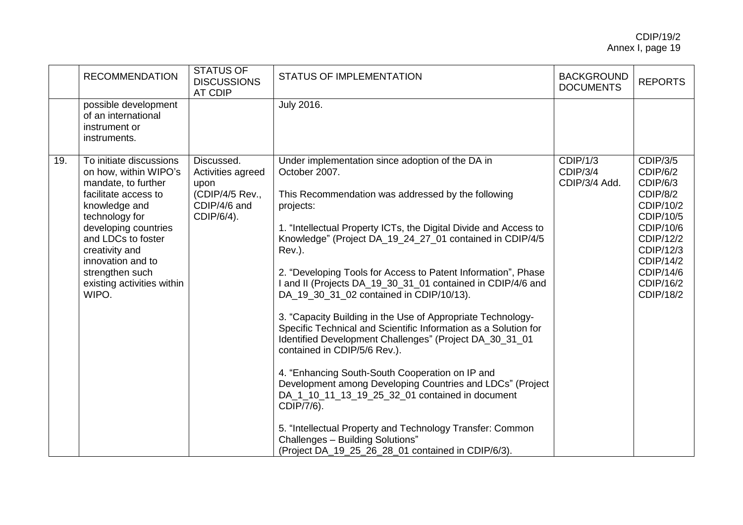|     | <b>RECOMMENDATION</b>                                                                                                                                                                                                                                                             | <b>STATUS OF</b><br><b>DISCUSSIONS</b><br><b>AT CDIP</b>                                 | <b>STATUS OF IMPLEMENTATION</b>                                                                                                                                                                                                                                                                                                                                                                                                                                                                                                                                                                                                                                                                                                                                                                                                                                                                                                                                                                                                 | <b>BACKGROUND</b><br><b>DOCUMENTS</b> | <b>REPORTS</b>                                                                                                                                                           |
|-----|-----------------------------------------------------------------------------------------------------------------------------------------------------------------------------------------------------------------------------------------------------------------------------------|------------------------------------------------------------------------------------------|---------------------------------------------------------------------------------------------------------------------------------------------------------------------------------------------------------------------------------------------------------------------------------------------------------------------------------------------------------------------------------------------------------------------------------------------------------------------------------------------------------------------------------------------------------------------------------------------------------------------------------------------------------------------------------------------------------------------------------------------------------------------------------------------------------------------------------------------------------------------------------------------------------------------------------------------------------------------------------------------------------------------------------|---------------------------------------|--------------------------------------------------------------------------------------------------------------------------------------------------------------------------|
|     | possible development<br>of an international<br>instrument or<br>instruments.                                                                                                                                                                                                      |                                                                                          | <b>July 2016.</b>                                                                                                                                                                                                                                                                                                                                                                                                                                                                                                                                                                                                                                                                                                                                                                                                                                                                                                                                                                                                               |                                       |                                                                                                                                                                          |
| 19. | To initiate discussions<br>on how, within WIPO's<br>mandate, to further<br>facilitate access to<br>knowledge and<br>technology for<br>developing countries<br>and LDCs to foster<br>creativity and<br>innovation and to<br>strengthen such<br>existing activities within<br>WIPO. | Discussed.<br>Activities agreed<br>upon<br>(CDIP/4/5 Rev.,<br>CDIP/4/6 and<br>CDIP/6/4). | Under implementation since adoption of the DA in<br>October 2007.<br>This Recommendation was addressed by the following<br>projects:<br>1. "Intellectual Property ICTs, the Digital Divide and Access to<br>Knowledge" (Project DA_19_24_27_01 contained in CDIP/4/5<br>Rev.).<br>2. "Developing Tools for Access to Patent Information", Phase<br>I and II (Projects DA_19_30_31_01 contained in CDIP/4/6 and<br>DA 19 30 31 02 contained in CDIP/10/13).<br>3. "Capacity Building in the Use of Appropriate Technology-<br>Specific Technical and Scientific Information as a Solution for<br>Identified Development Challenges" (Project DA_30_31_01<br>contained in CDIP/5/6 Rev.).<br>4. "Enhancing South-South Cooperation on IP and<br>Development among Developing Countries and LDCs" (Project<br>DA_1_10_11_13_19_25_32_01 contained in document<br>CDIP/7/6).<br>5. "Intellectual Property and Technology Transfer: Common<br>Challenges - Building Solutions"<br>(Project DA_19_25_26_28_01 contained in CDIP/6/3). | CDIP/1/3<br>CDIP/3/4<br>CDIP/3/4 Add. | <b>CDIP/3/5</b><br>CDIP/6/2<br>CDIP/6/3<br>CDIP/8/2<br>CDIP/10/2<br>CDIP/10/5<br>CDIP/10/6<br>CDIP/12/2<br>CDIP/12/3<br>CDIP/14/2<br>CDIP/14/6<br>CDIP/16/2<br>CDIP/18/2 |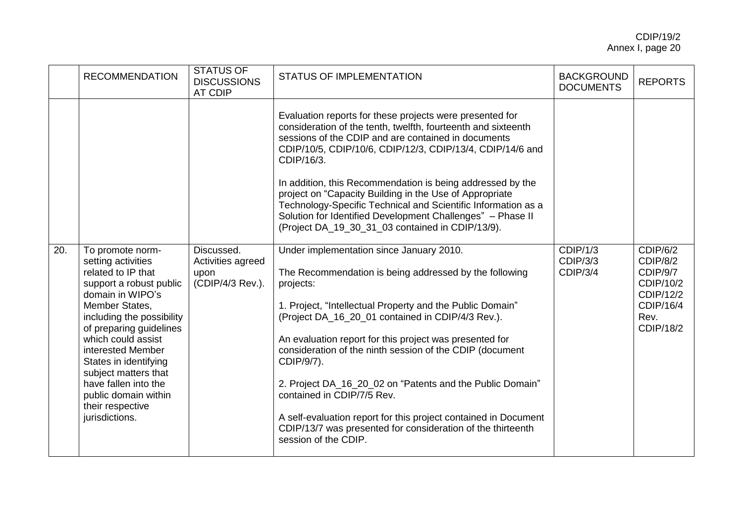|     | <b>RECOMMENDATION</b>                                                                                                                                                                                                                                                                                                                                                   | <b>STATUS OF</b><br><b>DISCUSSIONS</b><br><b>AT CDIP</b>    | <b>STATUS OF IMPLEMENTATION</b>                                                                                                                                                                                                                                                                                                                                                                                                                                                                                                                                                                                             | <b>BACKGROUND</b><br><b>DOCUMENTS</b>   | <b>REPORTS</b>                                                                               |
|-----|-------------------------------------------------------------------------------------------------------------------------------------------------------------------------------------------------------------------------------------------------------------------------------------------------------------------------------------------------------------------------|-------------------------------------------------------------|-----------------------------------------------------------------------------------------------------------------------------------------------------------------------------------------------------------------------------------------------------------------------------------------------------------------------------------------------------------------------------------------------------------------------------------------------------------------------------------------------------------------------------------------------------------------------------------------------------------------------------|-----------------------------------------|----------------------------------------------------------------------------------------------|
|     |                                                                                                                                                                                                                                                                                                                                                                         |                                                             | Evaluation reports for these projects were presented for<br>consideration of the tenth, twelfth, fourteenth and sixteenth<br>sessions of the CDIP and are contained in documents<br>CDIP/10/5, CDIP/10/6, CDIP/12/3, CDIP/13/4, CDIP/14/6 and<br>CDIP/16/3.<br>In addition, this Recommendation is being addressed by the<br>project on "Capacity Building in the Use of Appropriate<br>Technology-Specific Technical and Scientific Information as a<br>Solution for Identified Development Challenges" - Phase II<br>(Project DA_19_30_31_03 contained in CDIP/13/9).                                                     |                                         |                                                                                              |
| 20. | To promote norm-<br>setting activities<br>related to IP that<br>support a robust public<br>domain in WIPO's<br>Member States,<br>including the possibility<br>of preparing guidelines<br>which could assist<br>interested Member<br>States in identifying<br>subject matters that<br>have fallen into the<br>public domain within<br>their respective<br>jurisdictions. | Discussed.<br>Activities agreed<br>upon<br>(CDIP/4/3 Rev.). | Under implementation since January 2010.<br>The Recommendation is being addressed by the following<br>projects:<br>1. Project, "Intellectual Property and the Public Domain"<br>(Project DA_16_20_01 contained in CDIP/4/3 Rev.).<br>An evaluation report for this project was presented for<br>consideration of the ninth session of the CDIP (document<br>CDIP/9/7).<br>2. Project DA_16_20_02 on "Patents and the Public Domain"<br>contained in CDIP/7/5 Rev.<br>A self-evaluation report for this project contained in Document<br>CDIP/13/7 was presented for consideration of the thirteenth<br>session of the CDIP. | CDIP/1/3<br><b>CDIP/3/3</b><br>CDIP/3/4 | CDIP/6/2<br>CDIP/8/2<br>CDIP/9/7<br>CDIP/10/2<br>CDIP/12/2<br>CDIP/16/4<br>Rev.<br>CDIP/18/2 |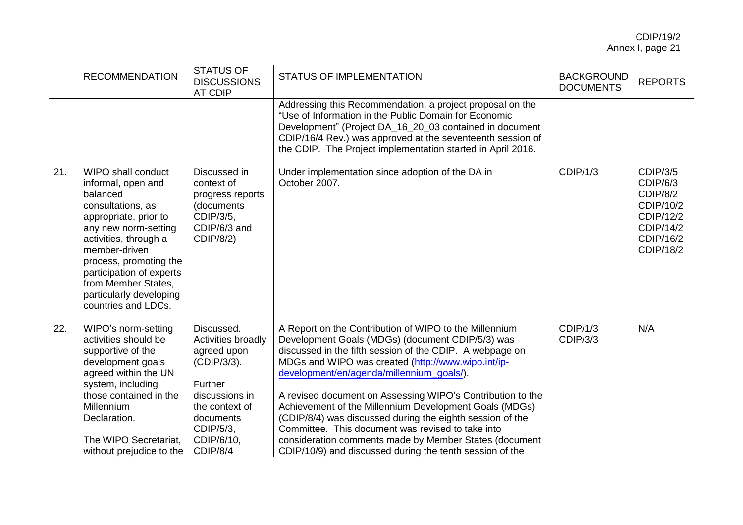|     | <b>RECOMMENDATION</b>                                                                                                                                                                                                                                                                                      | STATUS OF<br><b>DISCUSSIONS</b><br><b>AT CDIP</b>                                                                                                                 | <b>STATUS OF IMPLEMENTATION</b>                                                                                                                                                                                                                                                                                                                                                                                                                                                                                                                                                                                                           | <b>BACKGROUND</b><br><b>DOCUMENTS</b> | <b>REPORTS</b>                                                                                                  |
|-----|------------------------------------------------------------------------------------------------------------------------------------------------------------------------------------------------------------------------------------------------------------------------------------------------------------|-------------------------------------------------------------------------------------------------------------------------------------------------------------------|-------------------------------------------------------------------------------------------------------------------------------------------------------------------------------------------------------------------------------------------------------------------------------------------------------------------------------------------------------------------------------------------------------------------------------------------------------------------------------------------------------------------------------------------------------------------------------------------------------------------------------------------|---------------------------------------|-----------------------------------------------------------------------------------------------------------------|
|     |                                                                                                                                                                                                                                                                                                            |                                                                                                                                                                   | Addressing this Recommendation, a project proposal on the<br>"Use of Information in the Public Domain for Economic<br>Development" (Project DA_16_20_03 contained in document<br>CDIP/16/4 Rev.) was approved at the seventeenth session of<br>the CDIP. The Project implementation started in April 2016.                                                                                                                                                                                                                                                                                                                                |                                       |                                                                                                                 |
| 21. | <b>WIPO shall conduct</b><br>informal, open and<br>balanced<br>consultations, as<br>appropriate, prior to<br>any new norm-setting<br>activities, through a<br>member-driven<br>process, promoting the<br>participation of experts<br>from Member States,<br>particularly developing<br>countries and LDCs. | Discussed in<br>context of<br>progress reports<br>(documents<br>CDIP/3/5,<br>CDIP/6/3 and<br>CDIP/8/2)                                                            | Under implementation since adoption of the DA in<br>October 2007.                                                                                                                                                                                                                                                                                                                                                                                                                                                                                                                                                                         | CDIP/1/3                              | <b>CDIP/3/5</b><br>CDIP/6/3<br>CDIP/8/2<br>CDIP/10/2<br>CDIP/12/2<br>CDIP/14/2<br>CDIP/16/2<br><b>CDIP/18/2</b> |
| 22. | WIPO's norm-setting<br>activities should be<br>supportive of the<br>development goals<br>agreed within the UN<br>system, including<br>those contained in the<br>Millennium<br>Declaration.<br>The WIPO Secretariat,<br>without prejudice to the                                                            | Discussed.<br>Activities broadly<br>agreed upon<br>(CDIP/3/3).<br>Further<br>discussions in<br>the context of<br>documents<br>CDIP/5/3,<br>CDIP/6/10,<br>CDIP/8/4 | A Report on the Contribution of WIPO to the Millennium<br>Development Goals (MDGs) (document CDIP/5/3) was<br>discussed in the fifth session of the CDIP. A webpage on<br>MDGs and WIPO was created (http://www.wipo.int/ip-<br>development/en/agenda/millennium_goals/).<br>A revised document on Assessing WIPO's Contribution to the<br>Achievement of the Millennium Development Goals (MDGs)<br>(CDIP/8/4) was discussed during the eighth session of the<br>Committee. This document was revised to take into<br>consideration comments made by Member States (document<br>CDIP/10/9) and discussed during the tenth session of the | CDIP/1/3<br><b>CDIP/3/3</b>           | N/A                                                                                                             |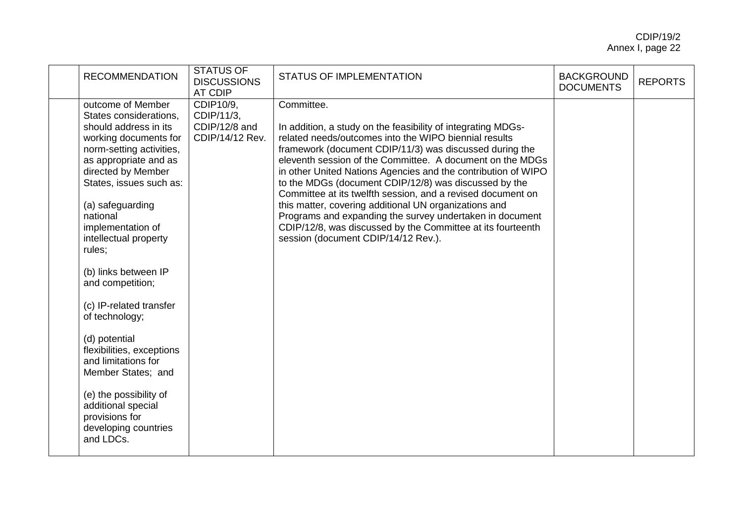| <b>RECOMMENDATION</b>                                                                                                                                                                                                                                                                                                                                                                                                                                                                                                                                                                  | <b>STATUS OF</b><br><b>DISCUSSIONS</b><br><b>AT CDIP</b>    | <b>STATUS OF IMPLEMENTATION</b>                                                                                                                                                                                                                                                                                                                                                                                                                                                                                                                                                                                                                                                 | <b>BACKGROUND</b><br><b>DOCUMENTS</b> | <b>REPORTS</b> |
|----------------------------------------------------------------------------------------------------------------------------------------------------------------------------------------------------------------------------------------------------------------------------------------------------------------------------------------------------------------------------------------------------------------------------------------------------------------------------------------------------------------------------------------------------------------------------------------|-------------------------------------------------------------|---------------------------------------------------------------------------------------------------------------------------------------------------------------------------------------------------------------------------------------------------------------------------------------------------------------------------------------------------------------------------------------------------------------------------------------------------------------------------------------------------------------------------------------------------------------------------------------------------------------------------------------------------------------------------------|---------------------------------------|----------------|
| outcome of Member<br>States considerations,<br>should address in its<br>working documents for<br>norm-setting activities,<br>as appropriate and as<br>directed by Member<br>States, issues such as:<br>(a) safeguarding<br>national<br>implementation of<br>intellectual property<br>rules;<br>(b) links between IP<br>and competition;<br>(c) IP-related transfer<br>of technology;<br>(d) potential<br>flexibilities, exceptions<br>and limitations for<br>Member States; and<br>(e) the possibility of<br>additional special<br>provisions for<br>developing countries<br>and LDCs. | CDIP10/9,<br>CDIP/11/3,<br>CDIP/12/8 and<br>CDIP/14/12 Rev. | Committee.<br>In addition, a study on the feasibility of integrating MDGs-<br>related needs/outcomes into the WIPO biennial results<br>framework (document CDIP/11/3) was discussed during the<br>eleventh session of the Committee. A document on the MDGs<br>in other United Nations Agencies and the contribution of WIPO<br>to the MDGs (document CDIP/12/8) was discussed by the<br>Committee at its twelfth session, and a revised document on<br>this matter, covering additional UN organizations and<br>Programs and expanding the survey undertaken in document<br>CDIP/12/8, was discussed by the Committee at its fourteenth<br>session (document CDIP/14/12 Rev.). |                                       |                |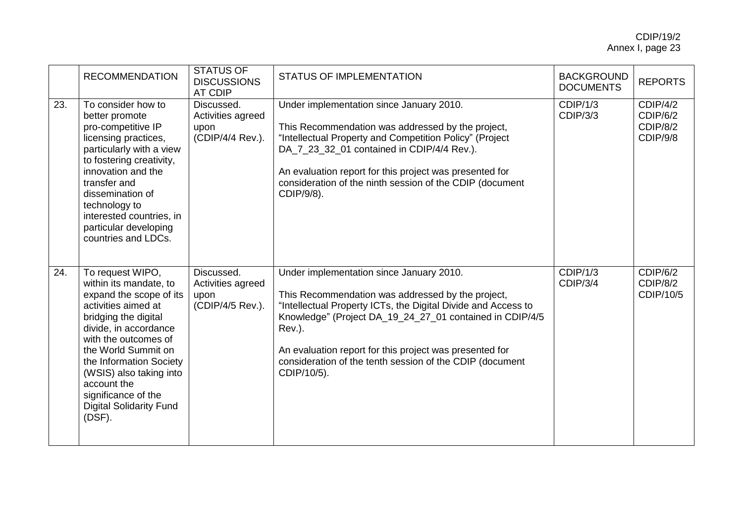|     | <b>RECOMMENDATION</b>                                                                                                                                                                                                                                                                                                                | <b>STATUS OF</b><br><b>DISCUSSIONS</b><br><b>AT CDIP</b>    | <b>STATUS OF IMPLEMENTATION</b>                                                                                                                                                                                                                                                                                                                                            | <b>BACKGROUND</b><br><b>DOCUMENTS</b> | <b>REPORTS</b>                               |
|-----|--------------------------------------------------------------------------------------------------------------------------------------------------------------------------------------------------------------------------------------------------------------------------------------------------------------------------------------|-------------------------------------------------------------|----------------------------------------------------------------------------------------------------------------------------------------------------------------------------------------------------------------------------------------------------------------------------------------------------------------------------------------------------------------------------|---------------------------------------|----------------------------------------------|
| 23. | To consider how to<br>better promote<br>pro-competitive IP<br>licensing practices,<br>particularly with a view<br>to fostering creativity,<br>innovation and the<br>transfer and<br>dissemination of<br>technology to<br>interested countries, in<br>particular developing<br>countries and LDCs.                                    | Discussed.<br>Activities agreed<br>upon<br>(CDIP/4/4 Rev.). | Under implementation since January 2010.<br>This Recommendation was addressed by the project,<br>"Intellectual Property and Competition Policy" (Project<br>DA_7_23_32_01 contained in CDIP/4/4 Rev.).<br>An evaluation report for this project was presented for<br>consideration of the ninth session of the CDIP (document<br>CDIP/9/8).                                | CDIP/1/3<br><b>CDIP/3/3</b>           | CDIP/4/2<br>CDIP/6/2<br>CDIP/8/2<br>CDIP/9/8 |
| 24. | To request WIPO,<br>within its mandate, to<br>expand the scope of its<br>activities aimed at<br>bridging the digital<br>divide, in accordance<br>with the outcomes of<br>the World Summit on<br>the Information Society<br>(WSIS) also taking into<br>account the<br>significance of the<br><b>Digital Solidarity Fund</b><br>(DSF). | Discussed.<br>Activities agreed<br>upon<br>(CDIP/4/5 Rev.). | Under implementation since January 2010.<br>This Recommendation was addressed by the project,<br>"Intellectual Property ICTs, the Digital Divide and Access to<br>Knowledge" (Project DA_19_24_27_01 contained in CDIP/4/5<br>Rev.).<br>An evaluation report for this project was presented for<br>consideration of the tenth session of the CDIP (document<br>CDIP/10/5). | CDIP/1/3<br>CDIP/3/4                  | CDIP/6/2<br>CDIP/8/2<br>CDIP/10/5            |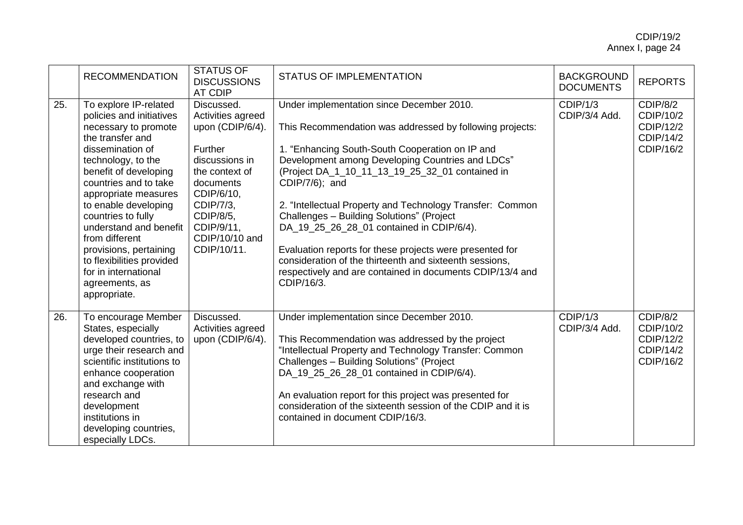|     | <b>RECOMMENDATION</b>                                                                                                                                                                                                                                                                                                                                                                                                        | <b>STATUS OF</b><br><b>DISCUSSIONS</b><br><b>AT CDIP</b>                                                                                                                                               | <b>STATUS OF IMPLEMENTATION</b>                                                                                                                                                                                                                                                                                                                                                                                                                                                                                                                                                                                                            | <b>BACKGROUND</b><br><b>DOCUMENTS</b> | <b>REPORTS</b>                                               |
|-----|------------------------------------------------------------------------------------------------------------------------------------------------------------------------------------------------------------------------------------------------------------------------------------------------------------------------------------------------------------------------------------------------------------------------------|--------------------------------------------------------------------------------------------------------------------------------------------------------------------------------------------------------|--------------------------------------------------------------------------------------------------------------------------------------------------------------------------------------------------------------------------------------------------------------------------------------------------------------------------------------------------------------------------------------------------------------------------------------------------------------------------------------------------------------------------------------------------------------------------------------------------------------------------------------------|---------------------------------------|--------------------------------------------------------------|
| 25. | To explore IP-related<br>policies and initiatives<br>necessary to promote<br>the transfer and<br>dissemination of<br>technology, to the<br>benefit of developing<br>countries and to take<br>appropriate measures<br>to enable developing<br>countries to fully<br>understand and benefit<br>from different<br>provisions, pertaining<br>to flexibilities provided<br>for in international<br>agreements, as<br>appropriate. | Discussed.<br>Activities agreed<br>upon (CDIP/6/4).<br>Further<br>discussions in<br>the context of<br>documents<br>CDIP/6/10,<br>CDIP/7/3,<br>CDIP/8/5,<br>CDIP/9/11.<br>CDIP/10/10 and<br>CDIP/10/11. | Under implementation since December 2010.<br>This Recommendation was addressed by following projects:<br>1. "Enhancing South-South Cooperation on IP and<br>Development among Developing Countries and LDCs"<br>(Project DA_1_10_11_13_19_25_32_01 contained in<br>CDIP/7/6); and<br>2. "Intellectual Property and Technology Transfer: Common<br>Challenges - Building Solutions" (Project<br>DA_19_25_26_28_01 contained in CDIP/6/4).<br>Evaluation reports for these projects were presented for<br>consideration of the thirteenth and sixteenth sessions,<br>respectively and are contained in documents CDIP/13/4 and<br>CDIP/16/3. | CDIP/1/3<br>CDIP/3/4 Add.             | CDIP/8/2<br>CDIP/10/2<br>CDIP/12/2<br>CDIP/14/2<br>CDIP/16/2 |
| 26. | To encourage Member<br>States, especially<br>developed countries, to<br>urge their research and<br>scientific institutions to<br>enhance cooperation<br>and exchange with<br>research and<br>development<br>institutions in<br>developing countries,<br>especially LDCs.                                                                                                                                                     | Discussed.<br>Activities agreed<br>upon (CDIP/6/4).                                                                                                                                                    | Under implementation since December 2010.<br>This Recommendation was addressed by the project<br>"Intellectual Property and Technology Transfer: Common<br>Challenges - Building Solutions" (Project<br>DA_19_25_26_28_01 contained in CDIP/6/4).<br>An evaluation report for this project was presented for<br>consideration of the sixteenth session of the CDIP and it is<br>contained in document CDIP/16/3.                                                                                                                                                                                                                           | CDIP/1/3<br>CDIP/3/4 Add.             | CDIP/8/2<br>CDIP/10/2<br>CDIP/12/2<br>CDIP/14/2<br>CDIP/16/2 |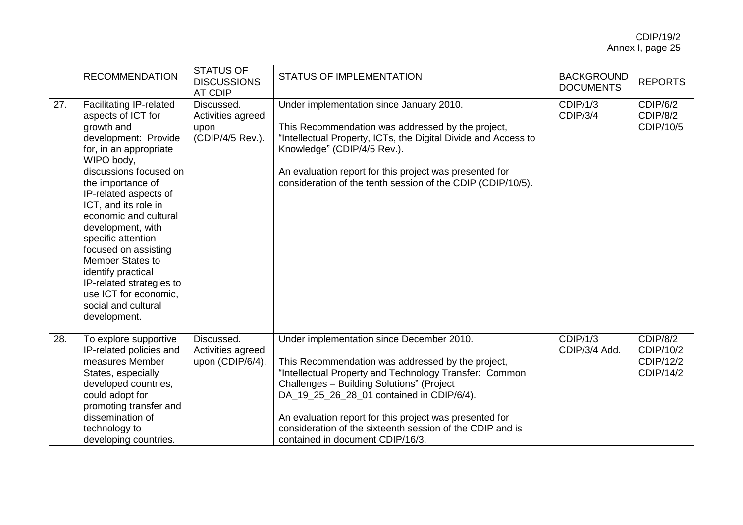|     | <b>RECOMMENDATION</b>                                                                                                                                                                                                                                                                                                                                                                                                                                                | <b>STATUS OF</b><br><b>DISCUSSIONS</b><br><b>AT CDIP</b>    | <b>STATUS OF IMPLEMENTATION</b>                                                                                                                                                                                                                                                                                                                                                                                | <b>BACKGROUND</b><br><b>DOCUMENTS</b> | <b>REPORTS</b>                                  |
|-----|----------------------------------------------------------------------------------------------------------------------------------------------------------------------------------------------------------------------------------------------------------------------------------------------------------------------------------------------------------------------------------------------------------------------------------------------------------------------|-------------------------------------------------------------|----------------------------------------------------------------------------------------------------------------------------------------------------------------------------------------------------------------------------------------------------------------------------------------------------------------------------------------------------------------------------------------------------------------|---------------------------------------|-------------------------------------------------|
| 27. | <b>Facilitating IP-related</b><br>aspects of ICT for<br>growth and<br>development: Provide<br>for, in an appropriate<br>WIPO body,<br>discussions focused on<br>the importance of<br>IP-related aspects of<br>ICT, and its role in<br>economic and cultural<br>development, with<br>specific attention<br>focused on assisting<br>Member States to<br>identify practical<br>IP-related strategies to<br>use ICT for economic,<br>social and cultural<br>development. | Discussed.<br>Activities agreed<br>upon<br>(CDIP/4/5 Rev.). | Under implementation since January 2010.<br>This Recommendation was addressed by the project,<br>"Intellectual Property, ICTs, the Digital Divide and Access to<br>Knowledge" (CDIP/4/5 Rev.).<br>An evaluation report for this project was presented for<br>consideration of the tenth session of the CDIP (CDIP/10/5).                                                                                       | CDIP/1/3<br>CDIP/3/4                  | CDIP/6/2<br>CDIP/8/2<br>CDIP/10/5               |
| 28. | To explore supportive<br>IP-related policies and<br>measures Member<br>States, especially<br>developed countries,<br>could adopt for<br>promoting transfer and<br>dissemination of<br>technology to<br>developing countries.                                                                                                                                                                                                                                         | Discussed.<br>Activities agreed<br>upon (CDIP/6/4).         | Under implementation since December 2010.<br>This Recommendation was addressed by the project,<br>"Intellectual Property and Technology Transfer: Common<br>Challenges - Building Solutions" (Project<br>DA 19 25 26 28 01 contained in CDIP/6/4).<br>An evaluation report for this project was presented for<br>consideration of the sixteenth session of the CDIP and is<br>contained in document CDIP/16/3. | CDIP/1/3<br>CDIP/3/4 Add.             | CDIP/8/2<br>CDIP/10/2<br>CDIP/12/2<br>CDIP/14/2 |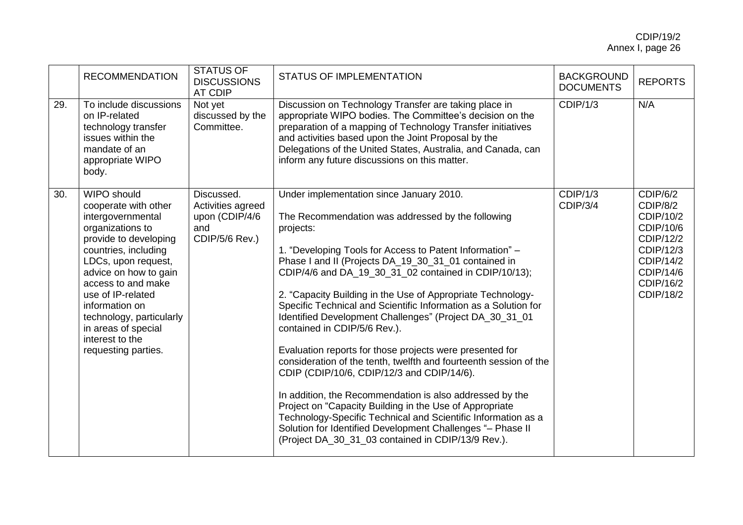|     | <b>RECOMMENDATION</b>                                                                                                                                                                                                                                                                                                                          | <b>STATUS OF</b><br><b>DISCUSSIONS</b><br>AT CDIP                          | <b>STATUS OF IMPLEMENTATION</b>                                                                                                                                                                                                                                                                                                                                                                                                                                                                                                                                                                                                                                                                                                                                                                                                                                                                                                                                                                                 | <b>BACKGROUND</b><br><b>DOCUMENTS</b> | <b>REPORTS</b>                                                                                                               |
|-----|------------------------------------------------------------------------------------------------------------------------------------------------------------------------------------------------------------------------------------------------------------------------------------------------------------------------------------------------|----------------------------------------------------------------------------|-----------------------------------------------------------------------------------------------------------------------------------------------------------------------------------------------------------------------------------------------------------------------------------------------------------------------------------------------------------------------------------------------------------------------------------------------------------------------------------------------------------------------------------------------------------------------------------------------------------------------------------------------------------------------------------------------------------------------------------------------------------------------------------------------------------------------------------------------------------------------------------------------------------------------------------------------------------------------------------------------------------------|---------------------------------------|------------------------------------------------------------------------------------------------------------------------------|
| 29. | To include discussions<br>on IP-related<br>technology transfer<br>issues within the<br>mandate of an<br>appropriate WIPO<br>body.                                                                                                                                                                                                              | Not yet<br>discussed by the<br>Committee.                                  | Discussion on Technology Transfer are taking place in<br>appropriate WIPO bodies. The Committee's decision on the<br>preparation of a mapping of Technology Transfer initiatives<br>and activities based upon the Joint Proposal by the<br>Delegations of the United States, Australia, and Canada, can<br>inform any future discussions on this matter.                                                                                                                                                                                                                                                                                                                                                                                                                                                                                                                                                                                                                                                        | CDIP/1/3                              | N/A                                                                                                                          |
| 30. | <b>WIPO should</b><br>cooperate with other<br>intergovernmental<br>organizations to<br>provide to developing<br>countries, including<br>LDCs, upon request,<br>advice on how to gain<br>access to and make<br>use of IP-related<br>information on<br>technology, particularly<br>in areas of special<br>interest to the<br>requesting parties. | Discussed.<br>Activities agreed<br>upon (CDIP/4/6<br>and<br>CDIP/5/6 Rev.) | Under implementation since January 2010.<br>The Recommendation was addressed by the following<br>projects:<br>1. "Developing Tools for Access to Patent Information" -<br>Phase I and II (Projects DA_19_30_31_01 contained in<br>CDIP/4/6 and DA_19_30_31_02 contained in CDIP/10/13);<br>2. "Capacity Building in the Use of Appropriate Technology-<br>Specific Technical and Scientific Information as a Solution for<br>Identified Development Challenges" (Project DA_30_31_01<br>contained in CDIP/5/6 Rev.).<br>Evaluation reports for those projects were presented for<br>consideration of the tenth, twelfth and fourteenth session of the<br>CDIP (CDIP/10/6, CDIP/12/3 and CDIP/14/6).<br>In addition, the Recommendation is also addressed by the<br>Project on "Capacity Building in the Use of Appropriate<br>Technology-Specific Technical and Scientific Information as a<br>Solution for Identified Development Challenges "- Phase II<br>(Project DA_30_31_03 contained in CDIP/13/9 Rev.). | CDIP/1/3<br>CDIP/3/4                  | CDIP/6/2<br>CDIP/8/2<br>CDIP/10/2<br>CDIP/10/6<br>CDIP/12/2<br>CDIP/12/3<br>CDIP/14/2<br>CDIP/14/6<br>CDIP/16/2<br>CDIP/18/2 |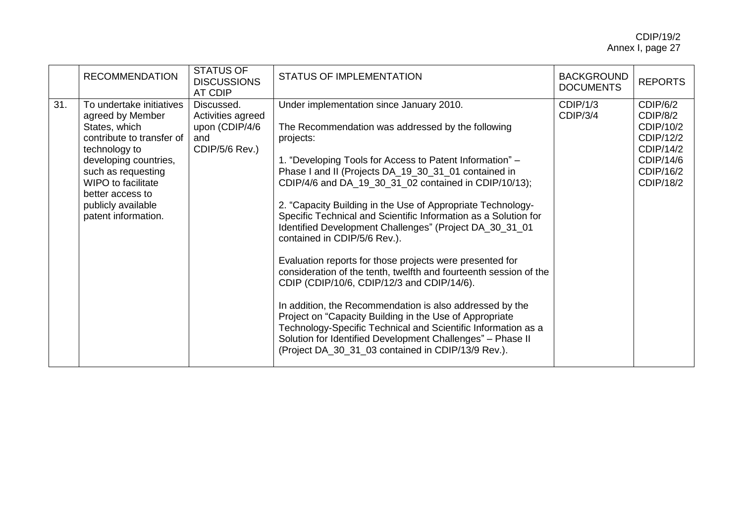|     | <b>RECOMMENDATION</b>                                                                                                                                                                                                                                    | <b>STATUS OF</b><br><b>DISCUSSIONS</b><br>AT CDIP                          | STATUS OF IMPLEMENTATION                                                                                                                                                                                                                                                                                                                                                                                                                                                                                                                                                                                                                                                                                                                                                                                                                                                                                                                                                                                        | <b>BACKGROUND</b><br><b>DOCUMENTS</b> | <b>REPORTS</b>                                                                                     |
|-----|----------------------------------------------------------------------------------------------------------------------------------------------------------------------------------------------------------------------------------------------------------|----------------------------------------------------------------------------|-----------------------------------------------------------------------------------------------------------------------------------------------------------------------------------------------------------------------------------------------------------------------------------------------------------------------------------------------------------------------------------------------------------------------------------------------------------------------------------------------------------------------------------------------------------------------------------------------------------------------------------------------------------------------------------------------------------------------------------------------------------------------------------------------------------------------------------------------------------------------------------------------------------------------------------------------------------------------------------------------------------------|---------------------------------------|----------------------------------------------------------------------------------------------------|
| 31. | To undertake initiatives<br>agreed by Member<br>States, which<br>contribute to transfer of<br>technology to<br>developing countries,<br>such as requesting<br><b>WIPO to facilitate</b><br>better access to<br>publicly available<br>patent information. | Discussed.<br>Activities agreed<br>upon (CDIP/4/6<br>and<br>CDIP/5/6 Rev.) | Under implementation since January 2010.<br>The Recommendation was addressed by the following<br>projects:<br>1. "Developing Tools for Access to Patent Information" -<br>Phase I and II (Projects DA_19_30_31_01 contained in<br>CDIP/4/6 and DA_19_30_31_02 contained in CDIP/10/13);<br>2. "Capacity Building in the Use of Appropriate Technology-<br>Specific Technical and Scientific Information as a Solution for<br>Identified Development Challenges" (Project DA_30_31_01<br>contained in CDIP/5/6 Rev.).<br>Evaluation reports for those projects were presented for<br>consideration of the tenth, twelfth and fourteenth session of the<br>CDIP (CDIP/10/6, CDIP/12/3 and CDIP/14/6).<br>In addition, the Recommendation is also addressed by the<br>Project on "Capacity Building in the Use of Appropriate<br>Technology-Specific Technical and Scientific Information as a<br>Solution for Identified Development Challenges" - Phase II<br>(Project DA_30_31_03 contained in CDIP/13/9 Rev.). | CDIP/1/3<br>CDIP/3/4                  | CDIP/6/2<br>CDIP/8/2<br>CDIP/10/2<br>CDIP/12/2<br>CDIP/14/2<br>CDIP/14/6<br>CDIP/16/2<br>CDIP/18/2 |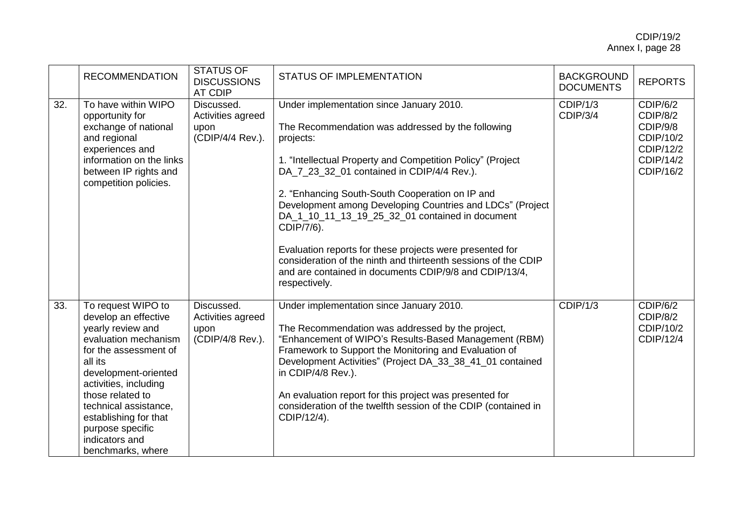|     | <b>RECOMMENDATION</b>                                                                                                                                                                                                                                                                                         | <b>STATUS OF</b><br><b>DISCUSSIONS</b><br>AT CDIP           | <b>STATUS OF IMPLEMENTATION</b>                                                                                                                                                                                                                                                                                                                                                                                                                                                                                                                                                                                  | <b>BACKGROUND</b><br><b>DOCUMENTS</b> | <b>REPORTS</b>                                                                       |
|-----|---------------------------------------------------------------------------------------------------------------------------------------------------------------------------------------------------------------------------------------------------------------------------------------------------------------|-------------------------------------------------------------|------------------------------------------------------------------------------------------------------------------------------------------------------------------------------------------------------------------------------------------------------------------------------------------------------------------------------------------------------------------------------------------------------------------------------------------------------------------------------------------------------------------------------------------------------------------------------------------------------------------|---------------------------------------|--------------------------------------------------------------------------------------|
| 32. | To have within WIPO<br>opportunity for<br>exchange of national<br>and regional<br>experiences and<br>information on the links<br>between IP rights and<br>competition policies.                                                                                                                               | Discussed.<br>Activities agreed<br>upon<br>(CDIP/4/4 Rev.). | Under implementation since January 2010.<br>The Recommendation was addressed by the following<br>projects:<br>1. "Intellectual Property and Competition Policy" (Project<br>DA_7_23_32_01 contained in CDIP/4/4 Rev.).<br>2. "Enhancing South-South Cooperation on IP and<br>Development among Developing Countries and LDCs" (Project<br>DA_1_10_11_13_19_25_32_01 contained in document<br>CDIP/7/6).<br>Evaluation reports for these projects were presented for<br>consideration of the ninth and thirteenth sessions of the CDIP<br>and are contained in documents CDIP/9/8 and CDIP/13/4,<br>respectively. | CDIP/1/3<br>CDIP/3/4                  | CDIP/6/2<br>CDIP/8/2<br>CDIP/9/8<br>CDIP/10/2<br>CDIP/12/2<br>CDIP/14/2<br>CDIP/16/2 |
| 33. | To request WIPO to<br>develop an effective<br>yearly review and<br>evaluation mechanism<br>for the assessment of<br>all its<br>development-oriented<br>activities, including<br>those related to<br>technical assistance,<br>establishing for that<br>purpose specific<br>indicators and<br>benchmarks, where | Discussed.<br>Activities agreed<br>upon<br>(CDIP/4/8 Rev.). | Under implementation since January 2010.<br>The Recommendation was addressed by the project,<br>"Enhancement of WIPO's Results-Based Management (RBM)<br>Framework to Support the Monitoring and Evaluation of<br>Development Activities" (Project DA_33_38_41_01 contained<br>in CDIP/4/8 Rev.).<br>An evaluation report for this project was presented for<br>consideration of the twelfth session of the CDIP (contained in<br>CDIP/12/4).                                                                                                                                                                    | CDIP/1/3                              | CDIP/6/2<br>CDIP/8/2<br>CDIP/10/2<br>CDIP/12/4                                       |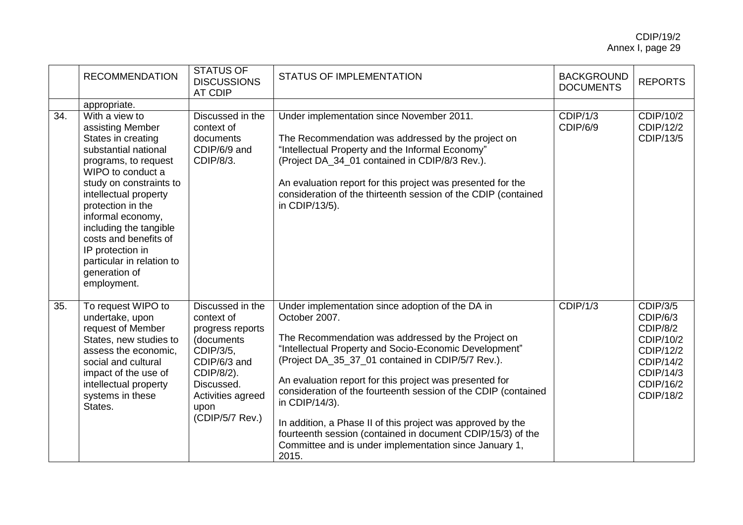|     | <b>RECOMMENDATION</b>                                                                                                                                                                                                                                                                                                                                           | <b>STATUS OF</b><br><b>DISCUSSIONS</b><br>AT CDIP                                                                                                                         | <b>STATUS OF IMPLEMENTATION</b>                                                                                                                                                                                                                                                                                                                                                                                                                                                                                                                                                        | <b>BACKGROUND</b><br><b>DOCUMENTS</b> | <b>REPORTS</b>                                                                                                               |
|-----|-----------------------------------------------------------------------------------------------------------------------------------------------------------------------------------------------------------------------------------------------------------------------------------------------------------------------------------------------------------------|---------------------------------------------------------------------------------------------------------------------------------------------------------------------------|----------------------------------------------------------------------------------------------------------------------------------------------------------------------------------------------------------------------------------------------------------------------------------------------------------------------------------------------------------------------------------------------------------------------------------------------------------------------------------------------------------------------------------------------------------------------------------------|---------------------------------------|------------------------------------------------------------------------------------------------------------------------------|
|     | appropriate.                                                                                                                                                                                                                                                                                                                                                    |                                                                                                                                                                           |                                                                                                                                                                                                                                                                                                                                                                                                                                                                                                                                                                                        |                                       |                                                                                                                              |
| 34. | With a view to<br>assisting Member<br>States in creating<br>substantial national<br>programs, to request<br>WIPO to conduct a<br>study on constraints to<br>intellectual property<br>protection in the<br>informal economy,<br>including the tangible<br>costs and benefits of<br>IP protection in<br>particular in relation to<br>generation of<br>employment. | Discussed in the<br>context of<br>documents<br>CDIP/6/9 and<br>CDIP/8/3.                                                                                                  | Under implementation since November 2011.<br>The Recommendation was addressed by the project on<br>"Intellectual Property and the Informal Economy"<br>(Project DA_34_01 contained in CDIP/8/3 Rev.).<br>An evaluation report for this project was presented for the<br>consideration of the thirteenth session of the CDIP (contained<br>in CDIP/13/5).                                                                                                                                                                                                                               | CDIP/1/3<br>CDIP/6/9                  | CDIP/10/2<br>CDIP/12/2<br>CDIP/13/5                                                                                          |
| 35. | To request WIPO to<br>undertake, upon<br>request of Member<br>States, new studies to<br>assess the economic,<br>social and cultural<br>impact of the use of<br>intellectual property<br>systems in these<br>States.                                                                                                                                             | Discussed in the<br>context of<br>progress reports<br>(documents<br>CDIP/3/5,<br>CDIP/6/3 and<br>CDIP/8/2).<br>Discussed.<br>Activities agreed<br>upon<br>(CDIP/5/7 Rev.) | Under implementation since adoption of the DA in<br>October 2007.<br>The Recommendation was addressed by the Project on<br>"Intellectual Property and Socio-Economic Development"<br>(Project DA_35_37_01 contained in CDIP/5/7 Rev.).<br>An evaluation report for this project was presented for<br>consideration of the fourteenth session of the CDIP (contained<br>in CDIP/14/3).<br>In addition, a Phase II of this project was approved by the<br>fourteenth session (contained in document CDIP/15/3) of the<br>Committee and is under implementation since January 1,<br>2015. | CDIP/1/3                              | CDIP/3/5<br>CDIP/6/3<br>CDIP/8/2<br>CDIP/10/2<br>CDIP/12/2<br><b>CDIP/14/2</b><br>CDIP/14/3<br>CDIP/16/2<br><b>CDIP/18/2</b> |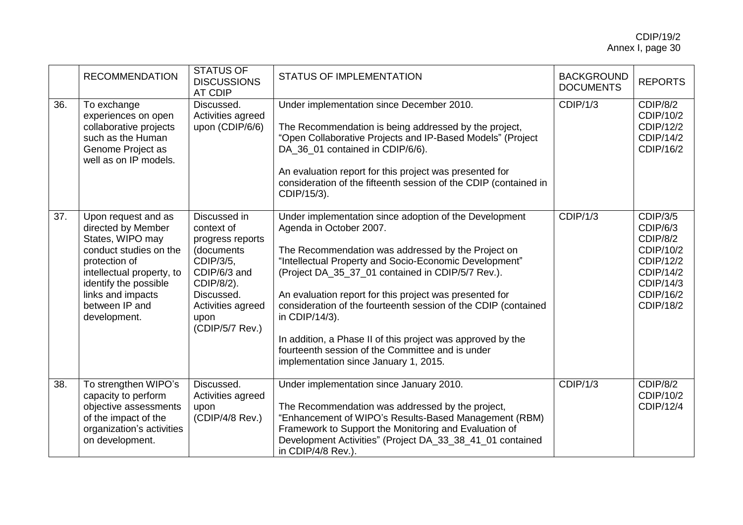|     | <b>RECOMMENDATION</b>                                                                                                                                                                                                 | <b>STATUS OF</b><br><b>DISCUSSIONS</b><br>AT CDIP                                                                                                                     | <b>STATUS OF IMPLEMENTATION</b>                                                                                                                                                                                                                                                                                                                                                                                                                                                                                                                                   | <b>BACKGROUND</b><br><b>DOCUMENTS</b> | <b>REPORTS</b>                                                                                                        |
|-----|-----------------------------------------------------------------------------------------------------------------------------------------------------------------------------------------------------------------------|-----------------------------------------------------------------------------------------------------------------------------------------------------------------------|-------------------------------------------------------------------------------------------------------------------------------------------------------------------------------------------------------------------------------------------------------------------------------------------------------------------------------------------------------------------------------------------------------------------------------------------------------------------------------------------------------------------------------------------------------------------|---------------------------------------|-----------------------------------------------------------------------------------------------------------------------|
| 36. | To exchange<br>experiences on open<br>collaborative projects<br>such as the Human<br>Genome Project as<br>well as on IP models.                                                                                       | Discussed.<br>Activities agreed<br>upon (CDIP/6/6)                                                                                                                    | Under implementation since December 2010.<br>The Recommendation is being addressed by the project,<br>"Open Collaborative Projects and IP-Based Models" (Project<br>DA_36_01 contained in CDIP/6/6).<br>An evaluation report for this project was presented for<br>consideration of the fifteenth session of the CDIP (contained in<br>CDIP/15/3).                                                                                                                                                                                                                | CDIP/1/3                              | CDIP/8/2<br>CDIP/10/2<br>CDIP/12/2<br>CDIP/14/2<br>CDIP/16/2                                                          |
| 37. | Upon request and as<br>directed by Member<br>States, WIPO may<br>conduct studies on the<br>protection of<br>intellectual property, to<br>identify the possible<br>links and impacts<br>between IP and<br>development. | Discussed in<br>context of<br>progress reports<br>(documents<br>CDIP/3/5,<br>CDIP/6/3 and<br>CDIP/8/2).<br>Discussed.<br>Activities agreed<br>upon<br>(CDIP/5/7 Rev.) | Under implementation since adoption of the Development<br>Agenda in October 2007.<br>The Recommendation was addressed by the Project on<br>"Intellectual Property and Socio-Economic Development"<br>(Project DA_35_37_01 contained in CDIP/5/7 Rev.).<br>An evaluation report for this project was presented for<br>consideration of the fourteenth session of the CDIP (contained<br>in CDIP/14/3).<br>In addition, a Phase II of this project was approved by the<br>fourteenth session of the Committee and is under<br>implementation since January 1, 2015. | CDIP/1/3                              | <b>CDIP/3/5</b><br>CDIP/6/3<br>CDIP/8/2<br>CDIP/10/2<br>CDIP/12/2<br>CDIP/14/2<br>CDIP/14/3<br>CDIP/16/2<br>CDIP/18/2 |
| 38. | To strengthen WIPO's<br>capacity to perform<br>objective assessments<br>of the impact of the<br>organization's activities<br>on development.                                                                          | Discussed.<br>Activities agreed<br>upon<br>(CDIP/4/8 Rev.)                                                                                                            | Under implementation since January 2010.<br>The Recommendation was addressed by the project,<br>"Enhancement of WIPO's Results-Based Management (RBM)<br>Framework to Support the Monitoring and Evaluation of<br>Development Activities" (Project DA_33_38_41_01 contained<br>in CDIP/4/8 Rev.).                                                                                                                                                                                                                                                                 | CDIP/1/3                              | CDIP/8/2<br>CDIP/10/2<br>CDIP/12/4                                                                                    |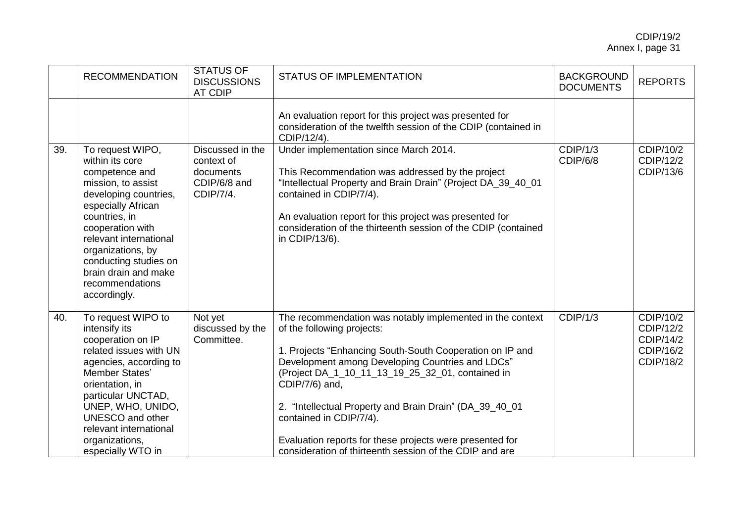|     | <b>RECOMMENDATION</b>                                                                                                                                                                                                                                                                              | <b>STATUS OF</b><br><b>DISCUSSIONS</b><br><b>AT CDIP</b>                 | <b>STATUS OF IMPLEMENTATION</b>                                                                                                                                                                                                                                                                                                                                                                                                                                                            | <b>BACKGROUND</b><br><b>DOCUMENTS</b> | <b>REPORTS</b>                                                |
|-----|----------------------------------------------------------------------------------------------------------------------------------------------------------------------------------------------------------------------------------------------------------------------------------------------------|--------------------------------------------------------------------------|--------------------------------------------------------------------------------------------------------------------------------------------------------------------------------------------------------------------------------------------------------------------------------------------------------------------------------------------------------------------------------------------------------------------------------------------------------------------------------------------|---------------------------------------|---------------------------------------------------------------|
|     |                                                                                                                                                                                                                                                                                                    |                                                                          | An evaluation report for this project was presented for<br>consideration of the twelfth session of the CDIP (contained in<br>CDIP/12/4).                                                                                                                                                                                                                                                                                                                                                   |                                       |                                                               |
| 39. | To request WIPO,<br>within its core<br>competence and<br>mission, to assist<br>developing countries,<br>especially African<br>countries, in<br>cooperation with<br>relevant international<br>organizations, by<br>conducting studies on<br>brain drain and make<br>recommendations<br>accordingly. | Discussed in the<br>context of<br>documents<br>CDIP/6/8 and<br>CDIP/7/4. | Under implementation since March 2014.<br>This Recommendation was addressed by the project<br>"Intellectual Property and Brain Drain" (Project DA_39_40_01<br>contained in CDIP/7/4).<br>An evaluation report for this project was presented for<br>consideration of the thirteenth session of the CDIP (contained<br>in CDIP/13/6).                                                                                                                                                       | CDIP/1/3<br>CDIP/6/8                  | CDIP/10/2<br>CDIP/12/2<br>CDIP/13/6                           |
| 40. | To request WIPO to<br>intensify its<br>cooperation on IP<br>related issues with UN<br>agencies, according to<br>Member States'<br>orientation, in<br>particular UNCTAD,<br>UNEP, WHO, UNIDO,<br><b>UNESCO</b> and other<br>relevant international<br>organizations,<br>especially WTO in           | Not yet<br>discussed by the<br>Committee.                                | The recommendation was notably implemented in the context<br>of the following projects:<br>1. Projects "Enhancing South-South Cooperation on IP and<br>Development among Developing Countries and LDCs"<br>(Project DA_1_10_11_13_19_25_32_01, contained in<br>CDIP/7/6) and,<br>2. "Intellectual Property and Brain Drain" (DA_39_40_01<br>contained in CDIP/7/4).<br>Evaluation reports for these projects were presented for<br>consideration of thirteenth session of the CDIP and are | CDIP/1/3                              | CDIP/10/2<br>CDIP/12/2<br>CDIP/14/2<br>CDIP/16/2<br>CDIP/18/2 |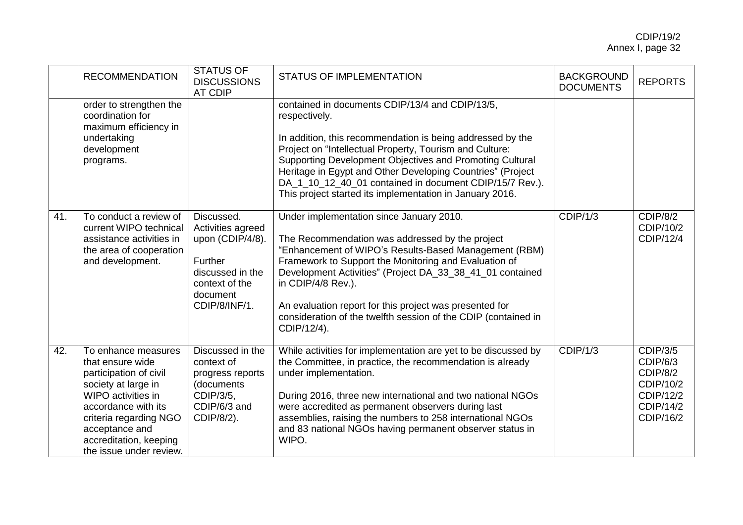|     | <b>RECOMMENDATION</b>                                                                                                                                                                                                                  | <b>STATUS OF</b><br><b>DISCUSSIONS</b><br><b>AT CDIP</b>                                                                          | <b>STATUS OF IMPLEMENTATION</b>                                                                                                                                                                                                                                                                                                                                                                                                              | <b>BACKGROUND</b><br><b>DOCUMENTS</b> | <b>REPORTS</b>                                                                              |
|-----|----------------------------------------------------------------------------------------------------------------------------------------------------------------------------------------------------------------------------------------|-----------------------------------------------------------------------------------------------------------------------------------|----------------------------------------------------------------------------------------------------------------------------------------------------------------------------------------------------------------------------------------------------------------------------------------------------------------------------------------------------------------------------------------------------------------------------------------------|---------------------------------------|---------------------------------------------------------------------------------------------|
|     | order to strengthen the<br>coordination for<br>maximum efficiency in<br>undertaking<br>development<br>programs.                                                                                                                        |                                                                                                                                   | contained in documents CDIP/13/4 and CDIP/13/5,<br>respectively.<br>In addition, this recommendation is being addressed by the<br>Project on "Intellectual Property, Tourism and Culture:<br>Supporting Development Objectives and Promoting Cultural<br>Heritage in Egypt and Other Developing Countries" (Project<br>DA_1_10_12_40_01 contained in document CDIP/15/7 Rev.).<br>This project started its implementation in January 2016.   |                                       |                                                                                             |
| 41. | To conduct a review of<br>current WIPO technical<br>assistance activities in<br>the area of cooperation<br>and development.                                                                                                            | Discussed.<br>Activities agreed<br>upon (CDIP/4/8).<br>Further<br>discussed in the<br>context of the<br>document<br>CDIP/8/INF/1. | Under implementation since January 2010.<br>The Recommendation was addressed by the project<br>"Enhancement of WIPO's Results-Based Management (RBM)<br>Framework to Support the Monitoring and Evaluation of<br>Development Activities" (Project DA_33_38_41_01 contained<br>in CDIP/4/8 Rev.).<br>An evaluation report for this project was presented for<br>consideration of the twelfth session of the CDIP (contained in<br>CDIP/12/4). | CDIP/1/3                              | CDIP/8/2<br>CDIP/10/2<br>CDIP/12/4                                                          |
| 42. | To enhance measures<br>that ensure wide<br>participation of civil<br>society at large in<br>WIPO activities in<br>accordance with its<br>criteria regarding NGO<br>acceptance and<br>accreditation, keeping<br>the issue under review. | Discussed in the<br>context of<br>progress reports<br>(documents<br>CDIP/3/5,<br>CDIP/6/3 and<br>CDIP/8/2).                       | While activities for implementation are yet to be discussed by<br>the Committee, in practice, the recommendation is already<br>under implementation.<br>During 2016, three new international and two national NGOs<br>were accredited as permanent observers during last<br>assemblies, raising the numbers to 258 international NGOs<br>and 83 national NGOs having permanent observer status in<br>WIPO.                                   | CDIP/1/3                              | <b>CDIP/3/5</b><br>CDIP/6/3<br>CDIP/8/2<br>CDIP/10/2<br>CDIP/12/2<br>CDIP/14/2<br>CDIP/16/2 |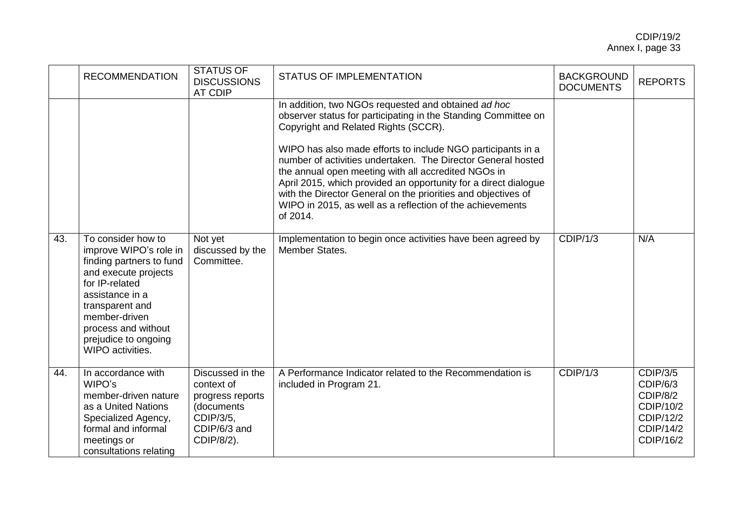|     | <b>RECOMMENDATION</b>                                                                                                                                                                                                                        | <b>STATUS OF</b><br><b>DISCUSSIONS</b><br>AT CDIP                                                           | <b>STATUS OF IMPLEMENTATION</b>                                                                                                                                                                                                                                                                                                                                                                                                                                                                                                                                                                                                                   | <b>BACKGROUND</b><br><b>DOCUMENTS</b> | <b>REPORTS</b>                                                                              |
|-----|----------------------------------------------------------------------------------------------------------------------------------------------------------------------------------------------------------------------------------------------|-------------------------------------------------------------------------------------------------------------|---------------------------------------------------------------------------------------------------------------------------------------------------------------------------------------------------------------------------------------------------------------------------------------------------------------------------------------------------------------------------------------------------------------------------------------------------------------------------------------------------------------------------------------------------------------------------------------------------------------------------------------------------|---------------------------------------|---------------------------------------------------------------------------------------------|
| 43. | To consider how to<br>improve WIPO's role in<br>finding partners to fund<br>and execute projects<br>for IP-related<br>assistance in a<br>transparent and<br>member-driven<br>process and without<br>prejudice to ongoing<br>WIPO activities. | Not yet<br>discussed by the<br>Committee.                                                                   | In addition, two NGOs requested and obtained ad hoc<br>observer status for participating in the Standing Committee on<br>Copyright and Related Rights (SCCR).<br>WIPO has also made efforts to include NGO participants in a<br>number of activities undertaken. The Director General hosted<br>the annual open meeting with all accredited NGOs in<br>April 2015, which provided an opportunity for a direct dialogue<br>with the Director General on the priorities and objectives of<br>WIPO in 2015, as well as a reflection of the achievements<br>of 2014.<br>Implementation to begin once activities have been agreed by<br>Member States. | CDIP/1/3                              | N/A                                                                                         |
| 44. | In accordance with<br>WIPO's<br>member-driven nature<br>as a United Nations<br>Specialized Agency,<br>formal and informal<br>meetings or<br>consultations relating                                                                           | Discussed in the<br>context of<br>progress reports<br>(documents<br>CDIP/3/5,<br>CDIP/6/3 and<br>CDIP/8/2). | A Performance Indicator related to the Recommendation is<br>included in Program 21.                                                                                                                                                                                                                                                                                                                                                                                                                                                                                                                                                               | CDIP/1/3                              | <b>CDIP/3/5</b><br>CDIP/6/3<br>CDIP/8/2<br>CDIP/10/2<br>CDIP/12/2<br>CDIP/14/2<br>CDIP/16/2 |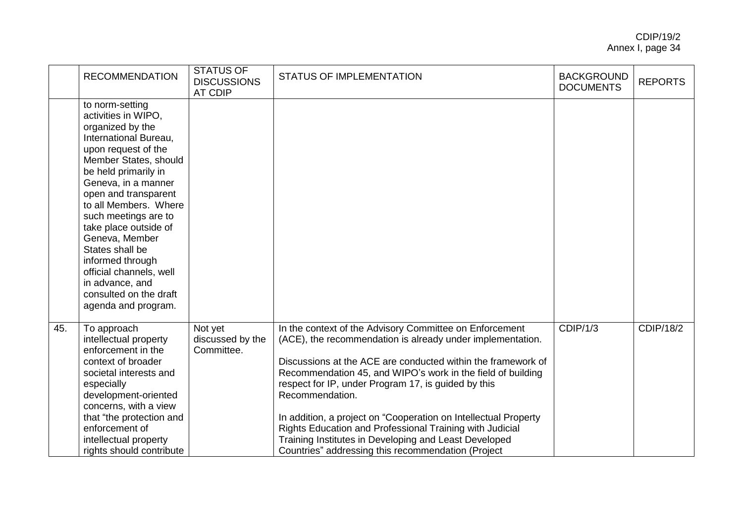|     | <b>RECOMMENDATION</b>                                                                                                                                                                                                                                                                                                                                                                                                                        | <b>STATUS OF</b><br><b>DISCUSSIONS</b><br><b>AT CDIP</b> | <b>STATUS OF IMPLEMENTATION</b>                                                                                                                                                                                                                                                                                                                                                                                                                                                                                                                                              | <b>BACKGROUND</b><br><b>DOCUMENTS</b> | <b>REPORTS</b>   |
|-----|----------------------------------------------------------------------------------------------------------------------------------------------------------------------------------------------------------------------------------------------------------------------------------------------------------------------------------------------------------------------------------------------------------------------------------------------|----------------------------------------------------------|------------------------------------------------------------------------------------------------------------------------------------------------------------------------------------------------------------------------------------------------------------------------------------------------------------------------------------------------------------------------------------------------------------------------------------------------------------------------------------------------------------------------------------------------------------------------------|---------------------------------------|------------------|
|     | to norm-setting<br>activities in WIPO,<br>organized by the<br>International Bureau,<br>upon request of the<br>Member States, should<br>be held primarily in<br>Geneva, in a manner<br>open and transparent<br>to all Members. Where<br>such meetings are to<br>take place outside of<br>Geneva, Member<br>States shall be<br>informed through<br>official channels, well<br>in advance, and<br>consulted on the draft<br>agenda and program. |                                                          |                                                                                                                                                                                                                                                                                                                                                                                                                                                                                                                                                                              |                                       |                  |
| 45. | To approach<br>intellectual property<br>enforcement in the<br>context of broader<br>societal interests and<br>especially<br>development-oriented<br>concerns, with a view<br>that "the protection and<br>enforcement of<br>intellectual property<br>rights should contribute                                                                                                                                                                 | Not yet<br>discussed by the<br>Committee.                | In the context of the Advisory Committee on Enforcement<br>(ACE), the recommendation is already under implementation.<br>Discussions at the ACE are conducted within the framework of<br>Recommendation 45, and WIPO's work in the field of building<br>respect for IP, under Program 17, is guided by this<br>Recommendation.<br>In addition, a project on "Cooperation on Intellectual Property<br>Rights Education and Professional Training with Judicial<br>Training Institutes in Developing and Least Developed<br>Countries" addressing this recommendation (Project | CDIP/1/3                              | <b>CDIP/18/2</b> |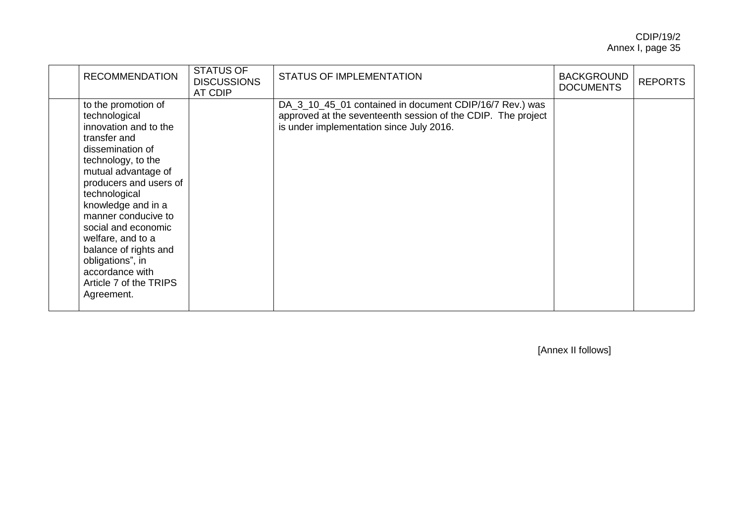| <b>RECOMMENDATION</b>                                                                                                                                                                                                                                                                                                                                                                      | <b>STATUS OF</b><br><b>DISCUSSIONS</b><br>AT CDIP | <b>STATUS OF IMPLEMENTATION</b>                                                                                                                                     | <b>BACKGROUND</b><br><b>DOCUMENTS</b> | <b>REPORTS</b> |
|--------------------------------------------------------------------------------------------------------------------------------------------------------------------------------------------------------------------------------------------------------------------------------------------------------------------------------------------------------------------------------------------|---------------------------------------------------|---------------------------------------------------------------------------------------------------------------------------------------------------------------------|---------------------------------------|----------------|
| to the promotion of<br>technological<br>innovation and to the<br>transfer and<br>dissemination of<br>technology, to the<br>mutual advantage of<br>producers and users of<br>technological<br>knowledge and in a<br>manner conducive to<br>social and economic<br>welfare, and to a<br>balance of rights and<br>obligations", in<br>accordance with<br>Article 7 of the TRIPS<br>Agreement. |                                                   | DA_3_10_45_01 contained in document CDIP/16/7 Rev.) was<br>approved at the seventeenth session of the CDIP. The project<br>is under implementation since July 2016. |                                       |                |

[Annex II follows]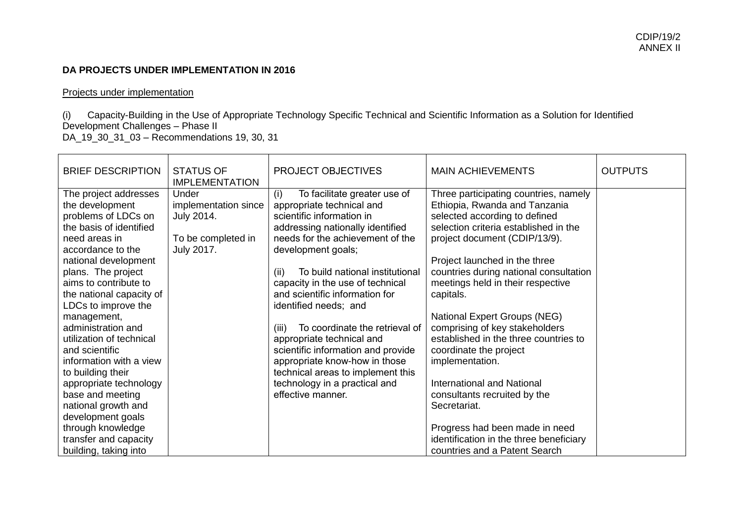### **DA PROJECTS UNDER IMPLEMENTATION IN 2016**

#### Projects under implementation

(i) Capacity-Building in the Use of Appropriate Technology Specific Technical and Scientific Information as a Solution for Identified Development Challenges - Phase II DA\_19\_30\_31\_03 – Recommendations 19, 30, 31

| <b>BRIEF DESCRIPTION</b>                                                                                                                                                                                                                                                                                                                                                                                                                                                                                                                                       | <b>STATUS OF</b><br><b>IMPLEMENTATION</b>                                       | <b>PROJECT OBJECTIVES</b>                                                                                                                                                                                                                                                                                                                                                                                                                                                                                                                                                       | <b>MAIN ACHIEVEMENTS</b>                                                                                                                                                                                                                                                                                                                                                                                                                                                                                                                                                                                                                                                  | <b>OUTPUTS</b> |
|----------------------------------------------------------------------------------------------------------------------------------------------------------------------------------------------------------------------------------------------------------------------------------------------------------------------------------------------------------------------------------------------------------------------------------------------------------------------------------------------------------------------------------------------------------------|---------------------------------------------------------------------------------|---------------------------------------------------------------------------------------------------------------------------------------------------------------------------------------------------------------------------------------------------------------------------------------------------------------------------------------------------------------------------------------------------------------------------------------------------------------------------------------------------------------------------------------------------------------------------------|---------------------------------------------------------------------------------------------------------------------------------------------------------------------------------------------------------------------------------------------------------------------------------------------------------------------------------------------------------------------------------------------------------------------------------------------------------------------------------------------------------------------------------------------------------------------------------------------------------------------------------------------------------------------------|----------------|
| The project addresses<br>the development<br>problems of LDCs on<br>the basis of identified<br>need areas in<br>accordance to the<br>national development<br>plans. The project<br>aims to contribute to<br>the national capacity of<br>LDCs to improve the<br>management,<br>administration and<br>utilization of technical<br>and scientific<br>information with a view<br>to building their<br>appropriate technology<br>base and meeting<br>national growth and<br>development goals<br>through knowledge<br>transfer and capacity<br>building, taking into | Under<br>implementation since<br>July 2014.<br>To be completed in<br>July 2017. | To facilitate greater use of<br>(i)<br>appropriate technical and<br>scientific information in<br>addressing nationally identified<br>needs for the achievement of the<br>development goals;<br>To build national institutional<br>(ii)<br>capacity in the use of technical<br>and scientific information for<br>identified needs; and<br>To coordinate the retrieval of<br>(iii)<br>appropriate technical and<br>scientific information and provide<br>appropriate know-how in those<br>technical areas to implement this<br>technology in a practical and<br>effective manner. | Three participating countries, namely<br>Ethiopia, Rwanda and Tanzania<br>selected according to defined<br>selection criteria established in the<br>project document (CDIP/13/9).<br>Project launched in the three<br>countries during national consultation<br>meetings held in their respective<br>capitals.<br>National Expert Groups (NEG)<br>comprising of key stakeholders<br>established in the three countries to<br>coordinate the project<br>implementation.<br><b>International and National</b><br>consultants recruited by the<br>Secretariat.<br>Progress had been made in need<br>identification in the three beneficiary<br>countries and a Patent Search |                |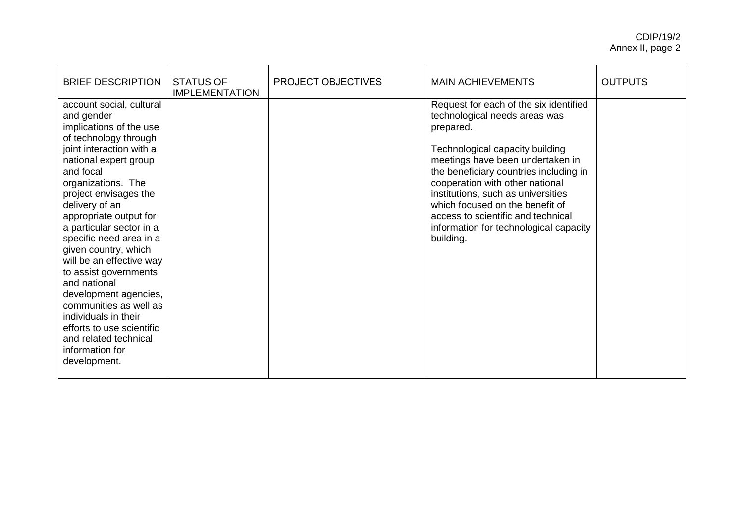| <b>BRIEF DESCRIPTION</b>                                                                                                                                                                                                                                                                                                                                                                                                                                                                                                                                                        | <b>STATUS OF</b><br><b>IMPLEMENTATION</b> | <b>PROJECT OBJECTIVES</b> | <b>MAIN ACHIEVEMENTS</b>                                                                                                                                                                                                                                                                                                                                                                                       | <b>OUTPUTS</b> |
|---------------------------------------------------------------------------------------------------------------------------------------------------------------------------------------------------------------------------------------------------------------------------------------------------------------------------------------------------------------------------------------------------------------------------------------------------------------------------------------------------------------------------------------------------------------------------------|-------------------------------------------|---------------------------|----------------------------------------------------------------------------------------------------------------------------------------------------------------------------------------------------------------------------------------------------------------------------------------------------------------------------------------------------------------------------------------------------------------|----------------|
| account social, cultural<br>and gender<br>implications of the use<br>of technology through<br>joint interaction with a<br>national expert group<br>and focal<br>organizations. The<br>project envisages the<br>delivery of an<br>appropriate output for<br>a particular sector in a<br>specific need area in a<br>given country, which<br>will be an effective way<br>to assist governments<br>and national<br>development agencies,<br>communities as well as<br>individuals in their<br>efforts to use scientific<br>and related technical<br>information for<br>development. |                                           |                           | Request for each of the six identified<br>technological needs areas was<br>prepared.<br>Technological capacity building<br>meetings have been undertaken in<br>the beneficiary countries including in<br>cooperation with other national<br>institutions, such as universities<br>which focused on the benefit of<br>access to scientific and technical<br>information for technological capacity<br>building. |                |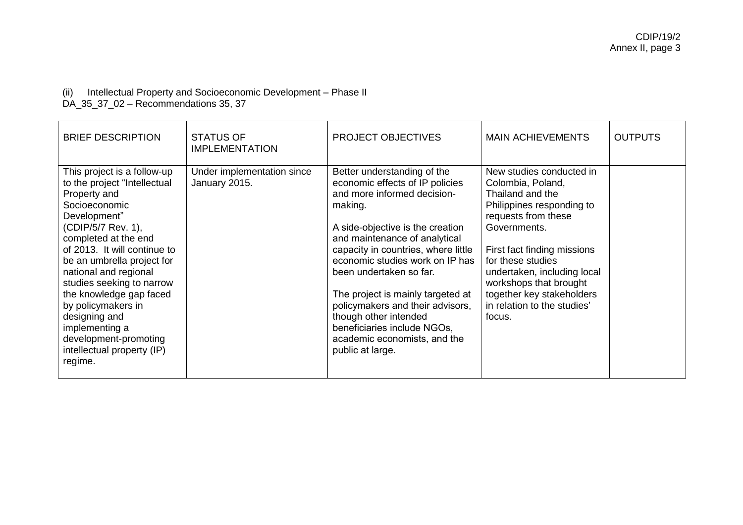# (ii) Intellectual Property and Socioeconomic Development – Phase II

DA\_35\_37\_02 – Recommendations 35, 37

| <b>BRIEF DESCRIPTION</b>                                                                                                                                                                                                                                                                                                                                                                                                             | <b>STATUS OF</b><br><b>IMPLEMENTATION</b>   | <b>PROJECT OBJECTIVES</b>                                                                                                                                                                                                                                                                                                                                                                                                                                               | <b>MAIN ACHIEVEMENTS</b>                                                                                                                                                                                                                                                                                                 | <b>OUTPUTS</b> |
|--------------------------------------------------------------------------------------------------------------------------------------------------------------------------------------------------------------------------------------------------------------------------------------------------------------------------------------------------------------------------------------------------------------------------------------|---------------------------------------------|-------------------------------------------------------------------------------------------------------------------------------------------------------------------------------------------------------------------------------------------------------------------------------------------------------------------------------------------------------------------------------------------------------------------------------------------------------------------------|--------------------------------------------------------------------------------------------------------------------------------------------------------------------------------------------------------------------------------------------------------------------------------------------------------------------------|----------------|
| This project is a follow-up<br>to the project "Intellectual<br>Property and<br>Socioeconomic<br>Development"<br>(CDIP/5/7 Rev. 1),<br>completed at the end<br>of 2013. It will continue to<br>be an umbrella project for<br>national and regional<br>studies seeking to narrow<br>the knowledge gap faced<br>by policymakers in<br>designing and<br>implementing a<br>development-promoting<br>intellectual property (IP)<br>regime. | Under implementation since<br>January 2015. | Better understanding of the<br>economic effects of IP policies<br>and more informed decision-<br>making.<br>A side-objective is the creation<br>and maintenance of analytical<br>capacity in countries, where little<br>economic studies work on IP has<br>been undertaken so far.<br>The project is mainly targeted at<br>policymakers and their advisors,<br>though other intended<br>beneficiaries include NGOs,<br>academic economists, and the<br>public at large. | New studies conducted in<br>Colombia, Poland,<br>Thailand and the<br>Philippines responding to<br>requests from these<br>Governments.<br>First fact finding missions<br>for these studies<br>undertaken, including local<br>workshops that brought<br>together key stakeholders<br>in relation to the studies'<br>focus. |                |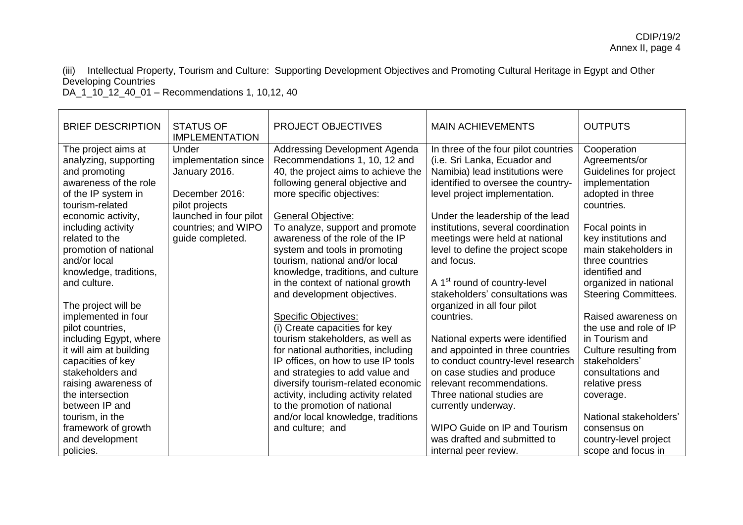(iii) Intellectual Property, Tourism and Culture: Supporting Development Objectives and Promoting Cultural Heritage in Egypt and Other Developing Countries

DA\_1\_10\_12\_40\_01 – Recommendations 1, 10,12, 40

| <b>BRIEF DESCRIPTION</b>                                                                                                                                                                                                   | <b>STATUS OF</b><br><b>IMPLEMENTATION</b>                                                                    | <b>PROJECT OBJECTIVES</b>                                                                                                                                                                                                                                                                                                      | <b>MAIN ACHIEVEMENTS</b>                                                                                                                                                                                                                                                | <b>OUTPUTS</b>                                                                                                                                                 |
|----------------------------------------------------------------------------------------------------------------------------------------------------------------------------------------------------------------------------|--------------------------------------------------------------------------------------------------------------|--------------------------------------------------------------------------------------------------------------------------------------------------------------------------------------------------------------------------------------------------------------------------------------------------------------------------------|-------------------------------------------------------------------------------------------------------------------------------------------------------------------------------------------------------------------------------------------------------------------------|----------------------------------------------------------------------------------------------------------------------------------------------------------------|
| The project aims at<br>analyzing, supporting<br>and promoting<br>awareness of the role<br>of the IP system in<br>tourism-related<br>economic activity,                                                                     | Under<br>implementation since<br>January 2016.<br>December 2016:<br>pilot projects<br>launched in four pilot | Addressing Development Agenda<br>Recommendations 1, 10, 12 and<br>40, the project aims to achieve the<br>following general objective and<br>more specific objectives:<br><b>General Objective:</b>                                                                                                                             | In three of the four pilot countries<br>(i.e. Sri Lanka, Ecuador and<br>Namibia) lead institutions were<br>identified to oversee the country-<br>level project implementation.<br>Under the leadership of the lead                                                      | Cooperation<br>Agreements/or<br>Guidelines for project<br>implementation<br>adopted in three<br>countries.                                                     |
| including activity<br>related to the<br>promotion of national<br>and/or local<br>knowledge, traditions,<br>and culture.                                                                                                    | countries; and WIPO<br>guide completed.                                                                      | To analyze, support and promote<br>awareness of the role of the IP<br>system and tools in promoting<br>tourism, national and/or local<br>knowledge, traditions, and culture<br>in the context of national growth<br>and development objectives.                                                                                | institutions, several coordination<br>meetings were held at national<br>level to define the project scope<br>and focus.<br>A 1 <sup>st</sup> round of country-level<br>stakeholders' consultations was                                                                  | Focal points in<br>key institutions and<br>main stakeholders in<br>three countries<br>identified and<br>organized in national<br><b>Steering Committees.</b>   |
| The project will be<br>implemented in four<br>pilot countries,<br>including Egypt, where<br>it will aim at building<br>capacities of key<br>stakeholders and<br>raising awareness of<br>the intersection<br>between IP and |                                                                                                              | <b>Specific Objectives:</b><br>(i) Create capacities for key<br>tourism stakeholders, as well as<br>for national authorities, including<br>IP offices, on how to use IP tools<br>and strategies to add value and<br>diversify tourism-related economic<br>activity, including activity related<br>to the promotion of national | organized in all four pilot<br>countries.<br>National experts were identified<br>and appointed in three countries<br>to conduct country-level research<br>on case studies and produce<br>relevant recommendations.<br>Three national studies are<br>currently underway. | Raised awareness on<br>the use and role of IP<br>in Tourism and<br>Culture resulting from<br>stakeholders'<br>consultations and<br>relative press<br>coverage. |
| tourism, in the<br>framework of growth<br>and development<br>policies.                                                                                                                                                     |                                                                                                              | and/or local knowledge, traditions<br>and culture; and                                                                                                                                                                                                                                                                         | WIPO Guide on IP and Tourism<br>was drafted and submitted to<br>internal peer review.                                                                                                                                                                                   | National stakeholders'<br>consensus on<br>country-level project<br>scope and focus in                                                                          |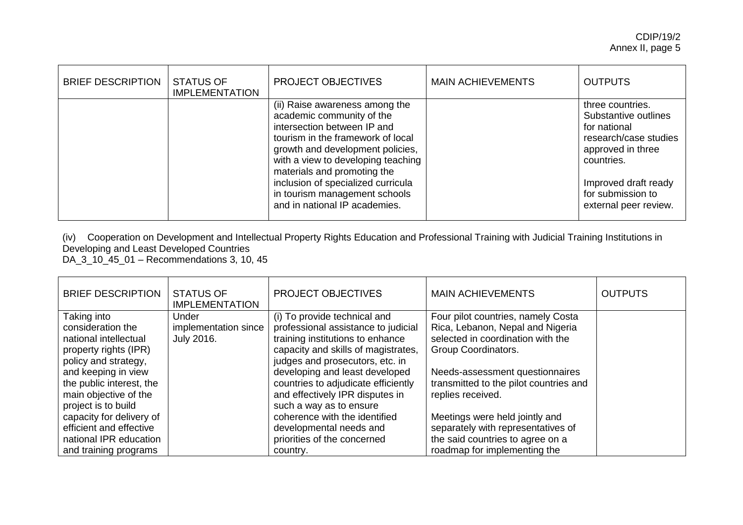| <b>BRIEF DESCRIPTION</b> | <b>STATUS OF</b><br><b>IMPLEMENTATION</b> | <b>PROJECT OBJECTIVES</b>                                                                                                                                                                                                                                                                                                                        | <b>MAIN ACHIEVEMENTS</b> | <b>OUTPUTS</b>                                                                                                                                                                             |
|--------------------------|-------------------------------------------|--------------------------------------------------------------------------------------------------------------------------------------------------------------------------------------------------------------------------------------------------------------------------------------------------------------------------------------------------|--------------------------|--------------------------------------------------------------------------------------------------------------------------------------------------------------------------------------------|
|                          |                                           | (ii) Raise awareness among the<br>academic community of the<br>intersection between IP and<br>tourism in the framework of local<br>growth and development policies,<br>with a view to developing teaching<br>materials and promoting the<br>inclusion of specialized curricula<br>in tourism management schools<br>and in national IP academies. |                          | three countries.<br>Substantive outlines<br>for national<br>research/case studies<br>approved in three<br>countries.<br>Improved draft ready<br>for submission to<br>external peer review. |

(iv) Cooperation on Development and Intellectual Property Rights Education and Professional Training with Judicial Training Institutions in Developing and Least Developed Countries

DA\_3\_10\_45\_01 – Recommendations 3, 10, 45

| <b>BRIEF DESCRIPTION</b> | <b>STATUS OF</b><br><b>IMPLEMENTATION</b> | <b>PROJECT OBJECTIVES</b>           | <b>MAIN ACHIEVEMENTS</b>               | <b>OUTPUTS</b> |
|--------------------------|-------------------------------------------|-------------------------------------|----------------------------------------|----------------|
| Taking into              | Under                                     | (i) To provide technical and        | Four pilot countries, namely Costa     |                |
| consideration the        | implementation since                      | professional assistance to judicial | Rica, Lebanon, Nepal and Nigeria       |                |
| national intellectual    | <b>July 2016.</b>                         | training institutions to enhance    | selected in coordination with the      |                |
| property rights (IPR)    |                                           | capacity and skills of magistrates, | Group Coordinators.                    |                |
| policy and strategy,     |                                           | judges and prosecutors, etc. in     |                                        |                |
| and keeping in view      |                                           | developing and least developed      | Needs-assessment questionnaires        |                |
| the public interest, the |                                           | countries to adjudicate efficiently | transmitted to the pilot countries and |                |
| main objective of the    |                                           | and effectively IPR disputes in     | replies received.                      |                |
| project is to build      |                                           | such a way as to ensure             |                                        |                |
| capacity for delivery of |                                           | coherence with the identified       | Meetings were held jointly and         |                |
| efficient and effective  |                                           | developmental needs and             | separately with representatives of     |                |
| national IPR education   |                                           | priorities of the concerned         | the said countries to agree on a       |                |
| and training programs    |                                           | country.                            | roadmap for implementing the           |                |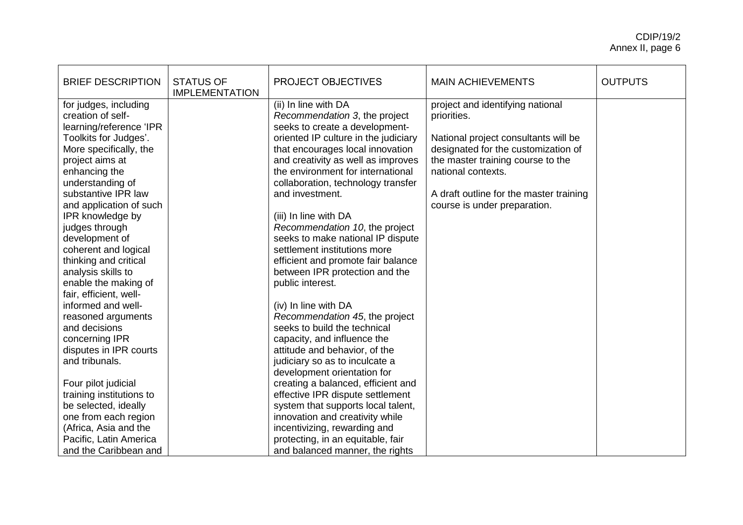| <b>BRIEF DESCRIPTION</b>                                                                                                                                                                                                                                                                                                                                                                                                                                                                                                                                                                                                                                                                                                      | <b>STATUS OF</b><br><b>IMPLEMENTATION</b> | PROJECT OBJECTIVES                                                                                                                                                                                                                                                                                                                                                                                                                                                                                                                                                                                                                                                                                                                                                                                                                                                                                                                                                                                                        | <b>MAIN ACHIEVEMENTS</b>                                                                                                                                                                                                                                             | <b>OUTPUTS</b> |
|-------------------------------------------------------------------------------------------------------------------------------------------------------------------------------------------------------------------------------------------------------------------------------------------------------------------------------------------------------------------------------------------------------------------------------------------------------------------------------------------------------------------------------------------------------------------------------------------------------------------------------------------------------------------------------------------------------------------------------|-------------------------------------------|---------------------------------------------------------------------------------------------------------------------------------------------------------------------------------------------------------------------------------------------------------------------------------------------------------------------------------------------------------------------------------------------------------------------------------------------------------------------------------------------------------------------------------------------------------------------------------------------------------------------------------------------------------------------------------------------------------------------------------------------------------------------------------------------------------------------------------------------------------------------------------------------------------------------------------------------------------------------------------------------------------------------------|----------------------------------------------------------------------------------------------------------------------------------------------------------------------------------------------------------------------------------------------------------------------|----------------|
| for judges, including<br>creation of self-<br>learning/reference 'IPR<br>Toolkits for Judges'.<br>More specifically, the<br>project aims at<br>enhancing the<br>understanding of<br>substantive IPR law<br>and application of such<br>IPR knowledge by<br>judges through<br>development of<br>coherent and logical<br>thinking and critical<br>analysis skills to<br>enable the making of<br>fair, efficient, well-<br>informed and well-<br>reasoned arguments<br>and decisions<br>concerning IPR<br>disputes in IPR courts<br>and tribunals.<br>Four pilot judicial<br>training institutions to<br>be selected, ideally<br>one from each region<br>(Africa, Asia and the<br>Pacific, Latin America<br>and the Caribbean and |                                           | (ii) In line with DA<br>Recommendation 3, the project<br>seeks to create a development-<br>oriented IP culture in the judiciary<br>that encourages local innovation<br>and creativity as well as improves<br>the environment for international<br>collaboration, technology transfer<br>and investment.<br>(iii) In line with DA<br>Recommendation 10, the project<br>seeks to make national IP dispute<br>settlement institutions more<br>efficient and promote fair balance<br>between IPR protection and the<br>public interest.<br>(iv) In line with DA<br>Recommendation 45, the project<br>seeks to build the technical<br>capacity, and influence the<br>attitude and behavior, of the<br>judiciary so as to inculcate a<br>development orientation for<br>creating a balanced, efficient and<br>effective IPR dispute settlement<br>system that supports local talent,<br>innovation and creativity while<br>incentivizing, rewarding and<br>protecting, in an equitable, fair<br>and balanced manner, the rights | project and identifying national<br>priorities.<br>National project consultants will be<br>designated for the customization of<br>the master training course to the<br>national contexts.<br>A draft outline for the master training<br>course is under preparation. |                |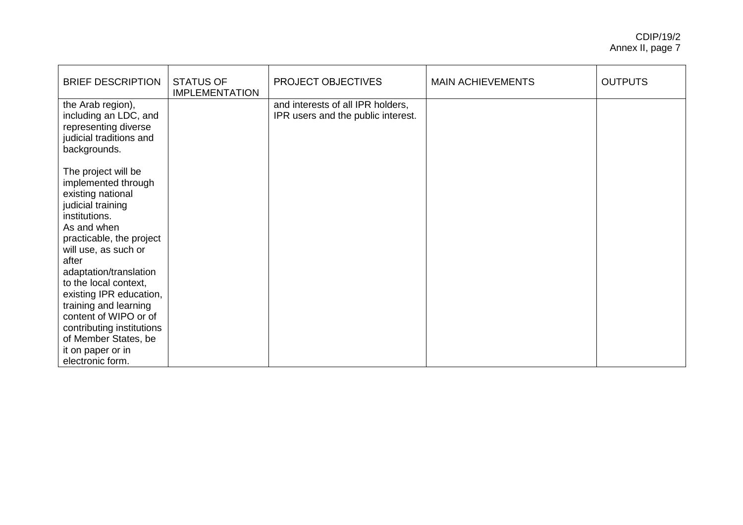| <b>BRIEF DESCRIPTION</b>                                                                                                                                                                                                                                                                                                                                                                                        | <b>STATUS OF</b><br><b>IMPLEMENTATION</b> | PROJECT OBJECTIVES                                                      | <b>MAIN ACHIEVEMENTS</b> | <b>OUTPUTS</b> |
|-----------------------------------------------------------------------------------------------------------------------------------------------------------------------------------------------------------------------------------------------------------------------------------------------------------------------------------------------------------------------------------------------------------------|-------------------------------------------|-------------------------------------------------------------------------|--------------------------|----------------|
| the Arab region),<br>including an LDC, and<br>representing diverse<br>judicial traditions and<br>backgrounds.                                                                                                                                                                                                                                                                                                   |                                           | and interests of all IPR holders,<br>IPR users and the public interest. |                          |                |
| The project will be<br>implemented through<br>existing national<br>judicial training<br>institutions.<br>As and when<br>practicable, the project<br>will use, as such or<br>after<br>adaptation/translation<br>to the local context,<br>existing IPR education,<br>training and learning<br>content of WIPO or of<br>contributing institutions<br>of Member States, be<br>it on paper or in<br>electronic form. |                                           |                                                                         |                          |                |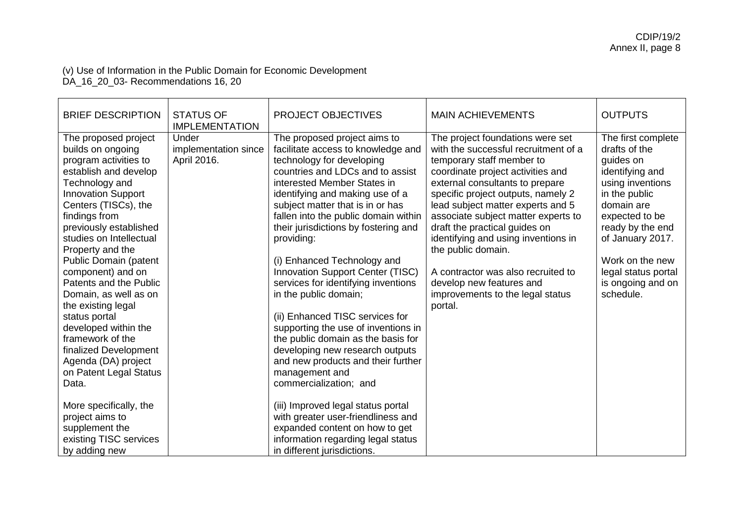#### (v) Use of Information in the Public Domain for Economic Development DA\_16\_20\_03- Recommendations 16, 20

| <b>BRIEF DESCRIPTION</b>                                                                                                                                                                                                                                                                                                                                                                                                                                                                                                            | <b>STATUS OF</b><br><b>IMPLEMENTATION</b>    | PROJECT OBJECTIVES                                                                                                                                                                                                                                                                                                                                                                                                                                                                                                                                                                                                                                                                                              | <b>MAIN ACHIEVEMENTS</b>                                                                                                                                                                                                                                                                                                                                                                                                                                                                                       | <b>OUTPUTS</b>                                                                                                                                                                                                                                               |
|-------------------------------------------------------------------------------------------------------------------------------------------------------------------------------------------------------------------------------------------------------------------------------------------------------------------------------------------------------------------------------------------------------------------------------------------------------------------------------------------------------------------------------------|----------------------------------------------|-----------------------------------------------------------------------------------------------------------------------------------------------------------------------------------------------------------------------------------------------------------------------------------------------------------------------------------------------------------------------------------------------------------------------------------------------------------------------------------------------------------------------------------------------------------------------------------------------------------------------------------------------------------------------------------------------------------------|----------------------------------------------------------------------------------------------------------------------------------------------------------------------------------------------------------------------------------------------------------------------------------------------------------------------------------------------------------------------------------------------------------------------------------------------------------------------------------------------------------------|--------------------------------------------------------------------------------------------------------------------------------------------------------------------------------------------------------------------------------------------------------------|
| The proposed project<br>builds on ongoing<br>program activities to<br>establish and develop<br>Technology and<br><b>Innovation Support</b><br>Centers (TISCs), the<br>findings from<br>previously established<br>studies on Intellectual<br>Property and the<br>Public Domain (patent<br>component) and on<br>Patents and the Public<br>Domain, as well as on<br>the existing legal<br>status portal<br>developed within the<br>framework of the<br>finalized Development<br>Agenda (DA) project<br>on Patent Legal Status<br>Data. | Under<br>implementation since<br>April 2016. | The proposed project aims to<br>facilitate access to knowledge and<br>technology for developing<br>countries and LDCs and to assist<br>interested Member States in<br>identifying and making use of a<br>subject matter that is in or has<br>fallen into the public domain within<br>their jurisdictions by fostering and<br>providing:<br>(i) Enhanced Technology and<br>Innovation Support Center (TISC)<br>services for identifying inventions<br>in the public domain;<br>(ii) Enhanced TISC services for<br>supporting the use of inventions in<br>the public domain as the basis for<br>developing new research outputs<br>and new products and their further<br>management and<br>commercialization; and | The project foundations were set<br>with the successful recruitment of a<br>temporary staff member to<br>coordinate project activities and<br>external consultants to prepare<br>specific project outputs, namely 2<br>lead subject matter experts and 5<br>associate subject matter experts to<br>draft the practical guides on<br>identifying and using inventions in<br>the public domain.<br>A contractor was also recruited to<br>develop new features and<br>improvements to the legal status<br>portal. | The first complete<br>drafts of the<br>quides on<br>identifying and<br>using inventions<br>in the public<br>domain are<br>expected to be<br>ready by the end<br>of January 2017.<br>Work on the new<br>legal status portal<br>is ongoing and on<br>schedule. |
| More specifically, the<br>project aims to<br>supplement the<br>existing TISC services<br>by adding new                                                                                                                                                                                                                                                                                                                                                                                                                              |                                              | (iii) Improved legal status portal<br>with greater user-friendliness and<br>expanded content on how to get<br>information regarding legal status<br>in different jurisdictions.                                                                                                                                                                                                                                                                                                                                                                                                                                                                                                                                 |                                                                                                                                                                                                                                                                                                                                                                                                                                                                                                                |                                                                                                                                                                                                                                                              |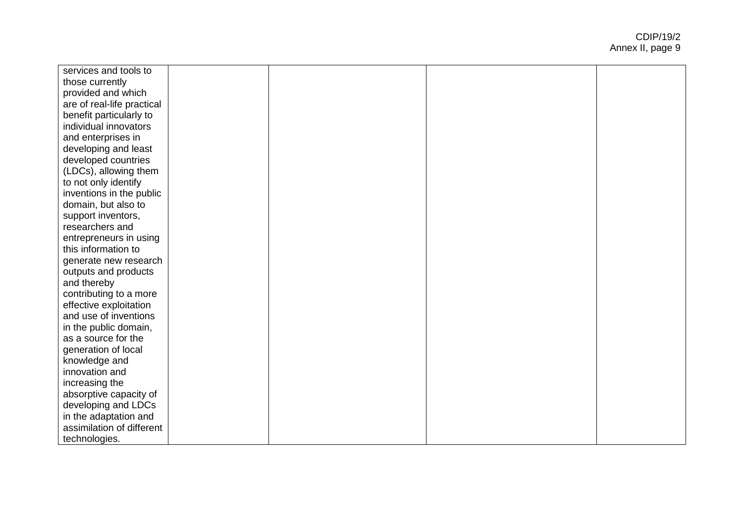| services and tools to      |  |  |
|----------------------------|--|--|
| those currently            |  |  |
| provided and which         |  |  |
| are of real-life practical |  |  |
| benefit particularly to    |  |  |
| individual innovators      |  |  |
| and enterprises in         |  |  |
| developing and least       |  |  |
| developed countries        |  |  |
| (LDCs), allowing them      |  |  |
| to not only identify       |  |  |
| inventions in the public   |  |  |
| domain, but also to        |  |  |
| support inventors,         |  |  |
| researchers and            |  |  |
| entrepreneurs in using     |  |  |
| this information to        |  |  |
| generate new research      |  |  |
| outputs and products       |  |  |
| and thereby                |  |  |
| contributing to a more     |  |  |
| effective exploitation     |  |  |
| and use of inventions      |  |  |
| in the public domain,      |  |  |
| as a source for the        |  |  |
| generation of local        |  |  |
| knowledge and              |  |  |
| innovation and             |  |  |
| increasing the             |  |  |
| absorptive capacity of     |  |  |
| developing and LDCs        |  |  |
| in the adaptation and      |  |  |
| assimilation of different  |  |  |
| technologies.              |  |  |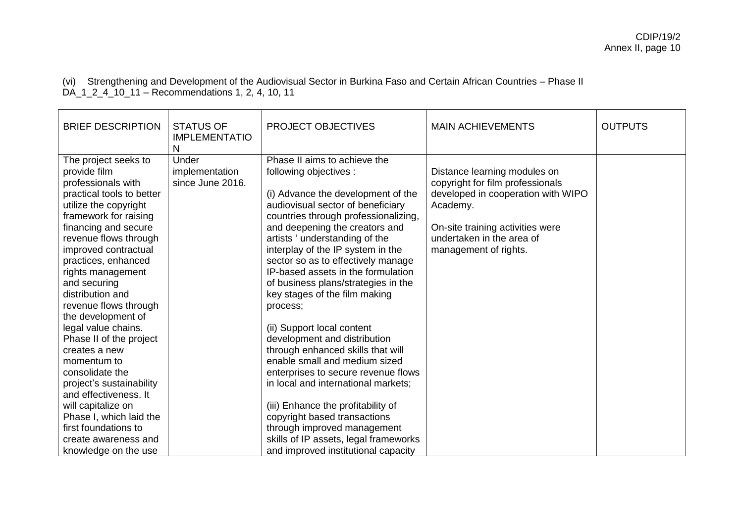(vi) Strengthening and Development of the Audiovisual Sector in Burkina Faso and Certain African Countries – Phase II DA\_1\_2\_4\_10\_11 – Recommendations 1, 2, 4, 10, 11

| <b>BRIEF DESCRIPTION</b>                                                                                                                                                                                                                                                                                                                                                                                                                                                                                                                                                                                                             | <b>STATUS OF</b><br><b>IMPLEMENTATIO</b><br>N | <b>PROJECT OBJECTIVES</b>                                                                                                                                                                                                                                                                                                                                                                                                                                                                                                                                                                                                                                                                                                                                                                                                                                 | <b>MAIN ACHIEVEMENTS</b>                                                                                                                                                                                     | <b>OUTPUTS</b> |
|--------------------------------------------------------------------------------------------------------------------------------------------------------------------------------------------------------------------------------------------------------------------------------------------------------------------------------------------------------------------------------------------------------------------------------------------------------------------------------------------------------------------------------------------------------------------------------------------------------------------------------------|-----------------------------------------------|-----------------------------------------------------------------------------------------------------------------------------------------------------------------------------------------------------------------------------------------------------------------------------------------------------------------------------------------------------------------------------------------------------------------------------------------------------------------------------------------------------------------------------------------------------------------------------------------------------------------------------------------------------------------------------------------------------------------------------------------------------------------------------------------------------------------------------------------------------------|--------------------------------------------------------------------------------------------------------------------------------------------------------------------------------------------------------------|----------------|
| The project seeks to<br>provide film<br>professionals with<br>practical tools to better<br>utilize the copyright<br>framework for raising<br>financing and secure<br>revenue flows through<br>improved contractual<br>practices, enhanced<br>rights management<br>and securing<br>distribution and<br>revenue flows through<br>the development of<br>legal value chains.<br>Phase II of the project<br>creates a new<br>momentum to<br>consolidate the<br>project's sustainability<br>and effectiveness. It<br>will capitalize on<br>Phase I, which laid the<br>first foundations to<br>create awareness and<br>knowledge on the use | Under<br>implementation<br>since June 2016.   | Phase II aims to achieve the<br>following objectives :<br>(i) Advance the development of the<br>audiovisual sector of beneficiary<br>countries through professionalizing,<br>and deepening the creators and<br>artists ' understanding of the<br>interplay of the IP system in the<br>sector so as to effectively manage<br>IP-based assets in the formulation<br>of business plans/strategies in the<br>key stages of the film making<br>process;<br>(ii) Support local content<br>development and distribution<br>through enhanced skills that will<br>enable small and medium sized<br>enterprises to secure revenue flows<br>in local and international markets;<br>(iii) Enhance the profitability of<br>copyright based transactions<br>through improved management<br>skills of IP assets, legal frameworks<br>and improved institutional capacity | Distance learning modules on<br>copyright for film professionals<br>developed in cooperation with WIPO<br>Academy.<br>On-site training activities were<br>undertaken in the area of<br>management of rights. |                |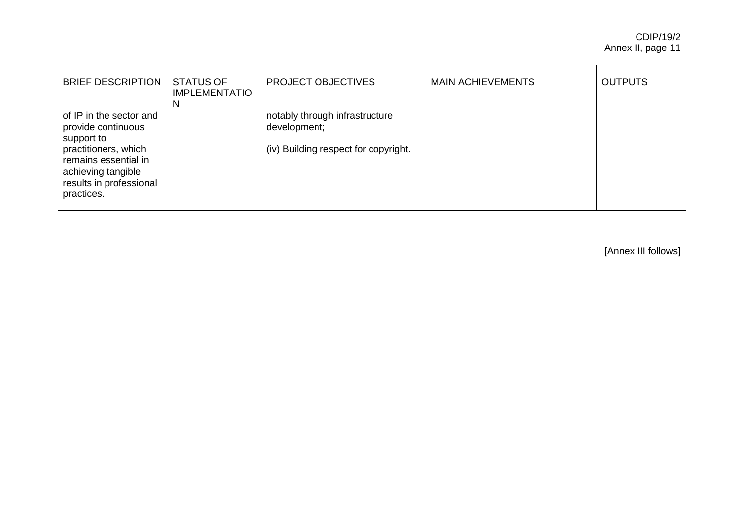| <b>BRIEF DESCRIPTION</b>                                                                                                                                                   | <b>STATUS OF</b><br><b>IMPLEMENTATIO</b><br>N | <b>PROJECT OBJECTIVES</b>                                                              | <b>MAIN ACHIEVEMENTS</b> | <b>OUTPUTS</b> |
|----------------------------------------------------------------------------------------------------------------------------------------------------------------------------|-----------------------------------------------|----------------------------------------------------------------------------------------|--------------------------|----------------|
| of IP in the sector and<br>provide continuous<br>support to<br>practitioners, which<br>remains essential in<br>achieving tangible<br>results in professional<br>practices. |                                               | notably through infrastructure<br>development;<br>(iv) Building respect for copyright. |                          |                |

[Annex III follows]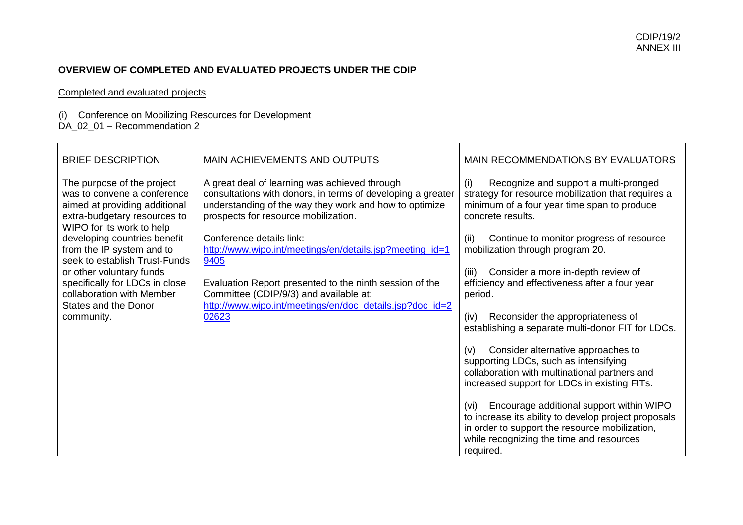## **OVERVIEW OF COMPLETED AND EVALUATED PROJECTS UNDER THE CDIP**

#### Completed and evaluated projects

#### (i) Conference on Mobilizing Resources for Development

#### DA\_02\_01 – Recommendation 2

| <b>BRIEF DESCRIPTION</b>                                                                                                                                                                                                                                                                                                                         | <b>MAIN ACHIEVEMENTS AND OUTPUTS</b>                                                                                                                                                                                                                                                                                                                                                                                | <b>MAIN RECOMMENDATIONS BY EVALUATORS</b>                                                                                                                                                                                                                                                                                                                                                                                                                                                                    |
|--------------------------------------------------------------------------------------------------------------------------------------------------------------------------------------------------------------------------------------------------------------------------------------------------------------------------------------------------|---------------------------------------------------------------------------------------------------------------------------------------------------------------------------------------------------------------------------------------------------------------------------------------------------------------------------------------------------------------------------------------------------------------------|--------------------------------------------------------------------------------------------------------------------------------------------------------------------------------------------------------------------------------------------------------------------------------------------------------------------------------------------------------------------------------------------------------------------------------------------------------------------------------------------------------------|
| The purpose of the project<br>was to convene a conference<br>aimed at providing additional<br>extra-budgetary resources to<br>WIPO for its work to help<br>developing countries benefit<br>from the IP system and to<br>seek to establish Trust-Funds<br>or other voluntary funds<br>specifically for LDCs in close<br>collaboration with Member | A great deal of learning was achieved through<br>consultations with donors, in terms of developing a greater<br>understanding of the way they work and how to optimize<br>prospects for resource mobilization.<br>Conference details link:<br>http://www.wipo.int/meetings/en/details.jsp?meeting_id=1<br>9405<br>Evaluation Report presented to the ninth session of the<br>Committee (CDIP/9/3) and available at: | Recognize and support a multi-pronged<br>(i)<br>strategy for resource mobilization that requires a<br>minimum of a four year time span to produce<br>concrete results.<br>Continue to monitor progress of resource<br>(ii)<br>mobilization through program 20.<br>Consider a more in-depth review of<br>(iii)<br>efficiency and effectiveness after a four year<br>period.                                                                                                                                   |
| <b>States and the Donor</b><br>community.                                                                                                                                                                                                                                                                                                        | http://www.wipo.int/meetings/en/doc_details.jsp?doc_id=2<br>02623                                                                                                                                                                                                                                                                                                                                                   | Reconsider the appropriateness of<br>(iv)<br>establishing a separate multi-donor FIT for LDCs.<br>Consider alternative approaches to<br>(v)<br>supporting LDCs, such as intensifying<br>collaboration with multinational partners and<br>increased support for LDCs in existing FITs.<br>Encourage additional support within WIPO<br>(vi)<br>to increase its ability to develop project proposals<br>in order to support the resource mobilization,<br>while recognizing the time and resources<br>required. |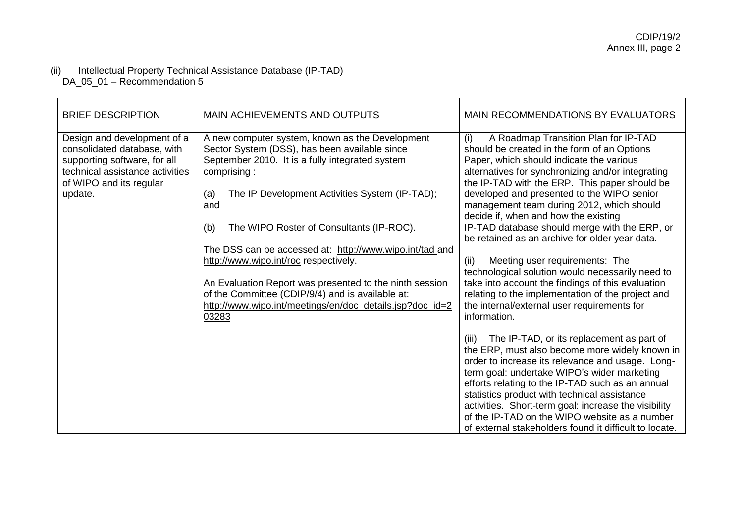#### (ii) Intellectual Property Technical Assistance Database (IP-TAD) DA\_05\_01 – Recommendation 5

| <b>BRIEF DESCRIPTION</b>                                                                                                                                 | <b>MAIN ACHIEVEMENTS AND OUTPUTS</b>                                                                                                                               | <b>MAIN RECOMMENDATIONS BY EVALUATORS</b>                                                                                                                                                                                                                                                                                                                                                                                                                                      |
|----------------------------------------------------------------------------------------------------------------------------------------------------------|--------------------------------------------------------------------------------------------------------------------------------------------------------------------|--------------------------------------------------------------------------------------------------------------------------------------------------------------------------------------------------------------------------------------------------------------------------------------------------------------------------------------------------------------------------------------------------------------------------------------------------------------------------------|
| Design and development of a<br>consolidated database, with<br>supporting software, for all<br>technical assistance activities<br>of WIPO and its regular | A new computer system, known as the Development<br>Sector System (DSS), has been available since<br>September 2010. It is a fully integrated system<br>comprising: | A Roadmap Transition Plan for IP-TAD<br>(i)<br>should be created in the form of an Options<br>Paper, which should indicate the various<br>alternatives for synchronizing and/or integrating<br>the IP-TAD with the ERP. This paper should be                                                                                                                                                                                                                                   |
| update.                                                                                                                                                  | The IP Development Activities System (IP-TAD);<br>(a)<br>and                                                                                                       | developed and presented to the WIPO senior<br>management team during 2012, which should<br>decide if, when and how the existing                                                                                                                                                                                                                                                                                                                                                |
|                                                                                                                                                          | (b)<br>The WIPO Roster of Consultants (IP-ROC).                                                                                                                    | IP-TAD database should merge with the ERP, or<br>be retained as an archive for older year data.                                                                                                                                                                                                                                                                                                                                                                                |
|                                                                                                                                                          | The DSS can be accessed at: http://www.wipo.int/tad_and                                                                                                            |                                                                                                                                                                                                                                                                                                                                                                                                                                                                                |
|                                                                                                                                                          | http://www.wipo.int/roc respectively.                                                                                                                              | Meeting user requirements: The<br>(ii)                                                                                                                                                                                                                                                                                                                                                                                                                                         |
|                                                                                                                                                          |                                                                                                                                                                    | technological solution would necessarily need to                                                                                                                                                                                                                                                                                                                                                                                                                               |
|                                                                                                                                                          | An Evaluation Report was presented to the ninth session<br>of the Committee (CDIP/9/4) and is available at:                                                        | take into account the findings of this evaluation<br>relating to the implementation of the project and                                                                                                                                                                                                                                                                                                                                                                         |
|                                                                                                                                                          | http://www.wipo.int/meetings/en/doc_details.jsp?doc_id=2                                                                                                           | the internal/external user requirements for                                                                                                                                                                                                                                                                                                                                                                                                                                    |
|                                                                                                                                                          | 03283                                                                                                                                                              | information.                                                                                                                                                                                                                                                                                                                                                                                                                                                                   |
|                                                                                                                                                          |                                                                                                                                                                    | The IP-TAD, or its replacement as part of<br>(iii)<br>the ERP, must also become more widely known in<br>order to increase its relevance and usage. Long-<br>term goal: undertake WIPO's wider marketing<br>efforts relating to the IP-TAD such as an annual<br>statistics product with technical assistance<br>activities. Short-term goal: increase the visibility<br>of the IP-TAD on the WIPO website as a number<br>of external stakeholders found it difficult to locate. |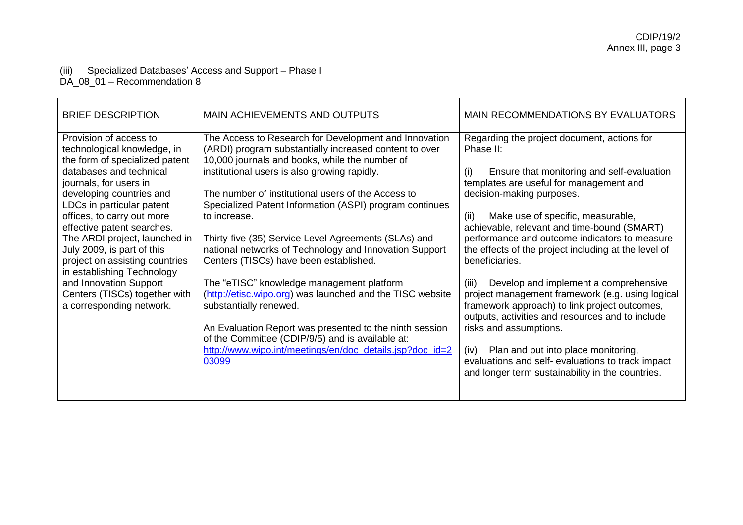# (iii) Specialized Databases' Access and Support – Phase I

DA\_08\_01 – Recommendation 8

| <b>BRIEF DESCRIPTION</b>                                                                                                                                                                                                                                                                                                                                                                                                                                                                | <b>MAIN ACHIEVEMENTS AND OUTPUTS</b>                                                                                                                                                                                                                                                                                                                                                                                                                                                                                                                                                                                                                                                                                                                                                                                                   | MAIN RECOMMENDATIONS BY EVALUATORS                                                                                                                                                                                                                                                                                                                                                                                                                                                                                                                                                                                                                                                                                                                                                                        |
|-----------------------------------------------------------------------------------------------------------------------------------------------------------------------------------------------------------------------------------------------------------------------------------------------------------------------------------------------------------------------------------------------------------------------------------------------------------------------------------------|----------------------------------------------------------------------------------------------------------------------------------------------------------------------------------------------------------------------------------------------------------------------------------------------------------------------------------------------------------------------------------------------------------------------------------------------------------------------------------------------------------------------------------------------------------------------------------------------------------------------------------------------------------------------------------------------------------------------------------------------------------------------------------------------------------------------------------------|-----------------------------------------------------------------------------------------------------------------------------------------------------------------------------------------------------------------------------------------------------------------------------------------------------------------------------------------------------------------------------------------------------------------------------------------------------------------------------------------------------------------------------------------------------------------------------------------------------------------------------------------------------------------------------------------------------------------------------------------------------------------------------------------------------------|
| Provision of access to<br>technological knowledge, in<br>the form of specialized patent<br>databases and technical<br>journals, for users in<br>developing countries and<br>LDCs in particular patent<br>offices, to carry out more<br>effective patent searches.<br>The ARDI project, launched in<br>July 2009, is part of this<br>project on assisting countries<br>in establishing Technology<br>and Innovation Support<br>Centers (TISCs) together with<br>a corresponding network. | The Access to Research for Development and Innovation<br>(ARDI) program substantially increased content to over<br>10,000 journals and books, while the number of<br>institutional users is also growing rapidly.<br>The number of institutional users of the Access to<br>Specialized Patent Information (ASPI) program continues<br>to increase.<br>Thirty-five (35) Service Level Agreements (SLAs) and<br>national networks of Technology and Innovation Support<br>Centers (TISCs) have been established.<br>The "eTISC" knowledge management platform<br>(http://etisc.wipo.org) was launched and the TISC website<br>substantially renewed.<br>An Evaluation Report was presented to the ninth session<br>of the Committee (CDIP/9/5) and is available at:<br>http://www.wipo.int/meetings/en/doc_details.jsp?doc_id=2<br>03099 | Regarding the project document, actions for<br>Phase II:<br>Ensure that monitoring and self-evaluation<br>(i)<br>templates are useful for management and<br>decision-making purposes.<br>Make use of specific, measurable,<br>(ii)<br>achievable, relevant and time-bound (SMART)<br>performance and outcome indicators to measure<br>the effects of the project including at the level of<br>beneficiaries.<br>Develop and implement a comprehensive<br>(iii)<br>project management framework (e.g. using logical<br>framework approach) to link project outcomes,<br>outputs, activities and resources and to include<br>risks and assumptions.<br>Plan and put into place monitoring,<br>(iv)<br>evaluations and self- evaluations to track impact<br>and longer term sustainability in the countries. |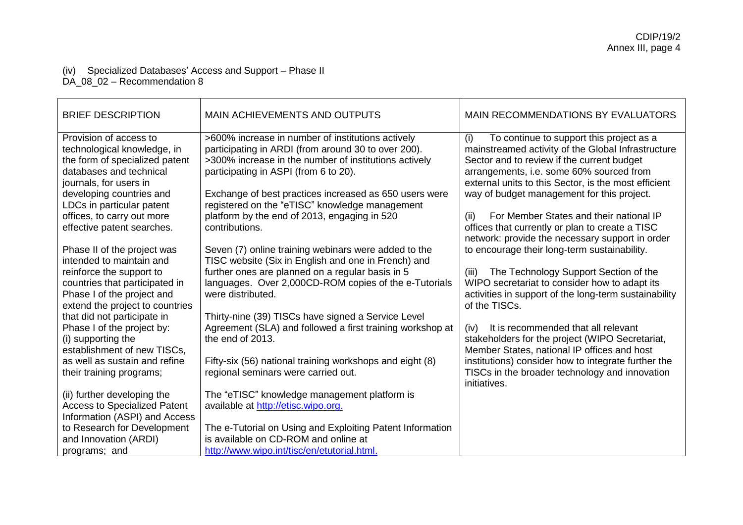# (iv) Specialized Databases' Access and Support – Phase II

DA\_08\_02 – Recommendation 8

| <b>BRIEF DESCRIPTION</b>                                                                                                                                                                                                                                          | MAIN ACHIEVEMENTS AND OUTPUTS                                                                                                                                                                                                                                                                                                                                                            | <b>MAIN RECOMMENDATIONS BY EVALUATORS</b>                                                                                                                                                                                                                                                                                                                                                                   |
|-------------------------------------------------------------------------------------------------------------------------------------------------------------------------------------------------------------------------------------------------------------------|------------------------------------------------------------------------------------------------------------------------------------------------------------------------------------------------------------------------------------------------------------------------------------------------------------------------------------------------------------------------------------------|-------------------------------------------------------------------------------------------------------------------------------------------------------------------------------------------------------------------------------------------------------------------------------------------------------------------------------------------------------------------------------------------------------------|
| Provision of access to<br>technological knowledge, in<br>the form of specialized patent<br>databases and technical<br>journals, for users in<br>developing countries and<br>LDCs in particular patent<br>offices, to carry out more<br>effective patent searches. | >600% increase in number of institutions actively<br>participating in ARDI (from around 30 to over 200).<br>>300% increase in the number of institutions actively<br>participating in ASPI (from 6 to 20).<br>Exchange of best practices increased as 650 users were<br>registered on the "eTISC" knowledge management<br>platform by the end of 2013, engaging in 520<br>contributions. | To continue to support this project as a<br>(i)<br>mainstreamed activity of the Global Infrastructure<br>Sector and to review if the current budget<br>arrangements, i.e. some 60% sourced from<br>external units to this Sector, is the most efficient<br>way of budget management for this project.<br>For Member States and their national IP<br>(ii)<br>offices that currently or plan to create a TISC |
| Phase II of the project was<br>intended to maintain and<br>reinforce the support to<br>countries that participated in<br>Phase I of the project and<br>extend the project to countries                                                                            | Seven (7) online training webinars were added to the<br>TISC website (Six in English and one in French) and<br>further ones are planned on a regular basis in 5<br>languages. Over 2,000CD-ROM copies of the e-Tutorials<br>were distributed.                                                                                                                                            | network: provide the necessary support in order<br>to encourage their long-term sustainability.<br>The Technology Support Section of the<br>(iii)<br>WIPO secretariat to consider how to adapt its<br>activities in support of the long-term sustainability<br>of the TISCs.                                                                                                                                |
| that did not participate in<br>Phase I of the project by:<br>(i) supporting the<br>establishment of new TISCs,<br>as well as sustain and refine<br>their training programs;                                                                                       | Thirty-nine (39) TISCs have signed a Service Level<br>Agreement (SLA) and followed a first training workshop at<br>the end of 2013.<br>Fifty-six (56) national training workshops and eight (8)<br>regional seminars were carried out.                                                                                                                                                   | It is recommended that all relevant<br>(iv)<br>stakeholders for the project (WIPO Secretariat,<br>Member States, national IP offices and host<br>institutions) consider how to integrate further the<br>TISCs in the broader technology and innovation<br>initiatives.                                                                                                                                      |
| (ii) further developing the<br><b>Access to Specialized Patent</b><br>Information (ASPI) and Access<br>to Research for Development<br>and Innovation (ARDI)<br>programs; and                                                                                      | The "eTISC" knowledge management platform is<br>available at http://etisc.wipo.org.<br>The e-Tutorial on Using and Exploiting Patent Information<br>is available on CD-ROM and online at<br>http://www.wipo.int/tisc/en/etutorial.html.                                                                                                                                                  |                                                                                                                                                                                                                                                                                                                                                                                                             |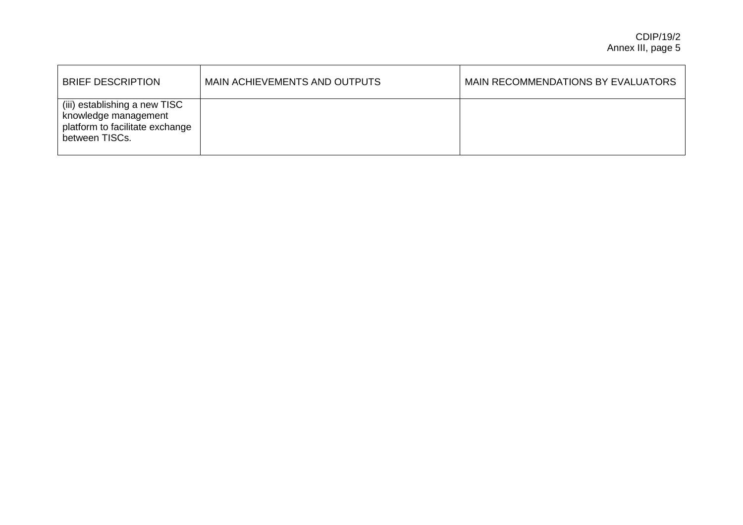| <b>BRIEF DESCRIPTION</b>                                                                                   | MAIN ACHIEVEMENTS AND OUTPUTS | MAIN RECOMMENDATIONS BY EVALUATORS |
|------------------------------------------------------------------------------------------------------------|-------------------------------|------------------------------------|
| (iii) establishing a new TISC<br>knowledge management<br>platform to facilitate exchange<br>between TISCs. |                               |                                    |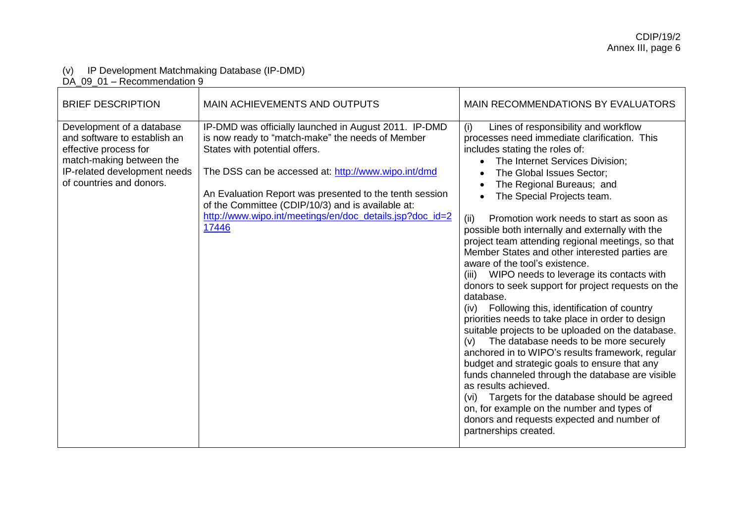#### (v) IP Development Matchmaking Database (IP-DMD)

DA\_09\_01 – Recommendation 9

| <b>BRIEF DESCRIPTION</b>                                                                                                                                                   | MAIN ACHIEVEMENTS AND OUTPUTS                                                                                                                                                                                                                                                                                                                                                          | MAIN RECOMMENDATIONS BY EVALUATORS                                                                                                                                                                                                                                                                                                                                                                                                                                                                                                                                                                                                                                                                                                                                                                                                                                                                                                                                                                                                                                                                                                                                                                                               |
|----------------------------------------------------------------------------------------------------------------------------------------------------------------------------|----------------------------------------------------------------------------------------------------------------------------------------------------------------------------------------------------------------------------------------------------------------------------------------------------------------------------------------------------------------------------------------|----------------------------------------------------------------------------------------------------------------------------------------------------------------------------------------------------------------------------------------------------------------------------------------------------------------------------------------------------------------------------------------------------------------------------------------------------------------------------------------------------------------------------------------------------------------------------------------------------------------------------------------------------------------------------------------------------------------------------------------------------------------------------------------------------------------------------------------------------------------------------------------------------------------------------------------------------------------------------------------------------------------------------------------------------------------------------------------------------------------------------------------------------------------------------------------------------------------------------------|
| Development of a database<br>and software to establish an<br>effective process for<br>match-making between the<br>IP-related development needs<br>of countries and donors. | IP-DMD was officially launched in August 2011. IP-DMD<br>is now ready to "match-make" the needs of Member<br>States with potential offers.<br>The DSS can be accessed at: http://www.wipo.int/dmd<br>An Evaluation Report was presented to the tenth session<br>of the Committee (CDIP/10/3) and is available at:<br>http://www.wipo.int/meetings/en/doc_details.jsp?doc_id=2<br>17446 | Lines of responsibility and workflow<br>(i)<br>processes need immediate clarification. This<br>includes stating the roles of:<br>The Internet Services Division;<br>$\bullet$<br>The Global Issues Sector;<br>The Regional Bureaus; and<br>$\bullet$<br>The Special Projects team.<br>Promotion work needs to start as soon as<br>(ii)<br>possible both internally and externally with the<br>project team attending regional meetings, so that<br>Member States and other interested parties are<br>aware of the tool's existence.<br>(iii) WIPO needs to leverage its contacts with<br>donors to seek support for project requests on the<br>database.<br>Following this, identification of country<br>(iv)<br>priorities needs to take place in order to design<br>suitable projects to be uploaded on the database.<br>The database needs to be more securely<br>(v)<br>anchored in to WIPO's results framework, regular<br>budget and strategic goals to ensure that any<br>funds channeled through the database are visible<br>as results achieved.<br>(vi) Targets for the database should be agreed<br>on, for example on the number and types of<br>donors and requests expected and number of<br>partnerships created. |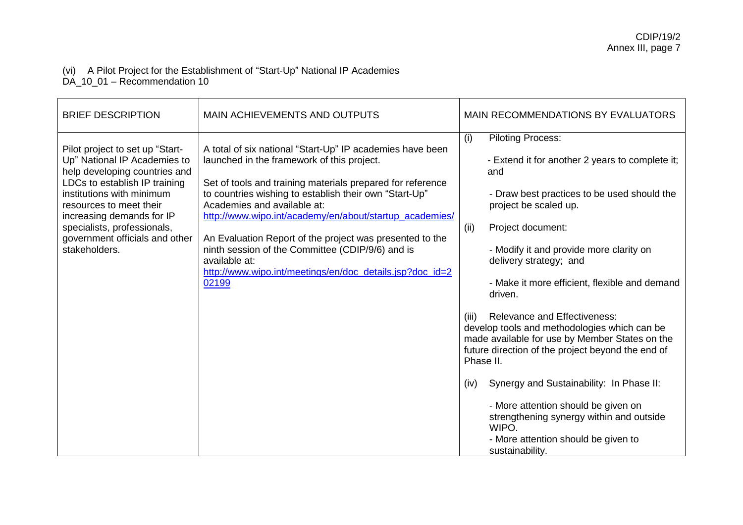#### (vi) A Pilot Project for the Establishment of "Start-Up" National IP Academies DA\_10\_01 – Recommendation 10

| <b>BRIEF DESCRIPTION</b>                                                                                                                                                                                                                                                                                 | MAIN ACHIEVEMENTS AND OUTPUTS                                                                                                                                                                                                                                                                                                                                                                                                                                                                                                   | MAIN RECOMMENDATIONS BY EVALUATORS                                                                                                                                                                                                                                                                                                                                                                                                                                                                                                                                                                                                                                                                                                                            |
|----------------------------------------------------------------------------------------------------------------------------------------------------------------------------------------------------------------------------------------------------------------------------------------------------------|---------------------------------------------------------------------------------------------------------------------------------------------------------------------------------------------------------------------------------------------------------------------------------------------------------------------------------------------------------------------------------------------------------------------------------------------------------------------------------------------------------------------------------|---------------------------------------------------------------------------------------------------------------------------------------------------------------------------------------------------------------------------------------------------------------------------------------------------------------------------------------------------------------------------------------------------------------------------------------------------------------------------------------------------------------------------------------------------------------------------------------------------------------------------------------------------------------------------------------------------------------------------------------------------------------|
| Pilot project to set up "Start-<br>Up" National IP Academies to<br>help developing countries and<br>LDCs to establish IP training<br>institutions with minimum<br>resources to meet their<br>increasing demands for IP<br>specialists, professionals,<br>government officials and other<br>stakeholders. | A total of six national "Start-Up" IP academies have been<br>launched in the framework of this project.<br>Set of tools and training materials prepared for reference<br>to countries wishing to establish their own "Start-Up"<br>Academies and available at:<br>http://www.wipo.int/academy/en/about/startup_academies/<br>An Evaluation Report of the project was presented to the<br>ninth session of the Committee (CDIP/9/6) and is<br>available at:<br>http://www.wipo.int/meetings/en/doc_details.jsp?doc_id=2<br>02199 | <b>Piloting Process:</b><br>(i)<br>- Extend it for another 2 years to complete it;<br>and<br>- Draw best practices to be used should the<br>project be scaled up.<br>Project document:<br>(ii)<br>- Modify it and provide more clarity on<br>delivery strategy; and<br>- Make it more efficient, flexible and demand<br>driven.<br><b>Relevance and Effectiveness:</b><br>(iii)<br>develop tools and methodologies which can be<br>made available for use by Member States on the<br>future direction of the project beyond the end of<br>Phase II.<br>Synergy and Sustainability: In Phase II:<br>(iv)<br>- More attention should be given on<br>strengthening synergy within and outside<br>WIPO.<br>- More attention should be given to<br>sustainability. |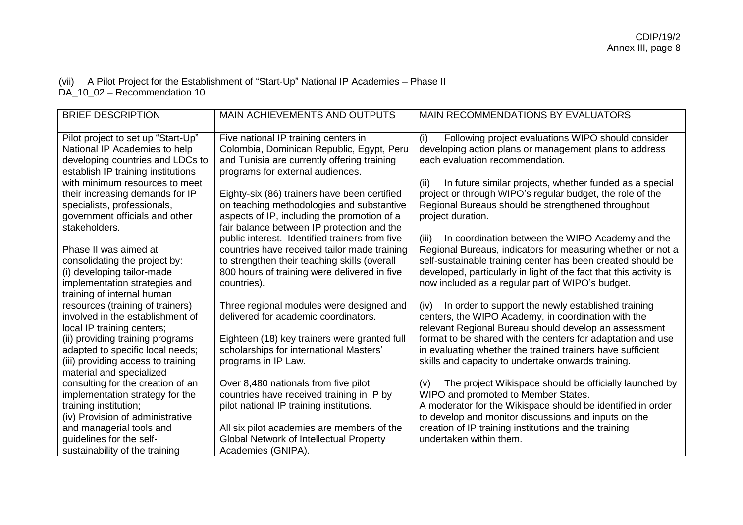### (vii) A Pilot Project for the Establishment of "Start-Up" National IP Academies – Phase II DA\_10\_02 – Recommendation 10

| <b>BRIEF DESCRIPTION</b>                                 | MAIN ACHIEVEMENTS AND OUTPUTS                                                                | MAIN RECOMMENDATIONS BY EVALUATORS                                                                                         |
|----------------------------------------------------------|----------------------------------------------------------------------------------------------|----------------------------------------------------------------------------------------------------------------------------|
| Pilot project to set up "Start-Up"                       | Five national IP training centers in                                                         | Following project evaluations WIPO should consider<br>(i)                                                                  |
| National IP Academies to help                            | Colombia, Dominican Republic, Egypt, Peru                                                    | developing action plans or management plans to address                                                                     |
| developing countries and LDCs to                         | and Tunisia are currently offering training                                                  | each evaluation recommendation.                                                                                            |
| establish IP training institutions                       | programs for external audiences.                                                             |                                                                                                                            |
| with minimum resources to meet                           |                                                                                              | In future similar projects, whether funded as a special<br>(ii)                                                            |
| their increasing demands for IP                          | Eighty-six (86) trainers have been certified                                                 | project or through WIPO's regular budget, the role of the                                                                  |
| specialists, professionals,                              | on teaching methodologies and substantive                                                    | Regional Bureaus should be strengthened throughout                                                                         |
| government officials and other                           | aspects of IP, including the promotion of a                                                  | project duration.                                                                                                          |
| stakeholders.                                            | fair balance between IP protection and the                                                   |                                                                                                                            |
| Phase II was aimed at                                    | public interest. Identified trainers from five                                               | In coordination between the WIPO Academy and the<br>(iii)                                                                  |
| consolidating the project by:                            | countries have received tailor made training<br>to strengthen their teaching skills (overall | Regional Bureaus, indicators for measuring whether or not a<br>self-sustainable training center has been created should be |
| (i) developing tailor-made                               | 800 hours of training were delivered in five                                                 | developed, particularly in light of the fact that this activity is                                                         |
| implementation strategies and                            | countries).                                                                                  | now included as a regular part of WIPO's budget.                                                                           |
| training of internal human                               |                                                                                              |                                                                                                                            |
| resources (training of trainers)                         | Three regional modules were designed and                                                     | In order to support the newly established training<br>(iv)                                                                 |
| involved in the establishment of                         | delivered for academic coordinators.                                                         | centers, the WIPO Academy, in coordination with the                                                                        |
| local IP training centers;                               |                                                                                              | relevant Regional Bureau should develop an assessment                                                                      |
| (ii) providing training programs                         | Eighteen (18) key trainers were granted full                                                 | format to be shared with the centers for adaptation and use                                                                |
| adapted to specific local needs;                         | scholarships for international Masters'                                                      | in evaluating whether the trained trainers have sufficient                                                                 |
| (iii) providing access to training                       | programs in IP Law.                                                                          | skills and capacity to undertake onwards training.                                                                         |
| material and specialized                                 |                                                                                              |                                                                                                                            |
| consulting for the creation of an                        | Over 8,480 nationals from five pilot<br>countries have received training in IP by            | The project Wikispace should be officially launched by<br>(v)<br>WIPO and promoted to Member States.                       |
| implementation strategy for the<br>training institution; | pilot national IP training institutions.                                                     | A moderator for the Wikispace should be identified in order                                                                |
| (iv) Provision of administrative                         |                                                                                              | to develop and monitor discussions and inputs on the                                                                       |
| and managerial tools and                                 | All six pilot academies are members of the                                                   | creation of IP training institutions and the training                                                                      |
| guidelines for the self-                                 | Global Network of Intellectual Property                                                      | undertaken within them.                                                                                                    |
| sustainability of the training                           | Academies (GNIPA).                                                                           |                                                                                                                            |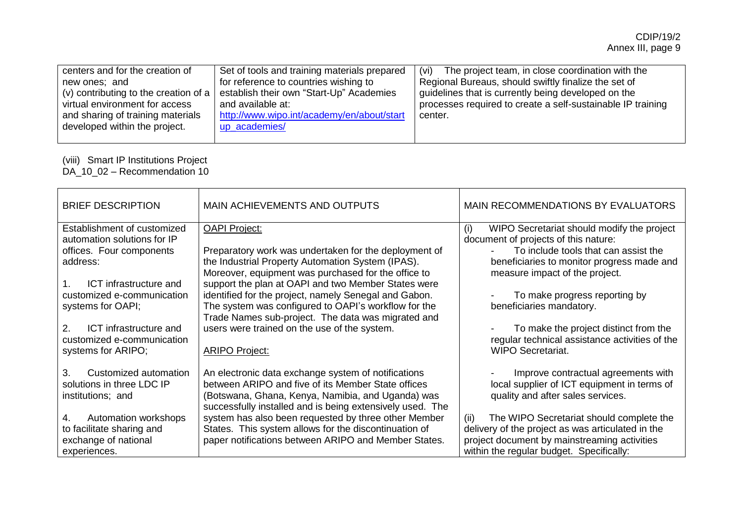| centers and for the creation of       | Set of tools and training materials prepared | The project team, in close coordination with the            |
|---------------------------------------|----------------------------------------------|-------------------------------------------------------------|
| new ones; and                         | for reference to countries wishing to        | (vi)                                                        |
| (v) contributing to the creation of a | establish their own "Start-Up" Academies     | Regional Bureaus, should swiftly finalize the set of        |
| virtual environment for access        | and available at:                            | guidelines that is currently being developed on the         |
| and sharing of training materials     | http://www.wipo.int/academy/en/about/start   | processes required to create a self-sustainable IP training |
| developed within the project.         | up_academies/                                | center.                                                     |
|                                       |                                              |                                                             |

# (viii) Smart IP Institutions Project

DA\_10\_02 – Recommendation 10

| <b>BRIEF DESCRIPTION</b>                                                                 | <b>MAIN ACHIEVEMENTS AND OUTPUTS</b>                                                                                                                                                                                        | MAIN RECOMMENDATIONS BY EVALUATORS                                                                                      |
|------------------------------------------------------------------------------------------|-----------------------------------------------------------------------------------------------------------------------------------------------------------------------------------------------------------------------------|-------------------------------------------------------------------------------------------------------------------------|
| Establishment of customized<br>automation solutions for IP                               | <b>OAPI Project:</b>                                                                                                                                                                                                        | WIPO Secretariat should modify the project<br>(i)<br>document of projects of this nature:                               |
| offices. Four components                                                                 | Preparatory work was undertaken for the deployment of                                                                                                                                                                       | To include tools that can assist the                                                                                    |
| address:                                                                                 | the Industrial Property Automation System (IPAS).                                                                                                                                                                           | beneficiaries to monitor progress made and                                                                              |
| ICT infrastructure and<br>$1_{-}$                                                        | Moreover, equipment was purchased for the office to<br>support the plan at OAPI and two Member States were                                                                                                                  | measure impact of the project.                                                                                          |
| customized e-communication                                                               | identified for the project, namely Senegal and Gabon.                                                                                                                                                                       | To make progress reporting by                                                                                           |
| systems for OAPI;                                                                        | The system was configured to OAPI's workflow for the<br>Trade Names sub-project. The data was migrated and                                                                                                                  | beneficiaries mandatory.                                                                                                |
| $\mathcal{P}_{\mathcal{C}}$<br>ICT infrastructure and<br>customized e-communication      | users were trained on the use of the system.                                                                                                                                                                                | To make the project distinct from the<br>regular technical assistance activities of the                                 |
| systems for ARIPO;                                                                       | <b>ARIPO Project:</b>                                                                                                                                                                                                       | <b>WIPO Secretariat.</b>                                                                                                |
| $\mathcal{R}$<br>Customized automation<br>solutions in three LDC IP<br>institutions; and | An electronic data exchange system of notifications<br>between ARIPO and five of its Member State offices<br>(Botswana, Ghana, Kenya, Namibia, and Uganda) was<br>successfully installed and is being extensively used. The | Improve contractual agreements with<br>local supplier of ICT equipment in terms of<br>quality and after sales services. |
| Automation workshops<br>4.                                                               | system has also been requested by three other Member                                                                                                                                                                        | The WIPO Secretariat should complete the<br>(ii)                                                                        |
| to facilitate sharing and<br>exchange of national                                        | States. This system allows for the discontinuation of<br>paper notifications between ARIPO and Member States.                                                                                                               | delivery of the project as was articulated in the<br>project document by mainstreaming activities                       |
| experiences.                                                                             |                                                                                                                                                                                                                             | within the regular budget. Specifically:                                                                                |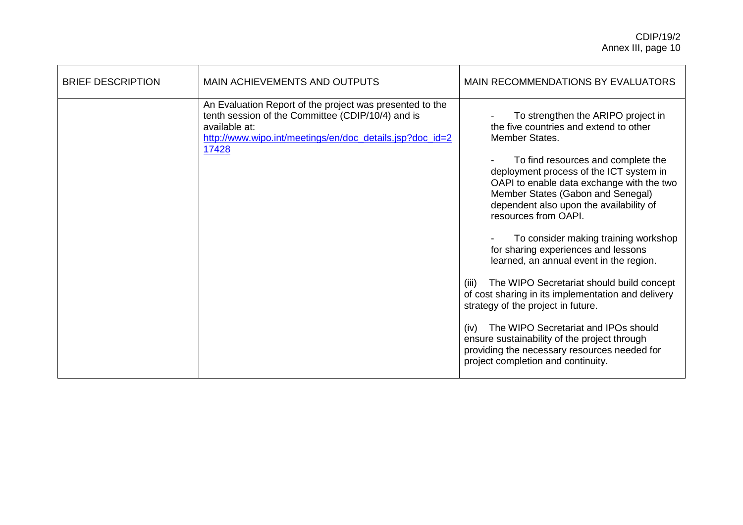| <b>BRIEF DESCRIPTION</b> | <b>MAIN ACHIEVEMENTS AND OUTPUTS</b>                                                                                                                                                                | MAIN RECOMMENDATIONS BY EVALUATORS                                                                                                                                                                                                                                                                                                                                                                                                                                                                                                                                                                                                                                                                                                                                                                     |
|--------------------------|-----------------------------------------------------------------------------------------------------------------------------------------------------------------------------------------------------|--------------------------------------------------------------------------------------------------------------------------------------------------------------------------------------------------------------------------------------------------------------------------------------------------------------------------------------------------------------------------------------------------------------------------------------------------------------------------------------------------------------------------------------------------------------------------------------------------------------------------------------------------------------------------------------------------------------------------------------------------------------------------------------------------------|
|                          | An Evaluation Report of the project was presented to the<br>tenth session of the Committee (CDIP/10/4) and is<br>available at:<br>http://www.wipo.int/meetings/en/doc_details.jsp?doc_id=2<br>17428 | To strengthen the ARIPO project in<br>the five countries and extend to other<br>Member States.<br>To find resources and complete the<br>deployment process of the ICT system in<br>OAPI to enable data exchange with the two<br>Member States (Gabon and Senegal)<br>dependent also upon the availability of<br>resources from OAPI.<br>To consider making training workshop<br>for sharing experiences and lessons<br>learned, an annual event in the region.<br>The WIPO Secretariat should build concept<br>(iii)<br>of cost sharing in its implementation and delivery<br>strategy of the project in future.<br>The WIPO Secretariat and IPOs should<br>(iv)<br>ensure sustainability of the project through<br>providing the necessary resources needed for<br>project completion and continuity. |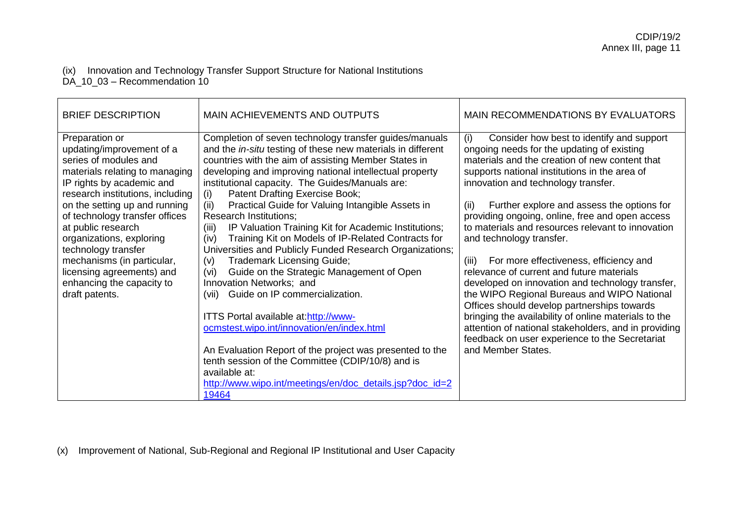### (ix) Innovation and Technology Transfer Support Structure for National Institutions DA\_10\_03 – Recommendation 10

| <b>BRIEF DESCRIPTION</b>                                                                                                                                                                                                                                                                                                                                                                                                      | <b>MAIN ACHIEVEMENTS AND OUTPUTS</b>                                                                                                                                                                                                                                                                                                                                                                                                                                                                                                                                                                                                                                                                                                                                                                                                                                                                                                                                                                                                                                                              | <b>MAIN RECOMMENDATIONS BY EVALUATORS</b>                                                                                                                                                                                                                                                                                                                                                                                                                                                                                                                                                                                                                                                                                                                                                                                                                                    |
|-------------------------------------------------------------------------------------------------------------------------------------------------------------------------------------------------------------------------------------------------------------------------------------------------------------------------------------------------------------------------------------------------------------------------------|---------------------------------------------------------------------------------------------------------------------------------------------------------------------------------------------------------------------------------------------------------------------------------------------------------------------------------------------------------------------------------------------------------------------------------------------------------------------------------------------------------------------------------------------------------------------------------------------------------------------------------------------------------------------------------------------------------------------------------------------------------------------------------------------------------------------------------------------------------------------------------------------------------------------------------------------------------------------------------------------------------------------------------------------------------------------------------------------------|------------------------------------------------------------------------------------------------------------------------------------------------------------------------------------------------------------------------------------------------------------------------------------------------------------------------------------------------------------------------------------------------------------------------------------------------------------------------------------------------------------------------------------------------------------------------------------------------------------------------------------------------------------------------------------------------------------------------------------------------------------------------------------------------------------------------------------------------------------------------------|
| Preparation or<br>updating/improvement of a<br>series of modules and<br>materials relating to managing<br>IP rights by academic and<br>research institutions, including<br>on the setting up and running<br>of technology transfer offices<br>at public research<br>organizations, exploring<br>technology transfer<br>mechanisms (in particular,<br>licensing agreements) and<br>enhancing the capacity to<br>draft patents. | Completion of seven technology transfer guides/manuals<br>and the in-situ testing of these new materials in different<br>countries with the aim of assisting Member States in<br>developing and improving national intellectual property<br>institutional capacity. The Guides/Manuals are:<br>Patent Drafting Exercise Book;<br>(i)<br>(ii)<br>Practical Guide for Valuing Intangible Assets in<br><b>Research Institutions;</b><br>IP Valuation Training Kit for Academic Institutions;<br>(iii)<br>Training Kit on Models of IP-Related Contracts for<br>(iv)<br>Universities and Publicly Funded Research Organizations;<br><b>Trademark Licensing Guide;</b><br>(v)<br>Guide on the Strategic Management of Open<br>(vi)<br>Innovation Networks; and<br>Guide on IP commercialization.<br>(vii)<br>ITTS Portal available at:http://www-<br>ocmstest.wipo.int/innovation/en/index.html<br>An Evaluation Report of the project was presented to the<br>tenth session of the Committee (CDIP/10/8) and is<br>available at:<br>http://www.wipo.int/meetings/en/doc_details.jsp?doc_id=2<br>19464 | Consider how best to identify and support<br>(i)<br>ongoing needs for the updating of existing<br>materials and the creation of new content that<br>supports national institutions in the area of<br>innovation and technology transfer.<br>Further explore and assess the options for<br>(ii)<br>providing ongoing, online, free and open access<br>to materials and resources relevant to innovation<br>and technology transfer.<br>For more effectiveness, efficiency and<br>(iii)<br>relevance of current and future materials<br>developed on innovation and technology transfer,<br>the WIPO Regional Bureaus and WIPO National<br>Offices should develop partnerships towards<br>bringing the availability of online materials to the<br>attention of national stakeholders, and in providing<br>feedback on user experience to the Secretariat<br>and Member States. |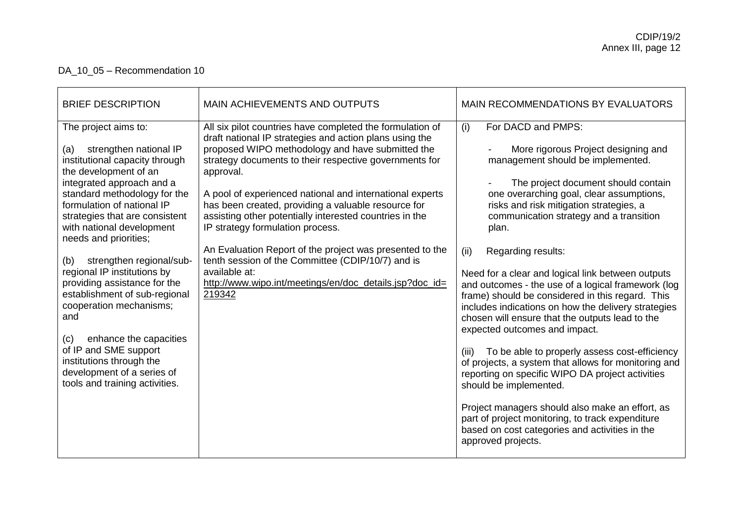# DA\_10\_05 – Recommendation 10

| For DACD and PMPS:<br>(i)<br>The project aims to:<br>All six pilot countries have completed the formulation of<br>draft national IP strategies and action plans using the<br>proposed WIPO methodology and have submitted the<br>strengthen national IP<br>More rigorous Project designing and<br>(a)<br>strategy documents to their respective governments for<br>institutional capacity through<br>management should be implemented.<br>the development of an<br>approval.<br>integrated approach and a<br>standard methodology for the<br>A pool of experienced national and international experts<br>one overarching goal, clear assumptions,<br>has been created, providing a valuable resource for<br>formulation of national IP<br>risks and risk mitigation strategies, a<br>assisting other potentially interested countries in the<br>strategies that are consistent<br>communication strategy and a transition<br>with national development<br>IP strategy formulation process.<br>plan.<br>needs and priorities;<br>An Evaluation Report of the project was presented to the<br>Regarding results:<br>(ii)<br>tenth session of the Committee (CDIP/10/7) and is<br>strengthen regional/sub-<br>(b)<br>regional IP institutions by<br>available at:<br>providing assistance for the<br>http://www.wipo.int/meetings/en/doc_details.jsp?doc_id= | <b>BRIEF DESCRIPTION</b>      | <b>MAIN ACHIEVEMENTS AND OUTPUTS</b> | MAIN RECOMMENDATIONS BY EVALUATORS                                                                                                                                                                                                                                                                                                                                                                                    |
|-----------------------------------------------------------------------------------------------------------------------------------------------------------------------------------------------------------------------------------------------------------------------------------------------------------------------------------------------------------------------------------------------------------------------------------------------------------------------------------------------------------------------------------------------------------------------------------------------------------------------------------------------------------------------------------------------------------------------------------------------------------------------------------------------------------------------------------------------------------------------------------------------------------------------------------------------------------------------------------------------------------------------------------------------------------------------------------------------------------------------------------------------------------------------------------------------------------------------------------------------------------------------------------------------------------------------------------------------------------|-------------------------------|--------------------------------------|-----------------------------------------------------------------------------------------------------------------------------------------------------------------------------------------------------------------------------------------------------------------------------------------------------------------------------------------------------------------------------------------------------------------------|
| cooperation mechanisms;<br>and<br>chosen will ensure that the outputs lead to the<br>expected outcomes and impact.<br>enhance the capacities<br>(c)<br>of IP and SME support<br>(iii)<br>institutions through the<br>development of a series of<br>reporting on specific WIPO DA project activities<br>tools and training activities.<br>should be implemented.<br>part of project monitoring, to track expenditure<br>based on cost categories and activities in the<br>approved projects.                                                                                                                                                                                                                                                                                                                                                                                                                                                                                                                                                                                                                                                                                                                                                                                                                                                               | establishment of sub-regional | 219342                               | The project document should contain<br>Need for a clear and logical link between outputs<br>and outcomes - the use of a logical framework (log<br>frame) should be considered in this regard. This<br>includes indications on how the delivery strategies<br>To be able to properly assess cost-efficiency<br>of projects, a system that allows for monitoring and<br>Project managers should also make an effort, as |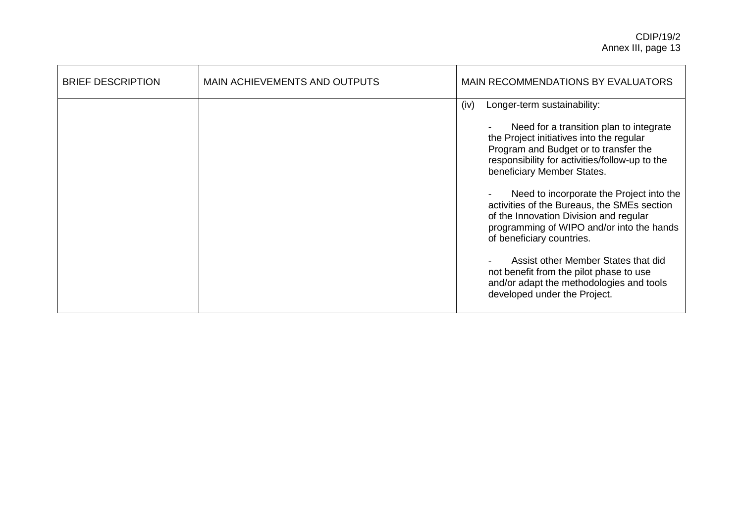| <b>BRIEF DESCRIPTION</b> | <b>MAIN ACHIEVEMENTS AND OUTPUTS</b> | <b>MAIN RECOMMENDATIONS BY EVALUATORS</b>                                                                                                                                                                                                                                                                                                                                                                                                                                                                                                                                                                                        |
|--------------------------|--------------------------------------|----------------------------------------------------------------------------------------------------------------------------------------------------------------------------------------------------------------------------------------------------------------------------------------------------------------------------------------------------------------------------------------------------------------------------------------------------------------------------------------------------------------------------------------------------------------------------------------------------------------------------------|
|                          |                                      | Longer-term sustainability:<br>(iv)<br>Need for a transition plan to integrate<br>the Project initiatives into the regular<br>Program and Budget or to transfer the<br>responsibility for activities/follow-up to the<br>beneficiary Member States.<br>Need to incorporate the Project into the<br>activities of the Bureaus, the SMEs section<br>of the Innovation Division and regular<br>programming of WIPO and/or into the hands<br>of beneficiary countries.<br>Assist other Member States that did<br>not benefit from the pilot phase to use<br>and/or adapt the methodologies and tools<br>developed under the Project. |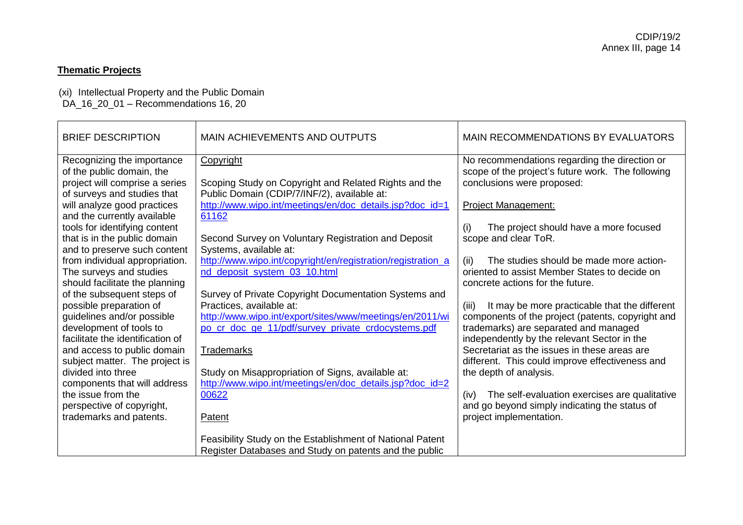## **Thematic Projects**

(xi) Intellectual Property and the Public Domain DA\_16\_20\_01 – Recommendations 16, 20

| <b>BRIEF DESCRIPTION</b>         | <b>MAIN ACHIEVEMENTS AND OUTPUTS</b>                         | <b>MAIN RECOMMENDATIONS BY EVALUATORS</b>              |
|----------------------------------|--------------------------------------------------------------|--------------------------------------------------------|
| Recognizing the importance       | Copyright                                                    | No recommendations regarding the direction or          |
| of the public domain, the        |                                                              | scope of the project's future work. The following      |
| project will comprise a series   | Scoping Study on Copyright and Related Rights and the        | conclusions were proposed:                             |
| of surveys and studies that      | Public Domain (CDIP/7/INF/2), available at:                  |                                                        |
| will analyze good practices      | http://www.wipo.int/meetings/en/doc_details.jsp?doc_id=1     | <b>Project Management:</b>                             |
| and the currently available      | 61162                                                        |                                                        |
| tools for identifying content    |                                                              | The project should have a more focused<br>(i)          |
| that is in the public domain     | Second Survey on Voluntary Registration and Deposit          | scope and clear ToR.                                   |
| and to preserve such content     | Systems, available at:                                       |                                                        |
| from individual appropriation.   | http://www.wipo.int/copyright/en/registration/registration_a | The studies should be made more action-<br>(ii)        |
| The surveys and studies          | nd_deposit_system_03_10.html                                 | oriented to assist Member States to decide on          |
| should facilitate the planning   |                                                              | concrete actions for the future.                       |
| of the subsequent steps of       | Survey of Private Copyright Documentation Systems and        |                                                        |
| possible preparation of          | Practices, available at:                                     | It may be more practicable that the different<br>(iii) |
| guidelines and/or possible       | http://www.wipo.int/export/sites/www/meetings/en/2011/wi     | components of the project (patents, copyright and      |
| development of tools to          | po_cr_doc_ge_11/pdf/survey_private_crdocystems.pdf           | trademarks) are separated and managed                  |
| facilitate the identification of |                                                              | independently by the relevant Sector in the            |
| and access to public domain      | <b>Trademarks</b>                                            | Secretariat as the issues in these areas are           |
| subject matter. The project is   |                                                              | different. This could improve effectiveness and        |
| divided into three               | Study on Misappropriation of Signs, available at:            | the depth of analysis.                                 |
| components that will address     | http://www.wipo.int/meetings/en/doc_details.jsp?doc_id=2     |                                                        |
| the issue from the               | 00622                                                        | The self-evaluation exercises are qualitative<br>(iv)  |
| perspective of copyright,        |                                                              | and go beyond simply indicating the status of          |
| trademarks and patents.          | Patent                                                       | project implementation.                                |
|                                  |                                                              |                                                        |
|                                  | Feasibility Study on the Establishment of National Patent    |                                                        |
|                                  | Register Databases and Study on patents and the public       |                                                        |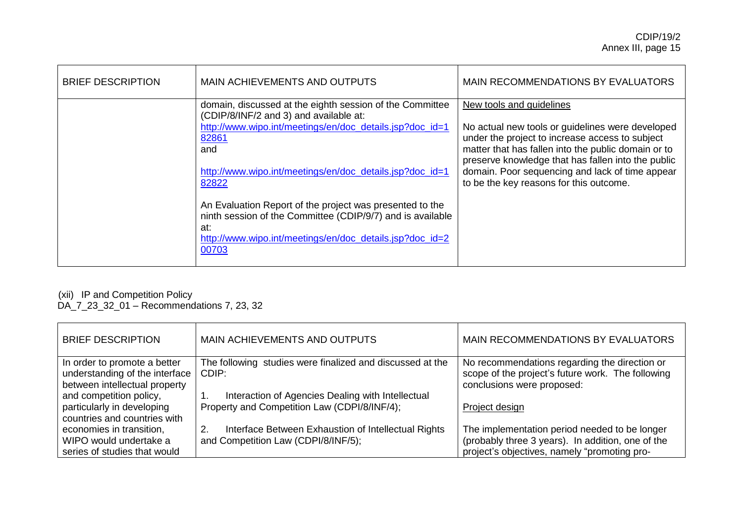| <b>BRIEF DESCRIPTION</b> | MAIN ACHIEVEMENTS AND OUTPUTS                                                                                                                                                                                                                                                                                                                                                                                                                             | MAIN RECOMMENDATIONS BY EVALUATORS                                                                                                                                                                                                                                                                                                         |
|--------------------------|-----------------------------------------------------------------------------------------------------------------------------------------------------------------------------------------------------------------------------------------------------------------------------------------------------------------------------------------------------------------------------------------------------------------------------------------------------------|--------------------------------------------------------------------------------------------------------------------------------------------------------------------------------------------------------------------------------------------------------------------------------------------------------------------------------------------|
|                          | domain, discussed at the eighth session of the Committee<br>(CDIP/8/INF/2 and 3) and available at:<br>http://www.wipo.int/meetings/en/doc_details.jsp?doc_id=1<br>82861<br>and<br>http://www.wipo.int/meetings/en/doc_details.jsp?doc_id=1<br>82822<br>An Evaluation Report of the project was presented to the<br>ninth session of the Committee (CDIP/9/7) and is available<br>at:<br>http://www.wipo.int/meetings/en/doc_details.jsp?doc_id=2<br>00703 | New tools and guidelines<br>No actual new tools or guidelines were developed<br>under the project to increase access to subject<br>matter that has fallen into the public domain or to<br>preserve knowledge that has fallen into the public<br>domain. Poor sequencing and lack of time appear<br>to be the key reasons for this outcome. |

### (xii) IP and Competition Policy

DA\_7\_23\_32\_01 – Recommendations 7, 23, 32

| <b>BRIEF DESCRIPTION</b>       | MAIN ACHIEVEMENTS AND OUTPUTS                             | MAIN RECOMMENDATIONS BY EVALUATORS                |
|--------------------------------|-----------------------------------------------------------|---------------------------------------------------|
| In order to promote a better   | The following studies were finalized and discussed at the | No recommendations regarding the direction or     |
| understanding of the interface | CDIP:                                                     | scope of the project's future work. The following |
| between intellectual property  |                                                           | conclusions were proposed:                        |
| and competition policy,        | Interaction of Agencies Dealing with Intellectual         |                                                   |
| particularly in developing     | Property and Competition Law (CDPI/8/INF/4);              | Project design                                    |
| countries and countries with   |                                                           |                                                   |
| economies in transition,       | 2.<br>Interface Between Exhaustion of Intellectual Rights | The implementation period needed to be longer     |
| WIPO would undertake a         | and Competition Law (CDPI/8/INF/5);                       | (probably three 3 years). In addition, one of the |
| series of studies that would   |                                                           | project's objectives, namely "promoting pro-      |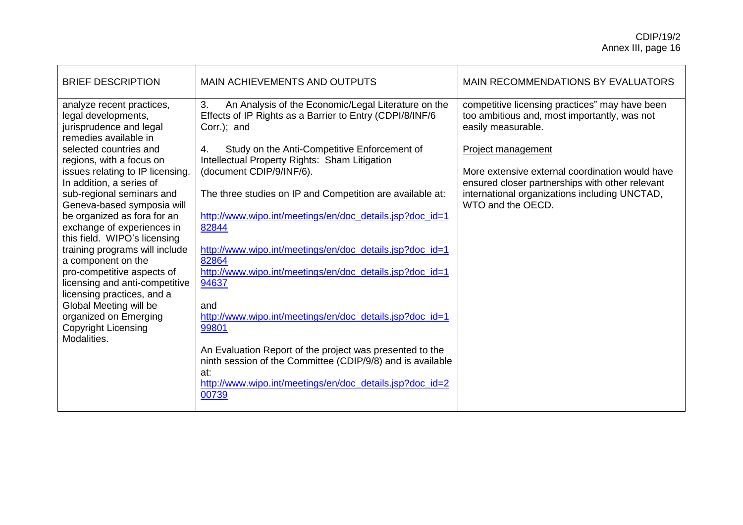| <b>BRIEF DESCRIPTION</b>                                                                                                                                                                                                                                                                                                                                                                                             | <b>MAIN ACHIEVEMENTS AND OUTPUTS</b>                                                                                                                                                                                                                                                                                                                                                                                                                                  | MAIN RECOMMENDATIONS BY EVALUATORS                                                                                                                                                                                                                                                                                     |
|----------------------------------------------------------------------------------------------------------------------------------------------------------------------------------------------------------------------------------------------------------------------------------------------------------------------------------------------------------------------------------------------------------------------|-----------------------------------------------------------------------------------------------------------------------------------------------------------------------------------------------------------------------------------------------------------------------------------------------------------------------------------------------------------------------------------------------------------------------------------------------------------------------|------------------------------------------------------------------------------------------------------------------------------------------------------------------------------------------------------------------------------------------------------------------------------------------------------------------------|
| analyze recent practices,<br>legal developments,<br>jurisprudence and legal<br>remedies available in<br>selected countries and<br>regions, with a focus on<br>issues relating to IP licensing.<br>In addition, a series of<br>sub-regional seminars and<br>Geneva-based symposia will<br>be organized as fora for an<br>exchange of experiences in<br>this field. WIPO's licensing<br>training programs will include | 3.<br>An Analysis of the Economic/Legal Literature on the<br>Effects of IP Rights as a Barrier to Entry (CDPI/8/INF/6<br>Corr.); and<br>Study on the Anti-Competitive Enforcement of<br>4.<br>Intellectual Property Rights: Sham Litigation<br>(document CDIP/9/INF/6).<br>The three studies on IP and Competition are available at:<br>http://www.wipo.int/meetings/en/doc_details.jsp?doc_id=1<br>82844<br>http://www.wipo.int/meetings/en/doc_details.jsp?doc_id=1 | competitive licensing practices" may have been<br>too ambitious and, most importantly, was not<br>easily measurable.<br>Project management<br>More extensive external coordination would have<br>ensured closer partnerships with other relevant<br>international organizations including UNCTAD,<br>WTO and the OECD. |
| a component on the<br>pro-competitive aspects of<br>licensing and anti-competitive<br>licensing practices, and a<br>Global Meeting will be<br>organized on Emerging<br><b>Copyright Licensing</b><br>Modalities.                                                                                                                                                                                                     | 82864<br>http://www.wipo.int/meetings/en/doc_details.jsp?doc_id=1<br>94637<br>and<br>http://www.wipo.int/meetings/en/doc_details.jsp?doc_id=1<br>99801<br>An Evaluation Report of the project was presented to the<br>ninth session of the Committee (CDIP/9/8) and is available<br>at:<br>http://www.wipo.int/meetings/en/doc_details.jsp?doc_id=2<br>00739                                                                                                          |                                                                                                                                                                                                                                                                                                                        |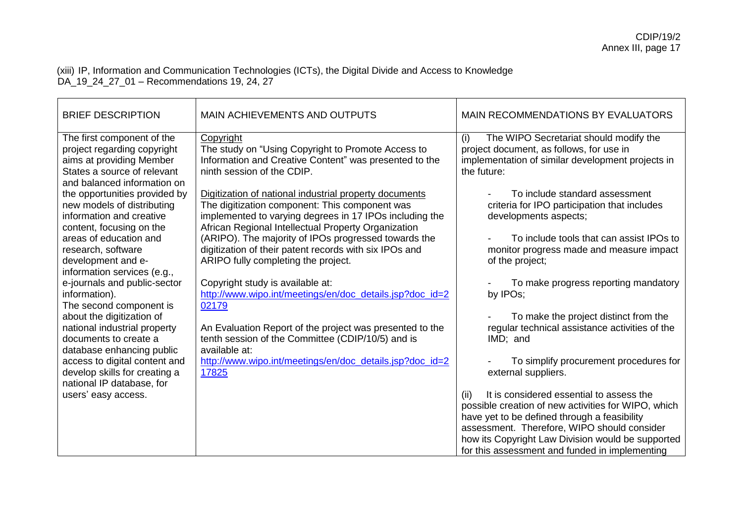(xiii) IP, Information and Communication Technologies (ICTs), the Digital Divide and Access to Knowledge DA\_19\_24\_27\_01 – Recommendations 19, 24, 27

| <b>BRIEF DESCRIPTION</b>                                                                                                                            | <b>MAIN ACHIEVEMENTS AND OUTPUTS</b>                                                                                                                                                                                       | MAIN RECOMMENDATIONS BY EVALUATORS                                                                                                                                                                                                                          |
|-----------------------------------------------------------------------------------------------------------------------------------------------------|----------------------------------------------------------------------------------------------------------------------------------------------------------------------------------------------------------------------------|-------------------------------------------------------------------------------------------------------------------------------------------------------------------------------------------------------------------------------------------------------------|
| The first component of the<br>project regarding copyright<br>aims at providing Member<br>States a source of relevant<br>and balanced information on | Copyright<br>The study on "Using Copyright to Promote Access to<br>Information and Creative Content" was presented to the<br>ninth session of the CDIP.                                                                    | The WIPO Secretariat should modify the<br>(i)<br>project document, as follows, for use in<br>implementation of similar development projects in<br>the future:                                                                                               |
| the opportunities provided by<br>new models of distributing<br>information and creative<br>content, focusing on the                                 | Digitization of national industrial property documents<br>The digitization component: This component was<br>implemented to varying degrees in 17 IPOs including the<br>African Regional Intellectual Property Organization | To include standard assessment<br>criteria for IPO participation that includes<br>developments aspects;                                                                                                                                                     |
| areas of education and<br>research, software<br>development and e-<br>information services (e.g.,                                                   | (ARIPO). The majority of IPOs progressed towards the<br>digitization of their patent records with six IPOs and<br>ARIPO fully completing the project.                                                                      | To include tools that can assist IPOs to<br>monitor progress made and measure impact<br>of the project;                                                                                                                                                     |
| e-journals and public-sector<br>information).<br>The second component is                                                                            | Copyright study is available at:<br>http://www.wipo.int/meetings/en/doc_details.jsp?doc_id=2<br>02179                                                                                                                      | To make progress reporting mandatory<br>by IPOs;                                                                                                                                                                                                            |
| about the digitization of<br>national industrial property<br>documents to create a<br>database enhancing public                                     | An Evaluation Report of the project was presented to the<br>tenth session of the Committee (CDIP/10/5) and is<br>available at:                                                                                             | To make the project distinct from the<br>regular technical assistance activities of the<br>IMD; and                                                                                                                                                         |
| access to digital content and<br>develop skills for creating a<br>national IP database, for                                                         | http://www.wipo.int/meetings/en/doc_details.jsp?doc_id=2<br>17825                                                                                                                                                          | To simplify procurement procedures for<br>external suppliers.                                                                                                                                                                                               |
| users' easy access.                                                                                                                                 |                                                                                                                                                                                                                            | It is considered essential to assess the<br>(ii)<br>possible creation of new activities for WIPO, which<br>have yet to be defined through a feasibility<br>assessment. Therefore, WIPO should consider<br>how its Copyright Law Division would be supported |
|                                                                                                                                                     |                                                                                                                                                                                                                            | for this assessment and funded in implementing                                                                                                                                                                                                              |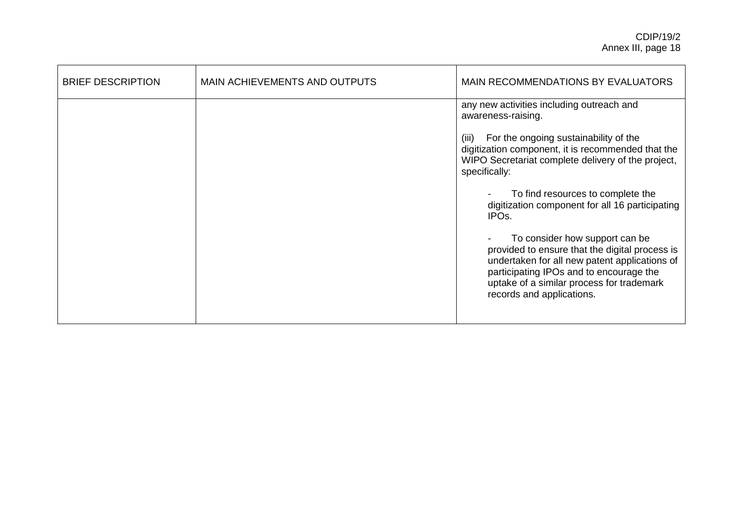| <b>BRIEF DESCRIPTION</b> | MAIN ACHIEVEMENTS AND OUTPUTS | <b>MAIN RECOMMENDATIONS BY EVALUATORS</b>                                                                                                                                                                                                                                                                                                                                                                                                                                                                                                                                                                              |
|--------------------------|-------------------------------|------------------------------------------------------------------------------------------------------------------------------------------------------------------------------------------------------------------------------------------------------------------------------------------------------------------------------------------------------------------------------------------------------------------------------------------------------------------------------------------------------------------------------------------------------------------------------------------------------------------------|
|                          |                               | any new activities including outreach and<br>awareness-raising.<br>For the ongoing sustainability of the<br>(iii)<br>digitization component, it is recommended that the<br>WIPO Secretariat complete delivery of the project,<br>specifically:<br>To find resources to complete the<br>digitization component for all 16 participating<br>IPO <sub>s</sub> .<br>To consider how support can be<br>provided to ensure that the digital process is<br>undertaken for all new patent applications of<br>participating IPOs and to encourage the<br>uptake of a similar process for trademark<br>records and applications. |
|                          |                               |                                                                                                                                                                                                                                                                                                                                                                                                                                                                                                                                                                                                                        |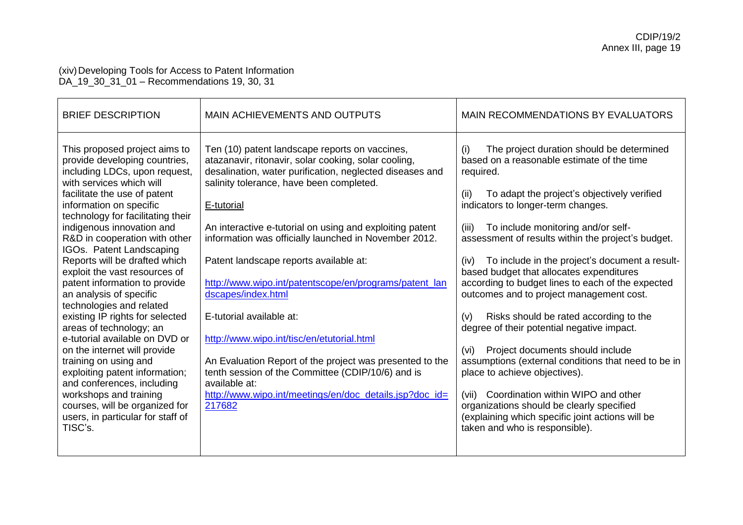### (xiv)Developing Tools for Access to Patent Information DA\_19\_30\_31\_01 – Recommendations 19, 30, 31

| <b>BRIEF DESCRIPTION</b>                                                                                                                                                                                                                                                                                                                                                                                                                                                                                                                                                                                                                                                                                                                                                                                             | <b>MAIN ACHIEVEMENTS AND OUTPUTS</b>                                                                                                                                                                                                                                                                                                                                                                                                                                                                                                                                                                                                                                                                                                                         | <b>MAIN RECOMMENDATIONS BY EVALUATORS</b>                                                                                                                                                                                                                                                                                                                                                                                                                                                                                                                                                                                                                                                                                                                                                                                                                                                                                                 |
|----------------------------------------------------------------------------------------------------------------------------------------------------------------------------------------------------------------------------------------------------------------------------------------------------------------------------------------------------------------------------------------------------------------------------------------------------------------------------------------------------------------------------------------------------------------------------------------------------------------------------------------------------------------------------------------------------------------------------------------------------------------------------------------------------------------------|--------------------------------------------------------------------------------------------------------------------------------------------------------------------------------------------------------------------------------------------------------------------------------------------------------------------------------------------------------------------------------------------------------------------------------------------------------------------------------------------------------------------------------------------------------------------------------------------------------------------------------------------------------------------------------------------------------------------------------------------------------------|-------------------------------------------------------------------------------------------------------------------------------------------------------------------------------------------------------------------------------------------------------------------------------------------------------------------------------------------------------------------------------------------------------------------------------------------------------------------------------------------------------------------------------------------------------------------------------------------------------------------------------------------------------------------------------------------------------------------------------------------------------------------------------------------------------------------------------------------------------------------------------------------------------------------------------------------|
| This proposed project aims to<br>provide developing countries,<br>including LDCs, upon request,<br>with services which will<br>facilitate the use of patent<br>information on specific<br>technology for facilitating their<br>indigenous innovation and<br>R&D in cooperation with other<br>IGOs. Patent Landscaping<br>Reports will be drafted which<br>exploit the vast resources of<br>patent information to provide<br>an analysis of specific<br>technologies and related<br>existing IP rights for selected<br>areas of technology; an<br>e-tutorial available on DVD or<br>on the internet will provide<br>training on using and<br>exploiting patent information;<br>and conferences, including<br>workshops and training<br>courses, will be organized for<br>users, in particular for staff of<br>TISC's. | Ten (10) patent landscape reports on vaccines,<br>atazanavir, ritonavir, solar cooking, solar cooling,<br>desalination, water purification, neglected diseases and<br>salinity tolerance, have been completed.<br>E-tutorial<br>An interactive e-tutorial on using and exploiting patent<br>information was officially launched in November 2012.<br>Patent landscape reports available at:<br>http://www.wipo.int/patentscope/en/programs/patent_lan<br>dscapes/index.html<br>E-tutorial available at:<br>http://www.wipo.int/tisc/en/etutorial.html<br>An Evaluation Report of the project was presented to the<br>tenth session of the Committee (CDIP/10/6) and is<br>available at:<br>http://www.wipo.int/meetings/en/doc_details.jsp?doc_id=<br>217682 | The project duration should be determined<br>(i)<br>based on a reasonable estimate of the time<br>required.<br>To adapt the project's objectively verified<br>(ii)<br>indicators to longer-term changes.<br>To include monitoring and/or self-<br>(iii)<br>assessment of results within the project's budget.<br>To include in the project's document a result-<br>(iv)<br>based budget that allocates expenditures<br>according to budget lines to each of the expected<br>outcomes and to project management cost.<br>Risks should be rated according to the<br>(v)<br>degree of their potential negative impact.<br>Project documents should include<br>(vi)<br>assumptions (external conditions that need to be in<br>place to achieve objectives).<br>Coordination within WIPO and other<br>(vii)<br>organizations should be clearly specified<br>(explaining which specific joint actions will be<br>taken and who is responsible). |
|                                                                                                                                                                                                                                                                                                                                                                                                                                                                                                                                                                                                                                                                                                                                                                                                                      |                                                                                                                                                                                                                                                                                                                                                                                                                                                                                                                                                                                                                                                                                                                                                              |                                                                                                                                                                                                                                                                                                                                                                                                                                                                                                                                                                                                                                                                                                                                                                                                                                                                                                                                           |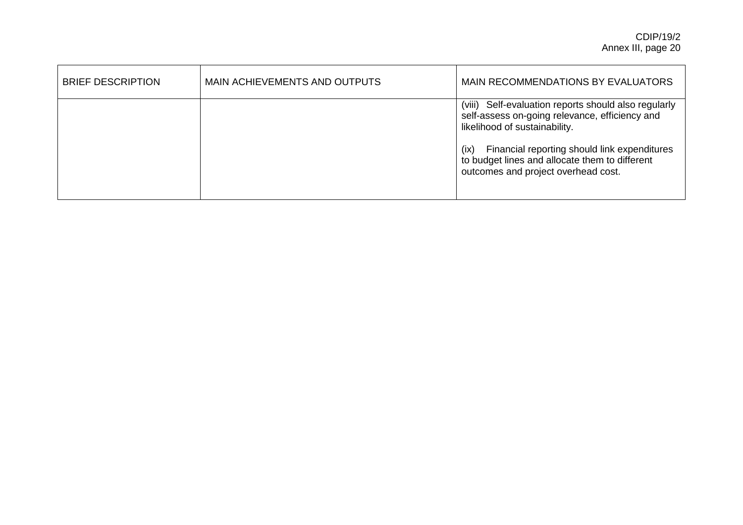| <b>BRIEF DESCRIPTION</b> | MAIN ACHIEVEMENTS AND OUTPUTS | MAIN RECOMMENDATIONS BY EVALUATORS                                                                                                            |
|--------------------------|-------------------------------|-----------------------------------------------------------------------------------------------------------------------------------------------|
|                          |                               | (viii) Self-evaluation reports should also regularly<br>self-assess on-going relevance, efficiency and<br>likelihood of sustainability.       |
|                          |                               | Financial reporting should link expenditures<br>(ix)<br>to budget lines and allocate them to different<br>outcomes and project overhead cost. |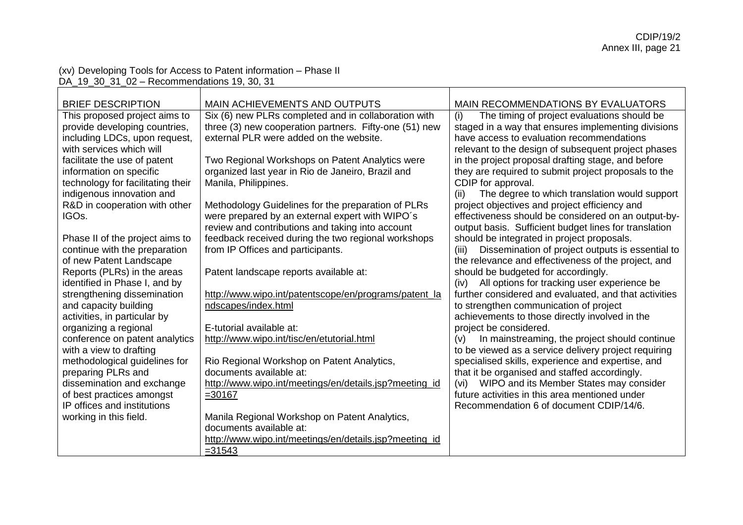# (xv) Developing Tools for Access to Patent information – Phase II

| DA_19_30_31_02 - Recommendations 19, 30, 31                                                                                                                                                                                                                                                                                                                                                                                                      |                                                                                                                                                                                                                                                                                                                                                                                                                                                                                                                                                    |                                                                                                                                                                                                                                                                                                                                                                                                                                                                                                                                                                                                                                                                                                        |  |  |
|--------------------------------------------------------------------------------------------------------------------------------------------------------------------------------------------------------------------------------------------------------------------------------------------------------------------------------------------------------------------------------------------------------------------------------------------------|----------------------------------------------------------------------------------------------------------------------------------------------------------------------------------------------------------------------------------------------------------------------------------------------------------------------------------------------------------------------------------------------------------------------------------------------------------------------------------------------------------------------------------------------------|--------------------------------------------------------------------------------------------------------------------------------------------------------------------------------------------------------------------------------------------------------------------------------------------------------------------------------------------------------------------------------------------------------------------------------------------------------------------------------------------------------------------------------------------------------------------------------------------------------------------------------------------------------------------------------------------------------|--|--|
| <b>BRIEF DESCRIPTION</b>                                                                                                                                                                                                                                                                                                                                                                                                                         | MAIN ACHIEVEMENTS AND OUTPUTS                                                                                                                                                                                                                                                                                                                                                                                                                                                                                                                      | MAIN RECOMMENDATIONS BY EVALUATORS                                                                                                                                                                                                                                                                                                                                                                                                                                                                                                                                                                                                                                                                     |  |  |
| This proposed project aims to<br>provide developing countries,<br>including LDCs, upon request,<br>with services which will<br>facilitate the use of patent<br>information on specific<br>technology for facilitating their<br>indigenous innovation and<br>R&D in cooperation with other<br>IGO <sub>s.</sub><br>Phase II of the project aims to<br>continue with the preparation                                                               | Six (6) new PLRs completed and in collaboration with<br>three (3) new cooperation partners. Fifty-one (51) new<br>external PLR were added on the website.<br>Two Regional Workshops on Patent Analytics were<br>organized last year in Rio de Janeiro, Brazil and<br>Manila, Philippines.<br>Methodology Guidelines for the preparation of PLRs<br>were prepared by an external expert with WIPO's<br>review and contributions and taking into account<br>feedback received during the two regional workshops<br>from IP Offices and participants. | The timing of project evaluations should be<br>(i)<br>staged in a way that ensures implementing divisions<br>have access to evaluation recommendations<br>relevant to the design of subsequent project phases<br>in the project proposal drafting stage, and before<br>they are required to submit project proposals to the<br>CDIP for approval.<br>The degree to which translation would support<br>(ii)<br>project objectives and project efficiency and<br>effectiveness should be considered on an output-by-<br>output basis. Sufficient budget lines for translation<br>should be integrated in project proposals.<br>Dissemination of project outputs is essential to<br>(iii)                 |  |  |
| of new Patent Landscape<br>Reports (PLRs) in the areas<br>identified in Phase I, and by<br>strengthening dissemination<br>and capacity building<br>activities, in particular by<br>organizing a regional<br>conference on patent analytics<br>with a view to drafting<br>methodological guidelines for<br>preparing PLRs and<br>dissemination and exchange<br>of best practices amongst<br>IP offices and institutions<br>working in this field. | Patent landscape reports available at:<br>http://www.wipo.int/patentscope/en/programs/patent_la<br>ndscapes/index.html<br>E-tutorial available at:<br>http://www.wipo.int/tisc/en/etutorial.html<br>Rio Regional Workshop on Patent Analytics,<br>documents available at:<br>http://www.wipo.int/meetings/en/details.jsp?meeting_id<br>$= 30167$<br>Manila Regional Workshop on Patent Analytics,                                                                                                                                                  | the relevance and effectiveness of the project, and<br>should be budgeted for accordingly.<br>All options for tracking user experience be<br>(iv)<br>further considered and evaluated, and that activities<br>to strengthen communication of project<br>achievements to those directly involved in the<br>project be considered.<br>In mainstreaming, the project should continue<br>(v)<br>to be viewed as a service delivery project requiring<br>specialised skills, experience and expertise, and<br>that it be organised and staffed accordingly.<br>WIPO and its Member States may consider<br>(vi)<br>future activities in this area mentioned under<br>Recommendation 6 of document CDIP/14/6. |  |  |
|                                                                                                                                                                                                                                                                                                                                                                                                                                                  | documents available at:<br>http://www.wipo.int/meetings/en/details.jsp?meeting_id<br>$= 31543$                                                                                                                                                                                                                                                                                                                                                                                                                                                     |                                                                                                                                                                                                                                                                                                                                                                                                                                                                                                                                                                                                                                                                                                        |  |  |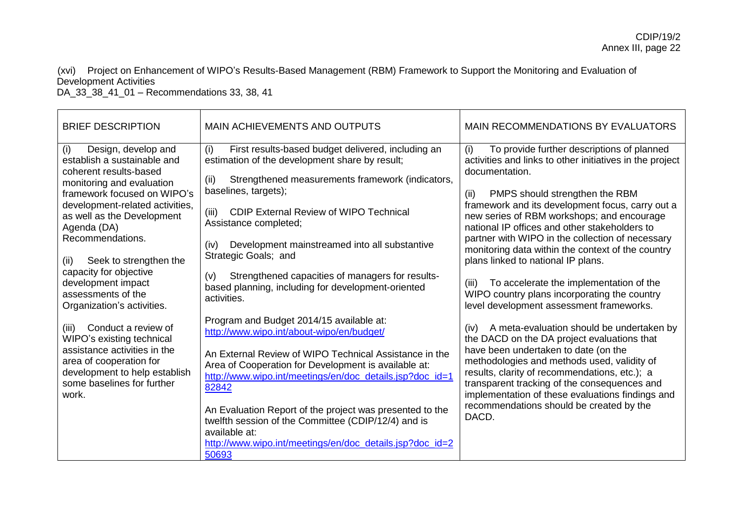(xvi) Project on Enhancement of WIPO's Results-Based Management (RBM) Framework to Support the Monitoring and Evaluation of Development Activities

DA\_33\_38\_41\_01 – Recommendations 33, 38, 41

| <b>BRIEF DESCRIPTION</b>                                                                                                                                                                                                                                                                                                                                    | MAIN ACHIEVEMENTS AND OUTPUTS                                                                                                                                                                                                                                                                                                                                                                                                                                                                       | <b>MAIN RECOMMENDATIONS BY EVALUATORS</b>                                                                                                                                                                                                                                                                                                                                                                                                                                                                                                                                       |
|-------------------------------------------------------------------------------------------------------------------------------------------------------------------------------------------------------------------------------------------------------------------------------------------------------------------------------------------------------------|-----------------------------------------------------------------------------------------------------------------------------------------------------------------------------------------------------------------------------------------------------------------------------------------------------------------------------------------------------------------------------------------------------------------------------------------------------------------------------------------------------|---------------------------------------------------------------------------------------------------------------------------------------------------------------------------------------------------------------------------------------------------------------------------------------------------------------------------------------------------------------------------------------------------------------------------------------------------------------------------------------------------------------------------------------------------------------------------------|
| (i)<br>Design, develop and<br>establish a sustainable and<br>coherent results-based<br>monitoring and evaluation<br>framework focused on WIPO's<br>development-related activities,<br>as well as the Development<br>Agenda (DA)<br>Recommendations.<br>Seek to strengthen the<br>(ii)<br>capacity for objective<br>development impact<br>assessments of the | First results-based budget delivered, including an<br>(i)<br>estimation of the development share by result;<br>Strengthened measurements framework (indicators,<br>(ii)<br>baselines, targets);<br>(iii)<br><b>CDIP External Review of WIPO Technical</b><br>Assistance completed;<br>Development mainstreamed into all substantive<br>(iv)<br>Strategic Goals; and<br>Strengthened capacities of managers for results-<br>(v)<br>based planning, including for development-oriented<br>activities. | To provide further descriptions of planned<br>(i)<br>activities and links to other initiatives in the project<br>documentation.<br>PMPS should strengthen the RBM<br>(ii)<br>framework and its development focus, carry out a<br>new series of RBM workshops; and encourage<br>national IP offices and other stakeholders to<br>partner with WIPO in the collection of necessary<br>monitoring data within the context of the country<br>plans linked to national IP plans.<br>(iii)<br>To accelerate the implementation of the<br>WIPO country plans incorporating the country |
| Organization's activities.<br>Conduct a review of<br>(iii)<br>WIPO's existing technical<br>assistance activities in the<br>area of cooperation for<br>development to help establish<br>some baselines for further<br>work.                                                                                                                                  | Program and Budget 2014/15 available at:<br>http://www.wipo.int/about-wipo/en/budget/<br>An External Review of WIPO Technical Assistance in the<br>Area of Cooperation for Development is available at:<br>http://www.wipo.int/meetings/en/doc_details.jsp?doc_id=1<br>82842<br>An Evaluation Report of the project was presented to the<br>twelfth session of the Committee (CDIP/12/4) and is<br>available at:<br>http://www.wipo.int/meetings/en/doc_details.jsp?doc_id=2<br>50693               | level development assessment frameworks.<br>A meta-evaluation should be undertaken by<br>(iv)<br>the DACD on the DA project evaluations that<br>have been undertaken to date (on the<br>methodologies and methods used, validity of<br>results, clarity of recommendations, etc.); a<br>transparent tracking of the consequences and<br>implementation of these evaluations findings and<br>recommendations should be created by the<br>DACD.                                                                                                                                   |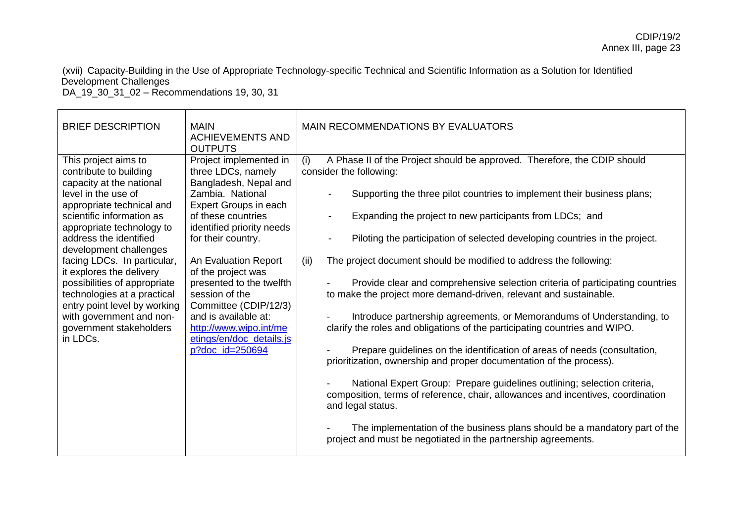(xvii) Capacity-Building in the Use of Appropriate Technology-specific Technical and Scientific Information as a Solution for Identified Development Challenges

DA\_19\_30\_31\_02 – Recommendations 19, 30, 31

| <b>BRIEF DESCRIPTION</b>                                                                                                                                                                                                                                                                                                                                                                                                                                                  | <b>MAIN</b><br><b>ACHIEVEMENTS AND</b><br><b>OUTPUTS</b>                                                                                                                                                                                                                                                                                                                                                          | MAIN RECOMMENDATIONS BY EVALUATORS                                                                                                                                                                                                                                                                                                                                                                                                                                                                                                                                                                                                                                                                                                                                                                                                                                                                                                                                                                                                                                 |
|---------------------------------------------------------------------------------------------------------------------------------------------------------------------------------------------------------------------------------------------------------------------------------------------------------------------------------------------------------------------------------------------------------------------------------------------------------------------------|-------------------------------------------------------------------------------------------------------------------------------------------------------------------------------------------------------------------------------------------------------------------------------------------------------------------------------------------------------------------------------------------------------------------|--------------------------------------------------------------------------------------------------------------------------------------------------------------------------------------------------------------------------------------------------------------------------------------------------------------------------------------------------------------------------------------------------------------------------------------------------------------------------------------------------------------------------------------------------------------------------------------------------------------------------------------------------------------------------------------------------------------------------------------------------------------------------------------------------------------------------------------------------------------------------------------------------------------------------------------------------------------------------------------------------------------------------------------------------------------------|
| This project aims to<br>contribute to building<br>capacity at the national<br>level in the use of<br>appropriate technical and<br>scientific information as<br>appropriate technology to<br>address the identified<br>development challenges<br>facing LDCs. In particular,<br>it explores the delivery<br>possibilities of appropriate<br>technologies at a practical<br>entry point level by working<br>with government and non-<br>government stakeholders<br>in LDCs. | Project implemented in<br>three LDCs, namely<br>Bangladesh, Nepal and<br>Zambia. National<br>Expert Groups in each<br>of these countries<br>identified priority needs<br>for their country.<br>An Evaluation Report<br>of the project was<br>presented to the twelfth<br>session of the<br>Committee (CDIP/12/3)<br>and is available at:<br>http://www.wipo.int/me<br>etings/en/doc_details.js<br>p?doc_id=250694 | (i)<br>A Phase II of the Project should be approved. Therefore, the CDIP should<br>consider the following:<br>Supporting the three pilot countries to implement their business plans;<br>Expanding the project to new participants from LDCs; and<br>Piloting the participation of selected developing countries in the project.<br>The project document should be modified to address the following:<br>(ii)<br>Provide clear and comprehensive selection criteria of participating countries<br>to make the project more demand-driven, relevant and sustainable.<br>Introduce partnership agreements, or Memorandums of Understanding, to<br>clarify the roles and obligations of the participating countries and WIPO.<br>Prepare guidelines on the identification of areas of needs (consultation,<br>prioritization, ownership and proper documentation of the process).<br>National Expert Group: Prepare guidelines outlining; selection criteria,<br>composition, terms of reference, chair, allowances and incentives, coordination<br>and legal status. |
|                                                                                                                                                                                                                                                                                                                                                                                                                                                                           |                                                                                                                                                                                                                                                                                                                                                                                                                   | The implementation of the business plans should be a mandatory part of the<br>project and must be negotiated in the partnership agreements.                                                                                                                                                                                                                                                                                                                                                                                                                                                                                                                                                                                                                                                                                                                                                                                                                                                                                                                        |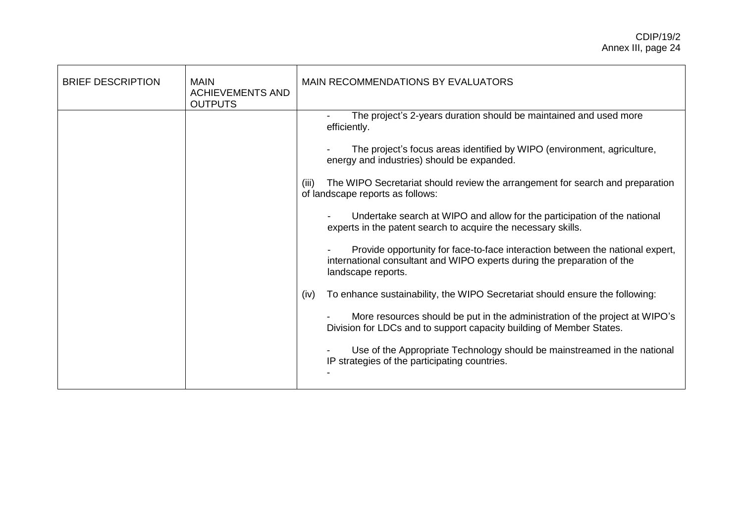| <b>BRIEF DESCRIPTION</b> | <b>MAIN</b><br><b>ACHIEVEMENTS AND</b><br><b>OUTPUTS</b> | <b>MAIN RECOMMENDATIONS BY EVALUATORS</b>                                                                                                                                      |
|--------------------------|----------------------------------------------------------|--------------------------------------------------------------------------------------------------------------------------------------------------------------------------------|
|                          |                                                          | The project's 2-years duration should be maintained and used more<br>efficiently.                                                                                              |
|                          |                                                          | The project's focus areas identified by WIPO (environment, agriculture,<br>energy and industries) should be expanded.                                                          |
|                          |                                                          | The WIPO Secretariat should review the arrangement for search and preparation<br>(iii)<br>of landscape reports as follows:                                                     |
|                          |                                                          | Undertake search at WIPO and allow for the participation of the national<br>experts in the patent search to acquire the necessary skills.                                      |
|                          |                                                          | Provide opportunity for face-to-face interaction between the national expert,<br>international consultant and WIPO experts during the preparation of the<br>landscape reports. |
|                          |                                                          | To enhance sustainability, the WIPO Secretariat should ensure the following:<br>(iv)                                                                                           |
|                          |                                                          | More resources should be put in the administration of the project at WIPO's<br>Division for LDCs and to support capacity building of Member States.                            |
|                          |                                                          | Use of the Appropriate Technology should be mainstreamed in the national<br>IP strategies of the participating countries.                                                      |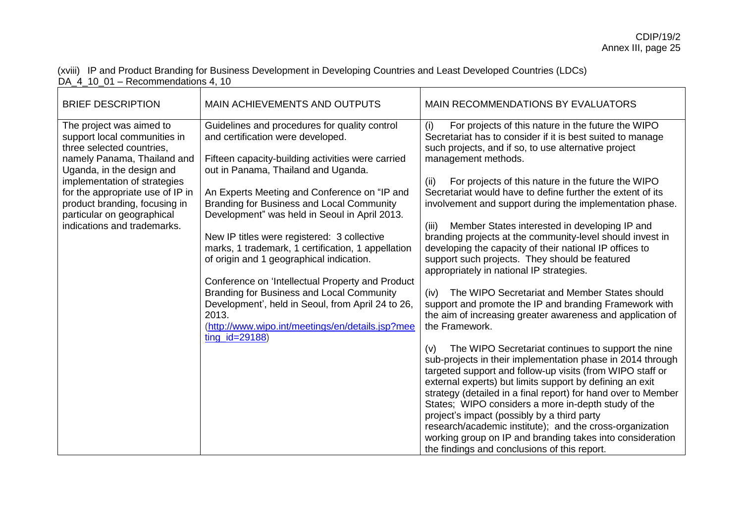(xviii) IP and Product Branding for Business Development in Developing Countries and Least Developed Countries (LDCs) DA\_4\_10\_01 – Recommendations 4, 10

| <b>BRIEF DESCRIPTION</b>                                                                                                                                                                                                                                                                                            | MAIN ACHIEVEMENTS AND OUTPUTS                                                                                                                                                                                                                                                                                                                                                                                                                                                                                                                                                                                                                                                                                          | MAIN RECOMMENDATIONS BY EVALUATORS                                                                                                                                                                                                                                                                                                                                                                                                                                                                                                                                                                                                                                                                                                                                                                                                                                                                                                                                                                                                                                                                                                                                                                                                                                                                                                                                                                                                                                                    |
|---------------------------------------------------------------------------------------------------------------------------------------------------------------------------------------------------------------------------------------------------------------------------------------------------------------------|------------------------------------------------------------------------------------------------------------------------------------------------------------------------------------------------------------------------------------------------------------------------------------------------------------------------------------------------------------------------------------------------------------------------------------------------------------------------------------------------------------------------------------------------------------------------------------------------------------------------------------------------------------------------------------------------------------------------|---------------------------------------------------------------------------------------------------------------------------------------------------------------------------------------------------------------------------------------------------------------------------------------------------------------------------------------------------------------------------------------------------------------------------------------------------------------------------------------------------------------------------------------------------------------------------------------------------------------------------------------------------------------------------------------------------------------------------------------------------------------------------------------------------------------------------------------------------------------------------------------------------------------------------------------------------------------------------------------------------------------------------------------------------------------------------------------------------------------------------------------------------------------------------------------------------------------------------------------------------------------------------------------------------------------------------------------------------------------------------------------------------------------------------------------------------------------------------------------|
| The project was aimed to<br>support local communities in<br>three selected countries,<br>namely Panama, Thailand and<br>Uganda, in the design and<br>implementation of strategies<br>for the appropriate use of IP in<br>product branding, focusing in<br>particular on geographical<br>indications and trademarks. | Guidelines and procedures for quality control<br>and certification were developed.<br>Fifteen capacity-building activities were carried<br>out in Panama, Thailand and Uganda.<br>An Experts Meeting and Conference on "IP and<br>Branding for Business and Local Community<br>Development" was held in Seoul in April 2013.<br>New IP titles were registered: 3 collective<br>marks, 1 trademark, 1 certification, 1 appellation<br>of origin and 1 geographical indication.<br>Conference on 'Intellectual Property and Product<br>Branding for Business and Local Community<br>Development', held in Seoul, from April 24 to 26,<br>2013.<br>(http://www.wipo.int/meetings/en/details.jsp?mee<br>$ting_id = 29188)$ | For projects of this nature in the future the WIPO<br>(i)<br>Secretariat has to consider if it is best suited to manage<br>such projects, and if so, to use alternative project<br>management methods.<br>For projects of this nature in the future the WIPO<br>(ii)<br>Secretariat would have to define further the extent of its<br>involvement and support during the implementation phase.<br>Member States interested in developing IP and<br>(iii)<br>branding projects at the community-level should invest in<br>developing the capacity of their national IP offices to<br>support such projects. They should be featured<br>appropriately in national IP strategies.<br>The WIPO Secretariat and Member States should<br>(iv)<br>support and promote the IP and branding Framework with<br>the aim of increasing greater awareness and application of<br>the Framework.<br>The WIPO Secretariat continues to support the nine<br>(v)<br>sub-projects in their implementation phase in 2014 through<br>targeted support and follow-up visits (from WIPO staff or<br>external experts) but limits support by defining an exit<br>strategy (detailed in a final report) for hand over to Member<br>States; WIPO considers a more in-depth study of the<br>project's impact (possibly by a third party<br>research/academic institute); and the cross-organization<br>working group on IP and branding takes into consideration<br>the findings and conclusions of this report. |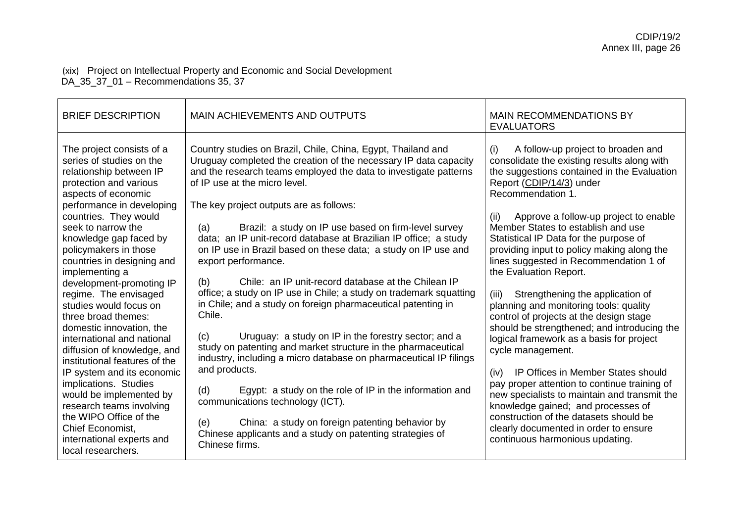### (xix) Project on Intellectual Property and Economic and Social Development DA\_35\_37\_01 – Recommendations 35, 37

| <b>BRIEF DESCRIPTION</b>                                                                                                                                                                                                                                                                                                                                                                                                                                                                                                                                                                                                                                                                                                                                        | <b>MAIN ACHIEVEMENTS AND OUTPUTS</b>                                                                                                                                                                                                                                                                                                                                                                                                                                                                                                                                                                                                                                                                                                                                                                                                                                                                                                                                                                                                                                                                                                                                                            | <b>MAIN RECOMMENDATIONS BY</b><br><b>EVALUATORS</b>                                                                                                                                                                                                                                                                                                                                                                                                                                                                                                                                                                                                                                                                                                                                                                                                                                                                                                                                                     |
|-----------------------------------------------------------------------------------------------------------------------------------------------------------------------------------------------------------------------------------------------------------------------------------------------------------------------------------------------------------------------------------------------------------------------------------------------------------------------------------------------------------------------------------------------------------------------------------------------------------------------------------------------------------------------------------------------------------------------------------------------------------------|-------------------------------------------------------------------------------------------------------------------------------------------------------------------------------------------------------------------------------------------------------------------------------------------------------------------------------------------------------------------------------------------------------------------------------------------------------------------------------------------------------------------------------------------------------------------------------------------------------------------------------------------------------------------------------------------------------------------------------------------------------------------------------------------------------------------------------------------------------------------------------------------------------------------------------------------------------------------------------------------------------------------------------------------------------------------------------------------------------------------------------------------------------------------------------------------------|---------------------------------------------------------------------------------------------------------------------------------------------------------------------------------------------------------------------------------------------------------------------------------------------------------------------------------------------------------------------------------------------------------------------------------------------------------------------------------------------------------------------------------------------------------------------------------------------------------------------------------------------------------------------------------------------------------------------------------------------------------------------------------------------------------------------------------------------------------------------------------------------------------------------------------------------------------------------------------------------------------|
| The project consists of a<br>series of studies on the<br>relationship between IP<br>protection and various<br>aspects of economic<br>performance in developing<br>countries. They would<br>seek to narrow the<br>knowledge gap faced by<br>policymakers in those<br>countries in designing and<br>implementing a<br>development-promoting IP<br>regime. The envisaged<br>studies would focus on<br>three broad themes:<br>domestic innovation, the<br>international and national<br>diffusion of knowledge, and<br>institutional features of the<br>IP system and its economic<br>implications. Studies<br>would be implemented by<br>research teams involving<br>the WIPO Office of the<br>Chief Economist,<br>international experts and<br>local researchers. | Country studies on Brazil, Chile, China, Egypt, Thailand and<br>Uruguay completed the creation of the necessary IP data capacity<br>and the research teams employed the data to investigate patterns<br>of IP use at the micro level.<br>The key project outputs are as follows:<br>Brazil: a study on IP use based on firm-level survey<br>(a)<br>data; an IP unit-record database at Brazilian IP office; a study<br>on IP use in Brazil based on these data; a study on IP use and<br>export performance.<br>Chile: an IP unit-record database at the Chilean IP<br>(b)<br>office; a study on IP use in Chile; a study on trademark squatting<br>in Chile; and a study on foreign pharmaceutical patenting in<br>Chile.<br>Uruguay: a study on IP in the forestry sector; and a<br>(c)<br>study on patenting and market structure in the pharmaceutical<br>industry, including a micro database on pharmaceutical IP filings<br>and products.<br>Egypt: a study on the role of IP in the information and<br>(d)<br>communications technology (ICT).<br>(e)<br>China: a study on foreign patenting behavior by<br>Chinese applicants and a study on patenting strategies of<br>Chinese firms. | A follow-up project to broaden and<br>(i)<br>consolidate the existing results along with<br>the suggestions contained in the Evaluation<br>Report (CDIP/14/3) under<br>Recommendation 1.<br>Approve a follow-up project to enable<br>(ii)<br>Member States to establish and use<br>Statistical IP Data for the purpose of<br>providing input to policy making along the<br>lines suggested in Recommendation 1 of<br>the Evaluation Report.<br>Strengthening the application of<br>(iii)<br>planning and monitoring tools: quality<br>control of projects at the design stage<br>should be strengthened; and introducing the<br>logical framework as a basis for project<br>cycle management.<br>IP Offices in Member States should<br>(iv)<br>pay proper attention to continue training of<br>new specialists to maintain and transmit the<br>knowledge gained; and processes of<br>construction of the datasets should be<br>clearly documented in order to ensure<br>continuous harmonious updating. |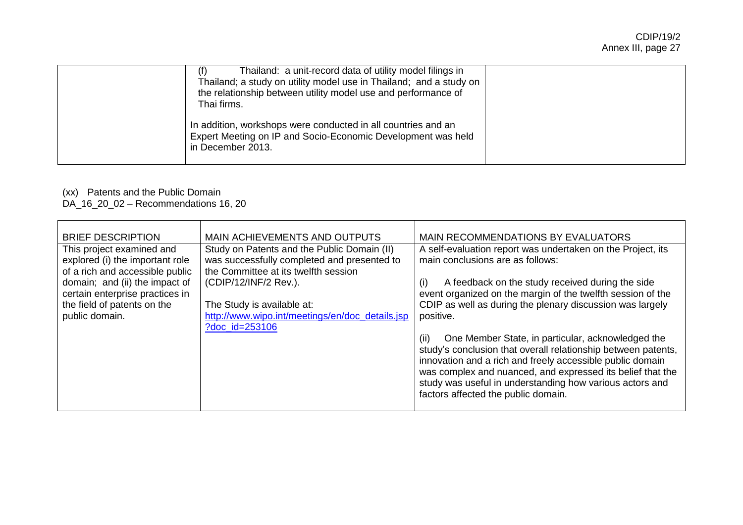| Thailand: a unit-record data of utility model filings in<br>Thailand; a study on utility model use in Thailand; and a study on<br>the relationship between utility model use and performance of<br>Thai firms. |  |
|----------------------------------------------------------------------------------------------------------------------------------------------------------------------------------------------------------------|--|
| In addition, workshops were conducted in all countries and an<br>Expert Meeting on IP and Socio-Economic Development was held<br>in December 2013.                                                             |  |

## (xx) Patents and the Public Domain

DA\_16\_20\_02 – Recommendations 16, 20

| <b>BRIEF DESCRIPTION</b>                                     | MAIN ACHIEVEMENTS AND OUTPUTS                                                              | MAIN RECOMMENDATIONS BY EVALUATORS                                                              |
|--------------------------------------------------------------|--------------------------------------------------------------------------------------------|-------------------------------------------------------------------------------------------------|
| This project examined and<br>explored (i) the important role | Study on Patents and the Public Domain (II)<br>was successfully completed and presented to | A self-evaluation report was undertaken on the Project, its<br>main conclusions are as follows: |
| of a rich and accessible public                              | the Committee at its twelfth session                                                       |                                                                                                 |
| domain; and (ii) the impact of                               | (CDIP/12/INF/2 Rev.).                                                                      | A feedback on the study received during the side<br>(i)                                         |
| certain enterprise practices in                              |                                                                                            | event organized on the margin of the twelfth session of the                                     |
| the field of patents on the                                  | The Study is available at:                                                                 | CDIP as well as during the plenary discussion was largely                                       |
| public domain.                                               | http://www.wipo.int/meetings/en/doc_details.jsp                                            | positive.                                                                                       |
|                                                              | ?doc id=253106                                                                             |                                                                                                 |
|                                                              |                                                                                            | One Member State, in particular, acknowledged the<br>(ii)                                       |
|                                                              |                                                                                            | study's conclusion that overall relationship between patents,                                   |
|                                                              |                                                                                            | innovation and a rich and freely accessible public domain                                       |
|                                                              |                                                                                            | was complex and nuanced, and expressed its belief that the                                      |
|                                                              |                                                                                            | study was useful in understanding how various actors and<br>factors affected the public domain. |
|                                                              |                                                                                            |                                                                                                 |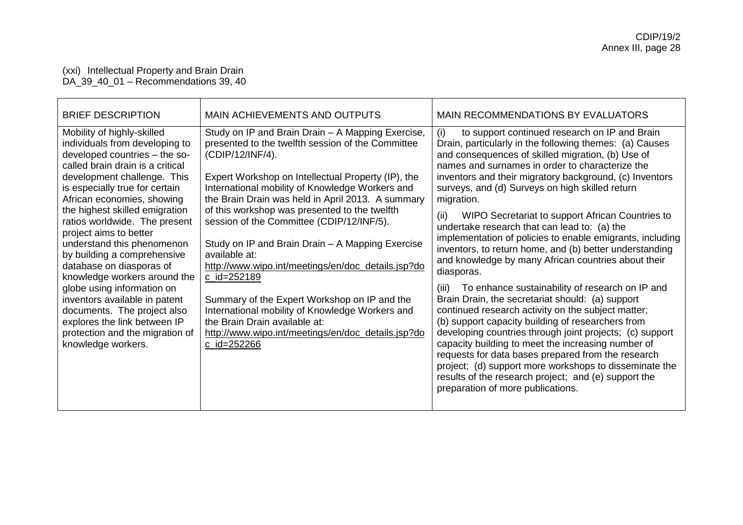#### (xxi) Intellectual Property and Brain Drain DA\_39\_40\_01 – Recommendations 39, 40

| <b>BRIEF DESCRIPTION</b>                                                                                                                                                                                                                                                                                                                                                                                                                                                                                                                                                                                                                      | MAIN ACHIEVEMENTS AND OUTPUTS                                                                                                                                                                                                                                                                                                                                                                                                                                                                                                                                                                                                                                                                                                                   | MAIN RECOMMENDATIONS BY EVALUATORS                                                                                                                                                                                                                                                                                                                                                                                                                                                                                                                                                                                                                                                                                                                                                                                                                                                                                                                                                                                                                                                                                                                                                                                     |
|-----------------------------------------------------------------------------------------------------------------------------------------------------------------------------------------------------------------------------------------------------------------------------------------------------------------------------------------------------------------------------------------------------------------------------------------------------------------------------------------------------------------------------------------------------------------------------------------------------------------------------------------------|-------------------------------------------------------------------------------------------------------------------------------------------------------------------------------------------------------------------------------------------------------------------------------------------------------------------------------------------------------------------------------------------------------------------------------------------------------------------------------------------------------------------------------------------------------------------------------------------------------------------------------------------------------------------------------------------------------------------------------------------------|------------------------------------------------------------------------------------------------------------------------------------------------------------------------------------------------------------------------------------------------------------------------------------------------------------------------------------------------------------------------------------------------------------------------------------------------------------------------------------------------------------------------------------------------------------------------------------------------------------------------------------------------------------------------------------------------------------------------------------------------------------------------------------------------------------------------------------------------------------------------------------------------------------------------------------------------------------------------------------------------------------------------------------------------------------------------------------------------------------------------------------------------------------------------------------------------------------------------|
| Mobility of highly-skilled<br>individuals from developing to<br>developed countries - the so-<br>called brain drain is a critical<br>development challenge. This<br>is especially true for certain<br>African economies, showing<br>the highest skilled emigration<br>ratios worldwide. The present<br>project aims to better<br>understand this phenomenon<br>by building a comprehensive<br>database on diasporas of<br>knowledge workers around the<br>globe using information on<br>inventors available in patent<br>documents. The project also<br>explores the link between IP<br>protection and the migration of<br>knowledge workers. | Study on IP and Brain Drain - A Mapping Exercise,<br>presented to the twelfth session of the Committee<br>(CDIP/12/INF/4).<br>Expert Workshop on Intellectual Property (IP), the<br>International mobility of Knowledge Workers and<br>the Brain Drain was held in April 2013. A summary<br>of this workshop was presented to the twelfth<br>session of the Committee (CDIP/12/INF/5).<br>Study on IP and Brain Drain – A Mapping Exercise<br>available at:<br>http://www.wipo.int/meetings/en/doc_details.jsp?do<br>$c$ _id=252189<br>Summary of the Expert Workshop on IP and the<br>International mobility of Knowledge Workers and<br>the Brain Drain available at:<br>http://www.wipo.int/meetings/en/doc_details.jsp?do<br>$c$ _id=252266 | (i)<br>to support continued research on IP and Brain<br>Drain, particularly in the following themes: (a) Causes<br>and consequences of skilled migration, (b) Use of<br>names and surnames in order to characterize the<br>inventors and their migratory background, (c) Inventors<br>surveys, and (d) Surveys on high skilled return<br>migration.<br>(ii)<br>WIPO Secretariat to support African Countries to<br>undertake research that can lead to: (a) the<br>implementation of policies to enable emigrants, including<br>inventors, to return home, and (b) better understanding<br>and knowledge by many African countries about their<br>diasporas.<br>To enhance sustainability of research on IP and<br>(iii)<br>Brain Drain, the secretariat should: (a) support<br>continued research activity on the subject matter;<br>(b) support capacity building of researchers from<br>developing countries through joint projects; (c) support<br>capacity building to meet the increasing number of<br>requests for data bases prepared from the research<br>project; (d) support more workshops to disseminate the<br>results of the research project; and (e) support the<br>preparation of more publications. |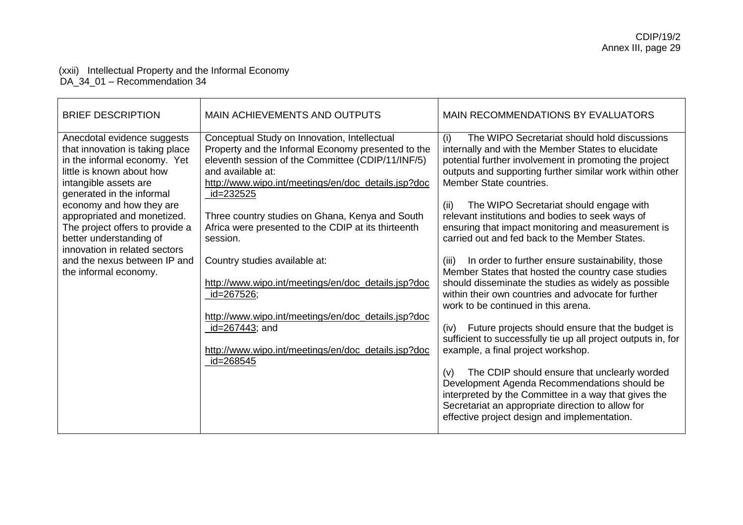### (xxii) Intellectual Property and the Informal Economy DA\_34\_01 – Recommendation 34

| <b>BRIEF DESCRIPTION</b>                                                                                                                                                                                                                                                                                                                                                                             | <b>MAIN ACHIEVEMENTS AND OUTPUTS</b>                                                                                                                                                                                                                                                                                                                                                                                                                                                                                                                                                                                       | <b>MAIN RECOMMENDATIONS BY EVALUATORS</b>                                                                                                                                                                                                                                                                                                                                                                                                                                                                                                                                                                                                                                                                                                                                                                                                                                                                                                                                                                                                                                                                                                                                                 |
|------------------------------------------------------------------------------------------------------------------------------------------------------------------------------------------------------------------------------------------------------------------------------------------------------------------------------------------------------------------------------------------------------|----------------------------------------------------------------------------------------------------------------------------------------------------------------------------------------------------------------------------------------------------------------------------------------------------------------------------------------------------------------------------------------------------------------------------------------------------------------------------------------------------------------------------------------------------------------------------------------------------------------------------|-------------------------------------------------------------------------------------------------------------------------------------------------------------------------------------------------------------------------------------------------------------------------------------------------------------------------------------------------------------------------------------------------------------------------------------------------------------------------------------------------------------------------------------------------------------------------------------------------------------------------------------------------------------------------------------------------------------------------------------------------------------------------------------------------------------------------------------------------------------------------------------------------------------------------------------------------------------------------------------------------------------------------------------------------------------------------------------------------------------------------------------------------------------------------------------------|
| Anecdotal evidence suggests<br>that innovation is taking place<br>in the informal economy. Yet<br>little is known about how<br>intangible assets are<br>generated in the informal<br>economy and how they are<br>appropriated and monetized.<br>The project offers to provide a<br>better understanding of<br>innovation in related sectors<br>and the nexus between IP and<br>the informal economy. | Conceptual Study on Innovation, Intellectual<br>Property and the Informal Economy presented to the<br>eleventh session of the Committee (CDIP/11/INF/5)<br>and available at:<br>http://www.wipo.int/meetings/en/doc_details.jsp?doc<br>_id=232525<br>Three country studies on Ghana, Kenya and South<br>Africa were presented to the CDIP at its thirteenth<br>session.<br>Country studies available at:<br>http://www.wipo.int/meetings/en/doc_details.jsp?doc<br>id=267526;<br>http://www.wipo.int/meetings/en/doc_details.jsp?doc<br>id=267443; and<br>http://www.wipo.int/meetings/en/doc_details.jsp?doc<br>id=268545 | (i)<br>The WIPO Secretariat should hold discussions<br>internally and with the Member States to elucidate<br>potential further involvement in promoting the project<br>outputs and supporting further similar work within other<br>Member State countries.<br>The WIPO Secretariat should engage with<br>(ii)<br>relevant institutions and bodies to seek ways of<br>ensuring that impact monitoring and measurement is<br>carried out and fed back to the Member States.<br>In order to further ensure sustainability, those<br>(iii)<br>Member States that hosted the country case studies<br>should disseminate the studies as widely as possible<br>within their own countries and advocate for further<br>work to be continued in this arena.<br>Future projects should ensure that the budget is<br>(iv)<br>sufficient to successfully tie up all project outputs in, for<br>example, a final project workshop.<br>The CDIP should ensure that unclearly worded<br>(v)<br>Development Agenda Recommendations should be<br>interpreted by the Committee in a way that gives the<br>Secretariat an appropriate direction to allow for<br>effective project design and implementation. |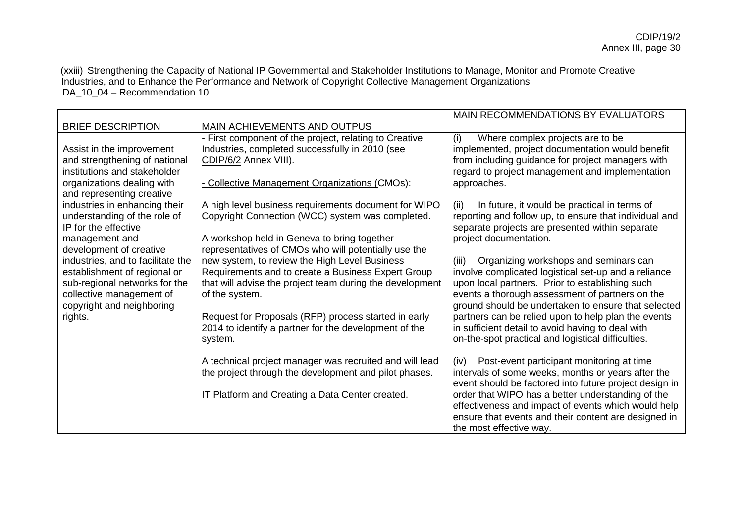(xxiii) Strengthening the Capacity of National IP Governmental and Stakeholder Institutions to Manage, Monitor and Promote Creative Industries, and to Enhance the Performance and Network of Copyright Collective Management Organizations DA\_10\_04 – Recommendation 10

|                                                           |                                                                            | MAIN RECOMMENDATIONS BY EVALUATORS                                                                 |
|-----------------------------------------------------------|----------------------------------------------------------------------------|----------------------------------------------------------------------------------------------------|
| <b>BRIEF DESCRIPTION</b>                                  | <b>MAIN ACHIEVEMENTS AND OUTPUS</b>                                        |                                                                                                    |
|                                                           | - First component of the project, relating to Creative                     | (i)<br>Where complex projects are to be                                                            |
| Assist in the improvement                                 | Industries, completed successfully in 2010 (see                            | implemented, project documentation would benefit                                                   |
| and strengthening of national                             | CDIP/6/2 Annex VIII).                                                      | from including guidance for project managers with                                                  |
| institutions and stakeholder                              |                                                                            | regard to project management and implementation                                                    |
| organizations dealing with                                | - Collective Management Organizations (CMOs):                              | approaches.                                                                                        |
| and representing creative                                 |                                                                            |                                                                                                    |
| industries in enhancing their                             | A high level business requirements document for WIPO                       | In future, it would be practical in terms of<br>(ii)                                               |
| understanding of the role of                              | Copyright Connection (WCC) system was completed.                           | reporting and follow up, to ensure that individual and                                             |
| IP for the effective                                      |                                                                            | separate projects are presented within separate                                                    |
| management and                                            | A workshop held in Geneva to bring together                                | project documentation.                                                                             |
| development of creative                                   | representatives of CMOs who will potentially use the                       |                                                                                                    |
| industries, and to facilitate the                         | new system, to review the High Level Business                              | Organizing workshops and seminars can<br>(iii)                                                     |
| establishment of regional or                              | Requirements and to create a Business Expert Group                         | involve complicated logistical set-up and a reliance                                               |
| sub-regional networks for the<br>collective management of | that will advise the project team during the development<br>of the system. | upon local partners. Prior to establishing such<br>events a thorough assessment of partners on the |
| copyright and neighboring                                 |                                                                            | ground should be undertaken to ensure that selected                                                |
| rights.                                                   | Request for Proposals (RFP) process started in early                       | partners can be relied upon to help plan the events                                                |
|                                                           | 2014 to identify a partner for the development of the                      | in sufficient detail to avoid having to deal with                                                  |
|                                                           | system.                                                                    | on-the-spot practical and logistical difficulties.                                                 |
|                                                           |                                                                            |                                                                                                    |
|                                                           | A technical project manager was recruited and will lead                    | Post-event participant monitoring at time<br>(iv)                                                  |
|                                                           | the project through the development and pilot phases.                      | intervals of some weeks, months or years after the                                                 |
|                                                           |                                                                            | event should be factored into future project design in                                             |
|                                                           | IT Platform and Creating a Data Center created.                            | order that WIPO has a better understanding of the                                                  |
|                                                           |                                                                            | effectiveness and impact of events which would help                                                |
|                                                           |                                                                            | ensure that events and their content are designed in                                               |
|                                                           |                                                                            | the most effective way.                                                                            |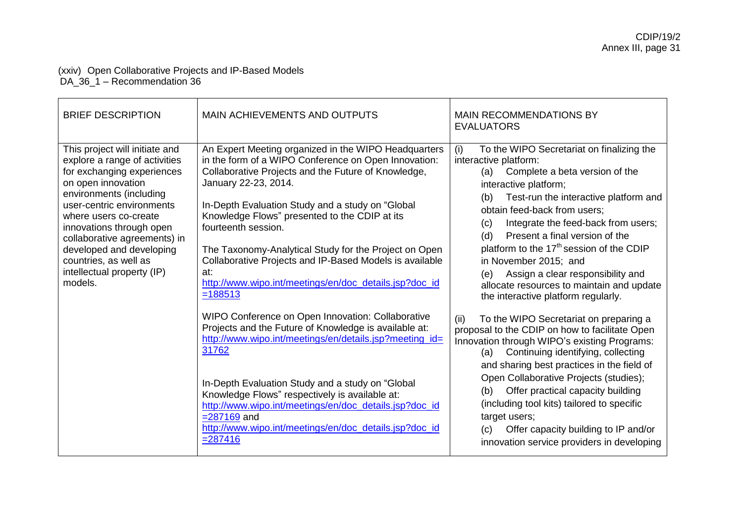### (xxiv) Open Collaborative Projects and IP-Based Models DA\_36\_1 – Recommendation 36

| <b>BRIEF DESCRIPTION</b>                                                                                                                                                                                                                                                                                                                                       | <b>MAIN ACHIEVEMENTS AND OUTPUTS</b>                                                                                                                                                                                                                                                                                                                                                                                                                                                                                                                                                                                                                                                                                                                                                                                                                                                                                                                                  | <b>MAIN RECOMMENDATIONS BY</b><br><b>EVALUATORS</b>                                                                                                                                                                                                                                                                                                                                                                                                                                                                                                                                                                                                                                                                                                                                                                                                                                                                                                                                                                                  |
|----------------------------------------------------------------------------------------------------------------------------------------------------------------------------------------------------------------------------------------------------------------------------------------------------------------------------------------------------------------|-----------------------------------------------------------------------------------------------------------------------------------------------------------------------------------------------------------------------------------------------------------------------------------------------------------------------------------------------------------------------------------------------------------------------------------------------------------------------------------------------------------------------------------------------------------------------------------------------------------------------------------------------------------------------------------------------------------------------------------------------------------------------------------------------------------------------------------------------------------------------------------------------------------------------------------------------------------------------|--------------------------------------------------------------------------------------------------------------------------------------------------------------------------------------------------------------------------------------------------------------------------------------------------------------------------------------------------------------------------------------------------------------------------------------------------------------------------------------------------------------------------------------------------------------------------------------------------------------------------------------------------------------------------------------------------------------------------------------------------------------------------------------------------------------------------------------------------------------------------------------------------------------------------------------------------------------------------------------------------------------------------------------|
| This project will initiate and<br>explore a range of activities<br>for exchanging experiences<br>on open innovation<br>environments (including<br>user-centric environments<br>where users co-create<br>innovations through open<br>collaborative agreements) in<br>developed and developing<br>countries, as well as<br>intellectual property (IP)<br>models. | An Expert Meeting organized in the WIPO Headquarters<br>in the form of a WIPO Conference on Open Innovation:<br>Collaborative Projects and the Future of Knowledge,<br>January 22-23, 2014.<br>In-Depth Evaluation Study and a study on "Global<br>Knowledge Flows" presented to the CDIP at its<br>fourteenth session.<br>The Taxonomy-Analytical Study for the Project on Open<br>Collaborative Projects and IP-Based Models is available<br>at:<br>http://www.wipo.int/meetings/en/doc_details.jsp?doc_id<br>$=188513$<br>WIPO Conference on Open Innovation: Collaborative<br>Projects and the Future of Knowledge is available at:<br>http://www.wipo.int/meetings/en/details.jsp?meeting_id=<br>31762<br>In-Depth Evaluation Study and a study on "Global<br>Knowledge Flows" respectively is available at:<br>http://www.wipo.int/meetings/en/doc_details.jsp?doc_id<br>$= 287169$ and<br>http://www.wipo.int/meetings/en/doc_details.jsp?doc_id<br>$= 287416$ | To the WIPO Secretariat on finalizing the<br>(i)<br>interactive platform:<br>Complete a beta version of the<br>(a)<br>interactive platform;<br>Test-run the interactive platform and<br>(b)<br>obtain feed-back from users;<br>Integrate the feed-back from users;<br>(c)<br>Present a final version of the<br>(d)<br>platform to the 17 <sup>th</sup> session of the CDIP<br>in November 2015; and<br>Assign a clear responsibility and<br>(e)<br>allocate resources to maintain and update<br>the interactive platform regularly.<br>To the WIPO Secretariat on preparing a<br>(ii)<br>proposal to the CDIP on how to facilitate Open<br>Innovation through WIPO's existing Programs:<br>Continuing identifying, collecting<br>(a)<br>and sharing best practices in the field of<br>Open Collaborative Projects (studies);<br>Offer practical capacity building<br>(b)<br>(including tool kits) tailored to specific<br>target users;<br>Offer capacity building to IP and/or<br>(c)<br>innovation service providers in developing |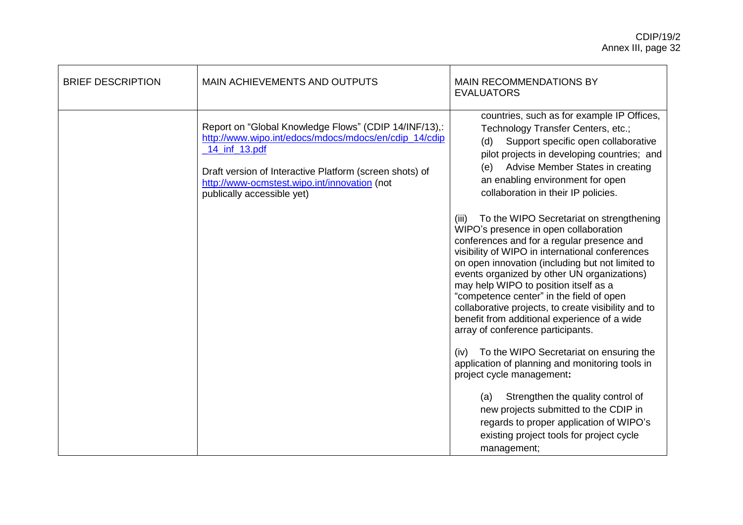| <b>BRIEF DESCRIPTION</b> | MAIN ACHIEVEMENTS AND OUTPUTS                                                                                                                                                                                                                                            | <b>MAIN RECOMMENDATIONS BY</b><br><b>EVALUATORS</b>                                                                                                                                                                                                                                                                                                                                                                                                                        |
|--------------------------|--------------------------------------------------------------------------------------------------------------------------------------------------------------------------------------------------------------------------------------------------------------------------|----------------------------------------------------------------------------------------------------------------------------------------------------------------------------------------------------------------------------------------------------------------------------------------------------------------------------------------------------------------------------------------------------------------------------------------------------------------------------|
|                          | Report on "Global Knowledge Flows" (CDIP 14/INF/13),:<br>http://www.wipo.int/edocs/mdocs/mdocs/en/cdip_14/cdip<br>14_inf_13.pdf<br>Draft version of Interactive Platform (screen shots) of<br>http://www-ocmstest.wipo.int/innovation (not<br>publically accessible yet) | countries, such as for example IP Offices,<br>Technology Transfer Centers, etc.;<br>Support specific open collaborative<br>(d)<br>pilot projects in developing countries; and<br>Advise Member States in creating<br>(e)<br>an enabling environment for open<br>collaboration in their IP policies.<br>To the WIPO Secretariat on strengthening<br>(iii)                                                                                                                   |
|                          |                                                                                                                                                                                                                                                                          | WIPO's presence in open collaboration<br>conferences and for a regular presence and<br>visibility of WIPO in international conferences<br>on open innovation (including but not limited to<br>events organized by other UN organizations)<br>may help WIPO to position itself as a<br>"competence center" in the field of open<br>collaborative projects, to create visibility and to<br>benefit from additional experience of a wide<br>array of conference participants. |
|                          |                                                                                                                                                                                                                                                                          | (iv) To the WIPO Secretariat on ensuring the<br>application of planning and monitoring tools in<br>project cycle management:                                                                                                                                                                                                                                                                                                                                               |
|                          |                                                                                                                                                                                                                                                                          | Strengthen the quality control of<br>(a)<br>new projects submitted to the CDIP in<br>regards to proper application of WIPO's<br>existing project tools for project cycle<br>management;                                                                                                                                                                                                                                                                                    |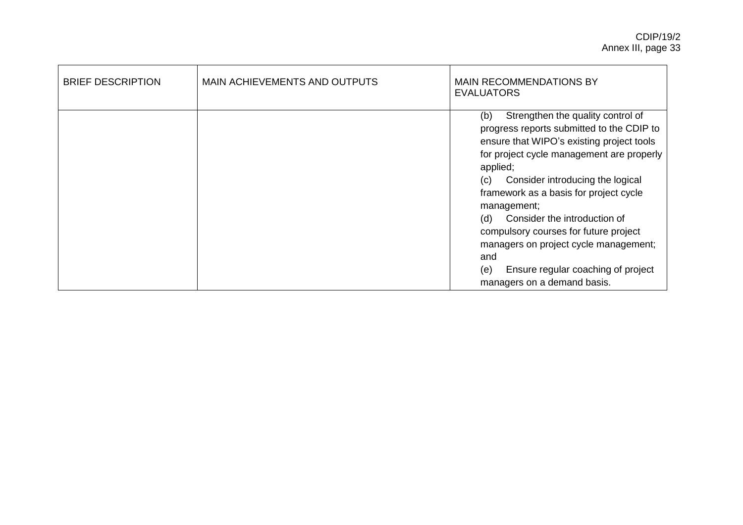| <b>BRIEF DESCRIPTION</b> | MAIN ACHIEVEMENTS AND OUTPUTS | <b>MAIN RECOMMENDATIONS BY</b><br><b>EVALUATORS</b>                                                                                                                                                                                                                                                                                                                                                                                                                                                         |
|--------------------------|-------------------------------|-------------------------------------------------------------------------------------------------------------------------------------------------------------------------------------------------------------------------------------------------------------------------------------------------------------------------------------------------------------------------------------------------------------------------------------------------------------------------------------------------------------|
|                          |                               | Strengthen the quality control of<br>(b)<br>progress reports submitted to the CDIP to<br>ensure that WIPO's existing project tools<br>for project cycle management are properly<br>applied;<br>Consider introducing the logical<br>(c)<br>framework as a basis for project cycle<br>management;<br>(d)<br>Consider the introduction of<br>compulsory courses for future project<br>managers on project cycle management;<br>and<br>(e)<br>Ensure regular coaching of project<br>managers on a demand basis. |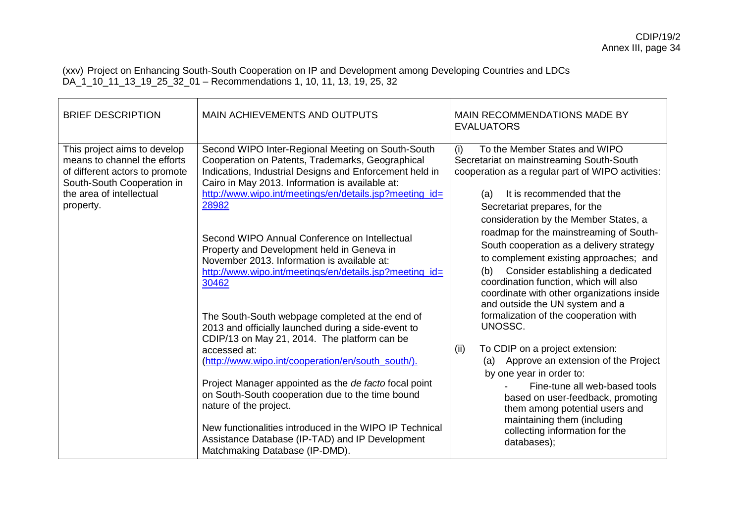(xxv) Project on Enhancing South-South Cooperation on IP and Development among Developing Countries and LDCs DA\_1\_10\_11\_13\_19\_25\_32\_01 – Recommendations 1, 10, 11, 13, 19, 25, 32

| <b>BRIEF DESCRIPTION</b>                                                                                                                                              | MAIN ACHIEVEMENTS AND OUTPUTS                                                                                                                                                                                                                                                                                                                                                                                                                                                                                       | MAIN RECOMMENDATIONS MADE BY<br><b>EVALUATORS</b>                                                                                                                                                                                                                                                                                                                                                                                                                           |
|-----------------------------------------------------------------------------------------------------------------------------------------------------------------------|---------------------------------------------------------------------------------------------------------------------------------------------------------------------------------------------------------------------------------------------------------------------------------------------------------------------------------------------------------------------------------------------------------------------------------------------------------------------------------------------------------------------|-----------------------------------------------------------------------------------------------------------------------------------------------------------------------------------------------------------------------------------------------------------------------------------------------------------------------------------------------------------------------------------------------------------------------------------------------------------------------------|
| This project aims to develop<br>means to channel the efforts<br>of different actors to promote<br>South-South Cooperation in<br>the area of intellectual<br>property. | Second WIPO Inter-Regional Meeting on South-South<br>Cooperation on Patents, Trademarks, Geographical<br>Indications, Industrial Designs and Enforcement held in<br>Cairo in May 2013. Information is available at:<br>http://www.wipo.int/meetings/en/details.jsp?meeting_id=<br>28982<br>Second WIPO Annual Conference on Intellectual<br>Property and Development held in Geneva in<br>November 2013. Information is available at:<br>http://www.wipo.int/meetings/en/details.jsp?meeting_id=<br>30462           | To the Member States and WIPO<br>(i)<br>Secretariat on mainstreaming South-South<br>cooperation as a regular part of WIPO activities:<br>It is recommended that the<br>(a)<br>Secretariat prepares, for the<br>consideration by the Member States, a<br>roadmap for the mainstreaming of South-<br>South cooperation as a delivery strategy<br>to complement existing approaches; and<br>Consider establishing a dedicated<br>(b)<br>coordination function, which will also |
|                                                                                                                                                                       | The South-South webpage completed at the end of<br>2013 and officially launched during a side-event to<br>CDIP/13 on May 21, 2014. The platform can be<br>accessed at:<br>(http://www.wipo.int/cooperation/en/south_south/).<br>Project Manager appointed as the de facto focal point<br>on South-South cooperation due to the time bound<br>nature of the project.<br>New functionalities introduced in the WIPO IP Technical<br>Assistance Database (IP-TAD) and IP Development<br>Matchmaking Database (IP-DMD). | coordinate with other organizations inside<br>and outside the UN system and a<br>formalization of the cooperation with<br>UNOSSC.<br>To CDIP on a project extension:<br>(ii)<br>Approve an extension of the Project<br>(a)<br>by one year in order to:<br>Fine-tune all web-based tools<br>based on user-feedback, promoting<br>them among potential users and<br>maintaining them (including<br>collecting information for the<br>databases);                              |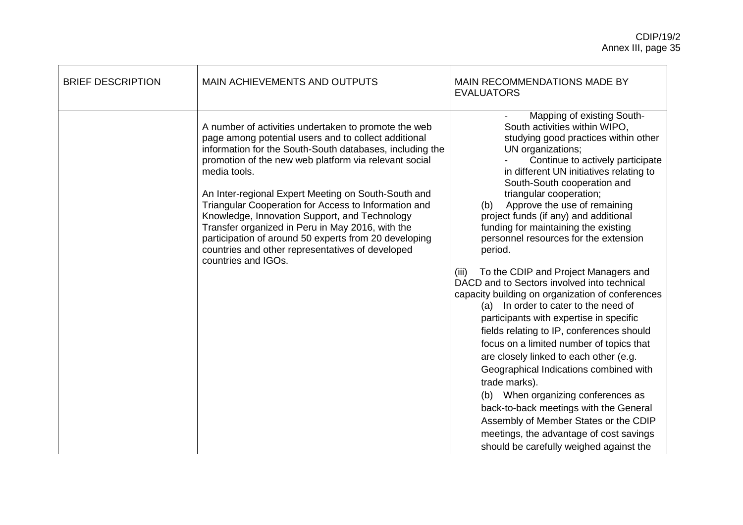| <b>BRIEF DESCRIPTION</b> | <b>MAIN ACHIEVEMENTS AND OUTPUTS</b>                                                                                                                                                                                                                                                                                                                                                                                                                                                                                                                                                                      | MAIN RECOMMENDATIONS MADE BY<br><b>EVALUATORS</b>                                                                                                                                                                                                                                                                                                                                                                                                                                                                                                                                                                                                                                                                                                                                                                                                                                                                                                                                                                                                                                                 |
|--------------------------|-----------------------------------------------------------------------------------------------------------------------------------------------------------------------------------------------------------------------------------------------------------------------------------------------------------------------------------------------------------------------------------------------------------------------------------------------------------------------------------------------------------------------------------------------------------------------------------------------------------|---------------------------------------------------------------------------------------------------------------------------------------------------------------------------------------------------------------------------------------------------------------------------------------------------------------------------------------------------------------------------------------------------------------------------------------------------------------------------------------------------------------------------------------------------------------------------------------------------------------------------------------------------------------------------------------------------------------------------------------------------------------------------------------------------------------------------------------------------------------------------------------------------------------------------------------------------------------------------------------------------------------------------------------------------------------------------------------------------|
|                          | A number of activities undertaken to promote the web<br>page among potential users and to collect additional<br>information for the South-South databases, including the<br>promotion of the new web platform via relevant social<br>media tools.<br>An Inter-regional Expert Meeting on South-South and<br>Triangular Cooperation for Access to Information and<br>Knowledge, Innovation Support, and Technology<br>Transfer organized in Peru in May 2016, with the<br>participation of around 50 experts from 20 developing<br>countries and other representatives of developed<br>countries and IGOs. | Mapping of existing South-<br>South activities within WIPO,<br>studying good practices within other<br>UN organizations;<br>Continue to actively participate<br>in different UN initiatives relating to<br>South-South cooperation and<br>triangular cooperation;<br>Approve the use of remaining<br>(b)<br>project funds (if any) and additional<br>funding for maintaining the existing<br>personnel resources for the extension<br>period.<br>To the CDIP and Project Managers and<br>(iii)<br>DACD and to Sectors involved into technical<br>capacity building on organization of conferences<br>(a) In order to cater to the need of<br>participants with expertise in specific<br>fields relating to IP, conferences should<br>focus on a limited number of topics that<br>are closely linked to each other (e.g.<br>Geographical Indications combined with<br>trade marks).<br>(b) When organizing conferences as<br>back-to-back meetings with the General<br>Assembly of Member States or the CDIP<br>meetings, the advantage of cost savings<br>should be carefully weighed against the |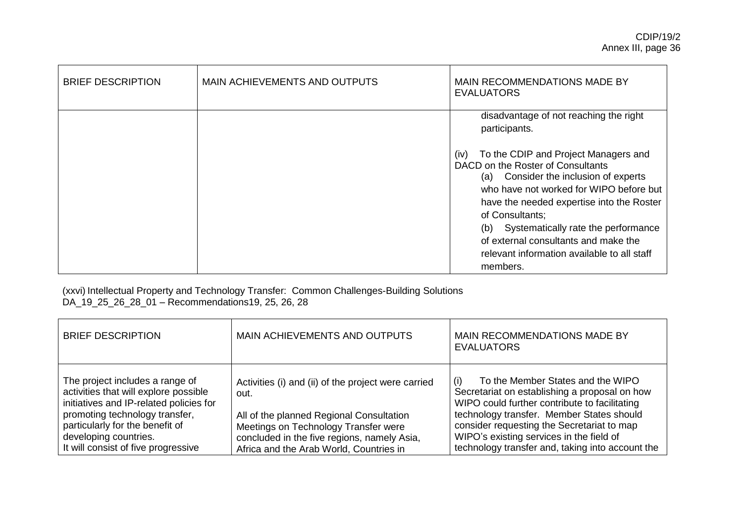| <b>BRIEF DESCRIPTION</b> | <b>MAIN ACHIEVEMENTS AND OUTPUTS</b> | MAIN RECOMMENDATIONS MADE BY<br><b>EVALUATORS</b>                                                                                                                                                                                                                                                                                                                                                                                                    |
|--------------------------|--------------------------------------|------------------------------------------------------------------------------------------------------------------------------------------------------------------------------------------------------------------------------------------------------------------------------------------------------------------------------------------------------------------------------------------------------------------------------------------------------|
|                          |                                      | disadvantage of not reaching the right<br>participants.<br>To the CDIP and Project Managers and<br>(iv)<br>DACD on the Roster of Consultants<br>Consider the inclusion of experts<br>(a)<br>who have not worked for WIPO before but<br>have the needed expertise into the Roster<br>of Consultants;<br>Systematically rate the performance<br>(b)<br>of external consultants and make the<br>relevant information available to all staff<br>members. |

(xxvi) Intellectual Property and Technology Transfer: Common Challenges-Building Solutions DA\_19\_25\_26\_28\_01 – Recommendations19, 25, 26, 28

| <b>BRIEF DESCRIPTION</b>                                                                                                                                                                                                                                 | MAIN ACHIEVEMENTS AND OUTPUTS                                                                                                                                                                  | MAIN RECOMMENDATIONS MADE BY<br><b>EVALUATORS</b>                                                                                                                                                                                                                                                                              |
|----------------------------------------------------------------------------------------------------------------------------------------------------------------------------------------------------------------------------------------------------------|------------------------------------------------------------------------------------------------------------------------------------------------------------------------------------------------|--------------------------------------------------------------------------------------------------------------------------------------------------------------------------------------------------------------------------------------------------------------------------------------------------------------------------------|
| The project includes a range of<br>activities that will explore possible<br>initiatives and IP-related policies for<br>promoting technology transfer,<br>particularly for the benefit of<br>developing countries.<br>It will consist of five progressive | Activities (i) and (ii) of the project were carried<br>out.<br>All of the planned Regional Consultation<br>Meetings on Technology Transfer were<br>concluded in the five regions, namely Asia, | To the Member States and the WIPO<br>Secretariat on establishing a proposal on how<br>WIPO could further contribute to facilitating<br>technology transfer. Member States should<br>consider requesting the Secretariat to map<br>WIPO's existing services in the field of<br>technology transfer and, taking into account the |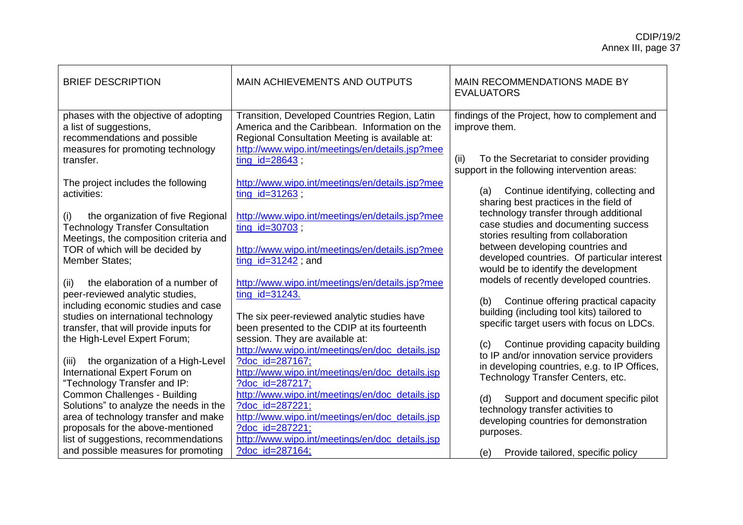| <b>BRIEF DESCRIPTION</b>                                                                                                             | MAIN ACHIEVEMENTS AND OUTPUTS                                                                                                                                                                       | MAIN RECOMMENDATIONS MADE BY<br><b>EVALUATORS</b>                                                                                      |
|--------------------------------------------------------------------------------------------------------------------------------------|-----------------------------------------------------------------------------------------------------------------------------------------------------------------------------------------------------|----------------------------------------------------------------------------------------------------------------------------------------|
| phases with the objective of adopting<br>a list of suggestions,<br>recommendations and possible<br>measures for promoting technology | Transition, Developed Countries Region, Latin<br>America and the Caribbean. Information on the<br>Regional Consultation Meeting is available at:<br>http://www.wipo.int/meetings/en/details.jsp?mee | findings of the Project, how to complement and<br>improve them.                                                                        |
| transfer.                                                                                                                            | ting $id = 28643$ ;                                                                                                                                                                                 | (ii)<br>To the Secretariat to consider providing<br>support in the following intervention areas:                                       |
| The project includes the following<br>activities:                                                                                    | http://www.wipo.int/meetings/en/details.jsp?mee<br>$ting_id=31263;$                                                                                                                                 | Continue identifying, collecting and<br>(a)<br>sharing best practices in the field of                                                  |
| (i)<br>the organization of five Regional<br><b>Technology Transfer Consultation</b><br>Meetings, the composition criteria and        | http://www.wipo.int/meetings/en/details.jsp?mee<br>$ting_id=30703;$                                                                                                                                 | technology transfer through additional<br>case studies and documenting success<br>stories resulting from collaboration                 |
| TOR of which will be decided by<br><b>Member States;</b>                                                                             | http://www.wipo.int/meetings/en/details.jsp?mee<br>$ting_id=31242$ ; and                                                                                                                            | between developing countries and<br>developed countries. Of particular interest<br>would be to identify the development                |
| the elaboration of a number of<br>(ii)<br>peer-reviewed analytic studies,                                                            | http://www.wipo.int/meetings/en/details.jsp?mee<br>ting id=31243.                                                                                                                                   | models of recently developed countries.                                                                                                |
| including economic studies and case<br>studies on international technology<br>transfer, that will provide inputs for                 | The six peer-reviewed analytic studies have<br>been presented to the CDIP at its fourteenth                                                                                                         | (b)<br>Continue offering practical capacity<br>building (including tool kits) tailored to<br>specific target users with focus on LDCs. |
| the High-Level Expert Forum;<br>the organization of a High-Level<br>(iii)                                                            | session. They are available at:<br>http://www.wipo.int/meetings/en/doc_details.jsp<br>?doc_id=287167;                                                                                               | Continue providing capacity building<br>(c)<br>to IP and/or innovation service providers                                               |
| International Expert Forum on<br>"Technology Transfer and IP:                                                                        | http://www.wipo.int/meetings/en/doc_details.jsp<br>?doc_id=287217;                                                                                                                                  | in developing countries, e.g. to IP Offices,<br>Technology Transfer Centers, etc.                                                      |
| Common Challenges - Building<br>Solutions" to analyze the needs in the                                                               | http://www.wipo.int/meetings/en/doc_details.jsp<br>?doc id=287221;                                                                                                                                  | Support and document specific pilot<br>(d)<br>technology transfer activities to                                                        |
| area of technology transfer and make<br>proposals for the above-mentioned<br>list of suggestions, recommendations                    | http://www.wipo.int/meetings/en/doc_details.jsp<br>?doc id=287221;<br>http://www.wipo.int/meetings/en/doc_details.jsp                                                                               | developing countries for demonstration<br>purposes.                                                                                    |
| and possible measures for promoting                                                                                                  | ?doc_id=287164;                                                                                                                                                                                     | Provide tailored, specific policy<br>(e)                                                                                               |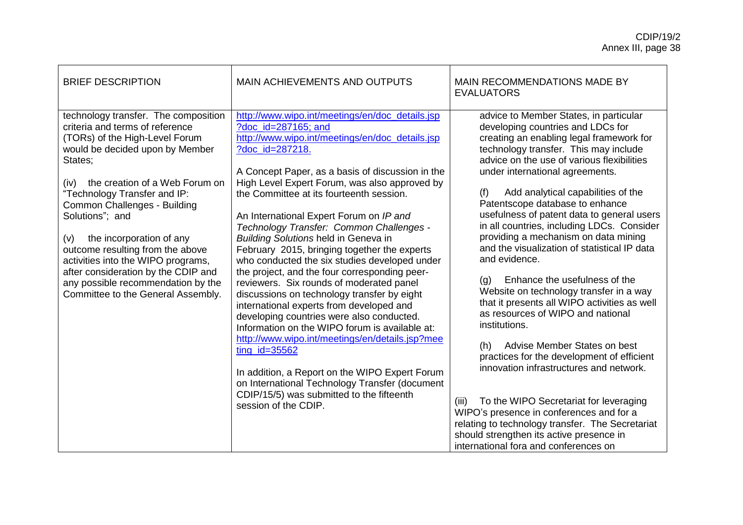| <b>BRIEF DESCRIPTION</b>                                                                                                                                                                                                                                                                                                                                                                                                                                                                                             | MAIN ACHIEVEMENTS AND OUTPUTS                                                                                                                                                                                                                                                                                                                                                                                                                                                                                                                                                                                                                                                                                                                                                                                                                                                                                                                                                                                                                                              | MAIN RECOMMENDATIONS MADE BY<br><b>EVALUATORS</b>                                                                                                                                                                                                                                                                                                                                                                                                                                                                                                                                                                                                                                                                                                                                                                                                                                                                                                                                                                                                                                                       |
|----------------------------------------------------------------------------------------------------------------------------------------------------------------------------------------------------------------------------------------------------------------------------------------------------------------------------------------------------------------------------------------------------------------------------------------------------------------------------------------------------------------------|----------------------------------------------------------------------------------------------------------------------------------------------------------------------------------------------------------------------------------------------------------------------------------------------------------------------------------------------------------------------------------------------------------------------------------------------------------------------------------------------------------------------------------------------------------------------------------------------------------------------------------------------------------------------------------------------------------------------------------------------------------------------------------------------------------------------------------------------------------------------------------------------------------------------------------------------------------------------------------------------------------------------------------------------------------------------------|---------------------------------------------------------------------------------------------------------------------------------------------------------------------------------------------------------------------------------------------------------------------------------------------------------------------------------------------------------------------------------------------------------------------------------------------------------------------------------------------------------------------------------------------------------------------------------------------------------------------------------------------------------------------------------------------------------------------------------------------------------------------------------------------------------------------------------------------------------------------------------------------------------------------------------------------------------------------------------------------------------------------------------------------------------------------------------------------------------|
| technology transfer. The composition<br>criteria and terms of reference<br>(TORs) of the High-Level Forum<br>would be decided upon by Member<br>States;<br>the creation of a Web Forum on<br>(iv)<br>"Technology Transfer and IP:<br>Common Challenges - Building<br>Solutions"; and<br>the incorporation of any<br>(v)<br>outcome resulting from the above<br>activities into the WIPO programs,<br>after consideration by the CDIP and<br>any possible recommendation by the<br>Committee to the General Assembly. | http://www.wipo.int/meetings/en/doc_details.jsp<br>?doc_id=287165; and<br>http://www.wipo.int/meetings/en/doc_details.jsp<br>?doc id=287218.<br>A Concept Paper, as a basis of discussion in the<br>High Level Expert Forum, was also approved by<br>the Committee at its fourteenth session.<br>An International Expert Forum on IP and<br>Technology Transfer: Common Challenges -<br><b>Building Solutions held in Geneva in</b><br>February 2015, bringing together the experts<br>who conducted the six studies developed under<br>the project, and the four corresponding peer-<br>reviewers. Six rounds of moderated panel<br>discussions on technology transfer by eight<br>international experts from developed and<br>developing countries were also conducted.<br>Information on the WIPO forum is available at:<br>http://www.wipo.int/meetings/en/details.jsp?mee<br>$ting_id=35562$<br>In addition, a Report on the WIPO Expert Forum<br>on International Technology Transfer (document<br>CDIP/15/5) was submitted to the fifteenth<br>session of the CDIP. | advice to Member States, in particular<br>developing countries and LDCs for<br>creating an enabling legal framework for<br>technology transfer. This may include<br>advice on the use of various flexibilities<br>under international agreements.<br>Add analytical capabilities of the<br>(f)<br>Patentscope database to enhance<br>usefulness of patent data to general users<br>in all countries, including LDCs. Consider<br>providing a mechanism on data mining<br>and the visualization of statistical IP data<br>and evidence.<br>Enhance the usefulness of the<br>(g)<br>Website on technology transfer in a way<br>that it presents all WIPO activities as well<br>as resources of WIPO and national<br>institutions.<br>Advise Member States on best<br>(h)<br>practices for the development of efficient<br>innovation infrastructures and network.<br>To the WIPO Secretariat for leveraging<br>(iii)<br>WIPO's presence in conferences and for a<br>relating to technology transfer. The Secretariat<br>should strengthen its active presence in<br>international fora and conferences on |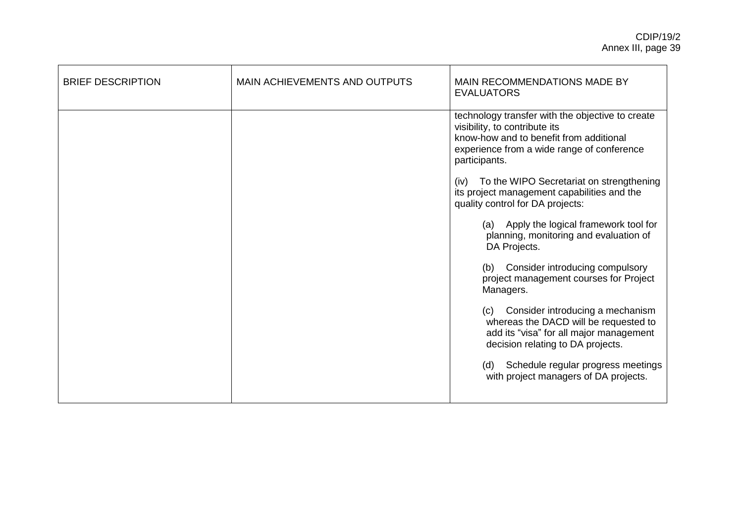| <b>BRIEF DESCRIPTION</b> | MAIN ACHIEVEMENTS AND OUTPUTS | MAIN RECOMMENDATIONS MADE BY<br><b>EVALUATORS</b>                                                                                                                                           |
|--------------------------|-------------------------------|---------------------------------------------------------------------------------------------------------------------------------------------------------------------------------------------|
|                          |                               | technology transfer with the objective to create<br>visibility, to contribute its<br>know-how and to benefit from additional<br>experience from a wide range of conference<br>participants. |
|                          |                               | (iv) To the WIPO Secretariat on strengthening<br>its project management capabilities and the<br>quality control for DA projects:                                                            |
|                          |                               | (a) Apply the logical framework tool for<br>planning, monitoring and evaluation of<br>DA Projects.                                                                                          |
|                          |                               | Consider introducing compulsory<br>(b)<br>project management courses for Project<br>Managers.                                                                                               |
|                          |                               | Consider introducing a mechanism<br>(c)<br>whereas the DACD will be requested to<br>add its "visa" for all major management<br>decision relating to DA projects.                            |
|                          |                               | Schedule regular progress meetings<br>(d)<br>with project managers of DA projects.                                                                                                          |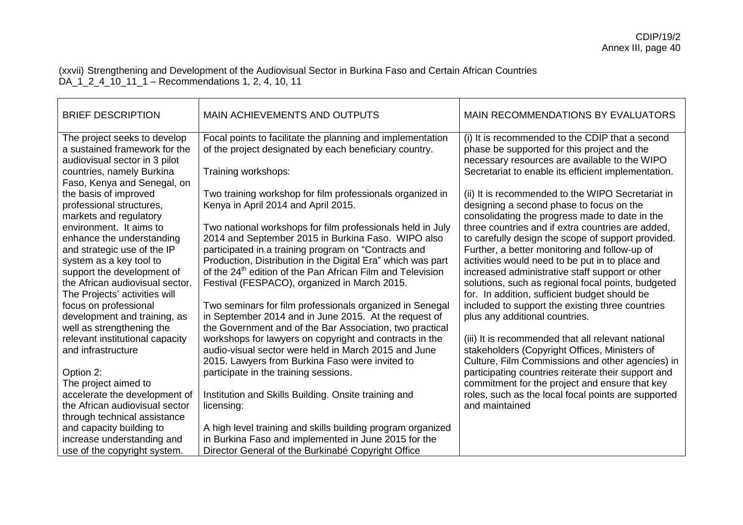(xxvii) Strengthening and Development of the Audiovisual Sector in Burkina Faso and Certain African Countries DA\_1\_2\_4\_10\_11\_1 – Recommendations 1, 2, 4, 10, 11

| <b>BRIEF DESCRIPTION</b>                                                                               | <b>MAIN ACHIEVEMENTS AND OUTPUTS</b>                                                                                                                                          | MAIN RECOMMENDATIONS BY EVALUATORS                                                                                                                                                                   |
|--------------------------------------------------------------------------------------------------------|-------------------------------------------------------------------------------------------------------------------------------------------------------------------------------|------------------------------------------------------------------------------------------------------------------------------------------------------------------------------------------------------|
| The project seeks to develop<br>a sustained framework for the<br>audiovisual sector in 3 pilot         | Focal points to facilitate the planning and implementation<br>of the project designated by each beneficiary country.                                                          | (i) It is recommended to the CDIP that a second<br>phase be supported for this project and the<br>necessary resources are available to the WIPO                                                      |
| countries, namely Burkina<br>Faso, Kenya and Senegal, on                                               | Training workshops:                                                                                                                                                           | Secretariat to enable its efficient implementation.                                                                                                                                                  |
| the basis of improved<br>professional structures,<br>markets and regulatory<br>environment. It aims to | Two training workshop for film professionals organized in<br>Kenya in April 2014 and April 2015.<br>Two national workshops for film professionals held in July                | (ii) It is recommended to the WIPO Secretariat in<br>designing a second phase to focus on the<br>consolidating the progress made to date in the<br>three countries and if extra countries are added, |
| enhance the understanding<br>and strategic use of the IP<br>system as a key tool to                    | 2014 and September 2015 in Burkina Faso. WIPO also<br>participated in a training program on "Contracts and<br>Production, Distribution in the Digital Era" which was part     | to carefully design the scope of support provided.<br>Further, a better monitoring and follow-up of<br>activities would need to be put in to place and                                               |
| support the development of<br>the African audiovisual sector.<br>The Projects' activities will         | of the 24 <sup>th</sup> edition of the Pan African Film and Television<br>Festival (FESPACO), organized in March 2015.                                                        | increased administrative staff support or other<br>solutions, such as regional focal points, budgeted<br>for. In addition, sufficient budget should be                                               |
| focus on professional<br>development and training, as<br>well as strengthening the                     | Two seminars for film professionals organized in Senegal<br>in September 2014 and in June 2015. At the request of<br>the Government and of the Bar Association, two practical | included to support the existing three countries<br>plus any additional countries.                                                                                                                   |
| relevant institutional capacity<br>and infrastructure                                                  | workshops for lawyers on copyright and contracts in the<br>audio-visual sector were held in March 2015 and June<br>2015. Lawyers from Burkina Faso were invited to            | (iii) It is recommended that all relevant national<br>stakeholders (Copyright Offices, Ministers of<br>Culture, Film Commissions and other agencies) in                                              |
| Option 2:<br>The project aimed to                                                                      | participate in the training sessions.                                                                                                                                         | participating countries reiterate their support and<br>commitment for the project and ensure that key                                                                                                |
| accelerate the development of<br>the African audiovisual sector<br>through technical assistance        | Institution and Skills Building. Onsite training and<br>licensing:                                                                                                            | roles, such as the local focal points are supported<br>and maintained                                                                                                                                |
| and capacity building to<br>increase understanding and<br>use of the copyright system.                 | A high level training and skills building program organized<br>in Burkina Faso and implemented in June 2015 for the<br>Director General of the Burkinabé Copyright Office     |                                                                                                                                                                                                      |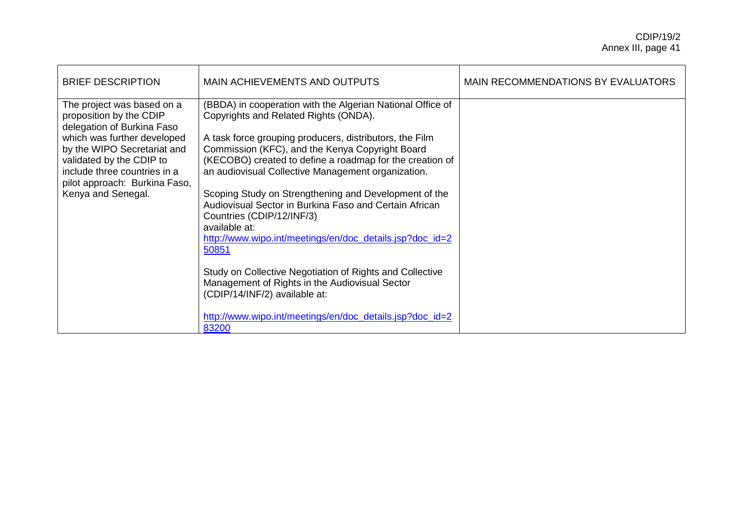| <b>BRIEF DESCRIPTION</b>                                                                                                                                                                                                                                             | MAIN ACHIEVEMENTS AND OUTPUTS                                                                                                                                                                                                                                                                                                                                                                                                                                                                                                                                                                                                                                                                                                                                                        | MAIN RECOMMENDATIONS BY EVALUATORS |
|----------------------------------------------------------------------------------------------------------------------------------------------------------------------------------------------------------------------------------------------------------------------|--------------------------------------------------------------------------------------------------------------------------------------------------------------------------------------------------------------------------------------------------------------------------------------------------------------------------------------------------------------------------------------------------------------------------------------------------------------------------------------------------------------------------------------------------------------------------------------------------------------------------------------------------------------------------------------------------------------------------------------------------------------------------------------|------------------------------------|
| The project was based on a<br>proposition by the CDIP<br>delegation of Burkina Faso<br>which was further developed<br>by the WIPO Secretariat and<br>validated by the CDIP to<br>include three countries in a<br>pilot approach: Burkina Faso,<br>Kenya and Senegal. | (BBDA) in cooperation with the Algerian National Office of<br>Copyrights and Related Rights (ONDA).<br>A task force grouping producers, distributors, the Film<br>Commission (KFC), and the Kenya Copyright Board<br>(KECOBO) created to define a roadmap for the creation of<br>an audiovisual Collective Management organization.<br>Scoping Study on Strengthening and Development of the<br>Audiovisual Sector in Burkina Faso and Certain African<br>Countries (CDIP/12/INF/3)<br>available at:<br>http://www.wipo.int/meetings/en/doc_details.jsp?doc_id=2<br>50851<br>Study on Collective Negotiation of Rights and Collective<br>Management of Rights in the Audiovisual Sector<br>(CDIP/14/INF/2) available at:<br>http://www.wipo.int/meetings/en/doc_details.jsp?doc_id=2 |                                    |
|                                                                                                                                                                                                                                                                      | 83200                                                                                                                                                                                                                                                                                                                                                                                                                                                                                                                                                                                                                                                                                                                                                                                |                                    |